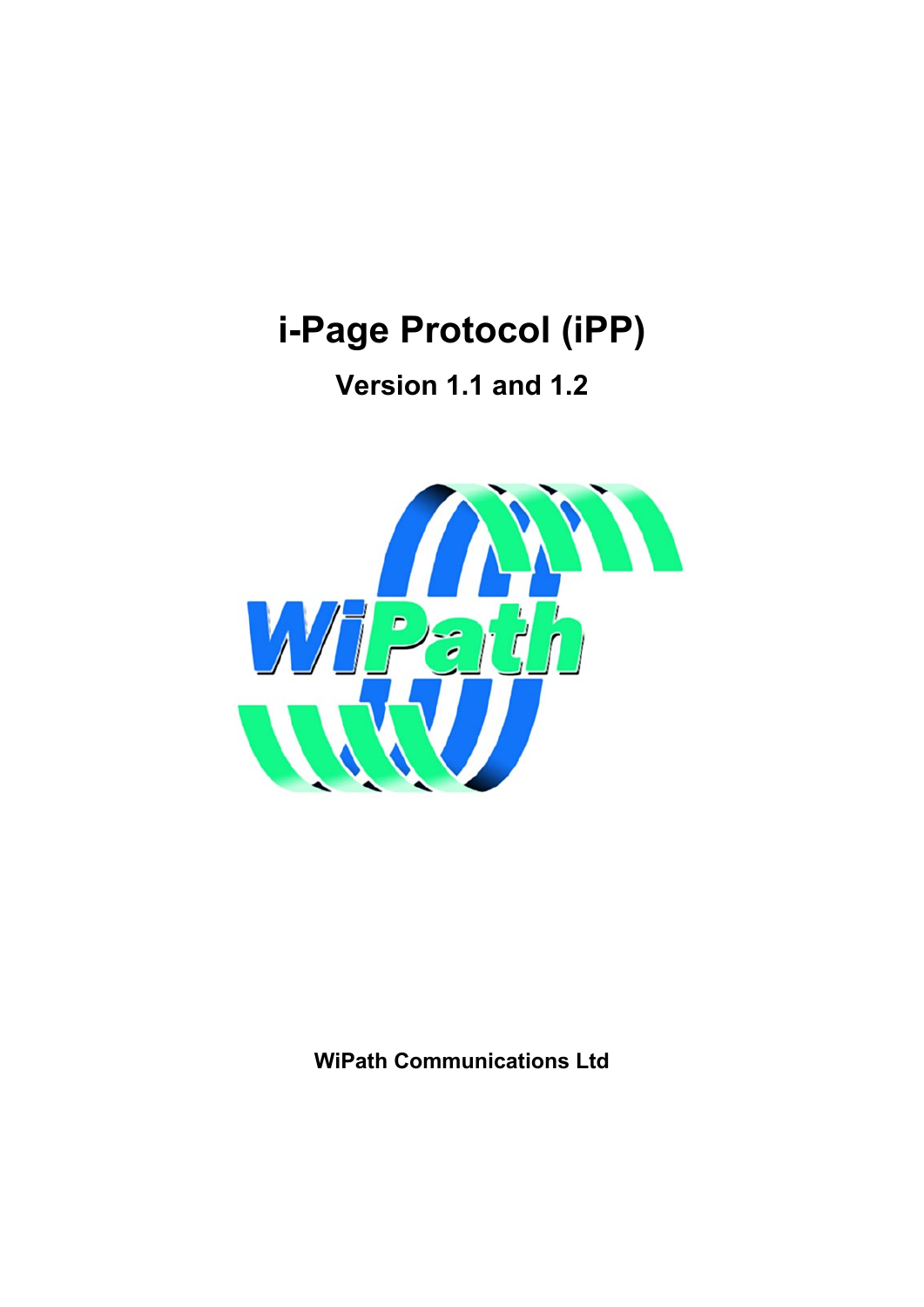# **i-Page Protocol (iPP)**

**Version 1.1 and 1.2**



**WiPath Communications Ltd**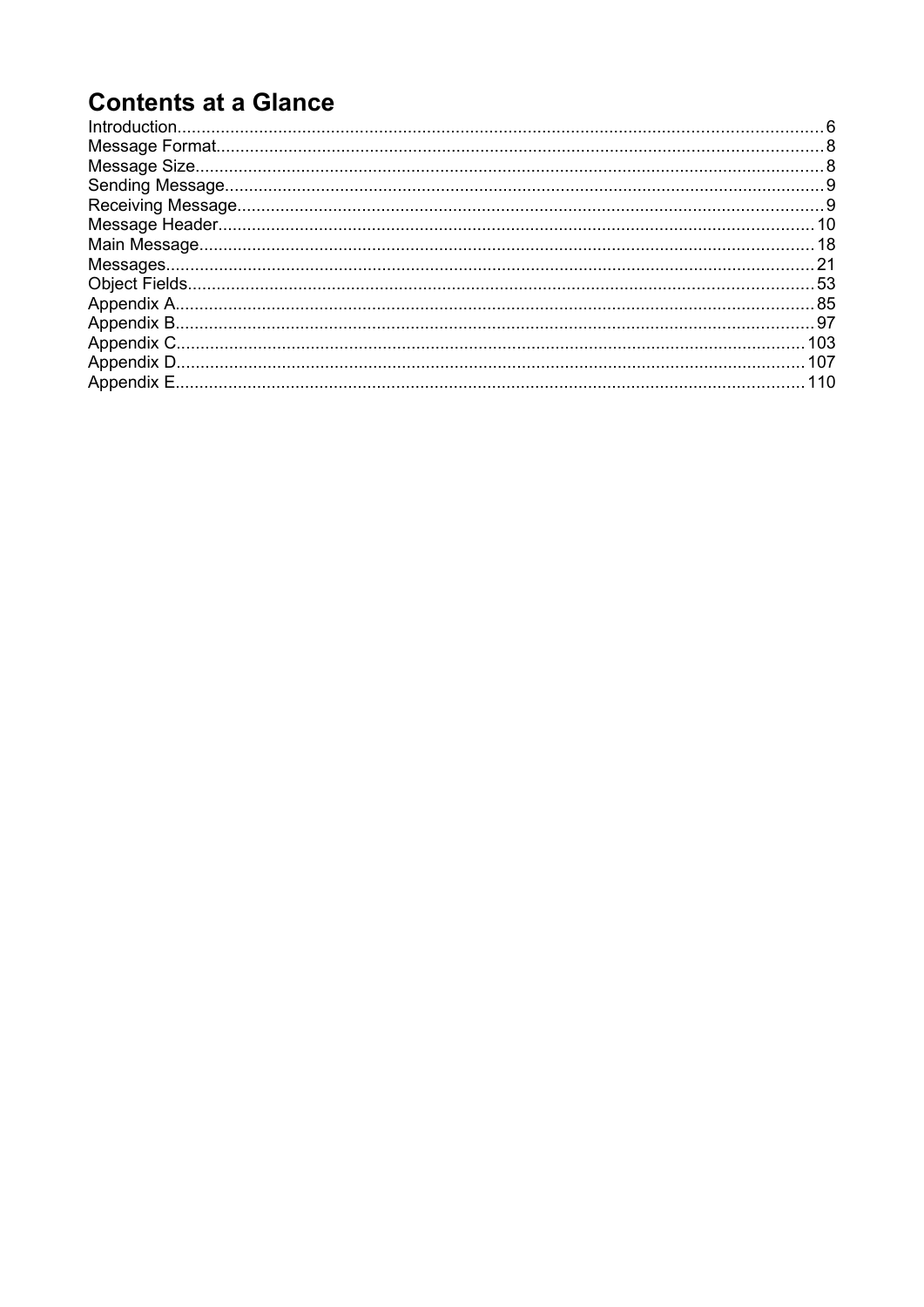## **Contents at a Glance**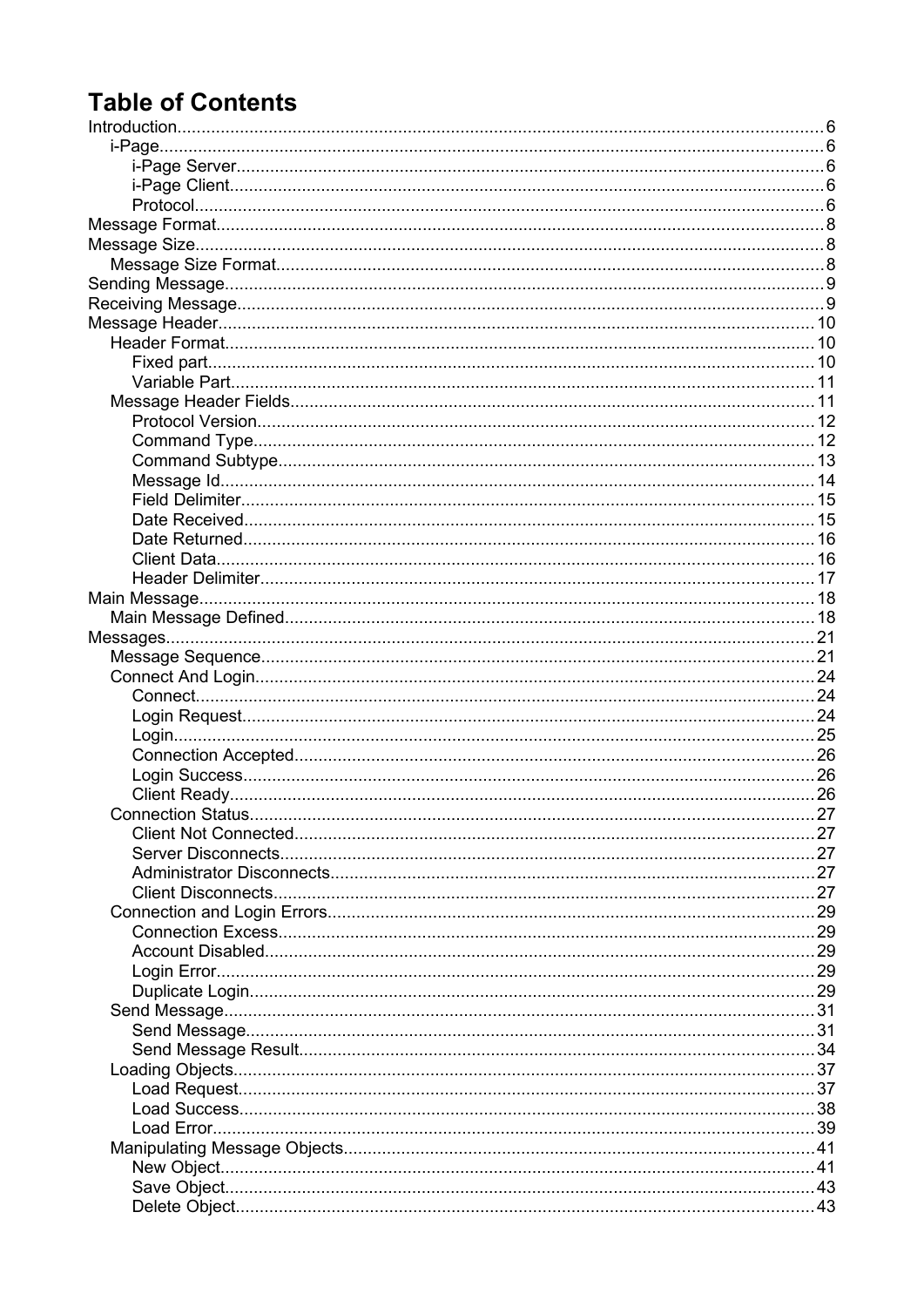## **Table of Contents**

| Connection Status<br>. |  |
|------------------------|--|
|                        |  |
|                        |  |
|                        |  |
|                        |  |
|                        |  |
|                        |  |
|                        |  |
|                        |  |
|                        |  |
|                        |  |
|                        |  |
|                        |  |
|                        |  |
|                        |  |
|                        |  |
|                        |  |
|                        |  |
|                        |  |
|                        |  |
|                        |  |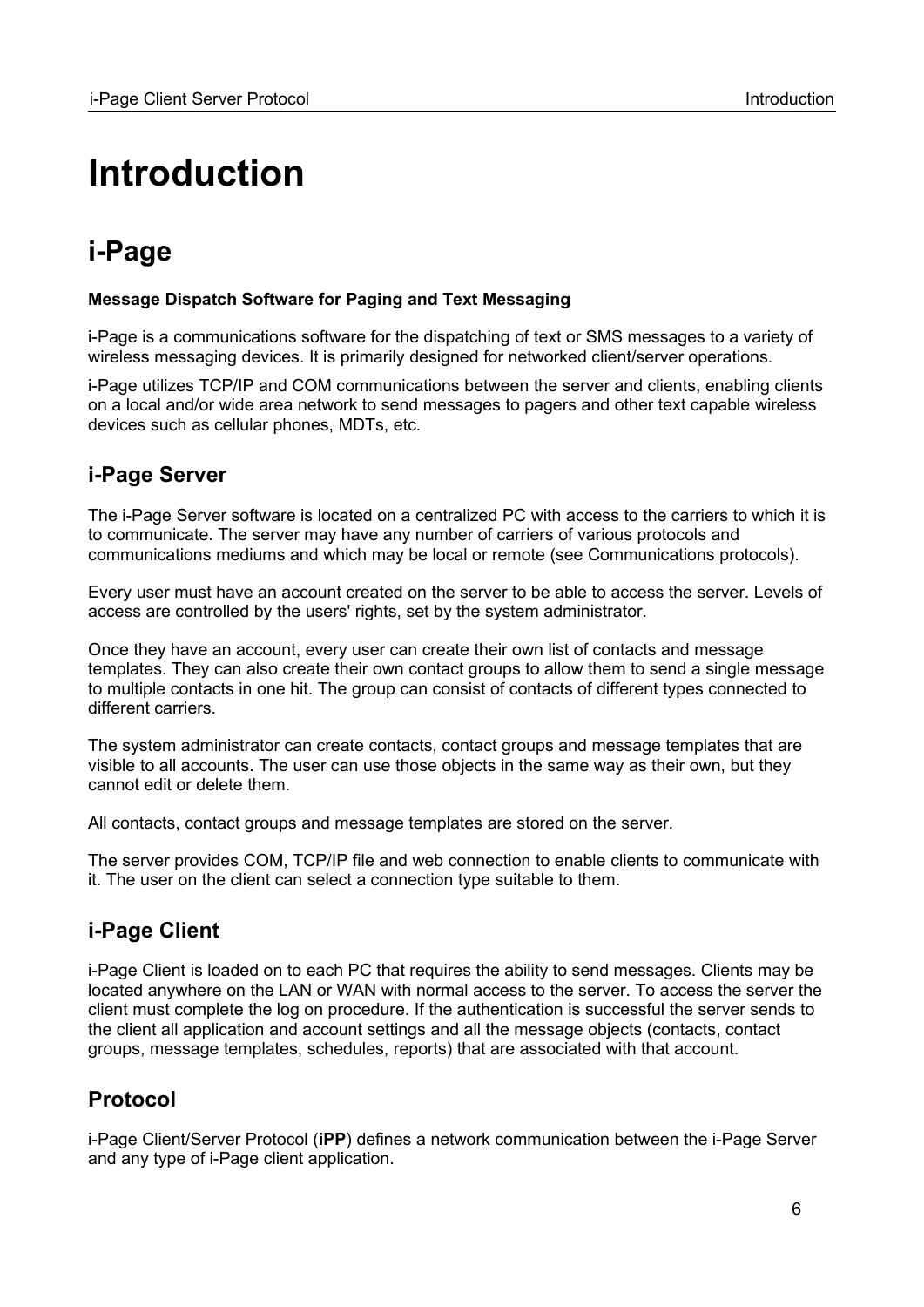# <span id="page-5-0"></span>**Introduction**

## <span id="page-5-4"></span>**i-Page**

### **Message Dispatch Software for Paging and Text Messaging**

i-Page is a communications software for the dispatching of text or SMS messages to a variety of wireless messaging devices. It is primarily designed for networked client/server operations.

i-Page utilizes TCP/IP and COM communications between the server and clients, enabling clients on a local and/or wide area network to send messages to pagers and other text capable wireless devices such as cellular phones, MDTs, etc.

## <span id="page-5-3"></span>**i-Page Server**

The i-Page Server software is located on a centralized PC with access to the carriers to which it is to communicate. The server may have any number of carriers of various protocols and communications mediums and which may be local or remote (see Communications protocols).

Every user must have an account created on the server to be able to access the server. Levels of access are controlled by the users' rights, set by the system administrator.

Once they have an account, every user can create their own list of contacts and message templates. They can also create their own contact groups to allow them to send a single message to multiple contacts in one hit. The group can consist of contacts of different types connected to different carriers.

The system administrator can create contacts, contact groups and message templates that are visible to all accounts. The user can use those objects in the same way as their own, but they cannot edit or delete them.

All contacts, contact groups and message templates are stored on the server.

The server provides COM, TCP/IP file and web connection to enable clients to communicate with it. The user on the client can select a connection type suitable to them.

## <span id="page-5-2"></span>**i-Page Client**

i-Page Client is loaded on to each PC that requires the ability to send messages. Clients may be located anywhere on the LAN or WAN with normal access to the server. To access the server the client must complete the log on procedure. If the authentication is successful the server sends to the client all application and account settings and all the message objects (contacts, contact groups, message templates, schedules, reports) that are associated with that account.

## <span id="page-5-1"></span>**Protocol**

i-Page Client/Server Protocol (**iPP**) defines a network communication between the i-Page Server and any type of i-Page client application.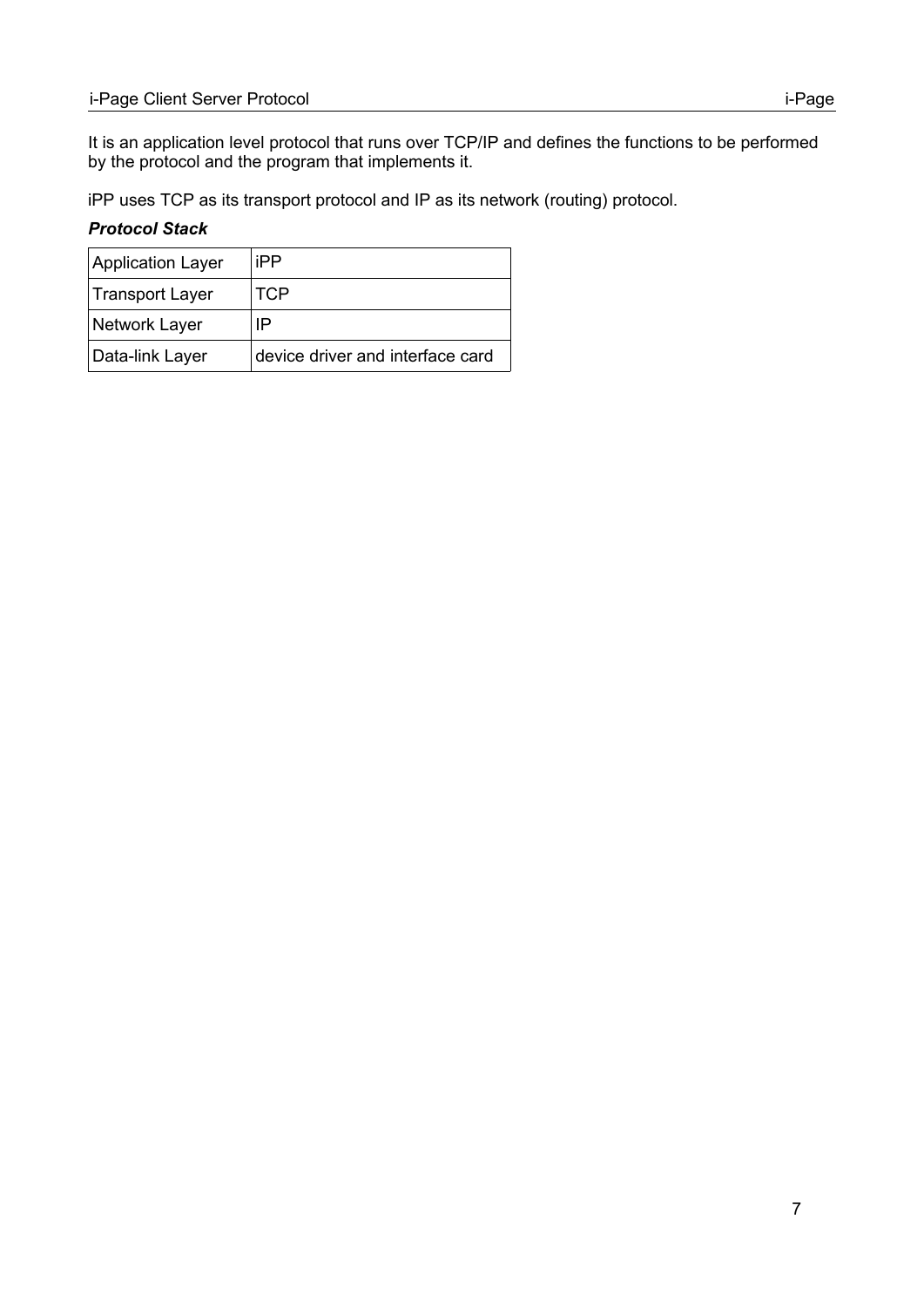It is an application level protocol that runs over TCP/IP and defines the functions to be performed by the protocol and the program that implements it.

iPP uses TCP as its transport protocol and IP as its network (routing) protocol.

### *Protocol Stack*

| <b>Application Layer</b> | iPP                              |
|--------------------------|----------------------------------|
| Transport Layer          | <b>TCP</b>                       |
| Network Layer            | IP                               |
| Data-link Layer          | device driver and interface card |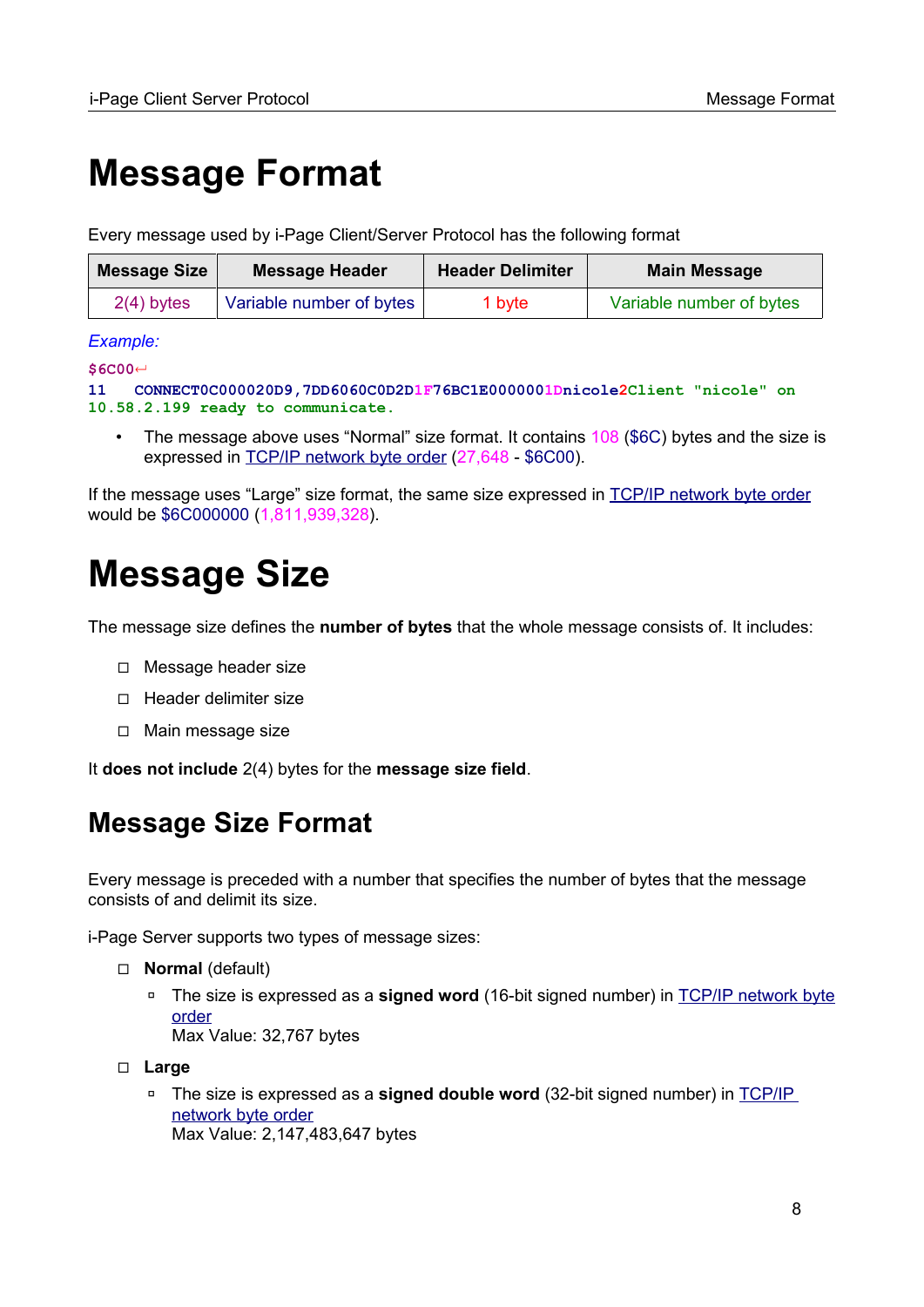# <span id="page-7-1"></span>**Message Format**

Every message used by i-Page Client/Server Protocol has the following format

| Message Size | <b>Message Header</b>    | <b>Header Delimiter</b> | <b>Main Message</b>      |
|--------------|--------------------------|-------------------------|--------------------------|
| $2(4)$ bytes | Variable number of bytes | 1 byte                  | Variable number of bytes |

#### *Example:*

**\$6C00**↵

```
11 CONNECT0C000020D9,7DD6060C0D2D1F76BC1E0000001Dnicole2Client "nicole" on 
10.58.2.199 ready to communicate.
```
• The message above uses "Normal" size format. It contains 108 (\$6C) bytes and the size is expressed in [TCP/IP network byte order](#page-106-2) (27,648 - \$6C00).

If the message uses "Large" size format, the same size expressed in [TCP/IP network byte order](#page-106-2) would be \$6C000000 (1,811,939,328).

# <span id="page-7-0"></span>**Message Size**

The message size defines the **number of bytes** that the whole message consists of. It includes:

- ◻ Message header size
- ◻ Header delimiter size
- ◻ Main message size

It **does not include** 2(4) bytes for the **message size field**.

## <span id="page-7-2"></span>**Message Size Format**

Every message is preceded with a number that specifies the number of bytes that the message consists of and delimit its size.

i-Page Server supports two types of message sizes:

- ◻ **Normal** (default)
	- ◽ The size is expressed as a **signed word** (16-bit signed number) in [TCP/IP network byte](#page-106-2) [order](#page-106-2) Max Value: 32,767 bytes
- ◻ **Large**
	- ◽ The size is expressed as a **signed double word** (32-bit signed number) in [TCP/IP](#page-106-2)  [network byte order](#page-106-2) Max Value: 2,147,483,647 bytes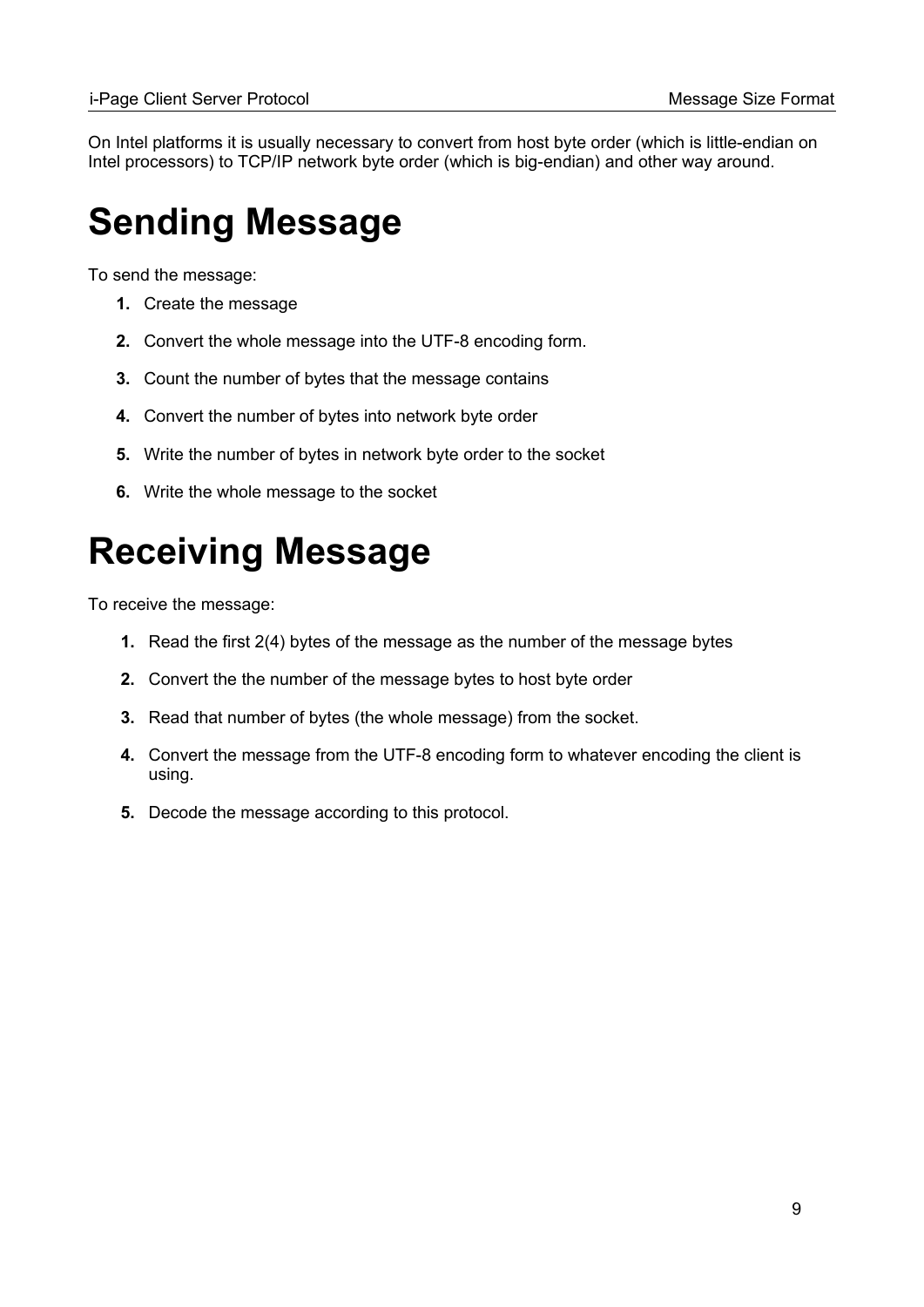On Intel platforms it is usually necessary to convert from host byte order (which is little-endian on Intel processors) to TCP/IP network byte order (which is big-endian) and other way around.

# <span id="page-8-1"></span>**Sending Message**

To send the message:

- **1.** Create the message
- **2.** Convert the whole message into the UTF-8 encoding form.
- **3.** Count the number of bytes that the message contains
- **4.** Convert the number of bytes into network byte order
- **5.** Write the number of bytes in network byte order to the socket
- **6.** Write the whole message to the socket

# <span id="page-8-0"></span>**Receiving Message**

To receive the message:

- **1.** Read the first 2(4) bytes of the message as the number of the message bytes
- **2.** Convert the the number of the message bytes to host byte order
- **3.** Read that number of bytes (the whole message) from the socket.
- **4.** Convert the message from the UTF-8 encoding form to whatever encoding the client is using.
- **5.** Decode the message according to this protocol.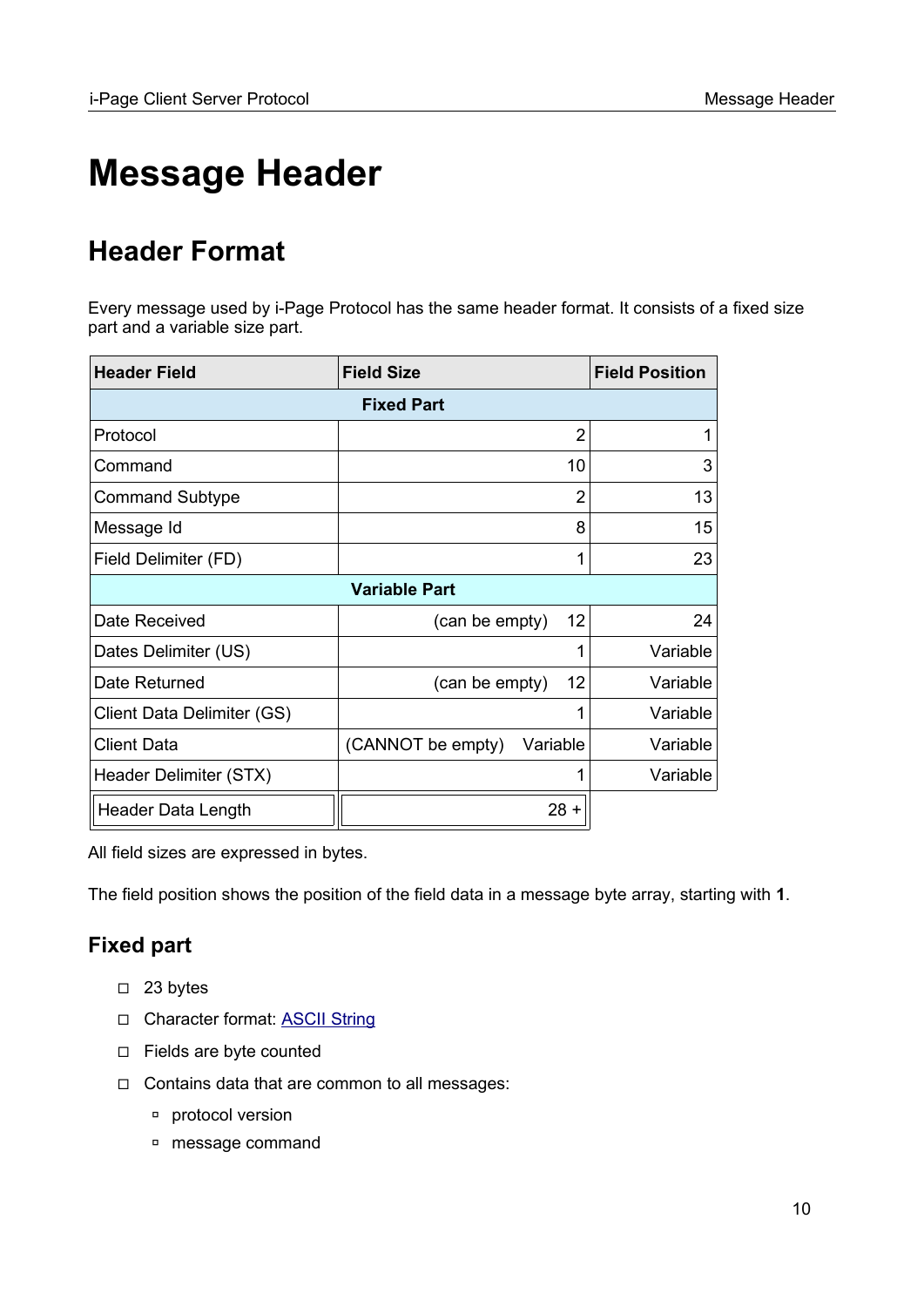# <span id="page-9-0"></span>**Message Header**

## <span id="page-9-2"></span>**Header Format**

Every message used by i-Page Protocol has the same header format. It consists of a fixed size part and a variable size part.

| <b>Header Field</b>        | <b>Field Size</b>             | <b>Field Position</b> |  |  |  |
|----------------------------|-------------------------------|-----------------------|--|--|--|
| <b>Fixed Part</b>          |                               |                       |  |  |  |
| Protocol                   | $\overline{2}$                | 1                     |  |  |  |
| Command                    | 10                            | 3                     |  |  |  |
| <b>Command Subtype</b>     | $\overline{2}$                | 13                    |  |  |  |
| Message Id                 | 8                             | 15                    |  |  |  |
| Field Delimiter (FD)       | 1                             | 23                    |  |  |  |
|                            | <b>Variable Part</b>          |                       |  |  |  |
| Date Received              | 12<br>(can be empty)          | 24                    |  |  |  |
| Dates Delimiter (US)       | 1                             | Variable              |  |  |  |
| Date Returned              | 12<br>(can be empty)          | Variable              |  |  |  |
| Client Data Delimiter (GS) | 1                             | Variable              |  |  |  |
| <b>Client Data</b>         | (CANNOT be empty)<br>Variable | Variable              |  |  |  |
| Header Delimiter (STX)     | 1                             | Variable              |  |  |  |
| Header Data Length         | $28 +$                        |                       |  |  |  |

All field sizes are expressed in bytes.

The field position shows the position of the field data in a message byte array, starting with **1**.

## <span id="page-9-1"></span>**Fixed part**

- ◻ 23 bytes
- □ Character format: **ASCII String**
- ◻ Fields are byte counted
- ◻ Contains data that are common to all messages:
	- ◽ protocol version
	- ◽ message command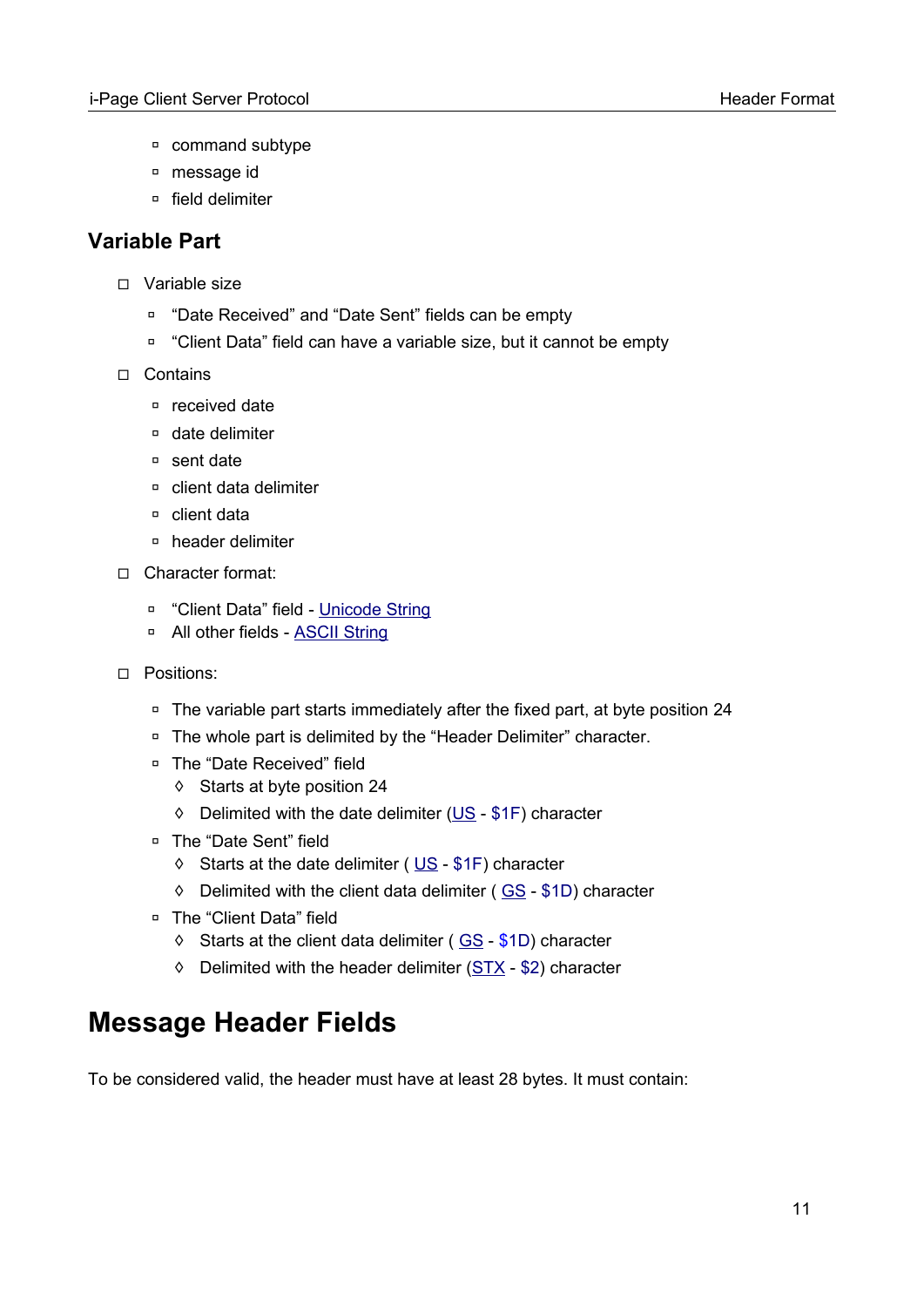- ◽ command subtype
- ◽ message id
- ◽ field delimiter

## <span id="page-10-1"></span>**Variable Part**

- ◻ Variable size
	- ◽ "Date Received" and "Date Sent" fields can be empty
	- ◽ "Client Data" field can have a variable size, but it cannot be empty
- ◻ Contains
	- ◽ received date
	- ◽ date delimiter
	- ◽ sent date
	- ◽ client data delimiter
	- ◽ client data
	- ◽ header delimiter
- ◻ Character format:
	- □ "Client Data" field - [Unicode String](#page-103-5)
	- □ All other fields **[ASCII String](#page-103-4)**
- ◻ Positions:
	- □ The variable part starts immediately after the fixed part, at byte position 24
	- □ The whole part is delimited by the "Header Delimiter" character.
	- ◽ The "Date Received" field
		- ◊ Starts at byte position 24
		- ◊ Delimited with the date delimiter [\(US](#page-96-0)  \$1F) character
	- □ The "Date Sent" field
		- ◊ Starts at the date delimiter ( [US](#page-96-0) \$1F) character
		- ◊ Delimited with the client data delimiter ( [GS](#page-96-0) \$1D) character
	- ◽ The "Client Data" field
		- $\Diamond$  Starts at the client data delimiter ( $GS $1D$  $GS $1D$ ) character
		- ◊ Delimited with the header delimiter [\(STX](#page-96-0)  \$2) character

## <span id="page-10-0"></span>**Message Header Fields**

To be considered valid, the header must have at least 28 bytes. It must contain: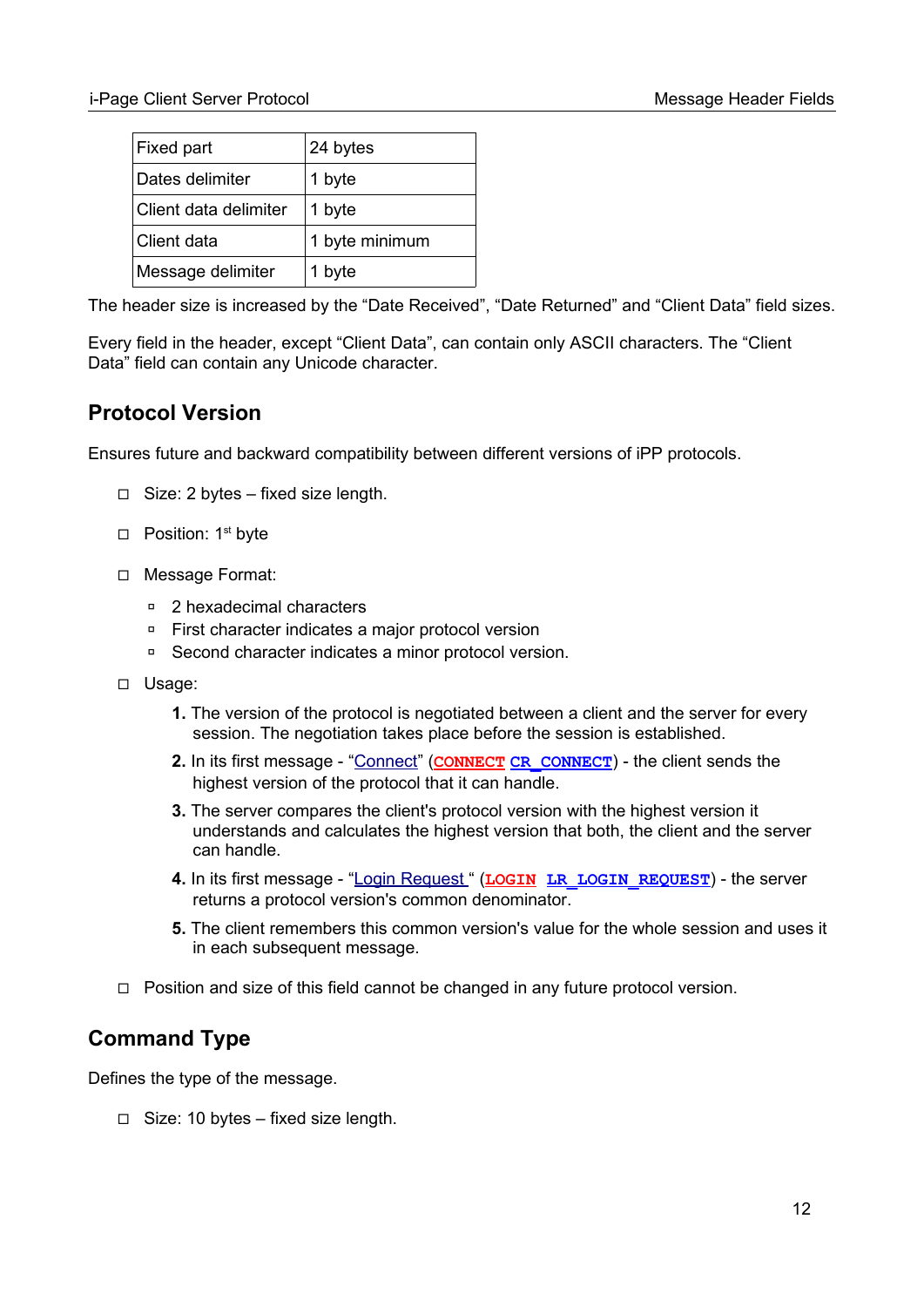| Fixed part            | 24 bytes       |
|-----------------------|----------------|
| Dates delimiter       | 1 byte         |
| Client data delimiter | 1 byte         |
| Client data           | 1 byte minimum |
| Message delimiter     | 1 byte         |

The header size is increased by the "Date Received", "Date Returned" and "Client Data" field sizes.

Every field in the header, except "Client Data", can contain only ASCII characters. The "Client Data" field can contain any Unicode character.

## <span id="page-11-1"></span>**Protocol Version**

Ensures future and backward compatibility between different versions of iPP protocols.

- ◻ Size: 2 bytes fixed size length.
- □ Position: 1<sup>st</sup> byte
- ◻ Message Format:
	- ◽ 2 hexadecimal characters
	- ◽ First character indicates a major protocol version
	- ◽ Second character indicates a minor protocol version.
- ◻ Usage:
	- **1.** The version of the protocol is negotiated between a client and the server for every session. The negotiation takes place before the session is established.
	- **2.** In its first message ["Connect](#page-23-1)" (**[CONNECT](#page-85-1) [CR\\_CONNECT](#page-87-0)**) the client sends the highest version of the protocol that it can handle.
	- **3.** The server compares the client's protocol version with the highest version it understands and calculates the highest version that both, the client and the server can handle.
	- **4.** In its first message ["Login Request](#page-23-0) " (**[LOGIN](#page-85-1) [LR\\_LOGIN\\_REQUEST](#page-89-0)**) the server returns a protocol version's common denominator.
	- **5.** The client remembers this common version's value for the whole session and uses it in each subsequent message.
- ◻ Position and size of this field cannot be changed in any future protocol version.

## <span id="page-11-0"></span>**Command Type**

Defines the type of the message.

◻ Size: 10 bytes – fixed size length.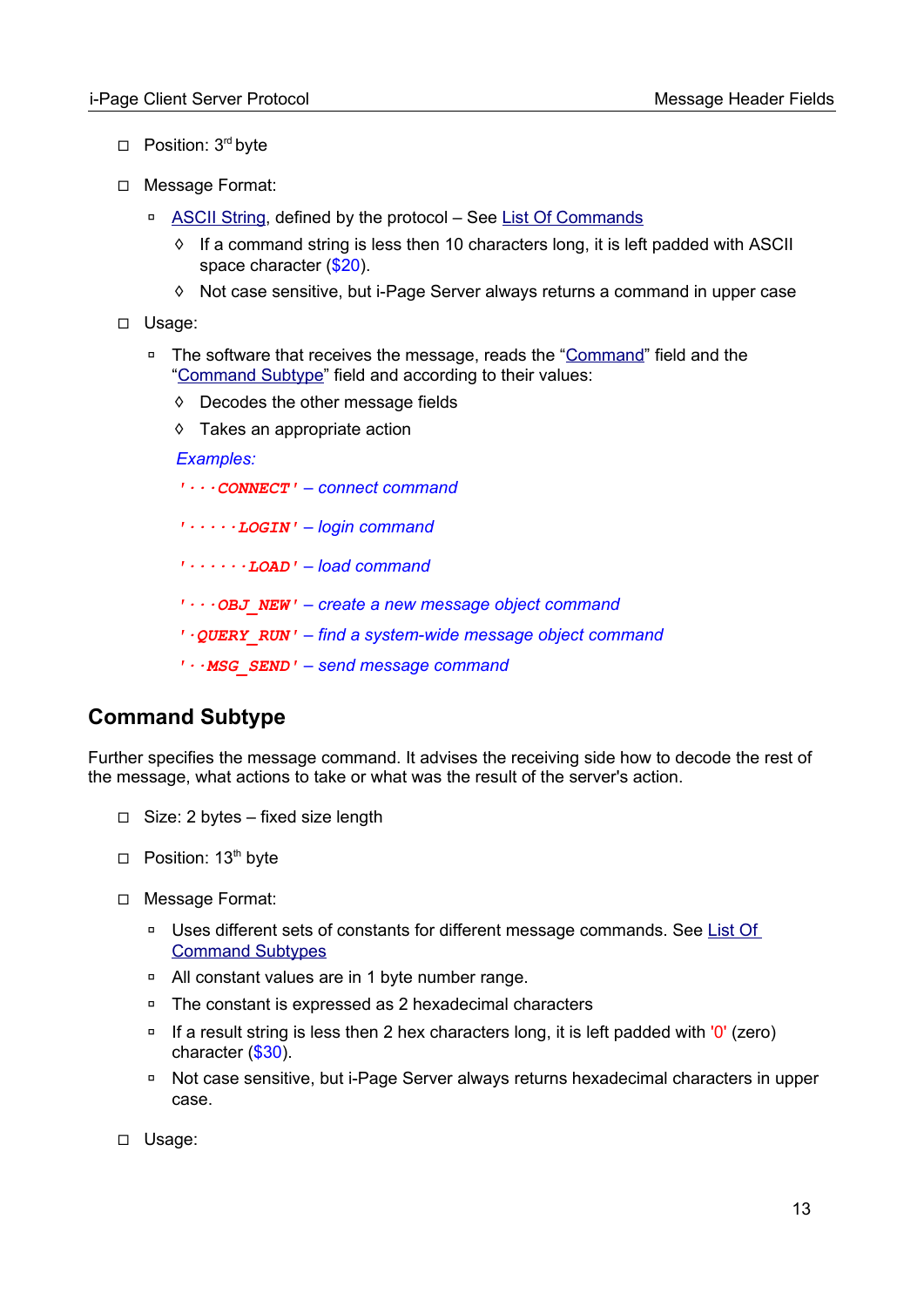- □ Position: 3<sup>rd</sup> byte
- ◻ Message Format:
	- □ [ASCII String](#page-103-4), defined by the protocol See [List Of Commands](#page-85-1)
		- $\Diamond$  If a command string is less then 10 characters long, it is left padded with ASCII space character (\$20).
		- ◊ Not case sensitive, but i-Page Server always returns a command in upper case
- ◻ Usage:
	- □ The software that receives the message, reads the ["Command](#page-11-0)" field and the ["Command Subtype"](#page-12-0) field and according to their values:
		- ◊ Decodes the other message fields
		- ◊ Takes an appropriate action

*Examples:*

- *'∙∙∙CONNECT' connect command*
- *'∙∙∙∙∙LOGIN' login command*
- *'∙∙∙∙∙∙LOAD' load command*
- *'∙∙∙OBJ\_NEW' create a new message object command*
- *'∙QUERY\_RUN' find a system-wide message object command*
- *'∙∙MSG\_SEND' send message command*

## <span id="page-12-0"></span>**Command Subtype**

Further specifies the message command. It advises the receiving side how to decode the rest of the message, what actions to take or what was the result of the server's action.

- ◻ Size: 2 bytes fixed size length
- □ Position: 13<sup>th</sup> byte
- ◻ Message Format:
	- ◽ Uses different sets of constants for different message commands. See [List Of](#page-87-1)  [Command Subtypes](#page-87-1)
	- ◽ All constant values are in 1 byte number range.
	- ◽ The constant is expressed as 2 hexadecimal characters
	- $\overline{p}$  If a result string is less then 2 hex characters long, it is left padded with '0' (zero) character (\$30).
	- ◽ Not case sensitive, but i-Page Server always returns hexadecimal characters in upper case.
- ◻ Usage: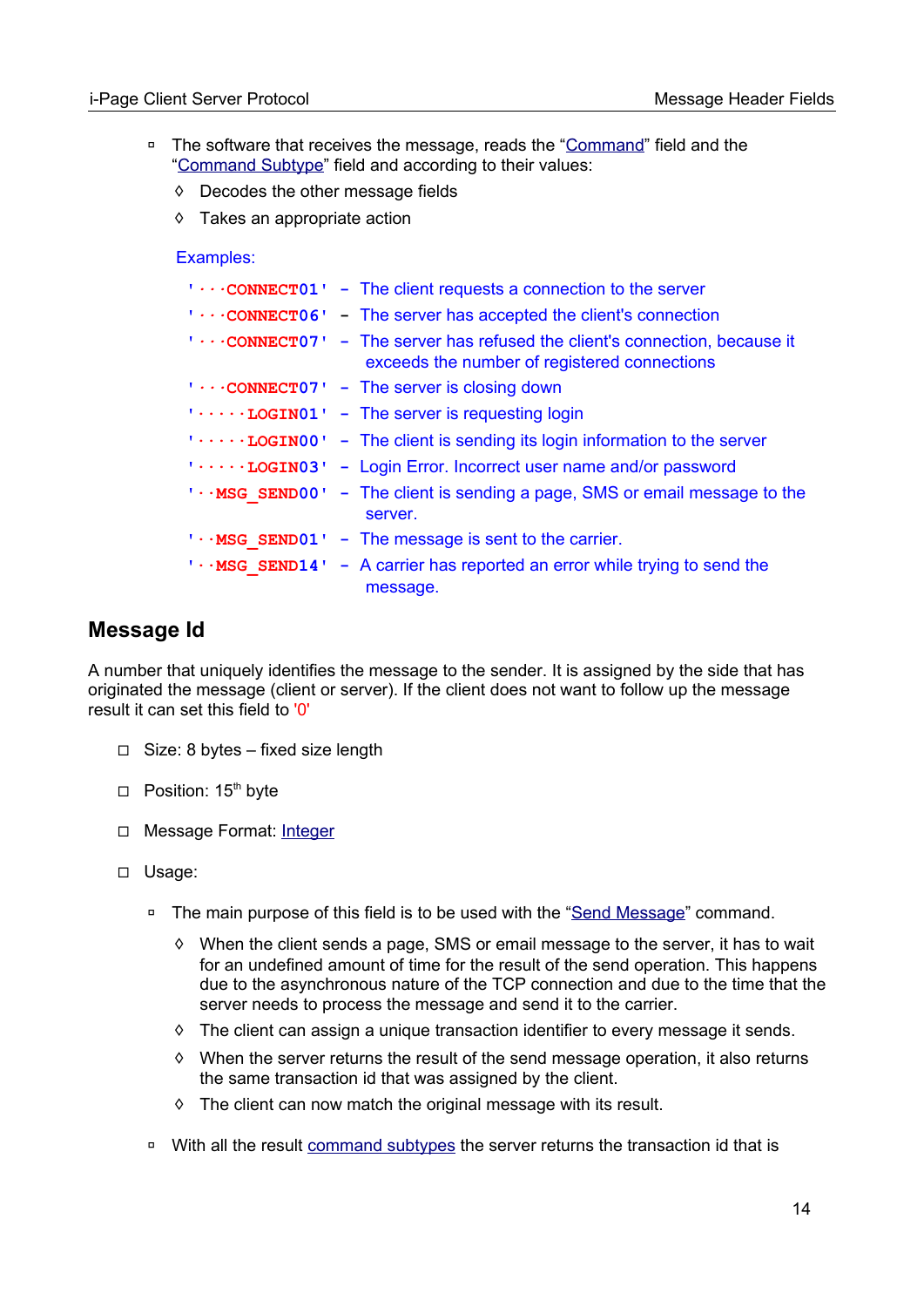- □ The software that receives the message, reads the ["Command](#page-11-0)" field and the ["Command Subtype"](#page-12-0) field and according to their values:
	- ◊ Decodes the other message fields
	- ◊ Takes an appropriate action

#### Examples:

|  | $\cdots$ <b>CONNECT01</b> - The client requests a connection to the server                                                      |
|--|---------------------------------------------------------------------------------------------------------------------------------|
|  | $\cdots$ <b>CONNECT06</b> The server has accepted the client's connection                                                       |
|  | <b>1CONNECT071 - The server has refused the client's connection, because it</b><br>exceeds the number of registered connections |
|  | $\cdots$ CONNECT07 - The server is closing down                                                                                 |
|  | $\cdots$ LOGIN01 $\cdots$ The server is requesting login                                                                        |
|  | $\cdots$ LOGINO0 $\cdots$ The client is sending its login information to the server                                             |
|  | $\cdots$ LOGIN03' - Login Error. Incorrect user name and/or password                                                            |
|  | $\cdots$ MSG SEND00' - The client is sending a page, SMS or email message to the<br>server.                                     |
|  | $\cdots$ MSG SEND01' - The message is sent to the carrier.                                                                      |
|  | $\cdots$ MSG SEND14' - A carrier has reported an error while trying to send the<br>message.                                     |

## <span id="page-13-0"></span>**Message Id**

A number that uniquely identifies the message to the sender. It is assigned by the side that has originated the message (client or server). If the client does not want to follow up the message result it can set this field to '0'

- ◻ Size: 8 bytes fixed size length
- □ Position: 15<sup>th</sup> byte
- □ Message Format: [Integer](#page-104-1)
- ◻ Usage:
	- □ The main purpose of this field is to be used with the ["Send Message"](#page-30-0) command.
		- $\diamond$  When the client sends a page, SMS or email message to the server, it has to wait for an undefined amount of time for the result of the send operation. This happens due to the asynchronous nature of the TCP connection and due to the time that the server needs to process the message and send it to the carrier.
		- $\diamond$  The client can assign a unique transaction identifier to every message it sends.
		- ◊ When the server returns the result of the send message operation, it also returns the same transaction id that was assigned by the client.
		- ◊ The client can now match the original message with its result.
	- □ With all the result [command subtypes](#page-87-1) the server returns the transaction id that is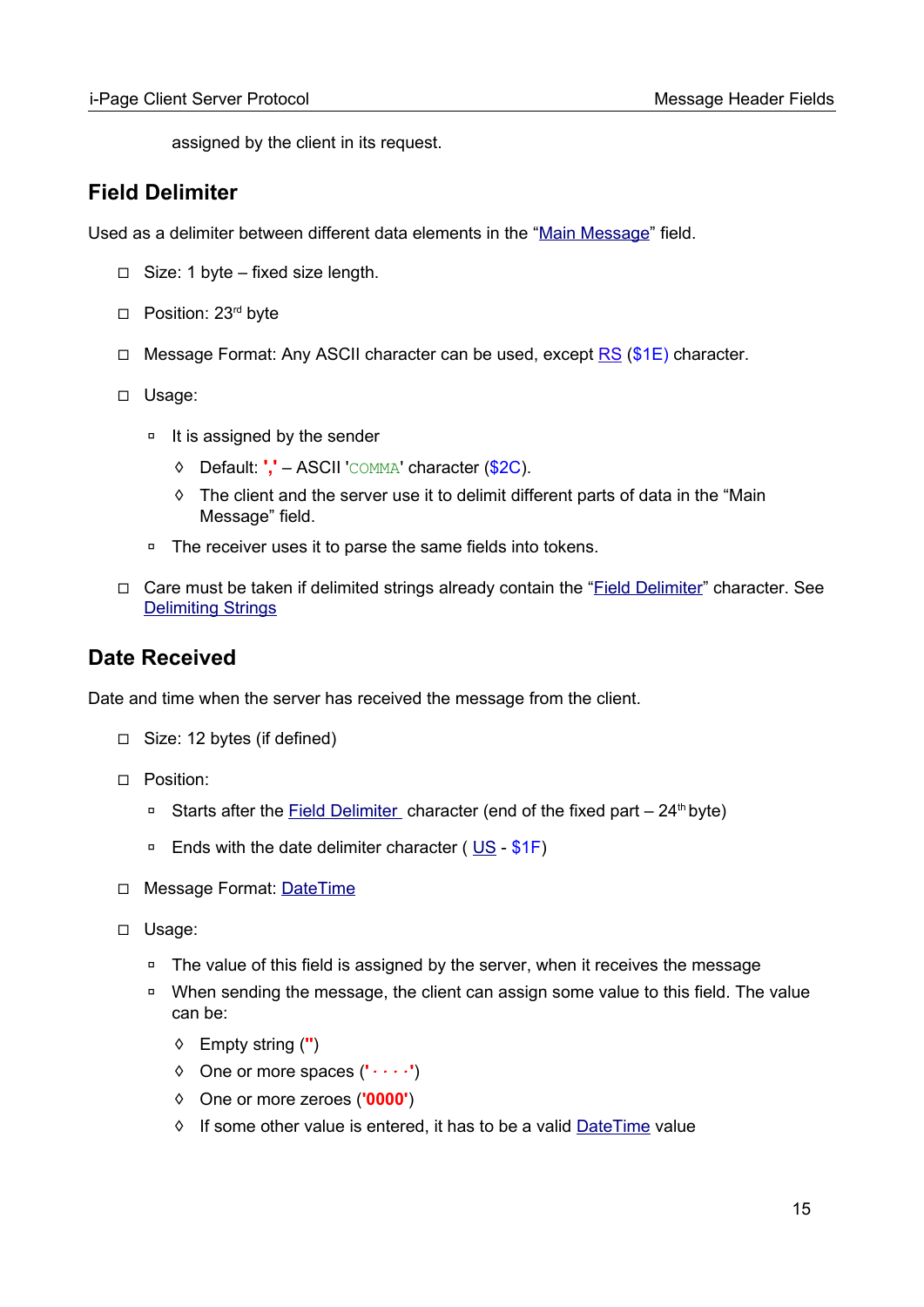assigned by the client in its request.

## <span id="page-14-1"></span>**Field Delimiter**

Used as a delimiter between different data elements in the ["Main Message"](#page-17-0) field.

- $\Box$  Size: 1 byte fixed size length.
- □ Position: 23<sup>rd</sup> byte
- □ Message Format: Any ASCII character can be used, except [RS](#page-96-0) (\$1E) character.
- ◻ Usage:
	- □ It is assigned by the sender
		- ◊ Default: **','** ASCII 'COMMA' character (\$2C).
		- ◊ The client and the server use it to delimit different parts of data in the "Main Message" field.
	- ◽ The receiver uses it to parse the same fields into tokens.
- ◻ Care must be taken if delimited strings already contain the "Field Delimiter" character. See **[Delimiting Strings](#page-108-0)**

## <span id="page-14-0"></span>**Date Received**

Date and time when the server has received the message from the client.

- ◻ Size: 12 bytes (if defined)
- ◻ Position:
	- □ Starts after the [Field Delimiter](#page-14-1) character (end of the fixed part 24<sup>th</sup> byte)
	- □ Ends with the date delimiter character ([US](#page-96-0) \$1F)
- ◻ Message Format: [DateTime](#page-104-0)
- ◻ Usage:
	- □ The value of this field is assigned by the server, when it receives the message
	- □ When sending the message, the client can assign some value to this field. The value can be:
		- ◊ Empty string (**''**)
		- ◊ One or more spaces (**'***∙∙∙∙***'**)
		- ◊ One or more zeroes (**'0000'**)
		- ◊ If some other value is entered, it has to be a valid [DateTime](#page-104-0) value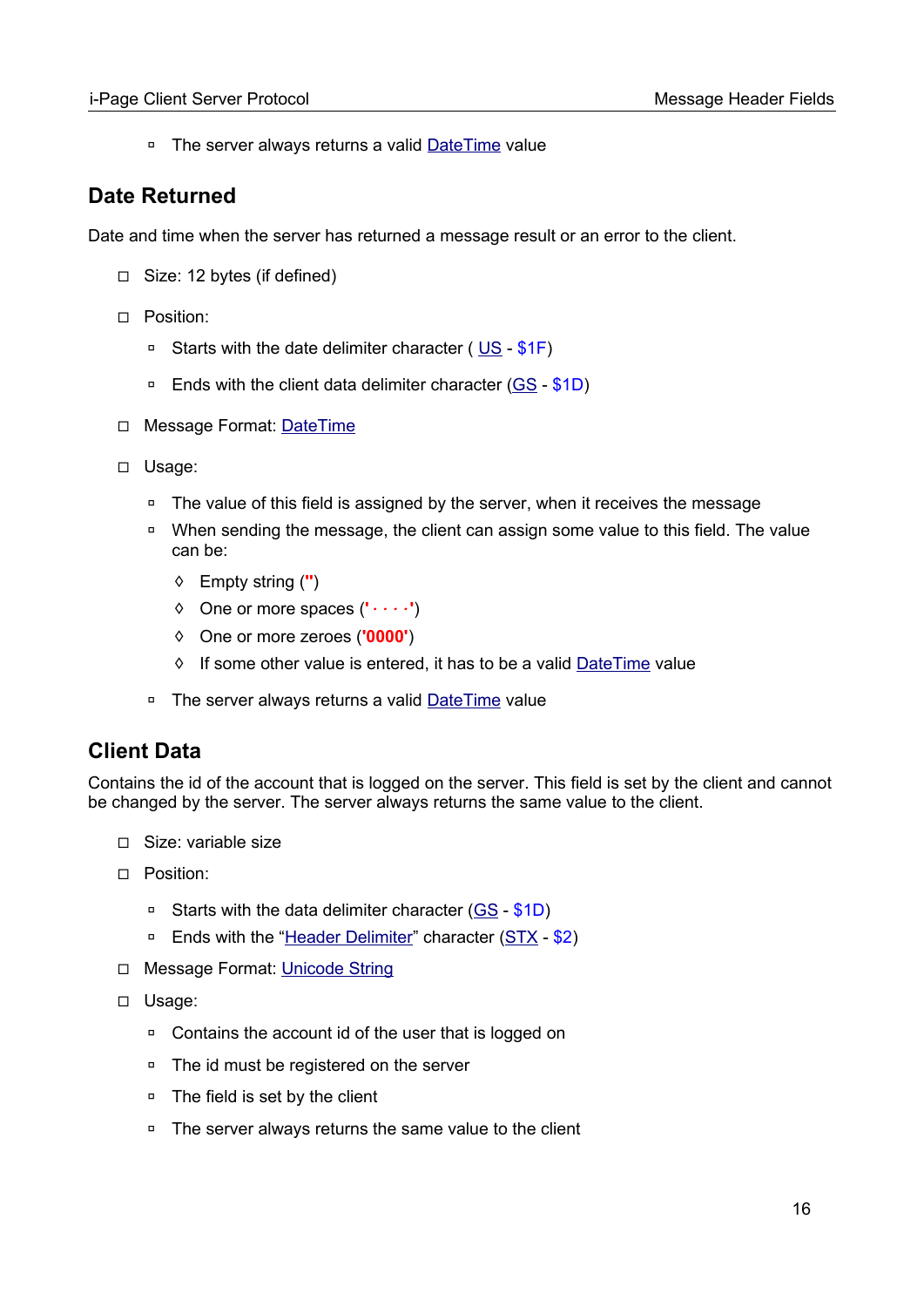□ The server always returns a valid [DateTime](#page-104-0) value

## <span id="page-15-1"></span>**Date Returned**

Date and time when the server has returned a message result or an error to the client.

- ◻ Size: 12 bytes (if defined)
- ◻ Position:
	- □ Starts with the date delimiter character (US \$1F)
	- □ Ends with the client data delimiter character [\(GS](#page-96-0) \$1D)
- □ Message Format: [DateTime](#page-104-0)
- ◻ Usage:
	- ◽ The value of this field is assigned by the server, when it receives the message
	- □ When sending the message, the client can assign some value to this field. The value can be:
		- ◊ Empty string (**''**)
		- ◊ One or more spaces (**'***∙∙∙∙***'**)
		- ◊ One or more zeroes (**'0000'**)
		- ◊ If some other value is entered, it has to be a valid [DateTime](#page-104-0) value
	- □ The server always returns a valid [DateTime](#page-104-0) value

## <span id="page-15-0"></span>**Client Data**

Contains the id of the account that is logged on the server. This field is set by the client and cannot be changed by the server. The server always returns the same value to the client.

- ◻ Size: variable size
- ◻ Position:
	- ◽ Starts with the data delimiter character [\(GS](#page-96-0) \$1D)
	- □ Ends with the ["Header Delimiter](#page-16-0)" character [\(STX](#page-96-0)  \$2)
- □ Message Format: [Unicode String](#page-103-5)
- ◻ Usage:
	- **□** Contains the account id of the user that is logged on
	- ◽ The id must be registered on the server
	- □ The field is set by the client
	- ◽ The server always returns the same value to the client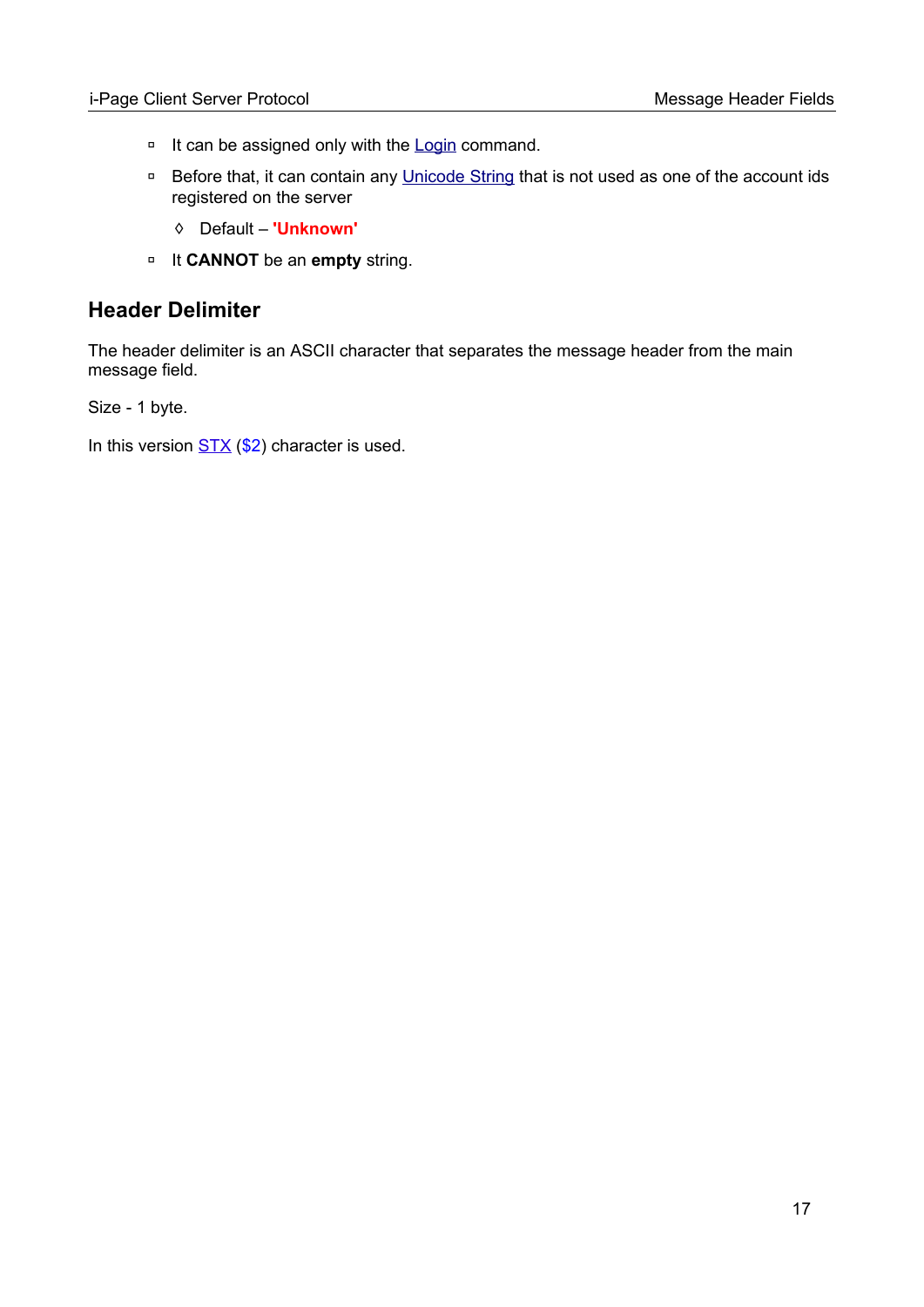- □ It can be assigned only with the [Login](#page-24-0) command.
- □ Before that, it can contain any [Unicode String](#page-103-5) that is not used as one of the account ids registered on the server
	- ◊ Default **'Unknown'**
- ◽ It **CANNOT** be an **empty** string.

## <span id="page-16-0"></span>**Header Delimiter**

The header delimiter is an ASCII character that separates the message header from the main message field.

Size - 1 byte.

In this version  $STX$  (\$2) character is used.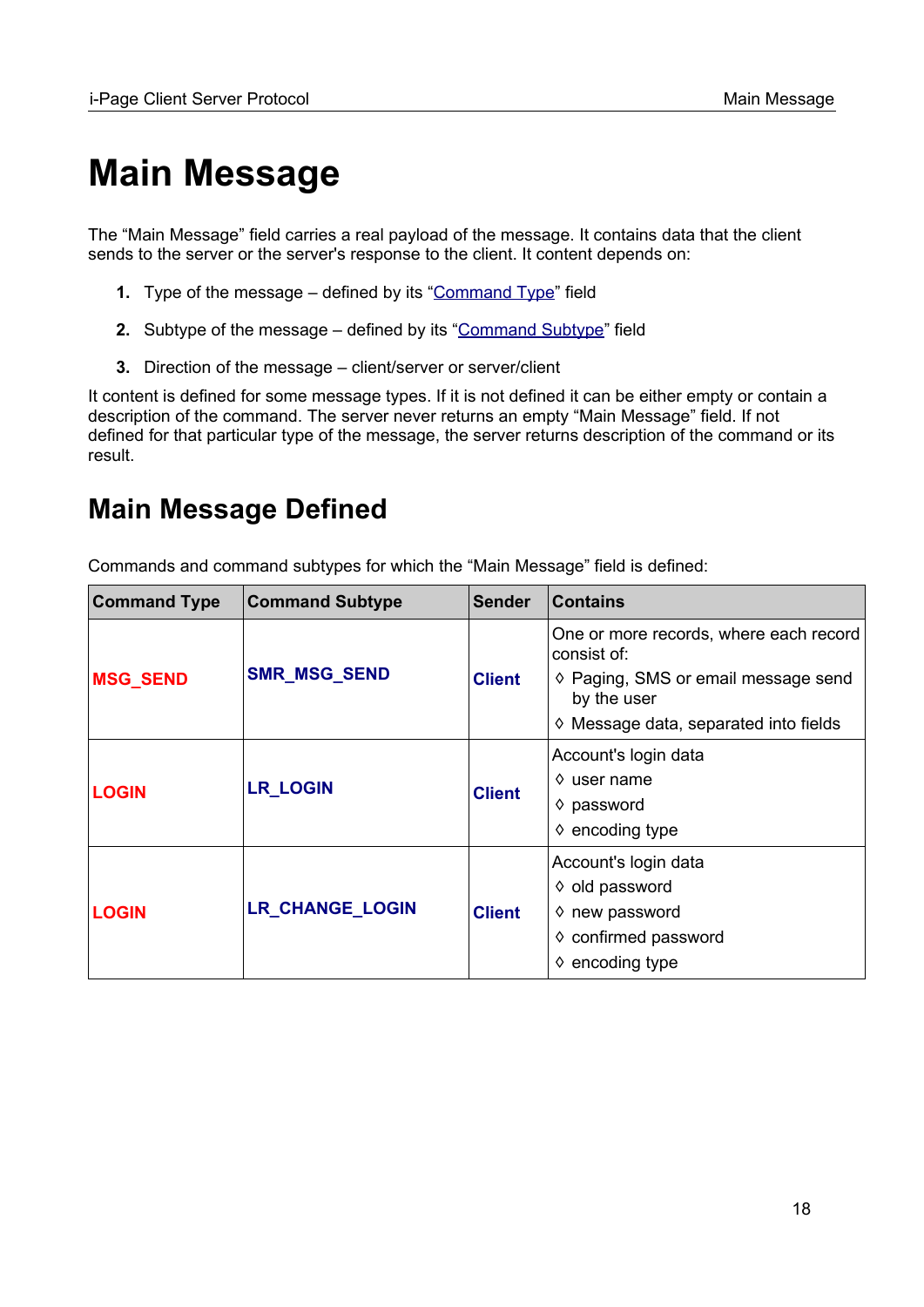# <span id="page-17-0"></span>**Main Message**

The "Main Message" field carries a real payload of the message. It contains data that the client sends to the server or the server's response to the client. It content depends on:

- **1.** Type of the message defined by its ["Command Type"](#page-11-0) field
- **2.** Subtype of the message defined by its ["Command Subtype](#page-12-0)" field
- **3.** Direction of the message client/server or server/client

It content is defined for some message types. If it is not defined it can be either empty or contain a description of the command. The server never returns an empty "Main Message" field. If not defined for that particular type of the message, the server returns description of the command or its result.

## <span id="page-17-1"></span>**Main Message Defined**

Commands and command subtypes for which the "Main Message" field is defined:

| <b>Command Type</b> | <b>Command Subtype</b> | <b>Sender</b> | <b>Contains</b>                                                                                                                                      |
|---------------------|------------------------|---------------|------------------------------------------------------------------------------------------------------------------------------------------------------|
| <b>MSG_SEND</b>     | <b>SMR_MSG_SEND</b>    | <b>Client</b> | One or more records, where each record<br>consist of:<br>♦ Paging, SMS or email message send<br>by the user<br>♦ Message data, separated into fields |
| <b>LOGIN</b>        | <b>LR_LOGIN</b>        | <b>Client</b> | Account's login data<br>$\Diamond$ user name<br>$\diamond$ password<br>$\diamond$ encoding type                                                      |
| <b>LOGIN</b>        | LR_CHANGE_LOGIN        | <b>Client</b> | Account's login data<br>♦ old password<br>$\diamond$ new password<br>♦ confirmed password<br>$\diamond$ encoding type                                |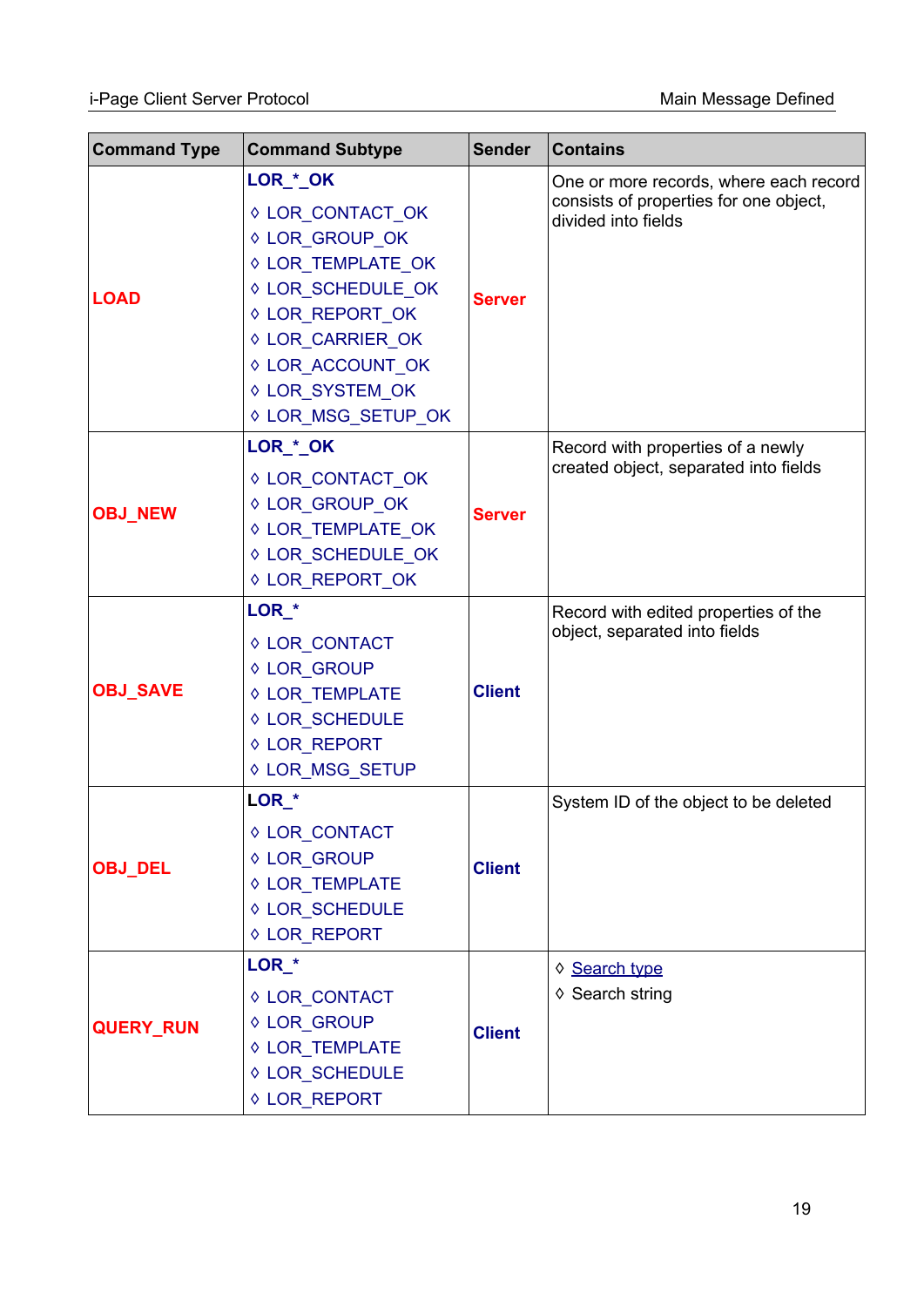| <b>Command Type</b> | <b>Command Subtype</b>                                                                                                                                                                       | <b>Sender</b> | <b>Contains</b>                                                                                         |
|---------------------|----------------------------------------------------------------------------------------------------------------------------------------------------------------------------------------------|---------------|---------------------------------------------------------------------------------------------------------|
| <b>LOAD</b>         | LOR_*_OK<br>♦ LOR_CONTACT_OK<br>♦ LOR_GROUP_OK<br>♦ LOR_TEMPLATE_OK<br>♦ LOR SCHEDULE OK<br>♦ LOR_REPORT_OK<br>♦ LOR CARRIER OK<br>♦ LOR_ACCOUNT_OK<br>♦ LOR_SYSTEM_OK<br>♦ LOR_MSG_SETUP_OK | <b>Server</b> | One or more records, where each record<br>consists of properties for one object,<br>divided into fields |
| <b>OBJ_NEW</b>      | LOR_*_OK<br>♦ LOR_CONTACT_OK<br>♦ LOR_GROUP_OK<br>♦ LOR_TEMPLATE_OK<br>♦ LOR_SCHEDULE_OK<br>♦ LOR REPORT OK                                                                                  | <b>Server</b> | Record with properties of a newly<br>created object, separated into fields                              |
| <b>OBJ_SAVE</b>     | LOR <sup>*</sup><br>♦ LOR_CONTACT<br>♦ LOR_GROUP<br>♦ LOR_TEMPLATE<br>♦ LOR_SCHEDULE<br>♦ LOR REPORT<br>♦ LOR_MSG_SETUP                                                                      | <b>Client</b> | Record with edited properties of the<br>object, separated into fields                                   |
| <b>OBJ_DEL</b>      | LOR <sup>*</sup><br>♦ LOR_CONTACT<br>♦ LOR_GROUP<br>♦ LOR_TEMPLATE<br>♦ LOR_SCHEDULE<br>♦ LOR_REPORT                                                                                         | <b>Client</b> | System ID of the object to be deleted                                                                   |
| <b>QUERY_RUN</b>    | LOR <sup>*</sup><br>♦ LOR_CONTACT<br>♦ LOR_GROUP<br>♦ LOR_TEMPLATE<br>♦ LOR_SCHEDULE<br>♦ LOR_REPORT                                                                                         | <b>Client</b> | ♦ Search type<br>♦ Search string                                                                        |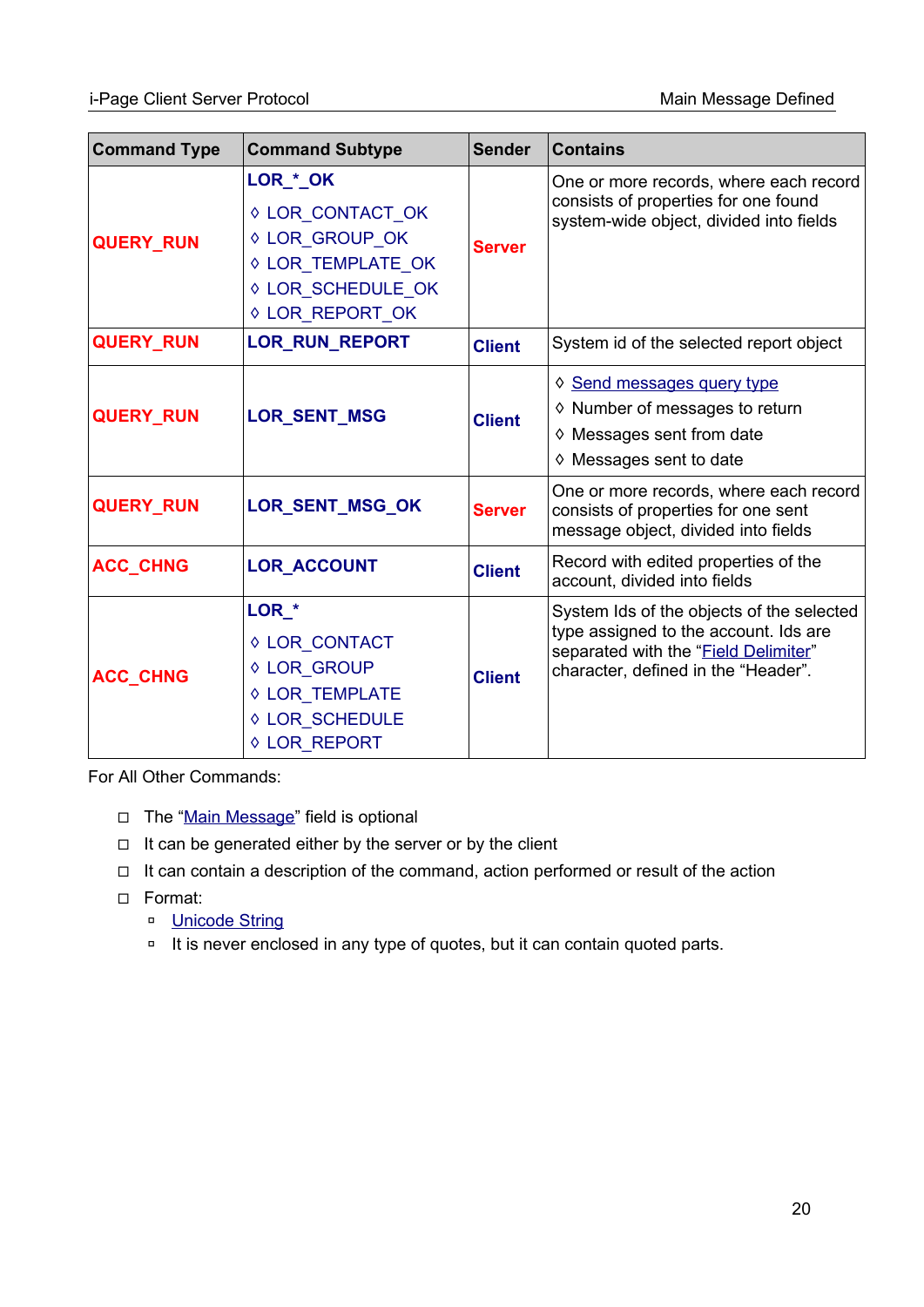| <b>Command Type</b> | <b>Command Subtype</b>                                                                                      | <b>Sender</b> | <b>Contains</b>                                                                                                                                                   |
|---------------------|-------------------------------------------------------------------------------------------------------------|---------------|-------------------------------------------------------------------------------------------------------------------------------------------------------------------|
| <b>QUERY_RUN</b>    | LOR_*_OK<br>♦ LOR CONTACT OK<br>♦ LOR_GROUP_OK<br>♦ LOR_TEMPLATE_OK<br>♦ LOR_SCHEDULE_OK<br>♦ LOR_REPORT_OK | <b>Server</b> | One or more records, where each record<br>consists of properties for one found<br>system-wide object, divided into fields                                         |
| <b>QUERY_RUN</b>    | LOR_RUN_REPORT                                                                                              | <b>Client</b> | System id of the selected report object                                                                                                                           |
| <b>QUERY RUN</b>    | <b>LOR_SENT_MSG</b>                                                                                         | <b>Client</b> | ♦ Send messages query type<br>♦ Number of messages to return<br>♦ Messages sent from date<br>$\diamond$ Messages sent to date                                     |
| <b>QUERY_RUN</b>    | LOR_SENT_MSG_OK                                                                                             | <b>Server</b> | One or more records, where each record<br>consists of properties for one sent<br>message object, divided into fields                                              |
| <b>ACC_CHNG</b>     | <b>LOR ACCOUNT</b>                                                                                          | <b>Client</b> | Record with edited properties of the<br>account, divided into fields                                                                                              |
| <b>ACC_CHNG</b>     | LOR_*<br>♦ LOR_CONTACT<br>♦ LOR_GROUP<br>♦ LOR_TEMPLATE<br>♦ LOR_SCHEDULE<br>♦ LOR_REPORT                   | <b>Client</b> | System Ids of the objects of the selected<br>type assigned to the account. Ids are<br>separated with the "Field Delimiter"<br>character, defined in the "Header". |

For All Other Commands:

- ◻ The ["Main Message](#page-17-0)" field is optional
- ◻ It can be generated either by the server or by the client
- ◻ It can contain a description of the command, action performed or result of the action
- ◻ Format:
	- □ [Unicode String](#page-103-5)
	- ◽ It is never enclosed in any type of quotes, but it can contain quoted parts.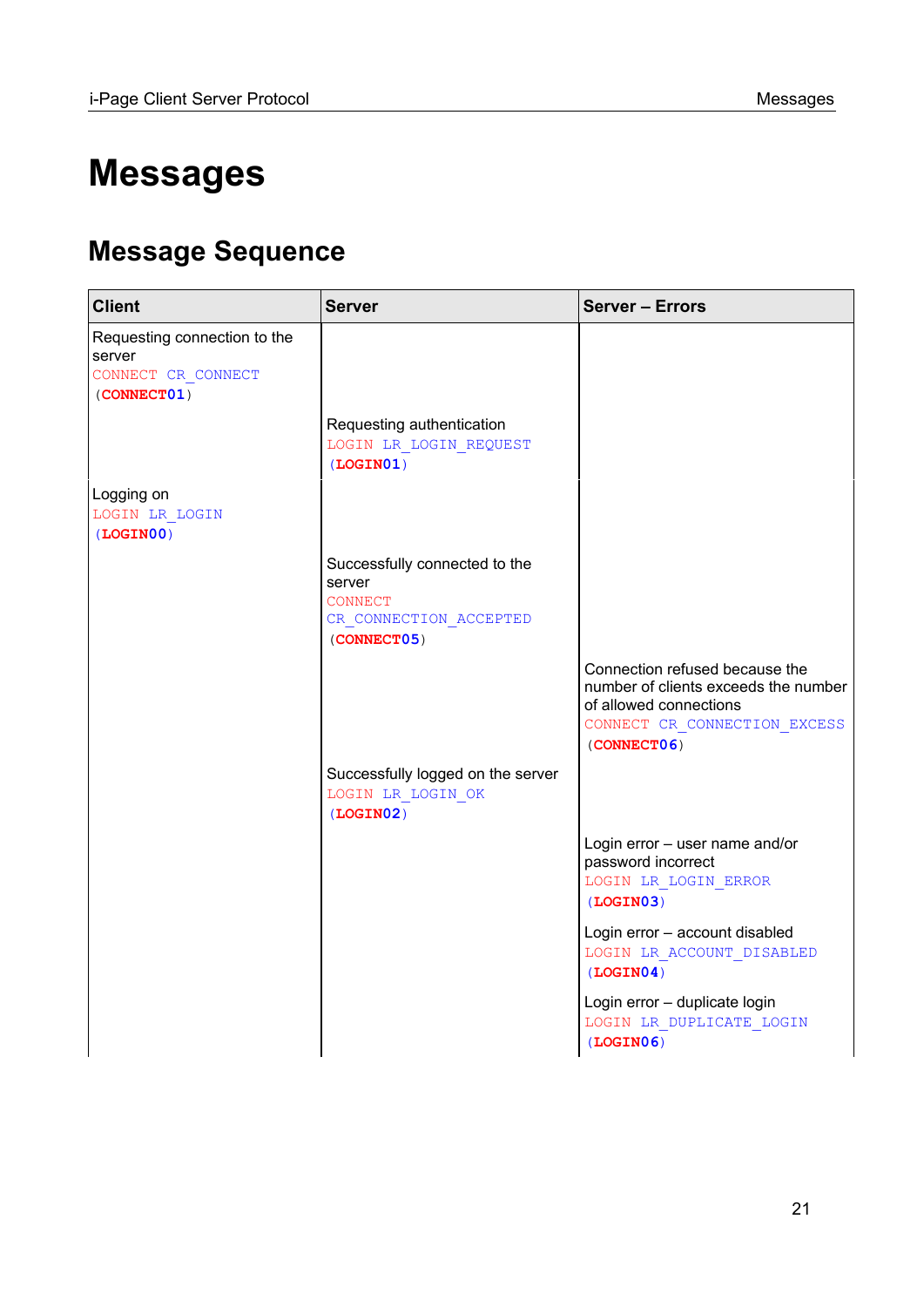# <span id="page-20-0"></span>**Messages**

## <span id="page-20-1"></span>**Message Sequence**

| <b>Client</b>                                                               | <b>Server</b>                                                                                      | <b>Server - Errors</b>                                                                                                                          |
|-----------------------------------------------------------------------------|----------------------------------------------------------------------------------------------------|-------------------------------------------------------------------------------------------------------------------------------------------------|
| Requesting connection to the<br>server<br>CONNECT CR CONNECT<br>(CONNECT01) |                                                                                                    |                                                                                                                                                 |
|                                                                             | Requesting authentication<br>LOGIN LR LOGIN REQUEST<br>(LOGIN01)                                   |                                                                                                                                                 |
| Logging on<br>LOGIN LR LOGIN<br>(LOGIN00)                                   |                                                                                                    |                                                                                                                                                 |
|                                                                             | Successfully connected to the<br>server<br><b>CONNECT</b><br>CR CONNECTION_ACCEPTED<br>(CONNECT05) |                                                                                                                                                 |
|                                                                             |                                                                                                    | Connection refused because the<br>number of clients exceeds the number<br>of allowed connections<br>CONNECT CR CONNECTION EXCESS<br>(CONNECT06) |
|                                                                             | Successfully logged on the server<br>LOGIN LR_LOGIN_OK<br>(LOGIN02)                                |                                                                                                                                                 |
|                                                                             |                                                                                                    | Login error - user name and/or<br>password incorrect<br>LOGIN LR LOGIN ERROR<br>(LOGIN03)                                                       |
|                                                                             |                                                                                                    | Login error - account disabled<br>LOGIN LR ACCOUNT DISABLED<br>(LOGIN04)                                                                        |
|                                                                             |                                                                                                    | Login error - duplicate login<br>LOGIN LR DUPLICATE LOGIN<br>(LOGIN06)                                                                          |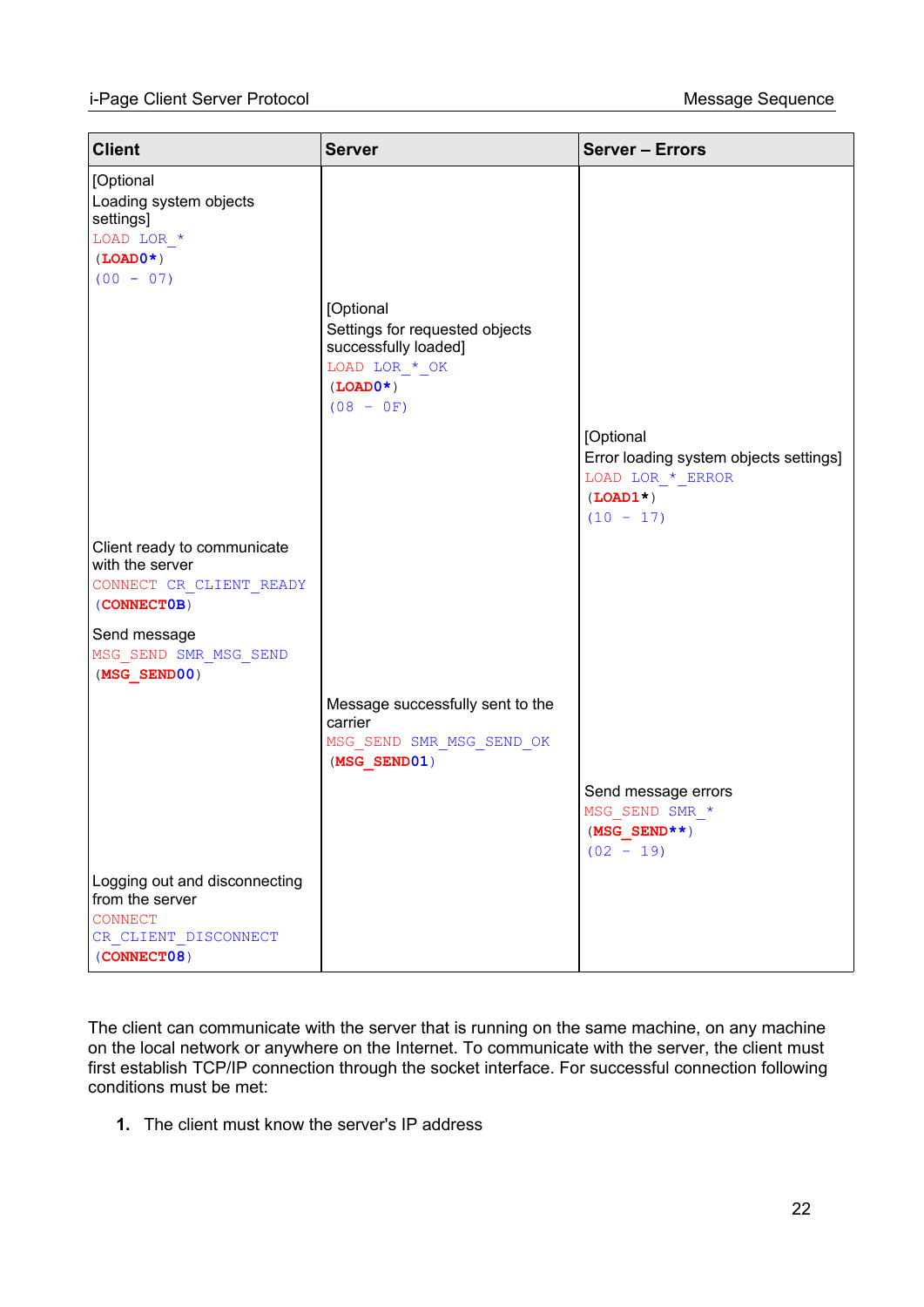| <b>Client</b>                                                                                      | <b>Server</b>                                                                                                      | <b>Server - Errors</b>                                                  |
|----------------------------------------------------------------------------------------------------|--------------------------------------------------------------------------------------------------------------------|-------------------------------------------------------------------------|
| [Optional<br>Loading system objects<br>settings]<br>LOAD LOR $*$<br>$(LOAD0*)$<br>$(00 - 07)$      | [Optional<br>Settings for requested objects<br>successfully loaded]<br>LOAD LOR * OK<br>$(LOADO* )$<br>$(08 - 0F)$ | [Optional<br>Error loading system objects settings]<br>LOAD LOR * ERROR |
|                                                                                                    |                                                                                                                    | $(LOAD1*)$<br>$(10 - 17)$                                               |
| Client ready to communicate<br>with the server<br>CONNECT CR CLIENT READY<br>(CONNECTOB)           |                                                                                                                    |                                                                         |
| Send message<br>MSG SEND SMR MSG SEND<br>$(MSG$ SEND00)                                            |                                                                                                                    |                                                                         |
|                                                                                                    | Message successfully sent to the<br>carrier<br>MSG SEND SMR MSG SEND OK<br>$(MSG$ SEND01)                          |                                                                         |
|                                                                                                    |                                                                                                                    | Send message errors<br>MSG SEND SMR *<br>$(MSG\_SEND**)$<br>$(02 - 19)$ |
| Logging out and disconnecting<br>from the server<br>CONNECT<br>CR CLIENT DISCONNECT<br>(CONNECT08) |                                                                                                                    |                                                                         |

The client can communicate with the server that is running on the same machine, on any machine on the local network or anywhere on the Internet. To communicate with the server, the client must first establish TCP/IP connection through the socket interface. For successful connection following conditions must be met:

**1.** The client must know the server's IP address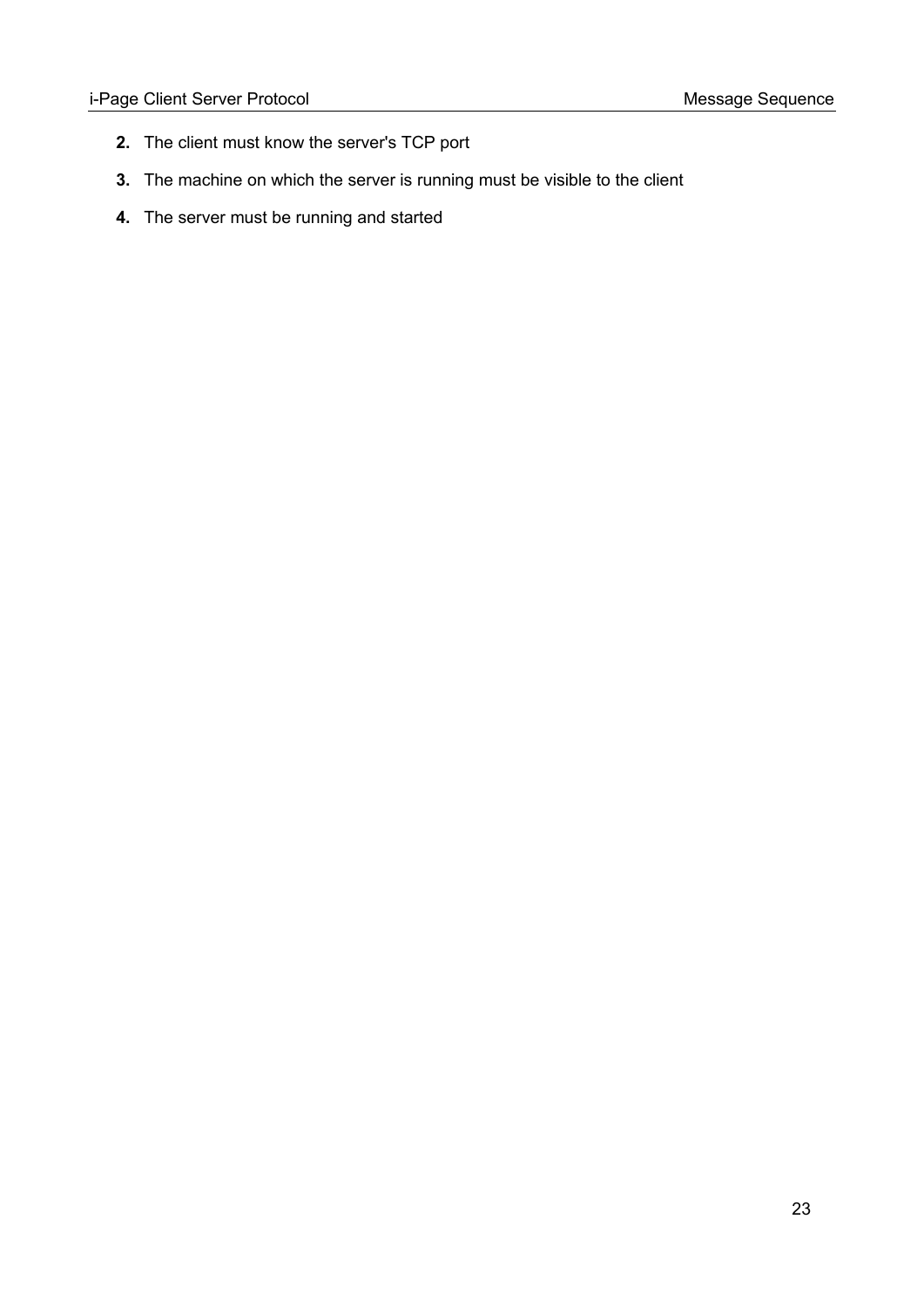- **2.** The client must know the server's TCP port
- **3.** The machine on which the server is running must be visible to the client
- **4.** The server must be running and started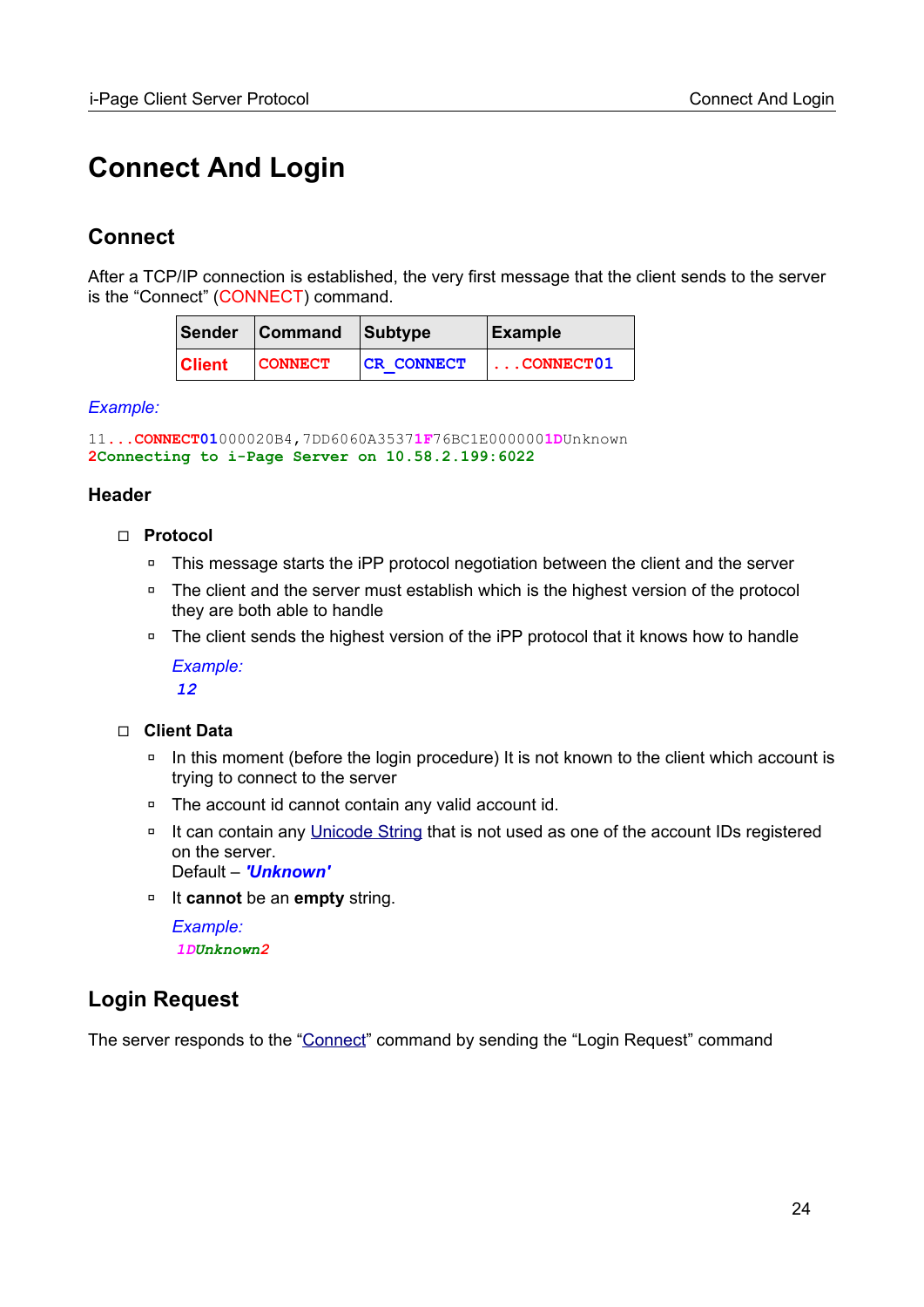## <span id="page-23-2"></span>**Connect And Login**

## <span id="page-23-1"></span>**Connect**

After a TCP/IP connection is established, the very first message that the client sends to the server is the "Connect" (CONNECT) command.

|               | Sender Command Subtype |                   | Example                  |
|---------------|------------------------|-------------------|--------------------------|
| <b>Client</b> | <b>CONNECT</b>         | <b>CR CONNECT</b> | $\vert \ldots$ CONNECT01 |

### *Example:*

```
11...CONNECT01000020B4,7DD6060A35371F76BC1E0000001DUnknown
2Connecting to i-Page Server on 10.58.2.199:6022
```
### **Header**

- ◻ **Protocol**
	- □ This message starts the iPP protocol negotiation between the client and the server
	- □ The client and the server must establish which is the highest version of the protocol they are both able to handle
	- □ The client sends the highest version of the iPP protocol that it knows how to handle *Example:*

*12*

### ◻ **Client Data**

- □ In this moment (before the login procedure) It is not known to the client which account is trying to connect to the server
- ◽ The account id cannot contain any valid account id.
- □ It can contain any [Unicode String](#page-103-5) that is not used as one of the account IDs registered on the server. Default – *'Unknown'*
- ◽ It **cannot** be an **empty** string.

*Example: 1DUnknown2*

## <span id="page-23-0"></span>**Login Request**

The server responds to the ["Connect](#page-23-1)" command by sending the "Login Request" command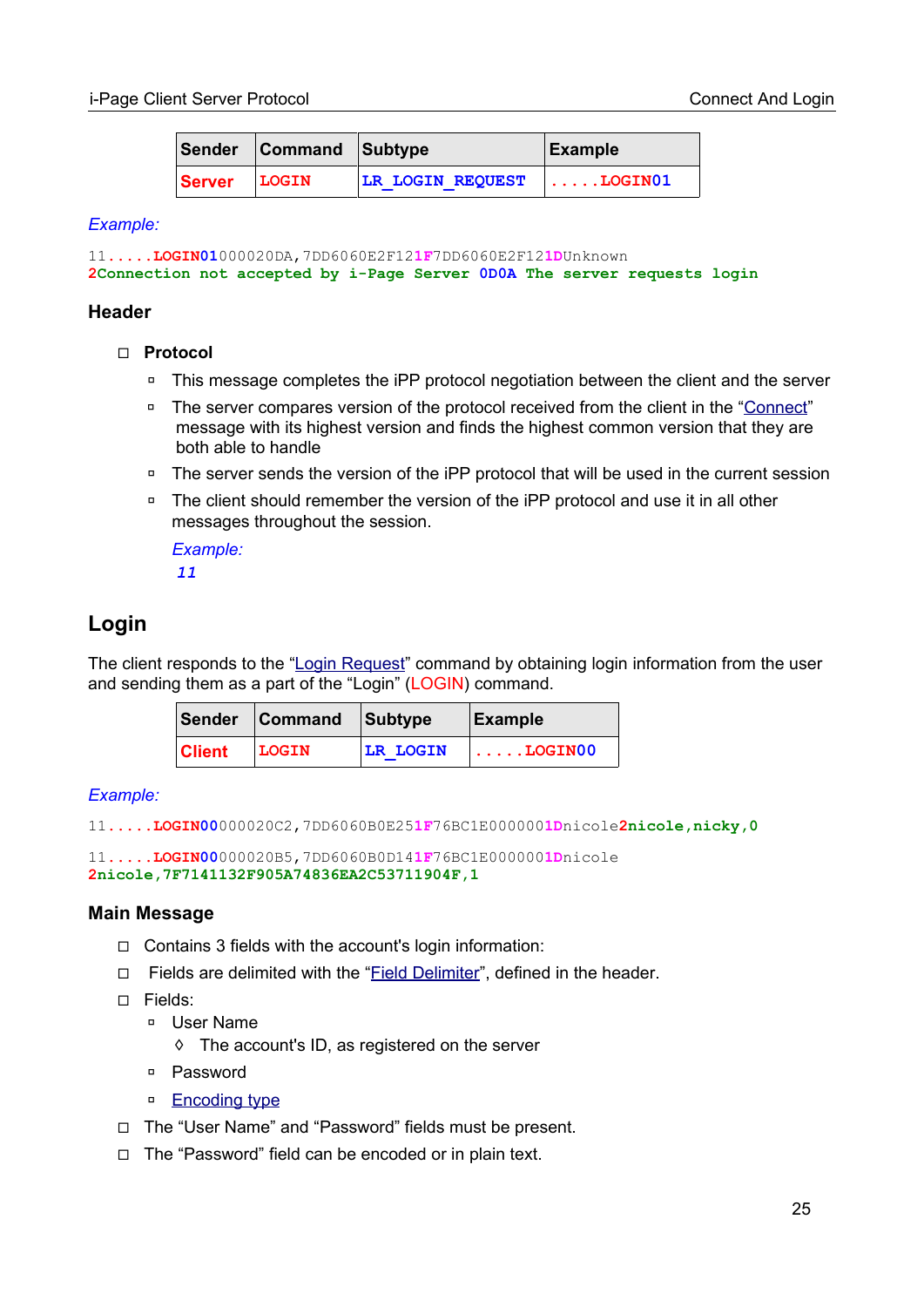|        | Sender Command Subtype |                         | Example                  |
|--------|------------------------|-------------------------|--------------------------|
| Server | LOGIN                  | <b>LR LOGIN REQUEST</b> | $ \ldots \ldots$ LOGIN01 |

#### *Example:*

```
11.....LOGIN01000020DA,7DD6060E2F121F7DD6060E2F121DUnknown
2Connection not accepted by i-Page Server 0D0A The server requests login
```
#### **Header**

- ◻ **Protocol**
	- □ This message completes the iPP protocol negotiation between the client and the server
	- □ The server compares version of the protocol received from the client in the ["Connect](#page-23-1)" message with its highest version and finds the highest common version that they are both able to handle
	- □ The server sends the version of the iPP protocol that will be used in the current session
	- □ The client should remember the version of the iPP protocol and use it in all other messages throughout the session.

*Example: 11*

## <span id="page-24-0"></span>**Login**

The client responds to the ["Login Request](#page-23-0)" command by obtaining login information from the user and sending them as a part of the "Login" (LOGIN) command.

|               | Sender Command Subtype |                 | Example              |
|---------------|------------------------|-----------------|----------------------|
| <b>Client</b> | LOGIN                  | <b>LR LOGIN</b> | $  \ldots$ . LOGIN00 |

### *Example:*

11**.....LOGIN00**000020C2,7DD6060B0E25**1F**76BC1E000000**1D**nicole**2nicole,nicky,0**

11**.....LOGIN00**000020B5,7DD6060B0D14**1F**76BC1E000000**1D**nicole **2nicole,7F7141132F905A74836EA2C53711904F,1**

### **Main Message**

- ◻ Contains 3 fields with the account's login information:
- □ Fields are delimited with the "[Field Delimiter](#page-14-1)", defined in the header.
- ◻ Fields:
	- ◽ User Name
		- ◊ The account's ID, as registered on the server
	- ◽ Password
	- □ [Encoding type](#page-98-2)
- ◻ The "User Name" and "Password" fields must be present.
- ◻ The "Password" field can be encoded or in plain text.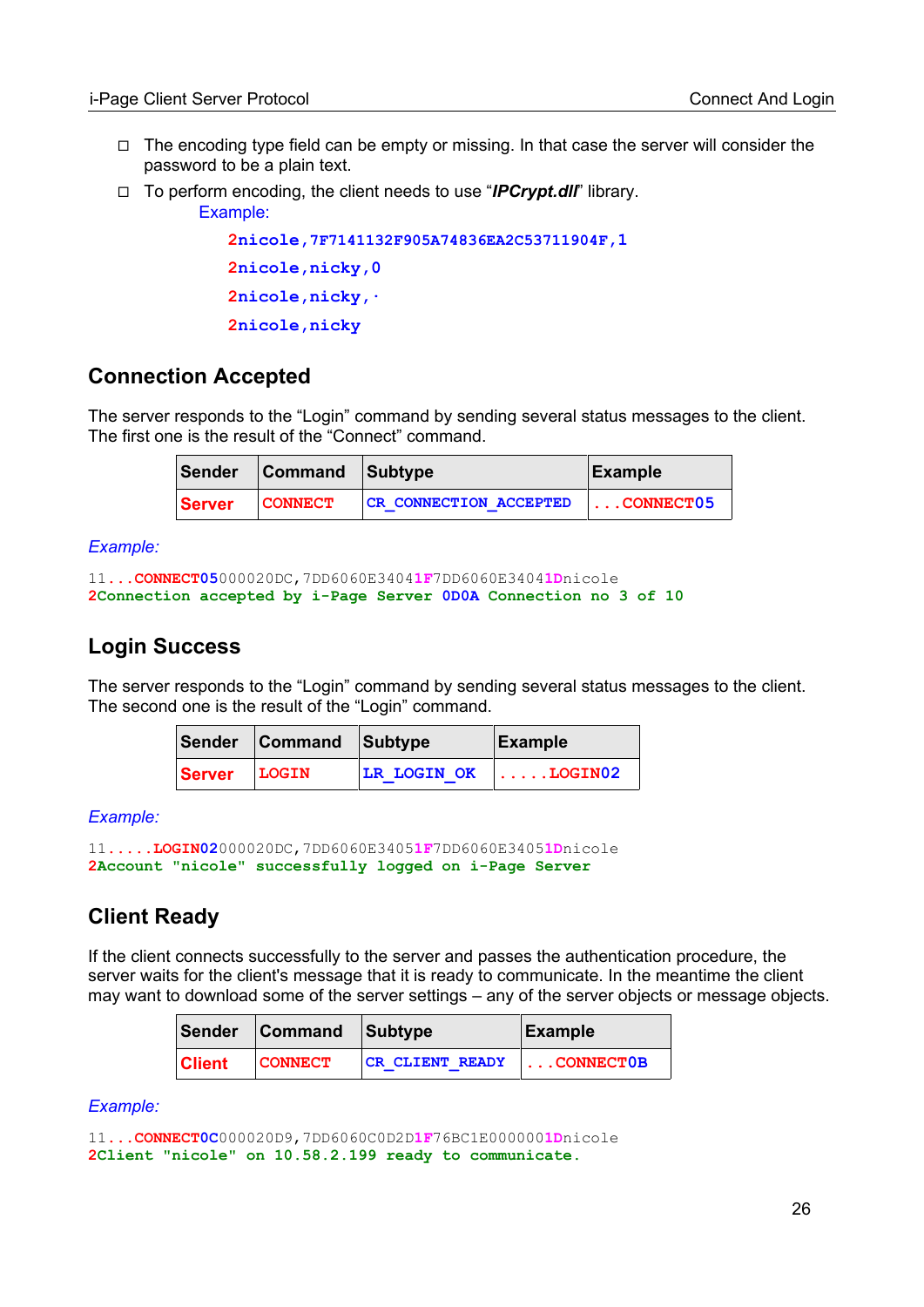- $\Box$  The encoding type field can be empty or missing. In that case the server will consider the password to be a plain text.
- ◻ To perform encoding, the client needs to use "*IPCrypt.dll*" library.

```
Example:
```

```
2nicole,7F7141132F905A74836EA2C53711904F,1
2nicole,nicky,0
2nicole,nicky,∙
2nicole,nicky
```
## <span id="page-25-2"></span>**Connection Accepted**

The server responds to the "Login" command by sending several status messages to the client. The first one is the result of the "Connect" command.

|               | Sender Command Subtype |                               | Example                  |
|---------------|------------------------|-------------------------------|--------------------------|
| <b>Server</b> | <b>CONNECT</b>         | <b>CR CONNECTION ACCEPTED</b> | $\vert \ldots$ CONNECT05 |

*Example:*

```
11...CONNECT05000020DC,7DD6060E34041F7DD6060E34041Dnicole
2Connection accepted by i-Page Server 0D0A Connection no 3 of 10
```
## <span id="page-25-1"></span>**Login Success**

The server responds to the "Login" command by sending several status messages to the client. The second one is the result of the "Login" command.

|        | Sender Command Subtype |                                  | Example |
|--------|------------------------|----------------------------------|---------|
| Server | LOGIN                  | $ LR$ LOGIN OK $  \dots$ LOGIN02 |         |

*Example:*

```
11.....LOGIN02000020DC,7DD6060E34051F7DD6060E34051Dnicole
2Account "nicole" successfully logged on i-Page Server
```
## <span id="page-25-0"></span>**Client Ready**

If the client connects successfully to the server and passes the authentication procedure, the server waits for the client's message that it is ready to communicate. In the meantime the client may want to download some of the server settings – any of the server objects or message objects.

|               | Sender Command Subtype |                        | Example           |
|---------------|------------------------|------------------------|-------------------|
| <b>Client</b> | <b>CONNECT</b>         | <b>CR CLIENT READY</b> | $\vert$ CONNECTOB |

*Example:*

```
11...CONNECT0C000020D9,7DD6060C0D2D1F76BC1E0000001Dnicole
2Client "nicole" on 10.58.2.199 ready to communicate.
```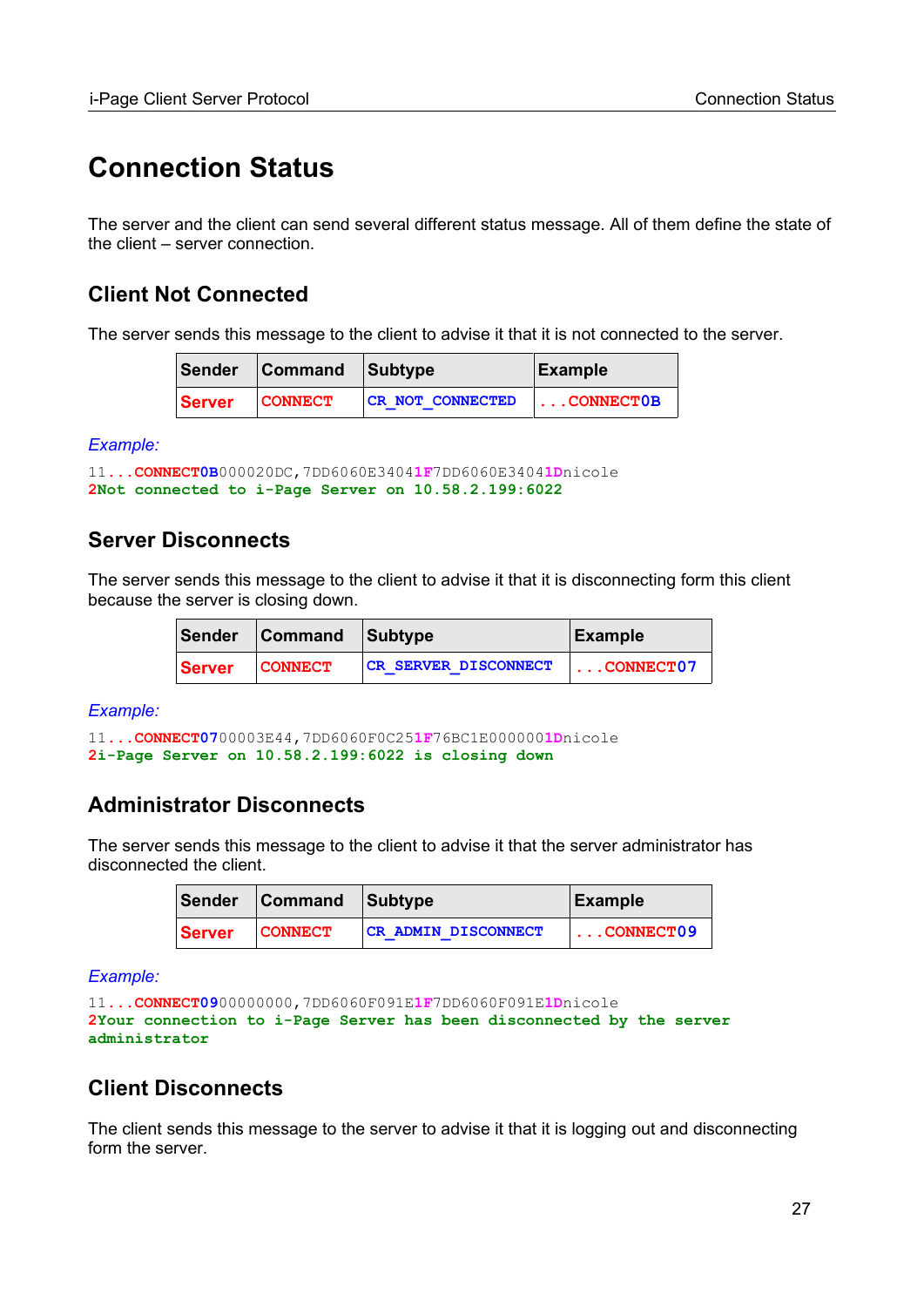## <span id="page-26-3"></span>**Connection Status**

The server and the client can send several different status message. All of them define the state of the client – server connection.

## <span id="page-26-2"></span>**Client Not Connected**

The server sends this message to the client to advise it that it is not connected to the server.

|               | Sender Command Subtype |                         | Example              |
|---------------|------------------------|-------------------------|----------------------|
| <b>Server</b> | <b>CONNECT</b>         | <b>CR NOT CONNECTED</b> | $  \ldots$ CONNECTOB |

*Example:*

```
11...CONNECT0B000020DC,7DD6060E34041F7DD6060E34041Dnicole
2Not connected to i-Page Server on 10.58.2.199:6022
```
## <span id="page-26-4"></span>**Server Disconnects**

The server sends this message to the client to advise it that it is disconnecting form this client because the server is closing down.

|  | Sender Command Subtype |                             | Example            |
|--|------------------------|-----------------------------|--------------------|
|  | Server CONNECT         | <b>CR SERVER DISCONNECT</b> | $\ldots$ CONNECT07 |

*Example:*

```
11...CONNECT0700003E44,7DD6060F0C251F76BC1E0000001Dnicole
2i-Page Server on 10.58.2.199:6022 is closing down
```
## <span id="page-26-1"></span>**Administrator Disconnects**

The server sends this message to the client to advise it that the server administrator has disconnected the client.

|        | Sender Command Subtype |                            | Example            |
|--------|------------------------|----------------------------|--------------------|
| Server | <b>CONNECT</b>         | <b>CR ADMIN DISCONNECT</b> | $\ldots$ CONNECT09 |

*Example:*

```
11...CONNECT0900000000,7DD6060F091E1F7DD6060F091E1Dnicole
2Your connection to i-Page Server has been disconnected by the server 
administrator
```
## <span id="page-26-0"></span>**Client Disconnects**

The client sends this message to the server to advise it that it is logging out and disconnecting form the server.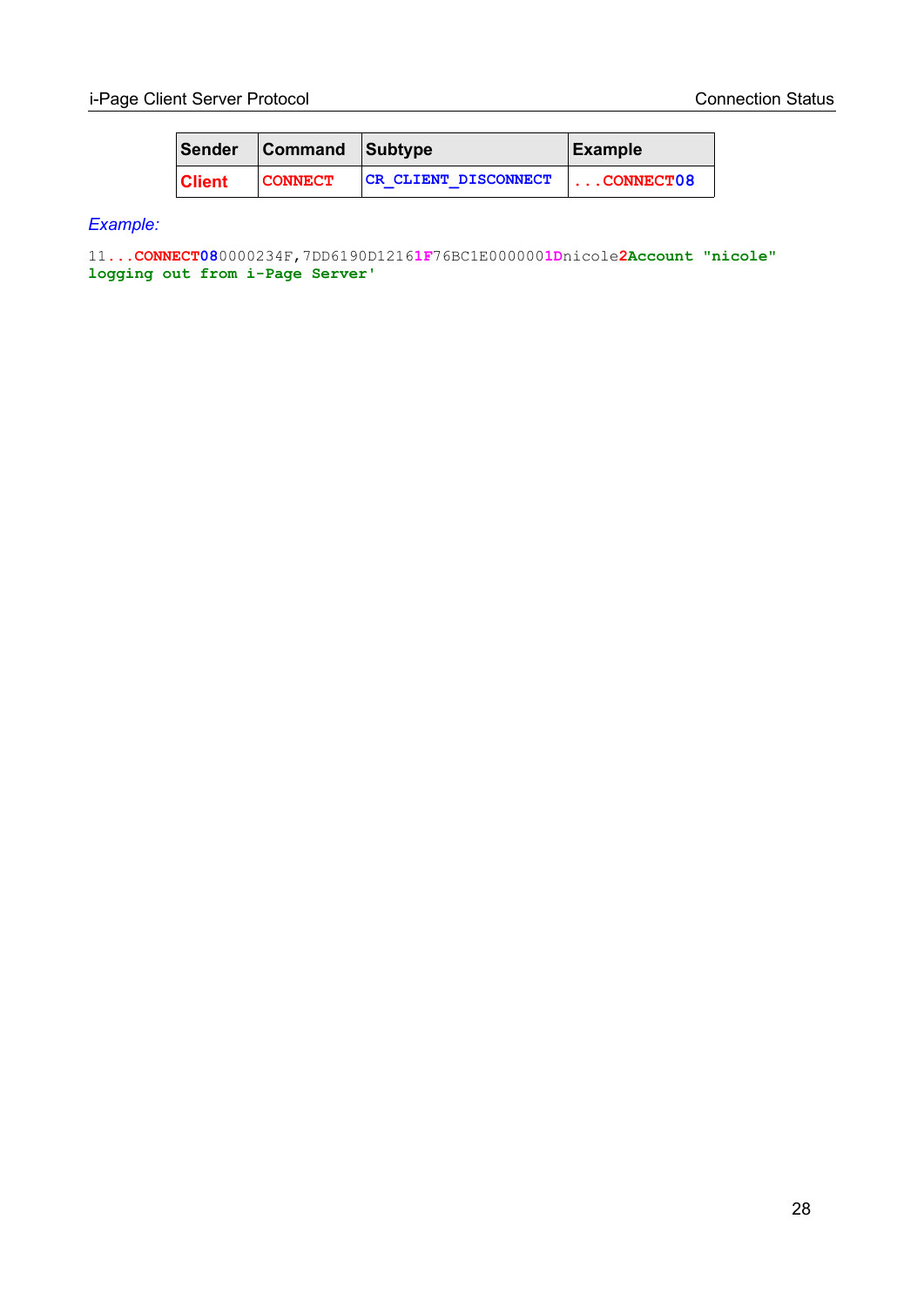|               | Sender Command Subtype |                      | Example           |
|---------------|------------------------|----------------------|-------------------|
| <b>Client</b> | <b>CONNECT</b>         | CR CLIENT DISCONNECT | $\vert$ CONNECT08 |

## *Example:*

11**...CONNECT08**0000234F,7DD6190D1216**1F**76BC1E000000**1D**nicole**2Account "nicole" logging out from i-Page Server'**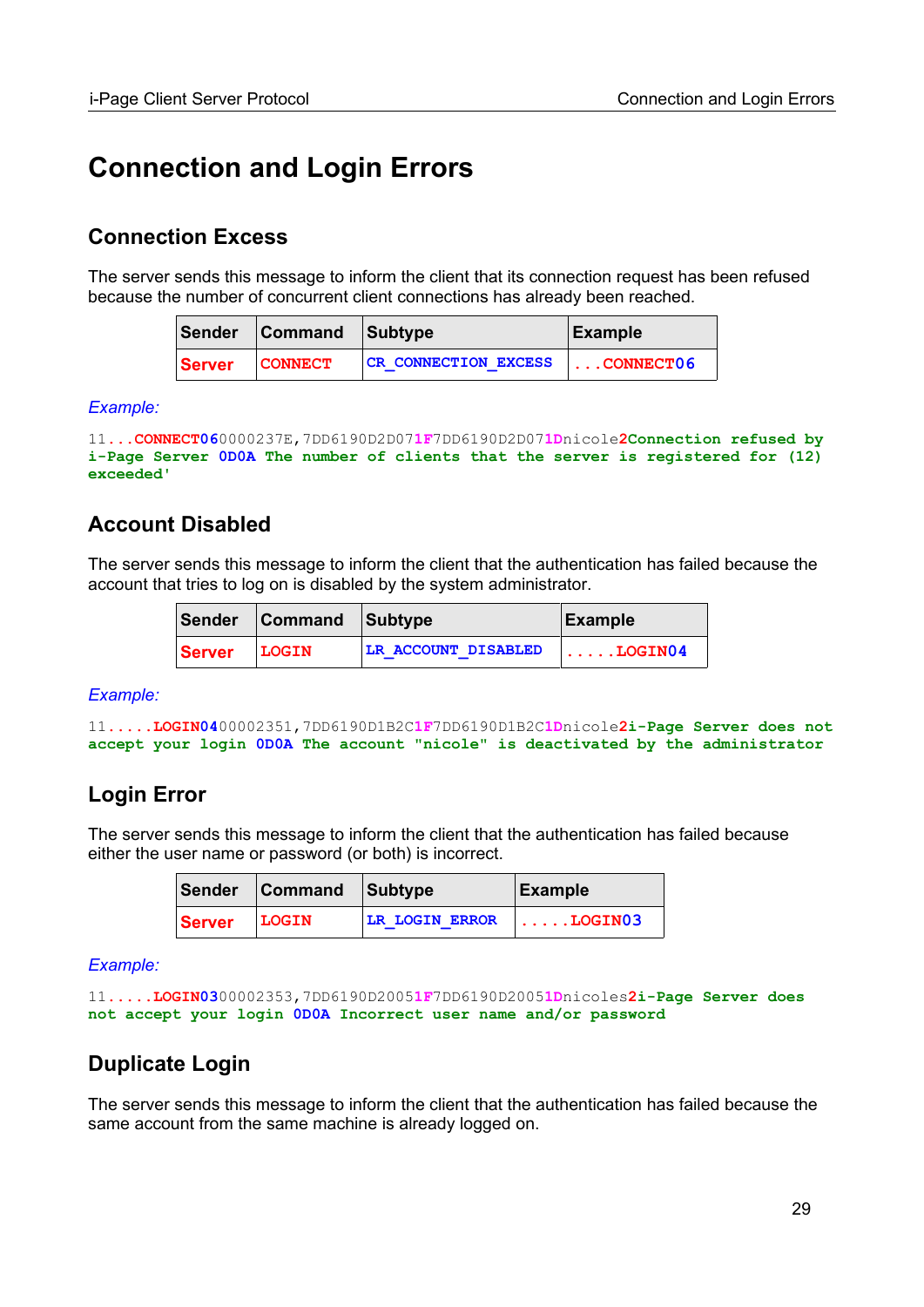## <span id="page-28-4"></span>**Connection and Login Errors**

## <span id="page-28-3"></span>**Connection Excess**

The server sends this message to inform the client that its connection request has been refused because the number of concurrent client connections has already been reached.

|        | Sender Command Subtype |                             | Example            |
|--------|------------------------|-----------------------------|--------------------|
| Server | <b>CONNECT</b>         | <b>CR CONNECTION EXCESS</b> | $\ldots$ CONNECT06 |

### *Example:*

```
11...CONNECT060000237E,7DD6190D2D071F7DD6190D2D071Dnicole2Connection refused by 
i-Page Server 0D0A The number of clients that the server is registered for (12) 
exceeded'
```
## <span id="page-28-2"></span>**Account Disabled**

The server sends this message to inform the client that the authentication has failed because the account that tries to log on is disabled by the system administrator.

|               | Sender Command Subtype |                     | Example                       |
|---------------|------------------------|---------------------|-------------------------------|
| <b>Server</b> | <b>LOGIN</b>           | LR ACCOUNT DISABLED | $\vert \ldots \ldots$ LOGIN04 |

#### *Example:*

```
11.....LOGIN0400002351,7DD6190D1B2C1F7DD6190D1B2C1Dnicole2i-Page Server does not
accept your login 0D0A The account "nicole" is deactivated by the administrator
```
## <span id="page-28-1"></span>**Login Error**

The server sends this message to inform the client that the authentication has failed because either the user name or password (or both) is incorrect.

|               | Sender Command Subtype |                       | Example                      |
|---------------|------------------------|-----------------------|------------------------------|
| <b>Server</b> | LOGIN                  | <b>LR LOGIN ERROR</b> | $  \ldots$ . ${\tt LOGIN03}$ |

*Example:*

```
11.....LOGIN0300002353,7DD6190D20051F7DD6190D20051Dnicoles2i-Page Server does 
not accept your login 0D0A Incorrect user name and/or password
```
## <span id="page-28-0"></span>**Duplicate Login**

The server sends this message to inform the client that the authentication has failed because the same account from the same machine is already logged on.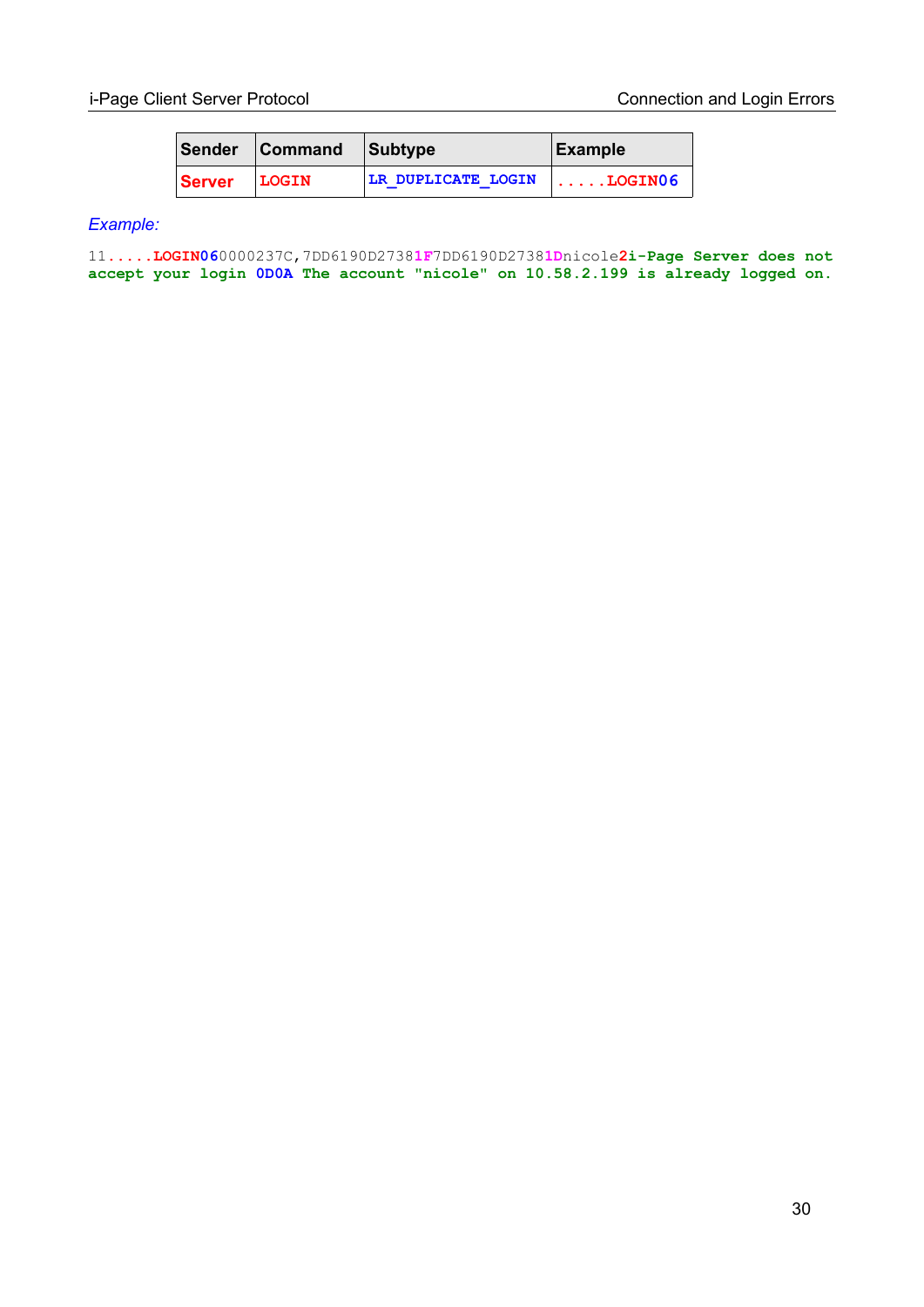|        | Sender Command Subtype |                    | Example             |
|--------|------------------------|--------------------|---------------------|
| Server | LOGIN                  | LR DUPLICATE LOGIN | $ \ldots$ DGIN $06$ |

#### *Example:*

11**.....LOGIN06**0000237C,7DD6190D2738**1F**7DD6190D2738**1D**nicole**2i-Page Server does not accept your login 0D0A The account "nicole" on 10.58.2.199 is already logged on.**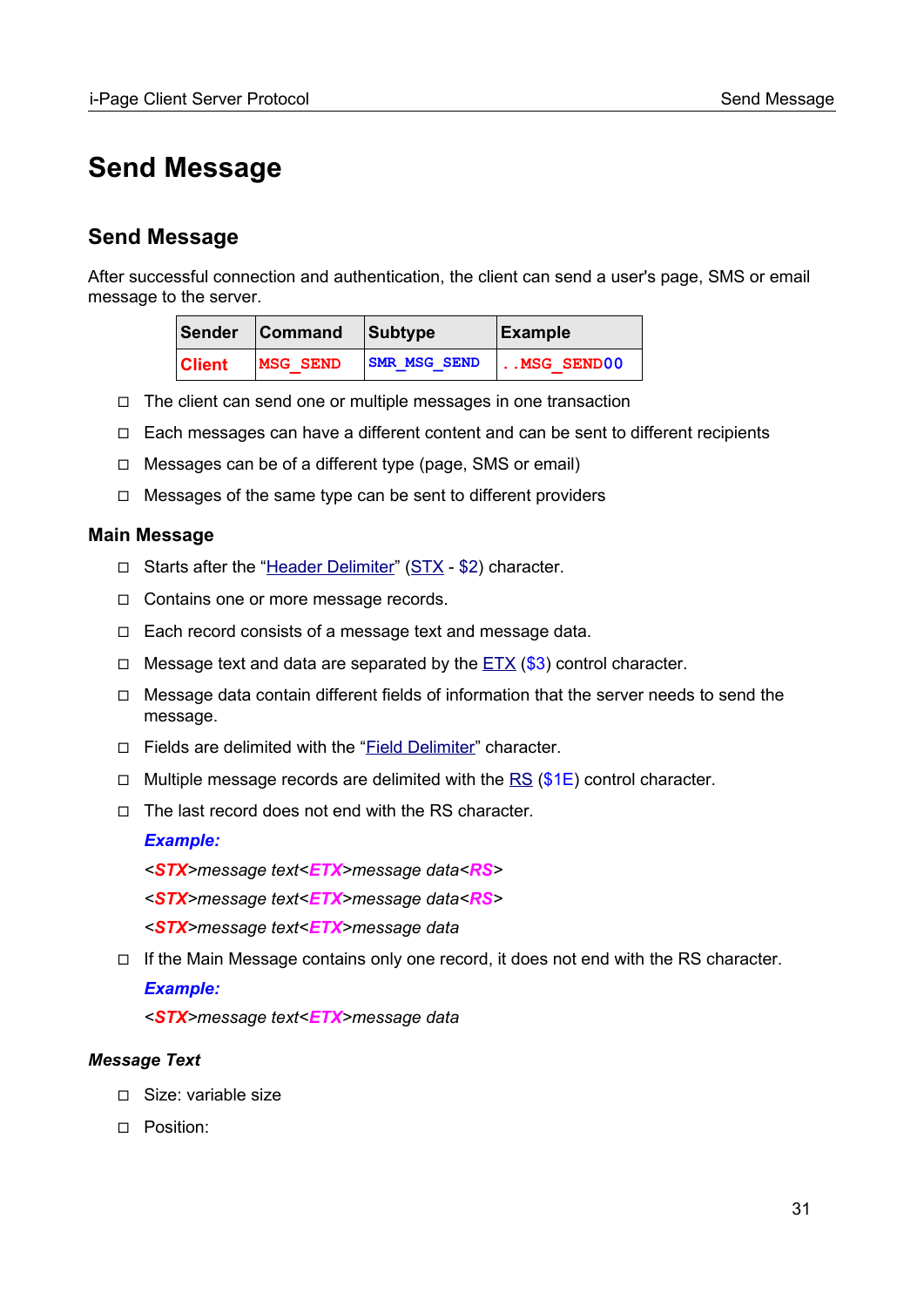## <span id="page-30-1"></span>**Send Message**

## <span id="page-30-0"></span>**Send Message**

After successful connection and authentication, the client can send a user's page, SMS or email message to the server.

|               | Sender Command Subtype |                     | Example            |
|---------------|------------------------|---------------------|--------------------|
| <b>Client</b> | <b>MSG SEND</b>        | <b>SMR MSG SEND</b> | $\vert$ MSG SEND00 |

- ◻ The client can send one or multiple messages in one transaction
- ◻ Each messages can have a different content and can be sent to different recipients
- ◻ Messages can be of a different type (page, SMS or email)
- ◻ Messages of the same type can be sent to different providers

### **Main Message**

- ◻ Starts after the "[Header Delimiter](#page-16-0)" ([STX](#page-96-0) \$2) character.
- ◻ Contains one or more message records.
- ◻ Each record consists of a message text and message data.
- □ Message text and data are separated by the  $ETX$  (\$3) control character.
- ◻ Message data contain different fields of information that the server needs to send the message.
- □ Fields are delimited with the "[Field Delimiter](#page-14-1)" character.
- □ Multiple message records are delimited with the [RS](#page-96-0)  $(\$1E)$  control character.
- ◻ The last record does not end with the RS character.

#### *Example:*

- *<STX>message text<ETX>message data<RS>*
- *<STX>message text<ETX>message data<RS>*
- *<STX>message text<ETX>message data*
- $\Box$  If the Main Message contains only one record, it does not end with the RS character.

### *Example:*

*<STX>message text<ETX>message data*

### *Message Text*

- ◻ Size: variable size
- ◻ Position: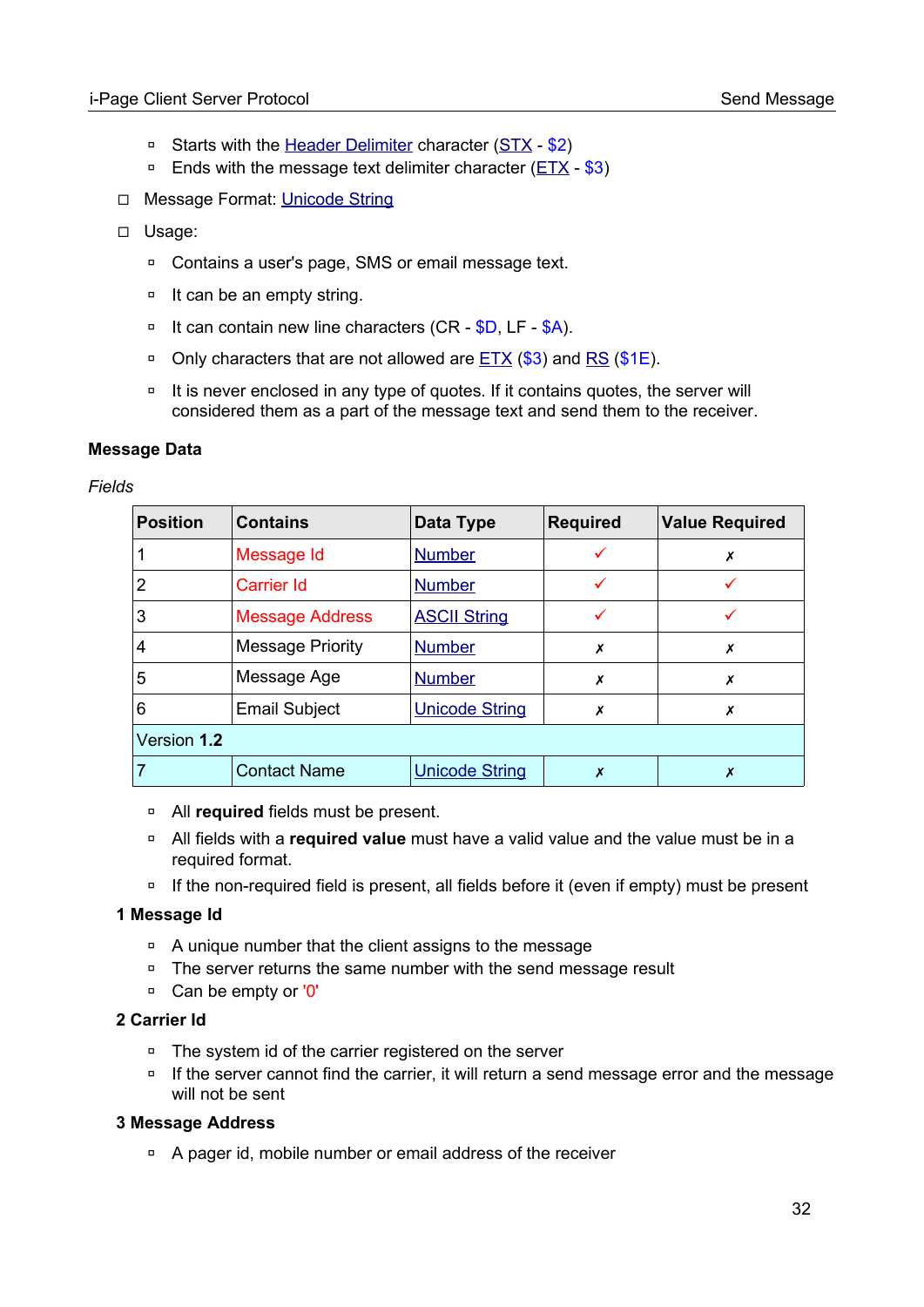- □ Starts with the [Header Delimiter](#page-16-0) character ([STX](#page-96-0) \$2)
- $\overline{p}$  Ends with the message text delimiter character ( $ETX $3$ )
- ◻ Message Format: [Unicode String](#page-103-5)
- ◻ Usage:
	- ◽ Contains a user's page, SMS or email message text.
	- □ It can be an empty string.
	- □ It can contain new line characters (CR \$D, LF \$A).
	- **□** Only characters that are not allowed are **[ETX](#page-96-0) (\$3)** and [RS](#page-96-0) (\$1E).
	- □ It is never enclosed in any type of quotes. If it contains quotes, the server will considered them as a part of the message text and send them to the receiver.

### <span id="page-31-0"></span>**Message Data**

#### *Fields*

| <b>Position</b> | <b>Contains</b>         | Data Type             | <b>Required</b> | <b>Value Required</b> |
|-----------------|-------------------------|-----------------------|-----------------|-----------------------|
|                 | Message Id              | <b>Number</b>         |                 | х                     |
| 2               | Carrier Id              | <b>Number</b>         |                 |                       |
| 3               | <b>Message Address</b>  | <b>ASCII String</b>   |                 |                       |
| 4               | <b>Message Priority</b> | <b>Number</b>         | X               | Х                     |
| 5               | Message Age             | <b>Number</b>         | X               | X                     |
| 6               | <b>Email Subject</b>    | <b>Unicode String</b> | Х               | Х                     |
| Version 1.2     |                         |                       |                 |                       |
|                 | <b>Contact Name</b>     | <b>Unicode String</b> | X               | х                     |

- ◽ All **required** fields must be present.
- ◽ All fields with a **required value** must have a valid value and the value must be in a required format.
- □ If the non-required field is present, all fields before it (even if empty) must be present

### <span id="page-31-1"></span>**1 Message Id**

- □ A unique number that the client assigns to the message
- ◽ The server returns the same number with the send message result
- □ Can be empty or '0'

### **2 Carrier Id**

- ◽ The system id of the carrier registered on the server
- □ If the server cannot find the carrier, it will return a send message error and the message will not be sent

### **3 Message Address**

□ A pager id, mobile number or email address of the receiver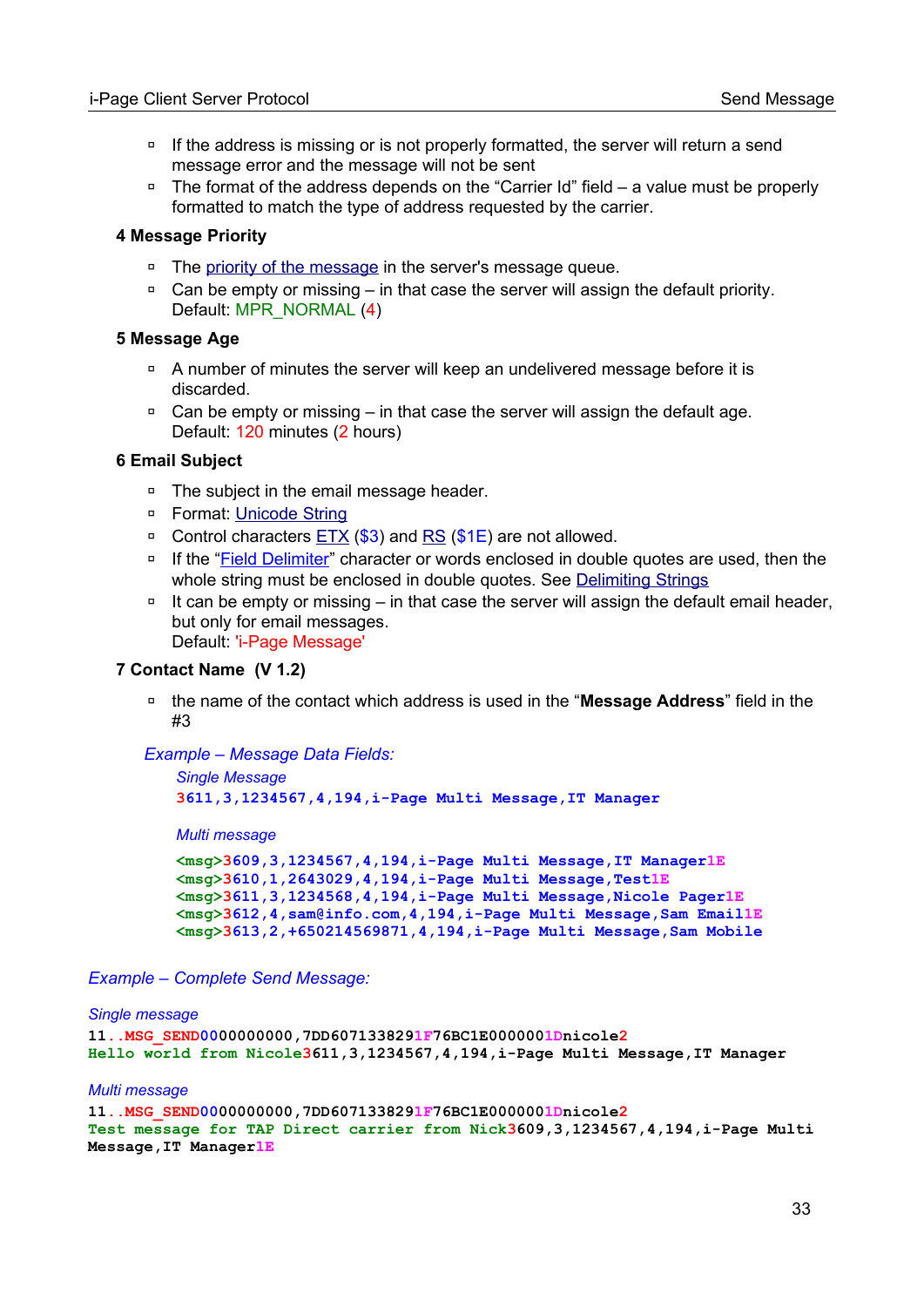- □ If the address is missing or is not properly formatted, the server will return a send message error and the message will not be sent
- □ The format of the address depends on the "Carrier Id" field a value must be properly formatted to match the type of address requested by the carrier.

#### **4 Message Priority**

- □ The [priority of the message](#page-97-3) in the server's message queue.
- □ Can be empty or missing in that case the server will assign the default priority. Default: MPR\_NORMAL (4)

#### **5 Message Age**

- ◽ A number of minutes the server will keep an undelivered message before it is discarded.
- **□** Can be empty or missing in that case the server will assign the default age. Default: 120 minutes (2 hours)

#### **6 Email Subject**

- ◽ The subject in the email message header.
- □ Format: [Unicode String](#page-103-5)
- **□** Control characters [ETX](#page-96-0) (\$3) and [RS](#page-96-0) (\$1E) are not allowed.
- □ If the "Field Delimiter" character or words enclosed in double quotes are used, then the whole string must be enclosed in double quotes. See **Delimiting Strings**
- □ It can be empty or missing in that case the server will assign the default email header, but only for email messages. Default: 'i-Page Message'

#### **7 Contact Name (V 1.2)**

◽ the name of the contact which address is used in the "**Message Address**" field in the #3

*Example – Message Data Fields:*

```
Single Message
3611,3,1234567,4,194,i-Page Multi Message,IT Manager
```
*Multi message*

**<msg>3609,3,1234567,4,194,i-Page Multi Message,IT Manager1E <msg>3610,1,2643029,4,194,i-Page Multi Message,Test1E <msg>3611,3,1234568,4,194,i-Page Multi Message,Nicole Pager1E <msg>3612,4,sam@info.com,4,194,i-Page Multi Message,Sam Email1E <msg>3613,2,+650214569871,4,194,i-Page Multi Message,Sam Mobile**

*Example – Complete Send Message:*

#### *Single message*

```
11..MSG_SEND0000000000,7DD6071338291F76BC1E0000001Dnicole2
Hello world from Nicole3611,3,1234567,4,194,i-Page Multi Message,IT Manager
```
#### *Multi message*

```
11..MSG_SEND0000000000,7DD6071338291F76BC1E0000001Dnicole2
Test message for TAP Direct carrier from Nick3609,3,1234567,4,194,i-Page Multi 
Message,IT Manager1E
```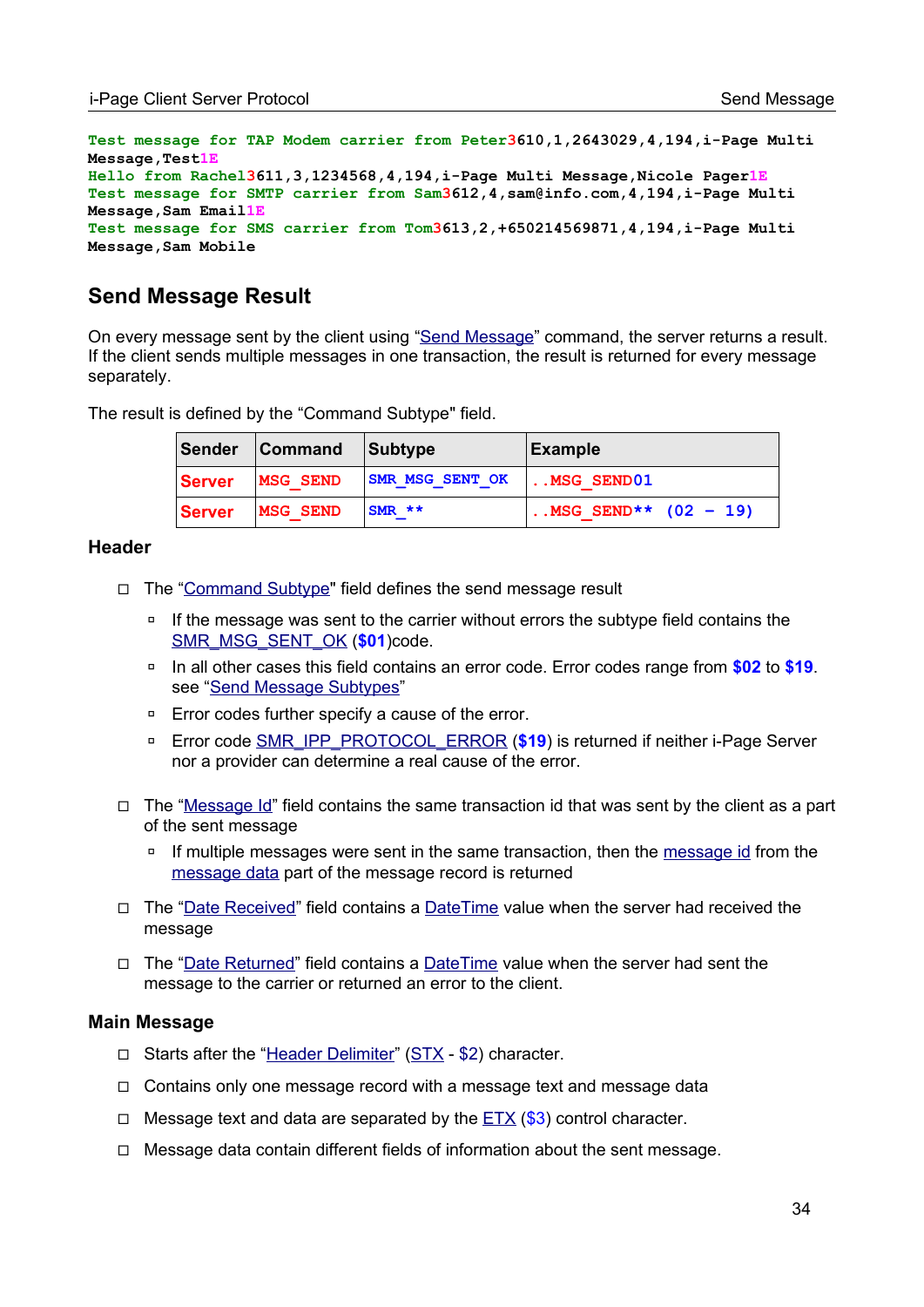```
Test message for TAP Modem carrier from Peter3610,1,2643029,4,194,i-Page Multi 
Message,Test1E
Hello from Rachel3611,3,1234568,4,194,i-Page Multi Message,Nicole Pager1E
Test message for SMTP carrier from Sam3612,4,sam@info.com,4,194,i-Page Multi 
Message,Sam Email1E
Test message for SMS carrier from Tom3613,2,+650214569871,4,194,i-Page Multi 
Message,Sam Mobile
```
## <span id="page-33-0"></span>**Send Message Result**

On every message sent by the client using "[Send Message](#page-30-0)" command, the server returns a result. If the client sends multiple messages in one transaction, the result is returned for every message separately.

The result is defined by the "Command Subtype" field.

| Sender         | <b>Command</b>  | <b>Subtype</b>         | <b>Example</b>         |
|----------------|-----------------|------------------------|------------------------|
| <b>∣Server</b> | <b>MSG SEND</b> | <b>SMR MSG SENT OK</b> | $$ MSG SEND $01$       |
| <b>∣Server</b> | <b>MSG SEND</b> | $SMR$ **               | MSG SEND** $(02 - 19)$ |

#### **Header**

- ◻ The ["Command Subtype"](#page-12-0) field defines the send message result
	- □ If the message was sent to the carrier without errors the subtype field contains the [SMR\\_MSG\\_SENT\\_OK](#page-94-0) (**\$01**)code.
	- ◽ In all other cases this field contains an error code. Error codes range from **\$02** to **\$19**. see ["Send Message Subtypes"](#page-94-0)
	- ◽ Error codes further specify a cause of the error.
	- **□** Error code [SMR\\_IPP\\_PROTOCOL\\_ERROR](#page-94-0) (\$19) is returned if neither i-Page Server nor a provider can determine a real cause of the error.
- $\Box$  The ["Message Id](#page-13-0)" field contains the same transaction id that was sent by the client as a part of the sent message
	- □ If multiple messages were sent in the same transaction, then the [message id](#page-31-1) from the [message data](#page-31-0) part of the message record is returned
- □ The ["Date Received"](#page-14-0) field contains a [DateTime](#page-104-0) value when the server had received the message
- ◻ The ["Date Returned](#page-15-1)" field contains a [DateTime](#page-104-0) value when the server had sent the message to the carrier or returned an error to the client.

### **Main Message**

- ◻ Starts after the "[Header Delimiter](#page-16-0)" ([STX](#page-96-0) \$2) character.
- ◻ Contains only one message record with a message text and message data
- $\Box$  Message text and data are separated by the [ETX](#page-96-0) (\$3) control character.
- $\Box$  Message data contain different fields of information about the sent message.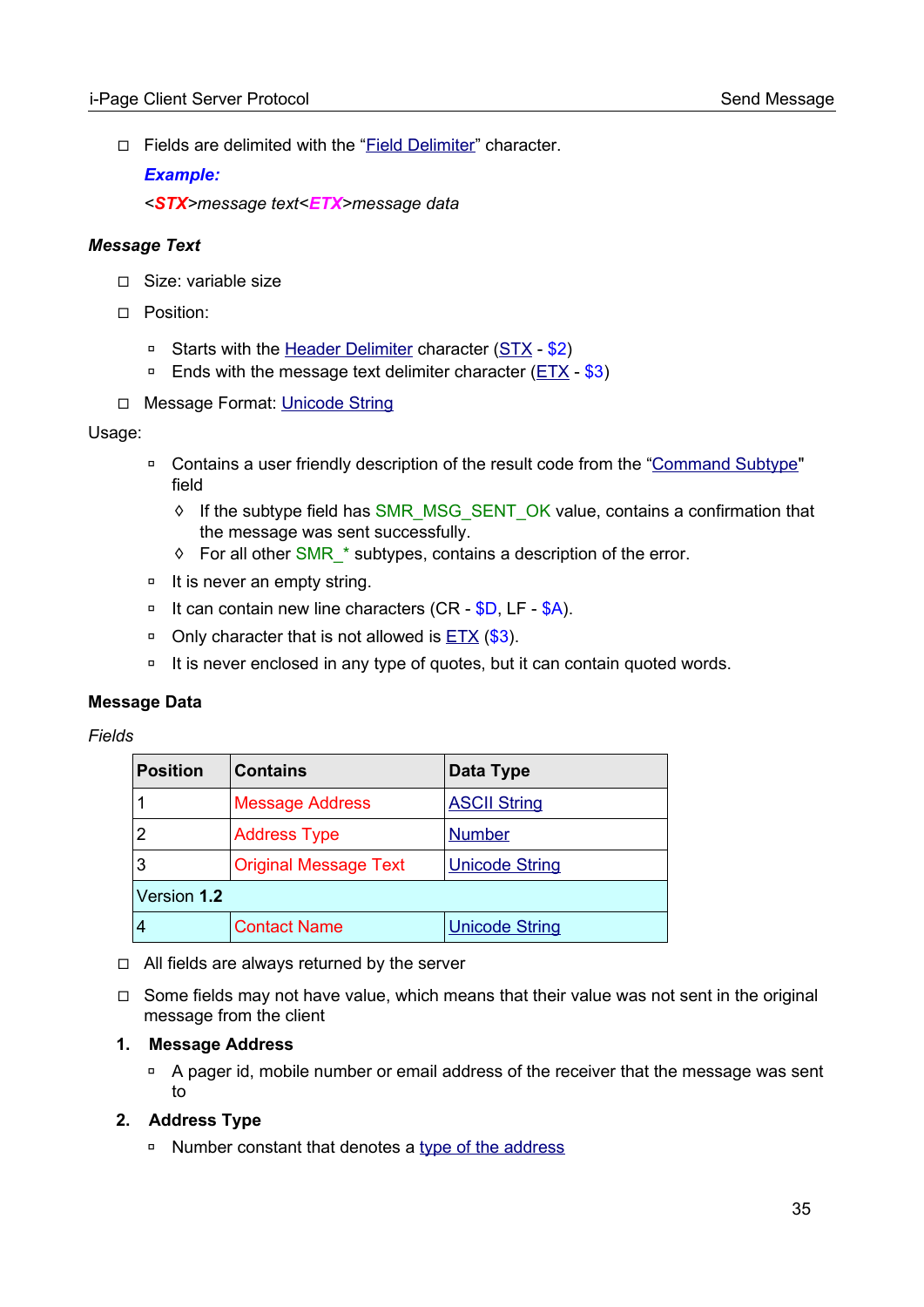□ Fields are delimited with the "[Field Delimiter](#page-14-1)" character.

### *Example:*

*<STX>message text<ETX>message data*

### *Message Text*

- ◻ Size: variable size
- ◻ Position:
	- **□** Starts with the [Header Delimiter](#page-16-0) character ([STX](#page-96-0) \$2)
	- $\overline{P}$  Ends with the message text delimiter character ( $ETX $3$ )
- ◻ Message Format: [Unicode String](#page-103-5)

### Usage:

- □ Contains a user friendly description of the result code from the ["Command Subtype](#page-12-0)" field
	- ◊ If the subtype field has SMR\_MSG\_SENT\_OK value, contains a confirmation that the message was sent successfully.
	- ◊ For all other SMR\_\* subtypes, contains a description of the error.
- □ It is never an empty string.
- □ It can contain new line characters (CR \$D, LF \$A).
- □ Only character that is not allowed is  $ETX$  (\$3).
- □ It is never enclosed in any type of quotes, but it can contain quoted words.

### **Message Data**

### *Fields*

| <b>Position</b> | <b>Contains</b>              | Data Type             |  |
|-----------------|------------------------------|-----------------------|--|
|                 | <b>Message Address</b>       | <b>ASCII String</b>   |  |
|                 | <b>Address Type</b>          | <b>Number</b>         |  |
| 3               | <b>Original Message Text</b> | <b>Unicode String</b> |  |
| Version 1.2     |                              |                       |  |
|                 | <b>Contact Name</b>          | <b>Unicode String</b> |  |

- ◻ All fields are always returned by the server
- $\Box$  Some fields may not have value, which means that their value was not sent in the original message from the client

### **1. Message Address**

□ A pager id, mobile number or email address of the receiver that the message was sent to

### **2. Address Type**

◽ Number constant that denotes a [type of the address](#page-97-1)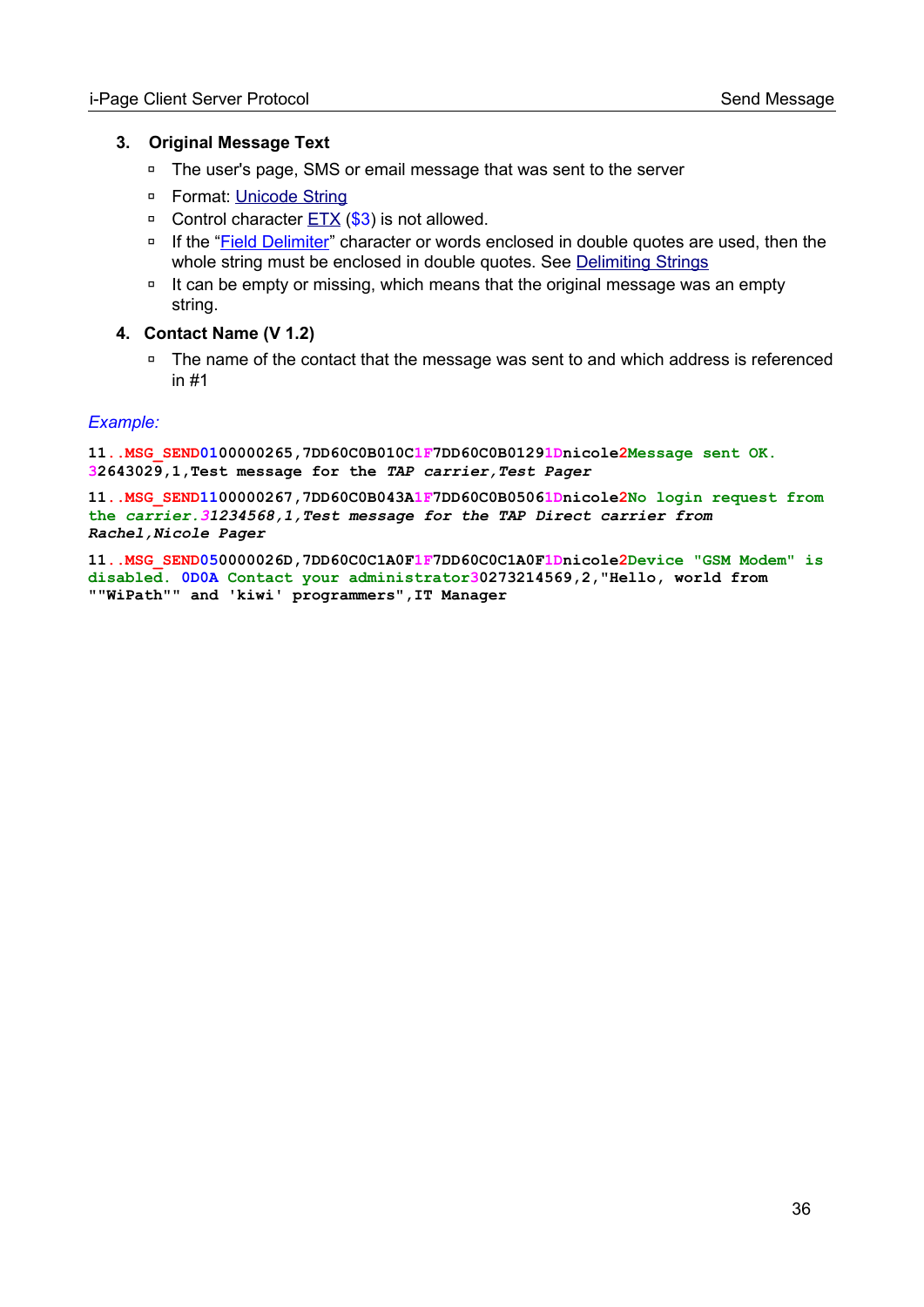#### **3. Original Message Text**

- ◽ The user's page, SMS or email message that was sent to the server
- □ Format: [Unicode String](#page-103-5)
- □ Control character **ETX** (\$3) is not allowed.
- □ If the "Field Delimiter" character or words enclosed in double quotes are used, then the whole string must be enclosed in double quotes. See [Delimiting Strings](#page-108-0)
- □ It can be empty or missing, which means that the original message was an empty string.
- **4. Contact Name (V 1.2)**
	- □ The name of the contact that the message was sent to and which address is referenced in #1

#### *Example:*

**11..MSG\_SEND0100000265,7DD60C0B010C1F7DD60C0B01291Dnicole2Message sent OK. 32643029,1,Test message for the** *TAP carrier,Test Pager*

**11..MSG\_SEND1100000267,7DD60C0B043A1F7DD60C0B05061Dnicole2No login request from the** *carrier.31234568,1,Test message for the TAP Direct carrier from Rachel,Nicole Pager*

**11..MSG\_SEND050000026D,7DD60C0C1A0F1F7DD60C0C1A0F1Dnicole2Device "GSM Modem" is disabled. 0D0A Contact your administrator30273214569,2,"Hello, world from ""WiPath"" and 'kiwi' programmers",IT Manager**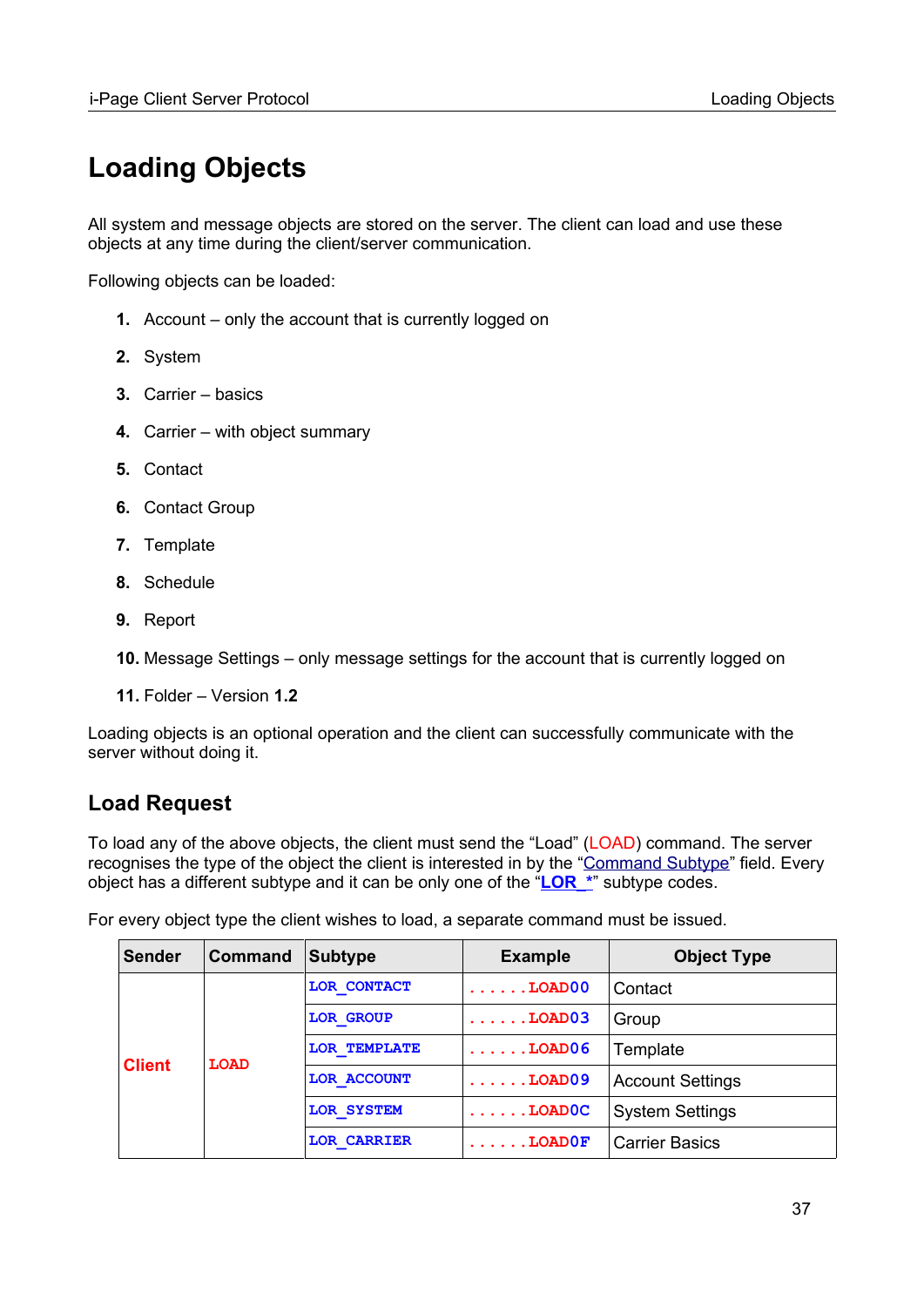# **Loading Objects**

All system and message objects are stored on the server. The client can load and use these objects at any time during the client/server communication.

Following objects can be loaded:

- **1.** Account only the account that is currently logged on
- **2.** System
- **3.** Carrier basics
- **4.** Carrier with object summary
- **5.** Contact
- **6.** Contact Group
- **7.** Template
- **8.** Schedule
- **9.** Report
- **10.** Message Settings only message settings for the account that is currently logged on
- **11.** Folder Version **1.2**

Loading objects is an optional operation and the client can successfully communicate with the server without doing it.

# **Load Request**

To load any of the above objects, the client must send the "Load" (LOAD) command. The server recognises the type of the object the client is interested in by the "[Command Subtype](#page-12-0)" field. Every object has a different subtype and it can be only one of the "**LOR\_\***" subtype codes.

For every object type the client wishes to load, a separate command must be issued.

| <b>Sender</b> | <b>Command</b> | <b>Subtype</b>      | <b>Example</b>         | <b>Object Type</b>      |
|---------------|----------------|---------------------|------------------------|-------------------------|
| <b>Client</b> |                | LOR CONTACT         | $\ldots \ldots$ LOAD00 | Contact                 |
|               |                | <b>LOR GROUP</b>    | $\ldots \ldots$ LOAD03 | Group                   |
|               | <b>LOAD</b>    | <b>LOR TEMPLATE</b> | $\ldots \ldots$ LOAD06 | Template                |
|               |                | LOR ACCOUNT         | $\ldots \ldots$ LOAD09 | <b>Account Settings</b> |
|               |                | LOR SYSTEM          | $\ldots \ldots$ LOADOC | <b>System Settings</b>  |
|               |                | <b>LOR CARRIER</b>  | $\ldots$ LOADOF        | <b>Carrier Basics</b>   |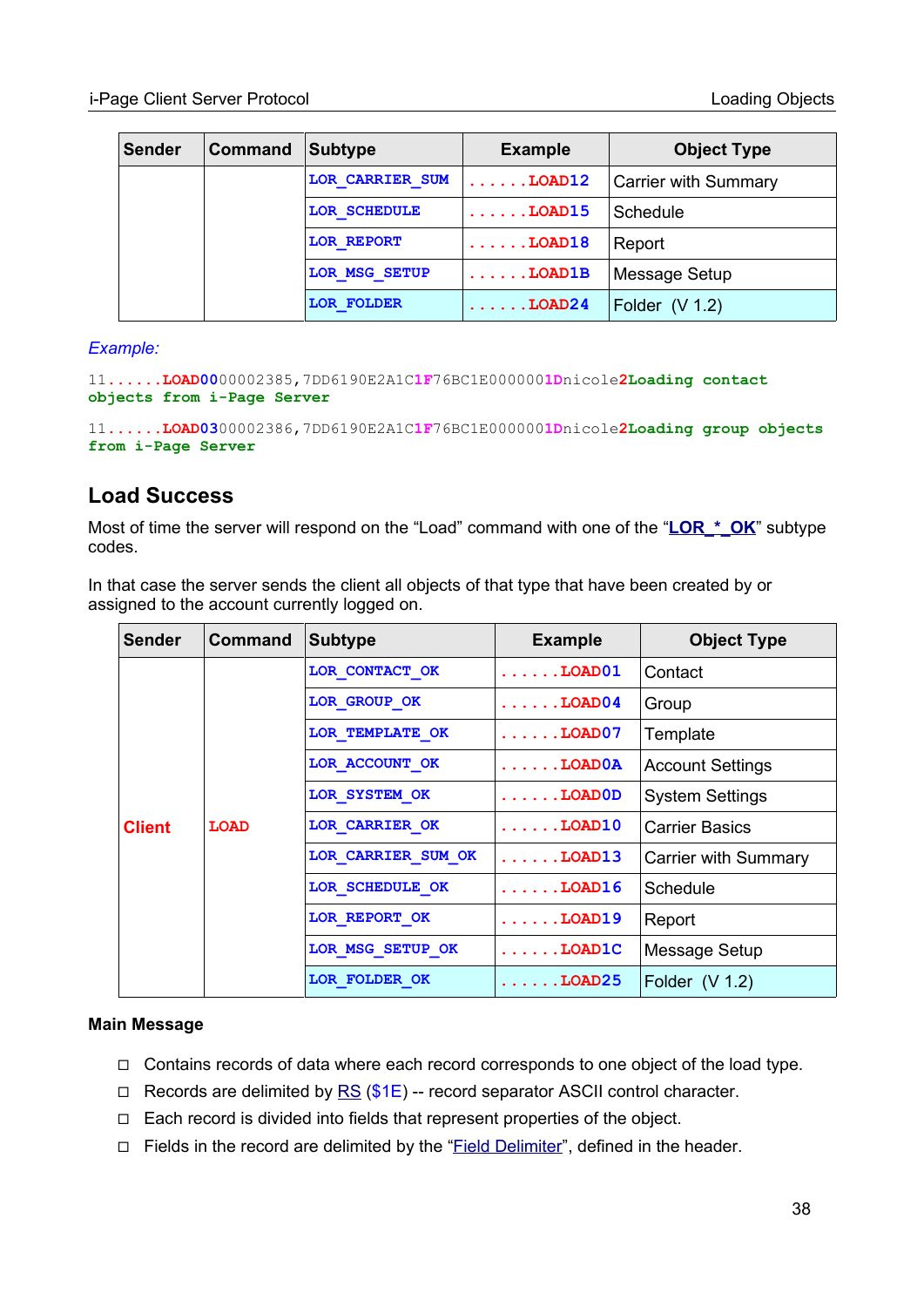| <b>Sender</b> | <b>Command</b> | <b>Subtype</b>    | <b>Example</b>         | <b>Object Type</b>          |
|---------------|----------------|-------------------|------------------------|-----------------------------|
|               |                | LOR CARRIER SUM   | $\ldots \ldots$ LOAD12 | <b>Carrier with Summary</b> |
|               |                | LOR SCHEDULE      | $\ldots$ LOAD15        | Schedule                    |
|               |                | LOR REPORT        | $\ldots \ldots$ LOAD18 | Report                      |
|               |                | LOR MSG SETUP     | $\ldots \ldots$ LOAD1B | Message Setup               |
|               |                | <b>LOR FOLDER</b> | $\ldots \ldots$ LOAD24 | Folder $(V 1.2)$            |

#### *Example:*

11**......LOAD00**00002385,7DD6190E2A1C**1F**76BC1E000000**1D**nicole**2Loading contact objects from i-Page Server**

11**......LOAD03**00002386,7DD6190E2A1C**1F**76BC1E000000**1D**nicole**2Loading group objects from i-Page Server**

## **Load Success**

Most of time the server will respond on the "Load" command with one of the "LOR \* OK" subtype codes.

In that case the server sends the client all objects of that type that have been created by or assigned to the account currently logged on.

| Sender        | <b>Command</b> | <b>Subtype</b>     | <b>Example</b>           | <b>Object Type</b>          |
|---------------|----------------|--------------------|--------------------------|-----------------------------|
|               |                | LOR CONTACT OK     | $\ldots \ldots$ . LOAD01 | Contact                     |
|               |                | LOR GROUP OK       | $\ldots \ldots$ LOAD04   | Group                       |
|               |                | LOR TEMPLATE OK    | $\ldots \ldots$ LOAD07   | Template                    |
|               | <b>LOAD</b>    | LOR ACCOUNT OK     | $\ldots$ LOAD $0$ A      | <b>Account Settings</b>     |
| <b>Client</b> |                | LOR SYSTEM OK      | $\ldots \ldots$ LOADOD   | <b>System Settings</b>      |
|               |                | LOR CARRIER OK     | $\ldots \ldots$ LOAD10   | <b>Carrier Basics</b>       |
|               |                | LOR CARRIER SUM OK | $\ldots$ LOAD13          | <b>Carrier with Summary</b> |
|               |                | LOR SCHEDULE OK    | $\ldots$ LOAD16          | Schedule                    |
|               |                | LOR REPORT OK      | $\ldots \ldots$ LOAD19   | Report                      |
|               |                | LOR MSG SETUP OK   | $\ldots$ LOAD $1$ C      | Message Setup               |
|               |                | LOR FOLDER OK      | $\ldots$ DOAD25          | Folder $(V 1.2)$            |

#### **Main Message**

- ◻ Contains records of data where each record corresponds to one object of the load type.
- $\Box$  Records are delimited by [RS](#page-96-0) (\$1E) -- record separator ASCII control character.
- ◻ Each record is divided into fields that represent properties of the object.
- □ Fields in the record are delimited by the "Field Delimiter", defined in the header.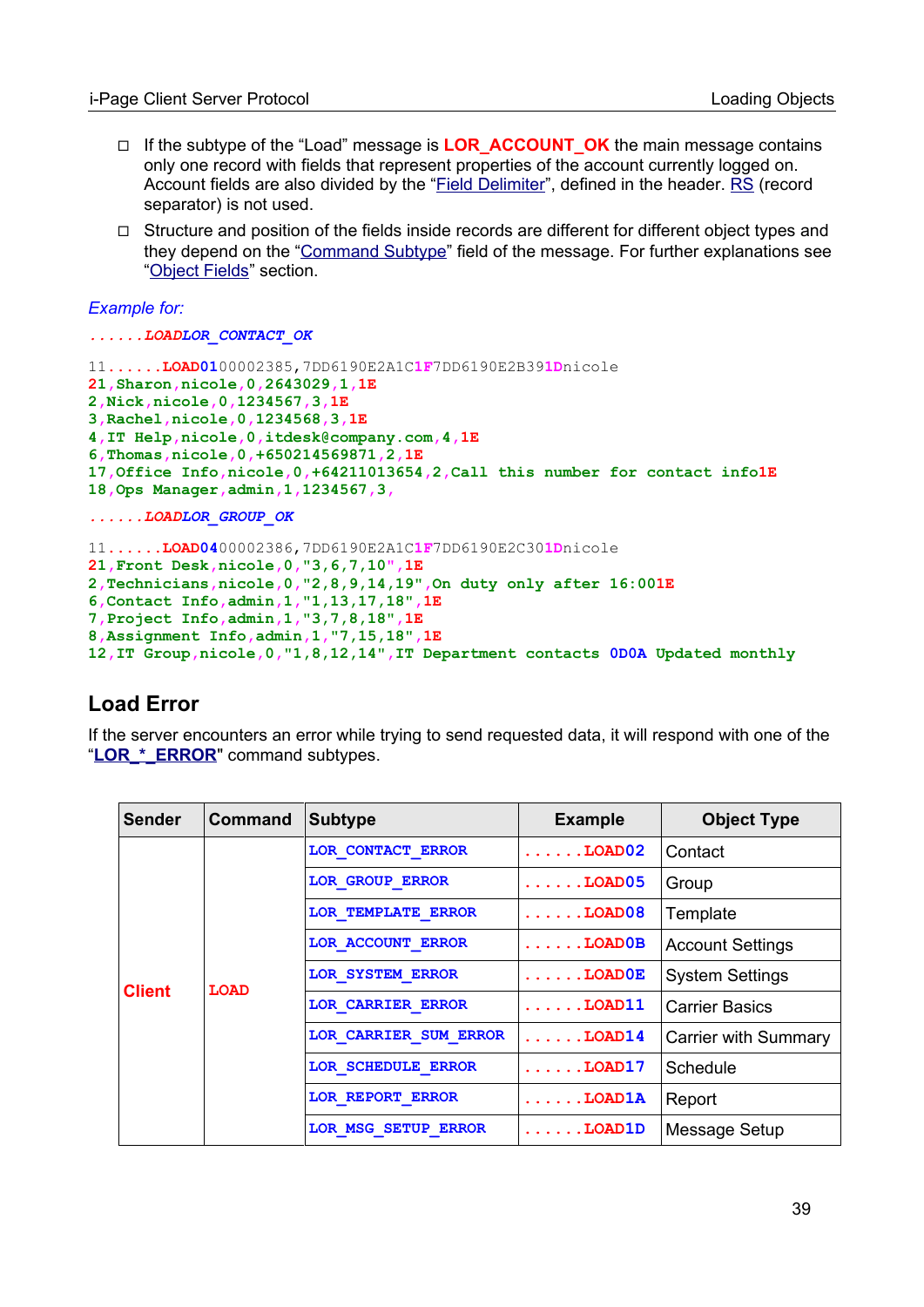- ◻ If the subtype of the "Load" message is **LOR\_ACCOUNT\_OK** the main message contains only one record with fields that represent properties of the account currently logged on. Account fields are also divided by the "Field Delimiter", defined in the header. [RS](#page-96-0) (record separator) is not used.
- ◻ Structure and position of the fields inside records are different for different object types and they depend on the "[Command Subtype"](#page-12-0) field of the message. For further explanations see ["Object Fields"](#page-52-0) section.

#### *Example for:*

*......LOADLOR\_CONTACT\_OK*

```
11......LOAD0100002385,7DD6190E2A1C1F7DD6190E2B391Dnicole
21,Sharon,nicole,0,2643029,1,1E
2,Nick,nicole,0,1234567,3,1E
3,Rachel,nicole,0,1234568,3,1E
4,IT Help,nicole,0,itdesk@company.com,4,1E
6,Thomas,nicole,0,+650214569871,2,1E
17,Office Info,nicole,0,+64211013654,2,Call this number for contact info1E
18,Ops Manager,admin,1,1234567,3,
......LOADLOR_GROUP_OK
11......LOAD0400002386,7DD6190E2A1C1F7DD6190E2C301Dnicole
21,Front Desk,nicole,0,"3,6,7,10",1E
2,Technicians,nicole,0,"2,8,9,14,19",On duty only after 16:001E
6,Contact Info,admin,1,"1,13,17,18",1E
7,Project Info,admin,1,"3,7,8,18",1E
8,Assignment Info,admin,1,"7,15,18",1E
```
**12,IT Group,nicole,0,"1,8,12,14",IT Department contacts 0D0A Updated monthly**

## **Load Error**

If the server encounters an error while trying to send requested data, it will respond with one of the "LOR \* ERROR" command subtypes.

| <b>Sender</b> | <b>Command</b> | <b>Subtype</b>        | <b>Example</b>           | <b>Object Type</b>      |
|---------------|----------------|-----------------------|--------------------------|-------------------------|
|               |                | LOR CONTACT ERROR     | $\ldots \ldots$ LOAD02   | Contact                 |
|               |                | LOR GROUP ERROR       | $\ldots \ldots$ LOAD05   | Group                   |
|               |                | LOR TEMPLATE ERROR    | $\ldots \ldots$ LOAD08   | Template                |
|               | <b>LOAD</b>    | LOR ACCOUNT ERROR     | $\ldots \ldots$ . LOAD0B | <b>Account Settings</b> |
|               |                | LOR SYSTEM ERROR      | $\ldots \ldots$ LOADOE   | <b>System Settings</b>  |
| <b>Client</b> |                | LOR CARRIER ERROR     | $\ldots \ldots$ . LOAD11 | <b>Carrier Basics</b>   |
|               |                | LOR CARRIER SUM ERROR | $\ldots \ldots$ LOAD14   | Carrier with Summary    |
|               |                | LOR SCHEDULE ERROR    | $\ldots \ldots$ . LOAD17 | Schedule                |
|               |                | LOR REPORT ERROR      | $\ldots \ldots$ LOAD1A   | Report                  |
|               |                | LOR MSG SETUP ERROR   | $\ldots \ldots$ LOAD1D   | Message Setup           |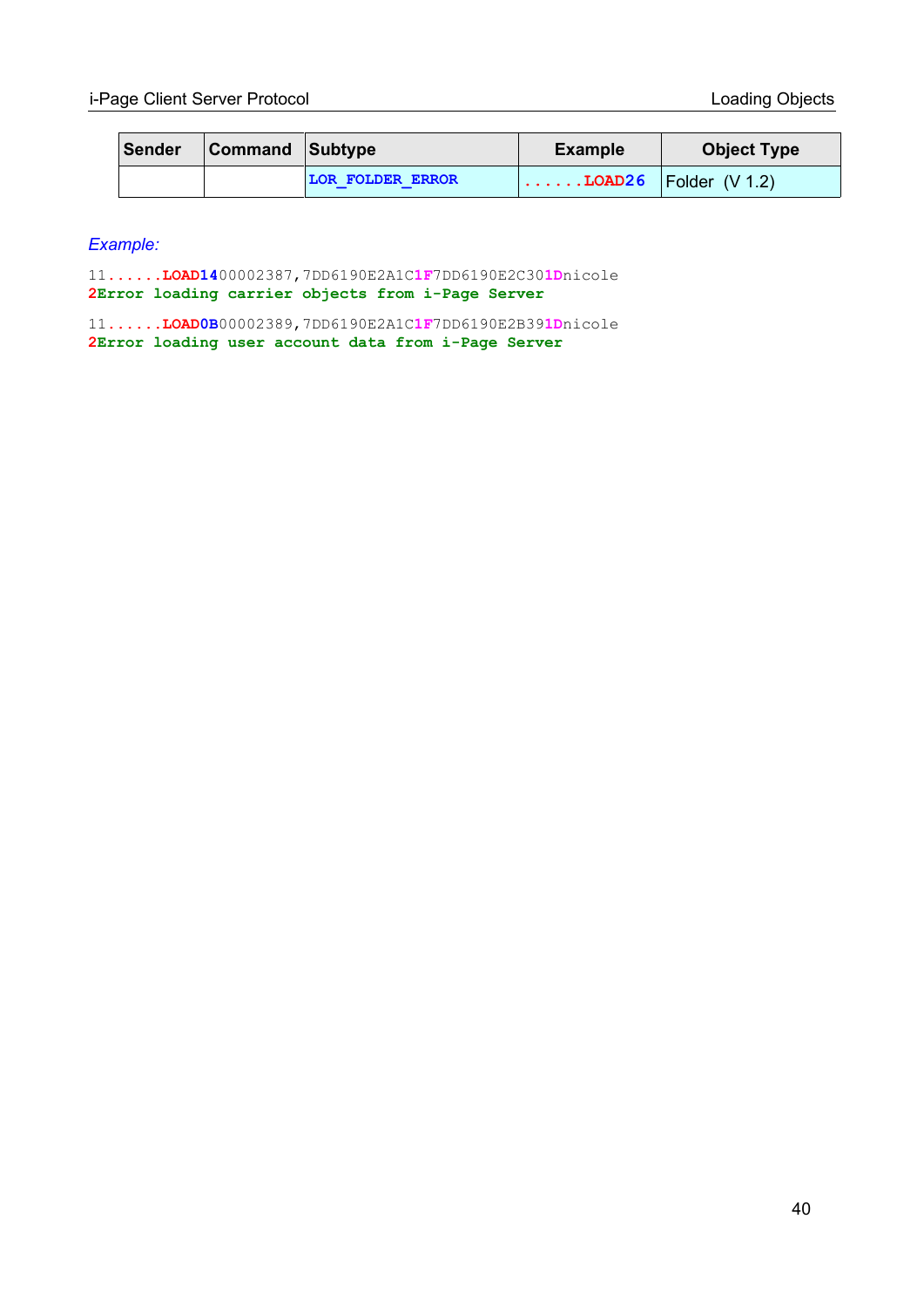| Sender | <b>Command Subtype</b> |                         | <b>Example</b>                          | <b>Object Type</b> |
|--------|------------------------|-------------------------|-----------------------------------------|--------------------|
|        |                        | <b>LOR FOLDER ERROR</b> | $\ldots \ldots$ LOAD26   Folder (V 1.2) |                    |

*Example:*

11**......LOAD14**00002387,7DD6190E2A1C**1F**7DD6190E2C30**1D**nicole **2Error loading carrier objects from i-Page Server**

11**......LOAD0B**00002389,7DD6190E2A1C**1F**7DD6190E2B39**1D**nicole **2Error loading user account data from i-Page Server**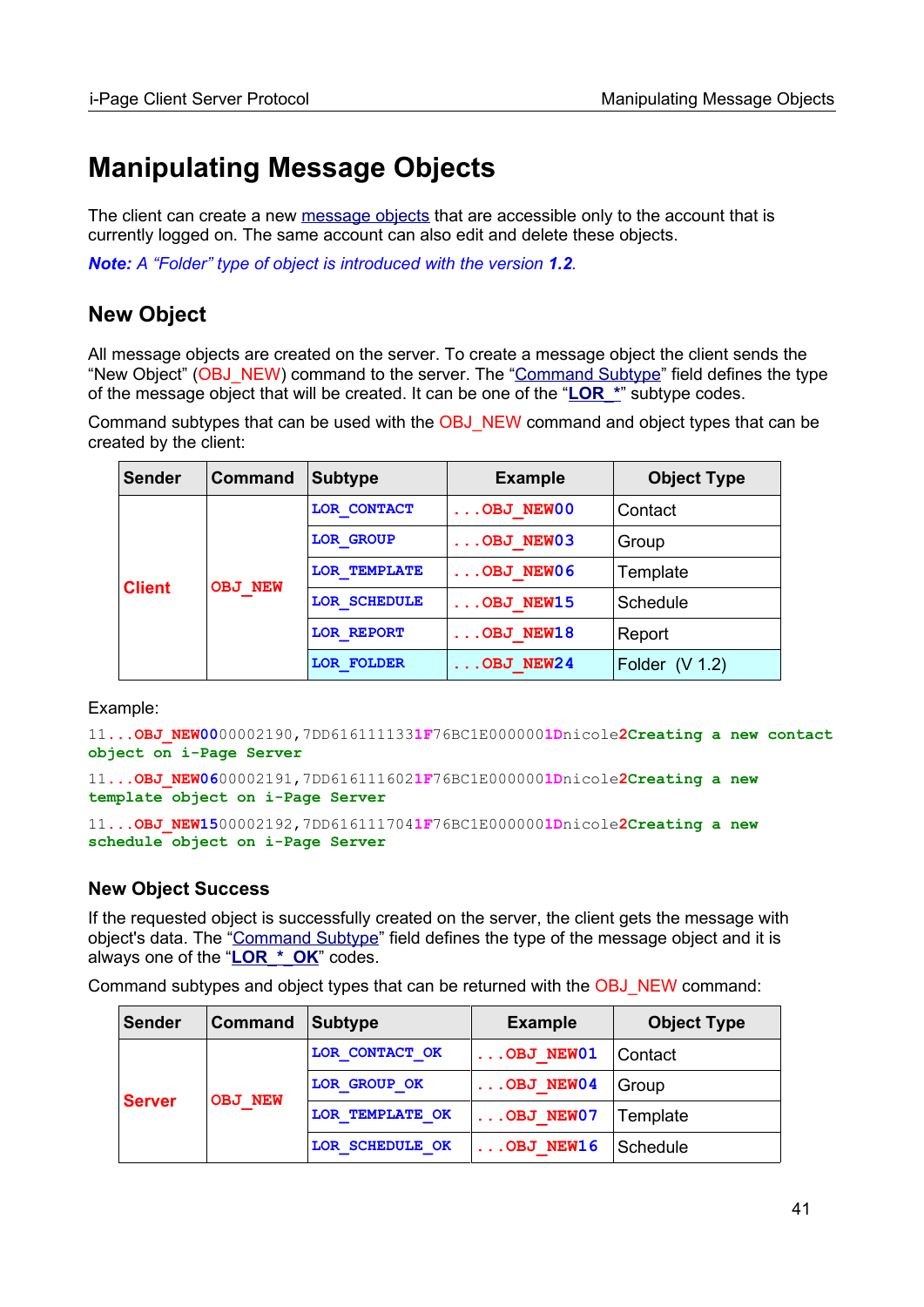# **Manipulating Message Objects**

The client can create a new [message objects](#page-66-0) that are accessible only to the account that is currently logged on. The same account can also edit and delete these objects.

*Note: A "Folder" type of object is introduced with the version 1.2.*

# **New Object**

All message objects are created on the server. To create a message object the client sends the "New Object" (OBJ\_NEW) command to the server. The "[Command Subtype](#page-12-0)" field defines the type of the message object that will be created. It can be one of the "**LOR\_\***" subtype codes.

Command subtypes that can be used with the OBJ\_NEW command and object types that can be created by the client:

| <b>Sender</b> | Command        | <b>Subtype</b>    | <b>Example</b>     | <b>Object Type</b> |
|---------------|----------------|-------------------|--------------------|--------------------|
|               | <b>OBJ NEW</b> | LOR CONTACT       | $\ldots$ OBJ NEW00 | Contact            |
|               |                | <b>LOR GROUP</b>  | $\ldots$ OBJ NEW03 | Group              |
|               |                | LOR TEMPLATE      | $\ldots$ OBJ NEW06 | Template           |
| <b>Client</b> |                | LOR SCHEDULE      | OBJ NEW15          | Schedule           |
|               |                | <b>LOR REPORT</b> | $\ldots$ OBJ NEW18 | Report             |
|               |                | <b>LOR FOLDER</b> | .OBJ NEW24         | Folder $(V 1.2)$   |

Example:

11**...OBJ\_NEW00**00002190,7DD616111133**1F**76BC1E000000**1D**nicole**2Creating a new contact object on i-Page Server**

```
11...OBJ_NEW0600002191,7DD6161116021F76BC1E0000001Dnicole2Creating a new 
template object on i-Page Server
```
11**...OBJ\_NEW15**00002192,7DD616111704**1F**76BC1E000000**1D**nicole**2Creating a new schedule object on i-Page Server**

#### **New Object Success**

If the requested object is successfully created on the server, the client gets the message with object's data. The ["Command Subtype](#page-12-0)" field defines the type of the message object and it is always one of the "**LOR\_\*\_OK**" codes.

Command subtypes and object types that can be returned with the OBJ\_NEW command:

| <b>Sender</b> | <b>Command</b> | Subtype         | <b>Example</b>     | <b>Object Type</b> |
|---------------|----------------|-----------------|--------------------|--------------------|
| <b>Server</b> | <b>OBJ NEW</b> | LOR CONTACT OK  | OBJ NEW01          | Contact            |
|               |                | LOR GROUP OK    | $\ldots$ OBJ NEW04 | Group              |
|               |                | LOR TEMPLATE OK | $\ldots$ OBJ NEW07 | Template           |
|               |                | LOR SCHEDULE OK | OBJ NEW16          | Schedule           |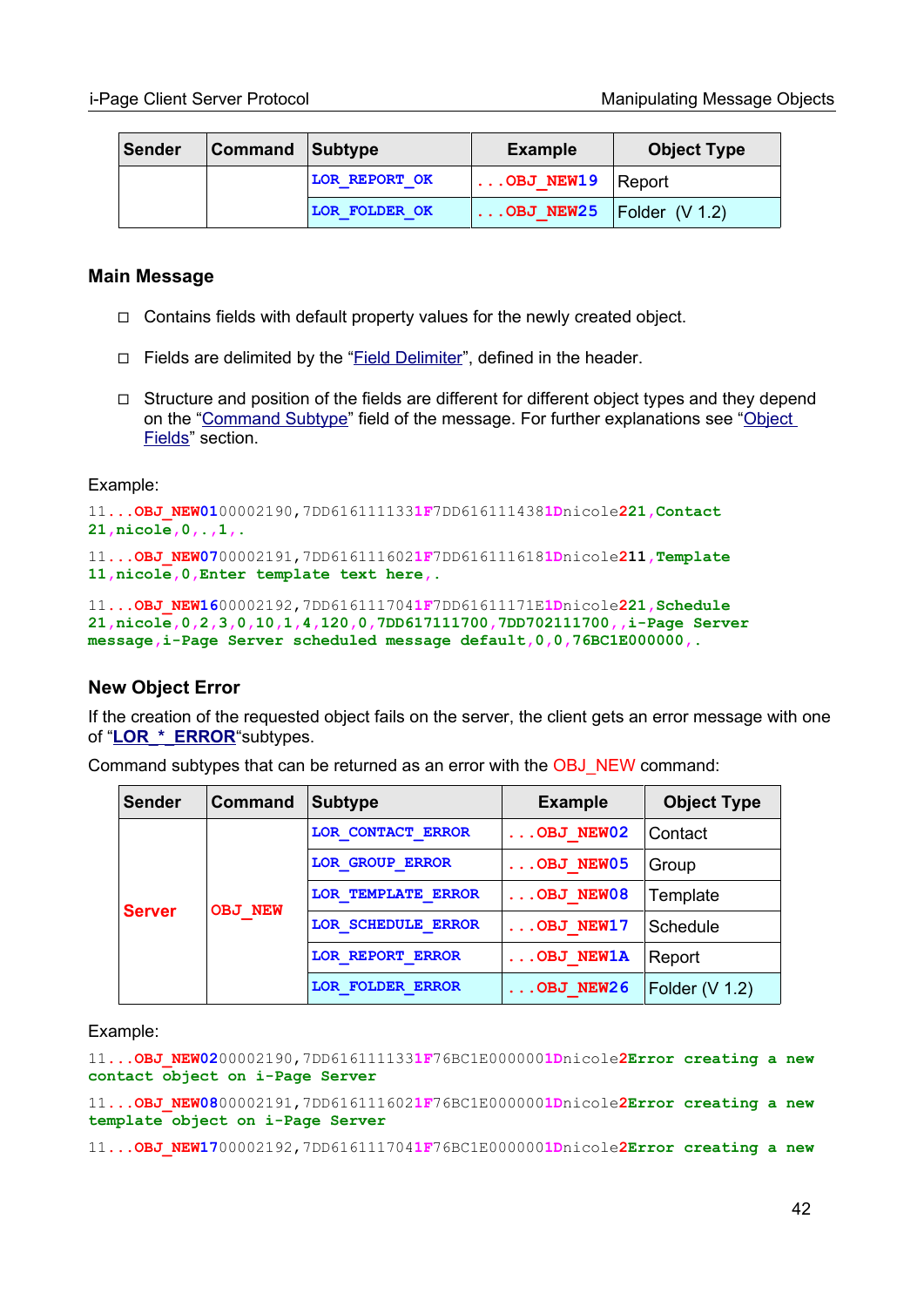| Sender | <b>Command Subtype</b> |                      | <b>Example</b>                      | <b>Object Type</b> |
|--------|------------------------|----------------------|-------------------------------------|--------------------|
|        |                        | <b>LOR REPORT OK</b> | $\ldots$ OBJ NEW19 Report           |                    |
|        |                        | <b>LOR FOLDER OK</b> | $\ldots$ OBJ NEW25   Folder (V 1.2) |                    |

#### **Main Message**

- $\Box$  Contains fields with default property values for the newly created object.
- ◻ Fields are delimited by the "Field Delimiter", defined in the header.
- $\Box$  Structure and position of the fields are different for different object types and they depend on the ["Command Subtype](#page-12-0)" field of the message. For further explanations see ["Object](#page-52-0)  [Fields](#page-52-0)" section.

Example:

```
11...OBJ_NEW0100002190,7DD6161111331F7DD6161114381Dnicole221,Contact
21,nicole,0,.,1,.
11...OBJ_NEW0700002191,7DD6161116021F7DD6161116181Dnicole211,Template
11,nicole,0,Enter template text here,.
11...OBJ_NEW1600002192,7DD6161117041F7DD61611171E1Dnicole221,Schedule 
21,nicole,0,2,3,0,10,1,4,120,0,7DD617111700,7DD702111700,,i-Page Server
```
**message,i-Page Server scheduled message default,0,0,76BC1E000000,.**

#### **New Object Error**

If the creation of the requested object fails on the server, the client gets an error message with one of "**LOR\_\*\_ERROR**"subtypes.

| <b>Sender</b> | <b>Command</b> | <b>Subtype</b>            | <b>Example</b>   | <b>Object Type</b> |
|---------------|----------------|---------------------------|------------------|--------------------|
| <b>Server</b> | <b>OBJ NEW</b> | <b>LOR CONTACT ERROR</b>  | OBJ NEW02        | Contact            |
|               |                | <b>LOR GROUP ERROR</b>    | OBJ NEW05        | Group              |
|               |                | <b>LOR TEMPLATE ERROR</b> | OBJ NEW08        | Template           |
|               |                | LOR SCHEDULE ERROR        | OBJ NEW17        | Schedule           |
|               |                | LOR REPORT ERROR          | <b>OBJ NEW1A</b> | Report             |
|               |                | <b>LOR FOLDER ERROR</b>   | OBJ NEW26        | Folder $(V 1.2)$   |

Command subtypes that can be returned as an error with the OBJ\_NEW command:

Example:

11**...OBJ\_NEW02**00002190,7DD616111133**1F**76BC1E000000**1D**nicole**2Error creating a new contact object on i-Page Server**

11**...OBJ\_NEW08**00002191,7DD616111602**1F**76BC1E000000**1D**nicole**2Error creating a new template object on i-Page Server**

11**...OBJ\_NEW17**00002192,7DD616111704**1F**76BC1E000000**1D**nicole**2Error creating a new**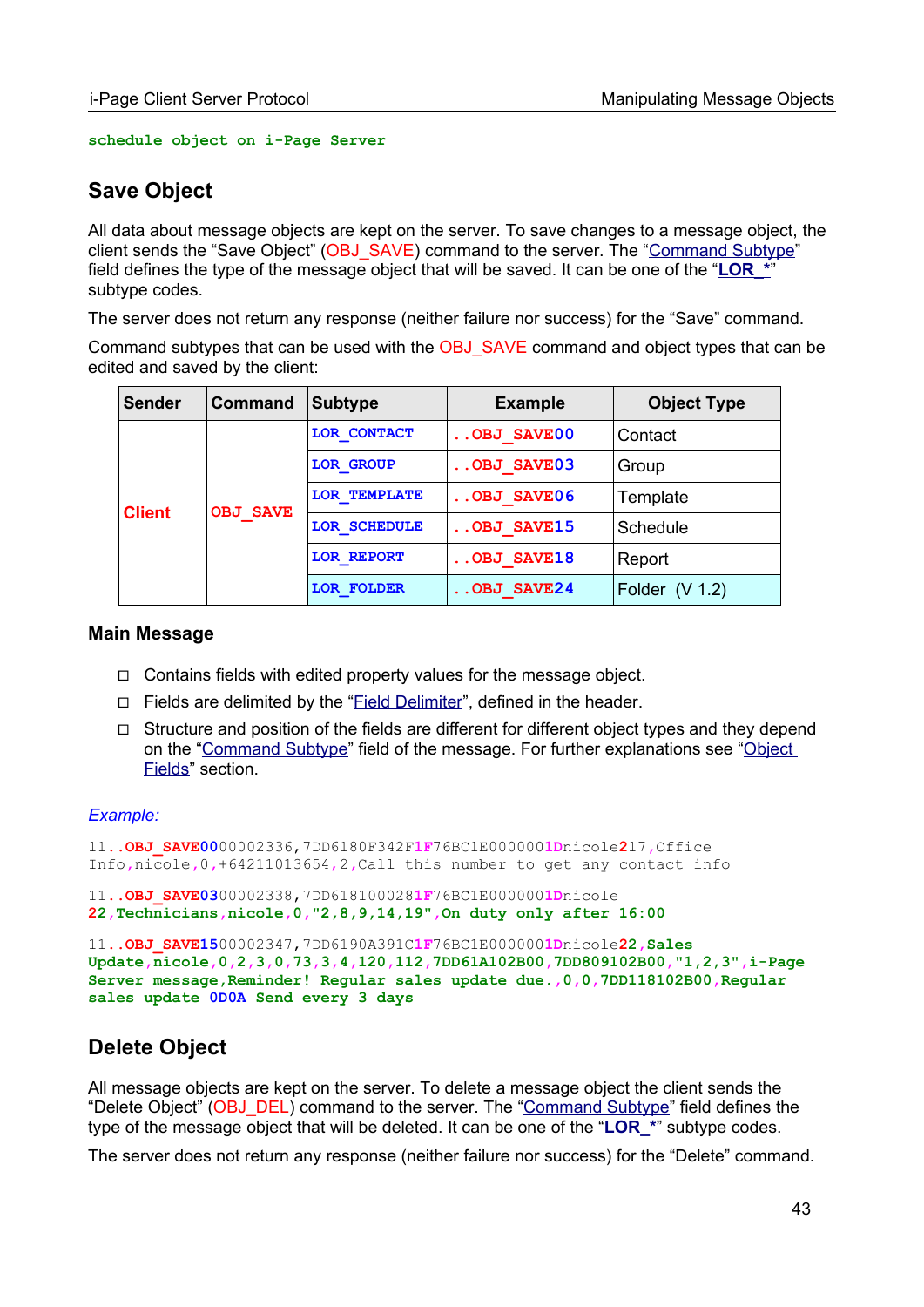**schedule object on i-Page Server**

# **Save Object**

All data about message objects are kept on the server. To save changes to a message object, the client sends the "Save Object" (OBJ\_SAVE) command to the server. The ["Command Subtype](#page-12-0)" field defines the type of the message object that will be saved. It can be one of the "LOR \*" subtype codes.

The server does not return any response (neither failure nor success) for the "Save" command.

Command subtypes that can be used with the OBJ\_SAVE command and object types that can be edited and saved by the client:

| <b>Sender</b> | <b>Command</b>  | <b>Subtype</b>      | <b>Example</b> | <b>Object Type</b> |
|---------------|-----------------|---------------------|----------------|--------------------|
|               | <b>OBJ SAVE</b> | LOR CONTACT         | OBJ SAVE00     | Contact            |
|               |                 | <b>LOR GROUP</b>    | $.0BJ$ SAVE03  | Group              |
|               |                 | <b>LOR TEMPLATE</b> | $.0BJ$ SAVE06  | Template           |
| <b>Client</b> |                 | LOR SCHEDULE        | OBJ SAVE15     | Schedule           |
|               |                 | <b>LOR REPORT</b>   | OBJ SAVE18     | Report             |
|               |                 | <b>LOR FOLDER</b>   | OBJ SAVE24     | Folder $(V 1.2)$   |

#### **Main Message**

- $\Box$  Contains fields with edited property values for the message object.
- □ Fields are delimited by the "Field Delimiter", defined in the header.
- $\Box$  Structure and position of the fields are different for different object types and they depend on the ["Command Subtype](#page-12-0)" field of the message. For further explanations see ["Object](#page-52-0)  [Fields](#page-52-0)" section.

#### *Example:*

```
11..OBJ_SAVE0000002336,7DD6180F342F1F76BC1E0000001Dnicole217,Office 
Info,nicole,0,+64211013654,2,Call this number to get any contact info
11..OBJ_SAVE0300002338,7DD6181000281F76BC1E0000001Dnicole
22,Technicians,nicole,0,"2,8,9,14,19",On duty only after 16:00
11..OBJ_SAVE1500002347,7DD6190A391C1F76BC1E0000001Dnicole22,Sales 
Update,nicole,0,2,3,0,73,3,4,120,112,7DD61A102B00,7DD809102B00,"1,2,3",i-Page 
Server message,Reminder! Regular sales update due.,0,0,7DD118102B00,Regular 
sales update 0D0A Send every 3 days
```
# **Delete Object**

All message objects are kept on the server. To delete a message object the client sends the "Delete Object" (OBJ\_DEL) command to the server. The ["Command Subtype"](#page-12-0) field defines the type of the message object that will be deleted. It can be one of the "**LOR\_\***" subtype codes.

The server does not return any response (neither failure nor success) for the "Delete" command.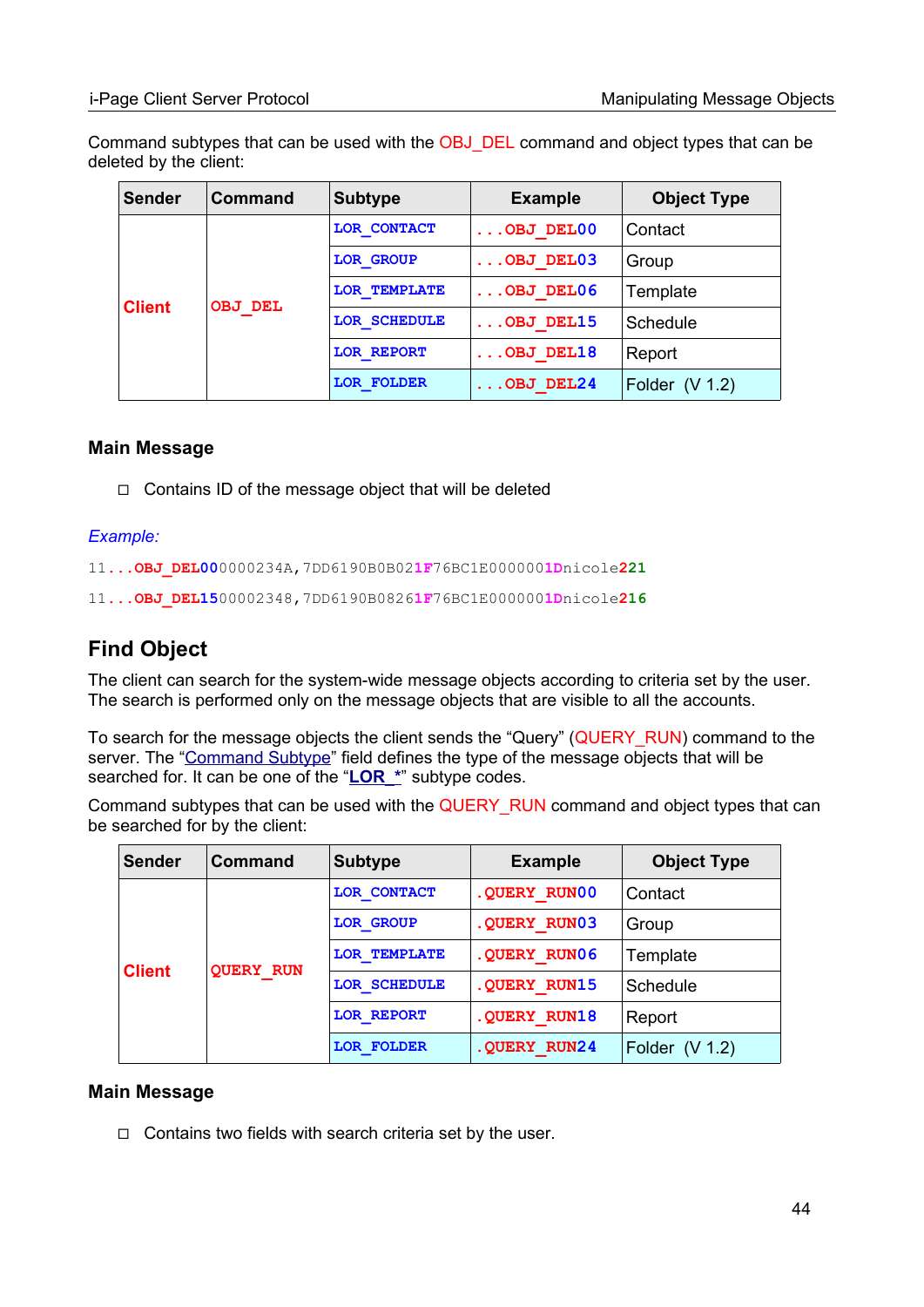Command subtypes that can be used with the OBJ\_DEL command and object types that can be deleted by the client:

| <b>Sender</b> | <b>Command</b> | <b>Subtype</b>      | <b>Example</b>        | <b>Object Type</b> |
|---------------|----------------|---------------------|-----------------------|--------------------|
|               | OBJ DEL        | LOR CONTACT         | $\ldots$ OBJ DEL $00$ | Contact            |
|               |                | <b>LOR GROUP</b>    | $\ldots$ OBJ DEL03    | Group              |
|               |                | <b>LOR TEMPLATE</b> | $\ldots$ OBJ DEL06    | Template           |
| <b>Client</b> |                | LOR SCHEDULE        | $\ldots$ OBJ DEL15    | Schedule           |
|               |                | <b>LOR REPORT</b>   | $\ldots$ OBJ DEL18    | Report             |
|               |                | <b>LOR FOLDER</b>   | $\ldots$ OBJ DEL24    | Folder $(V 1.2)$   |

#### **Main Message**

◻ Contains ID of the message object that will be deleted

#### *Example:*

11**...OBJ\_DEL00**0000234A,7DD6190B0B02**1F**76BC1E000000**1D**nicole**221**

11**...OBJ\_DEL15**00002348,7DD6190B0826**1F**76BC1E000000**1D**nicole**216**

# **Find Object**

The client can search for the system-wide message objects according to criteria set by the user. The search is performed only on the message objects that are visible to all the accounts.

To search for the message objects the client sends the "Query" (QUERY\_RUN) command to the server. The ["Command Subtype](#page-12-0)" field defines the type of the message objects that will be searched for. It can be one of the "**LOR\_\***" subtype codes.

Command subtypes that can be used with the QUERY\_RUN command and object types that can be searched for by the client:

| <b>Sender</b> | Command          | <b>Subtype</b>    | <b>Example</b> | <b>Object Type</b> |
|---------------|------------------|-------------------|----------------|--------------------|
|               | <b>OUERY RUN</b> | LOR CONTACT       | . QUERY RUNOO  | Contact            |
|               |                  | <b>LOR GROUP</b>  | .QUERY RUN03   | Group              |
|               |                  | LOR TEMPLATE      | .QUERY RUN06   | Template           |
| <b>Client</b> |                  | LOR SCHEDULE      | .QUERY RUN15   | Schedule           |
|               |                  | <b>LOR REPORT</b> | .QUERY RUN18   | Report             |
|               |                  | <b>LOR FOLDER</b> | . OUERY RUN24  | Folder $(V 1.2)$   |

#### **Main Message**

◻ Contains two fields with search criteria set by the user.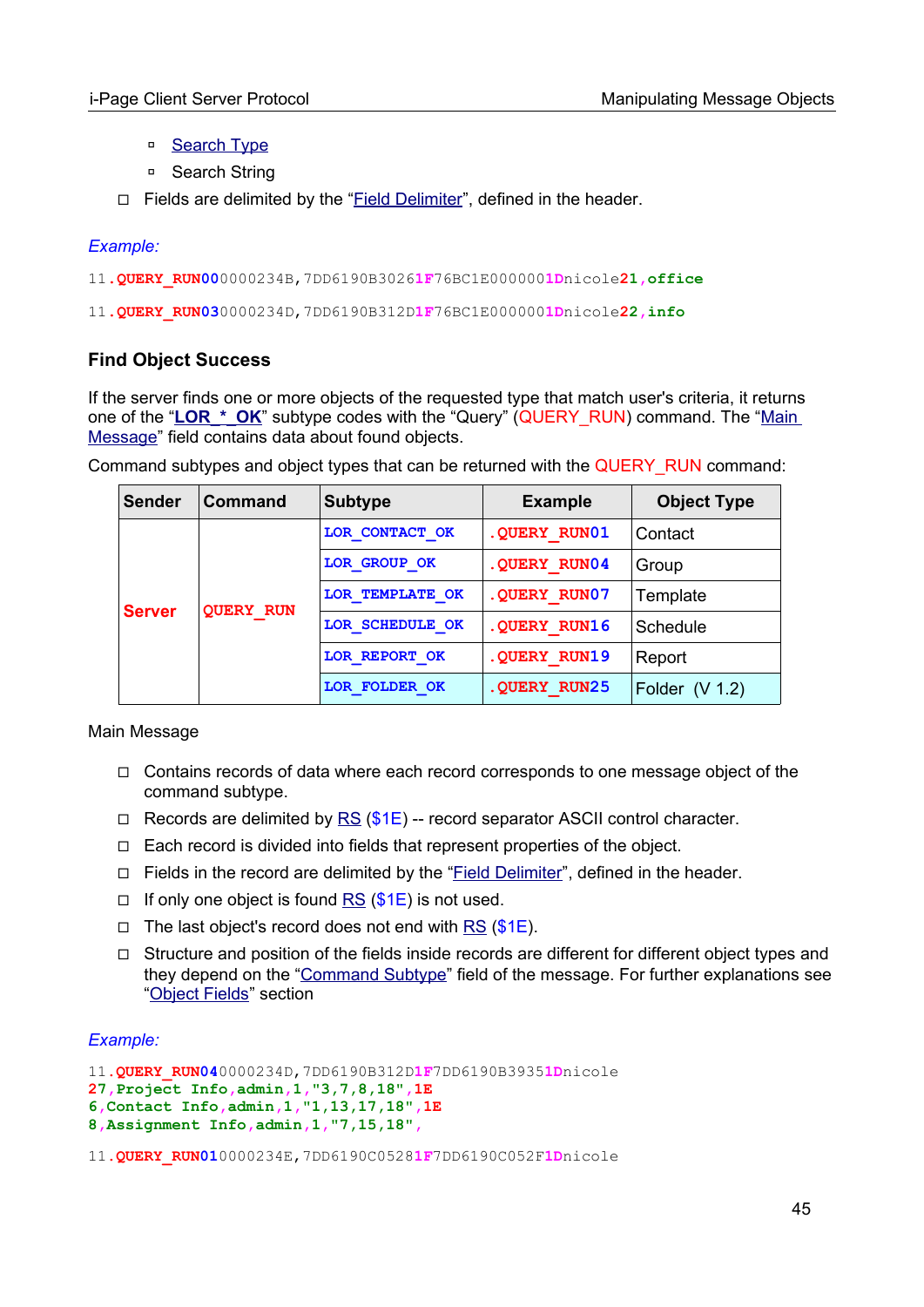- □ [Search Type](#page-98-0)
- □ Search String
- ◻ Fields are delimited by the "Field Delimiter", defined in the header.

#### *Example:*

- 11**.QUERY\_RUN00**0000234B,7DD6190B3026**1F**76BC1E000000**1D**nicole**21,office**
- 11**.QUERY\_RUN03**0000234D,7DD6190B312D**1F**76BC1E000000**1D**nicole**22,info**

#### **Find Object Success**

If the server finds one or more objects of the requested type that match user's criteria, it returns one of the "LOR\_\*\_OK" subtype codes with the "Query" (QUERY\_RUN) command. The "Main [Message](#page-17-0)" field contains data about found objects.

Command subtypes and object types that can be returned with the QUERY\_RUN command:

| <b>Sender</b> | Command                           | <b>Subtype</b>  | <b>Example</b> | <b>Object Type</b> |
|---------------|-----------------------------------|-----------------|----------------|--------------------|
|               | <b>OUERY RUN</b><br><b>Server</b> | LOR CONTACT OK  | . OUERY RUN01  | Contact            |
|               |                                   | LOR GROUP OK    | . OUERY RUN04  | Group              |
|               |                                   | LOR TEMPLATE OK | . OUERY RUN07  | Template           |
|               |                                   | LOR SCHEDULE OK | .QUERY RUN16   | Schedule           |
|               |                                   | LOR REPORT OK   | .QUERY RUN19   | Report             |
|               |                                   | LOR FOLDER OK   | . OUERY RUN25  | Folder $(V 1.2)$   |

#### Main Message

- ◻ Contains records of data where each record corresponds to one message object of the command subtype.
- $\Box$  Records are delimited by [RS](#page-96-0) (\$1E) -- record separator ASCII control character.
- ◻ Each record is divided into fields that represent properties of the object.
- $\Box$  Fields in the record are delimited by the "Field Delimiter", defined in the header.
- $\Box$  If only one object is found [RS](#page-96-0) (\$1E) is not used.
- $\Box$  The last object's record does not end with [RS](#page-96-0) (\$1E).
- ◻ Structure and position of the fields inside records are different for different object types and they depend on the "[Command Subtype"](#page-12-0) field of the message. For further explanations see ["Object Fields"](#page-52-0) section

#### *Example:*

```
11.QUERY_RUN040000234D,7DD6190B312D1F7DD6190B39351Dnicole
27,Project Info,admin,1,"3,7,8,18",1E
6,Contact Info,admin,1,"1,13,17,18",1E
8,Assignment Info,admin,1,"7,15,18",
```
11**.QUERY\_RUN01**0000234E,7DD6190C0528**1F**7DD6190C052F**1D**nicole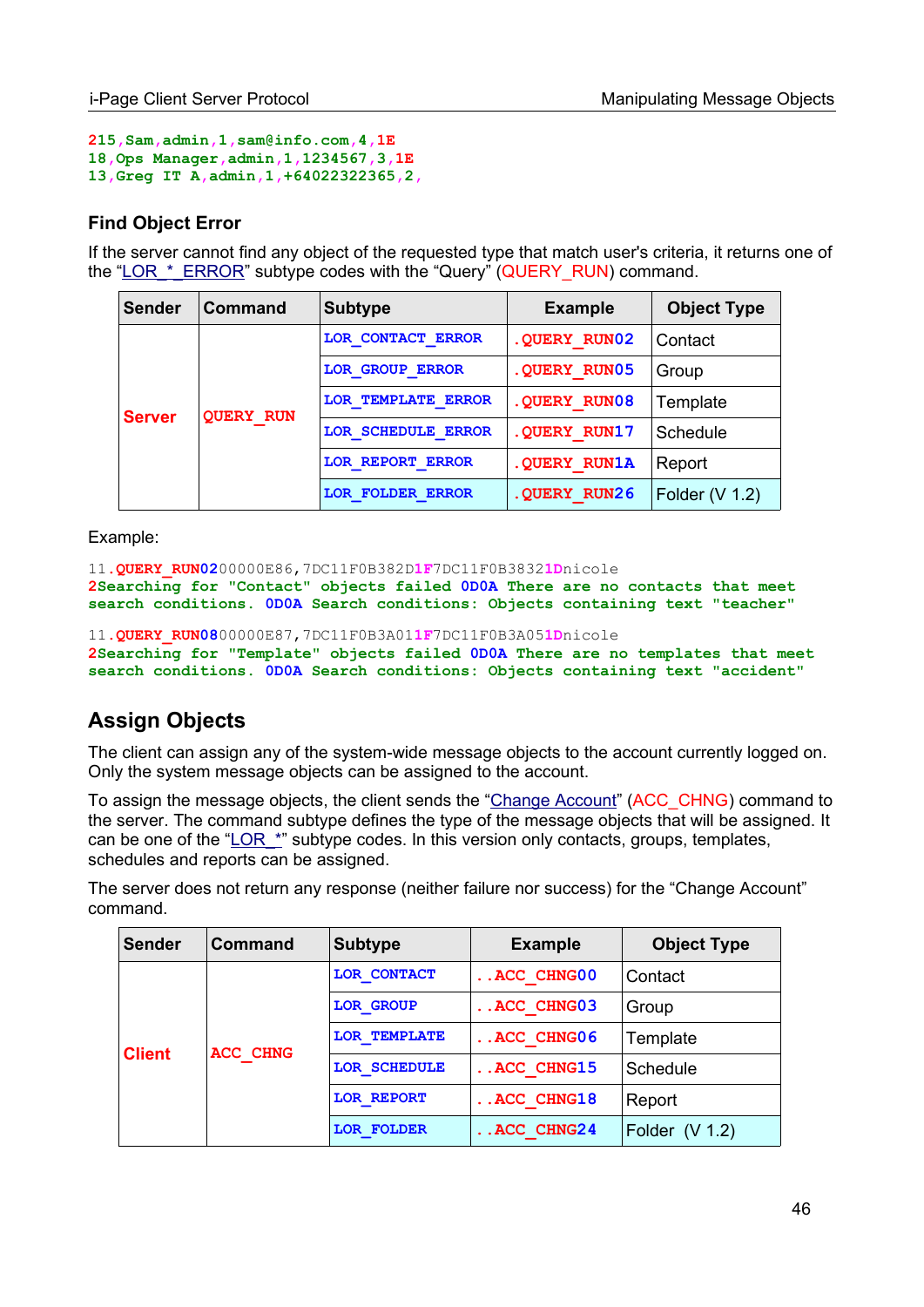```
215,Sam,admin,1,sam@info.com,4,1E
18,Ops Manager,admin,1,1234567,3,1E
13,Greg IT A,admin,1,+64022322365,2,
```
#### **Find Object Error**

If the server cannot find any object of the requested type that match user's criteria, it returns one of the "LOR  $*$  ERROR" subtype codes with the "Query" (QUERY\_RUN) command.

| <b>Sender</b> | Command                           | <b>Subtype</b>            | <b>Example</b> | <b>Object Type</b> |
|---------------|-----------------------------------|---------------------------|----------------|--------------------|
|               |                                   | LOR CONTACT ERROR         | . OUERY RUN02  | Contact            |
|               | <b>OUERY RUN</b><br><b>Server</b> | <b>LOR GROUP ERROR</b>    | . OUERY RUN05  | Group              |
|               |                                   | <b>LOR TEMPLATE ERROR</b> | . OUERY RUN08  | Template           |
|               |                                   | LOR SCHEDULE ERROR        | . OUERY RUN17  | Schedule           |
|               |                                   | <b>LOR REPORT ERROR</b>   | . OUERY RUN1A  | Report             |
|               |                                   | LOR FOLDER ERROR          | . OUERY RUN26  | Folder $(V 1.2)$   |

Example:

```
11.QUERY_RUN0200000E86,7DC11F0B382D1F7DC11F0B38321Dnicole
2Searching for "Contact" objects failed 0D0A There are no contacts that meet 
search conditions. 0D0A Search conditions: Objects containing text "teacher"
```

```
11.QUERY_RUN0800000E87,7DC11F0B3A011F7DC11F0B3A051Dnicole
2Searching for "Template" objects failed 0D0A There are no templates that meet 
search conditions. 0D0A Search conditions: Objects containing text "accident"
```
# **Assign Objects**

The client can assign any of the system-wide message objects to the account currently logged on. Only the system message objects can be assigned to the account.

To assign the message objects, the client sends the ["Change Account](#page-85-0)" (ACC\_CHNG) command to the server. The command subtype defines the type of the message objects that will be assigned. It can be one of the "LOR  $*$ " subtype codes. In this version only contacts, groups, templates, schedules and reports can be assigned.

The server does not return any response (neither failure nor success) for the "Change Account" command.

| <b>Sender</b> | Command                          | <b>Subtype</b>      | <b>Example</b> | <b>Object Type</b> |
|---------------|----------------------------------|---------------------|----------------|--------------------|
|               |                                  | LOR CONTACT         | ACC CHNG00     | Contact            |
|               | <b>Client</b><br><b>ACC CHNG</b> | <b>LOR GROUP</b>    | ACC CHNG03     | Group              |
|               |                                  | <b>LOR TEMPLATE</b> | ACC CHNG06     | Template           |
|               |                                  | LOR SCHEDULE        | ACC CHNG15     | Schedule           |
|               |                                  | <b>LOR REPORT</b>   | ACC CHNG18     | Report             |
|               |                                  | <b>LOR FOLDER</b>   | .ACC CHNG24    | Folder $(V 1.2)$   |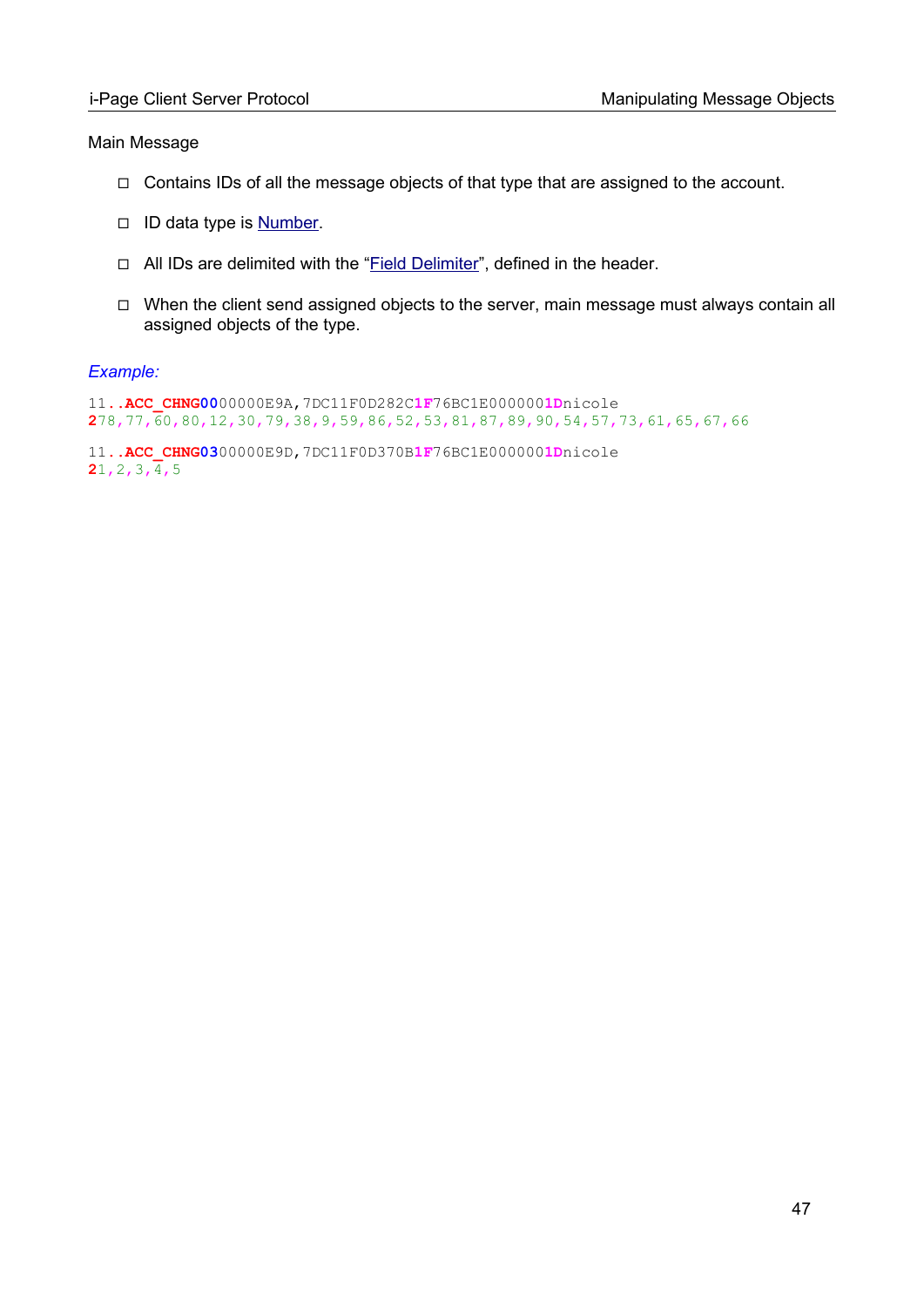#### Main Message

- ◻ Contains IDs of all the message objects of that type that are assigned to the account.
- □ ID data type is [Number](#page-104-0).
- ◻ All IDs are delimited with the "Field Delimiter", defined in the header.
- ◻ When the client send assigned objects to the server, main message must always contain all assigned objects of the type.

#### *Example:*

11**..ACC\_CHNG00**00000E9A,7DC11F0D282C**1F**76BC1E000000**1D**nicole **2**78,77,60,80,12,30,79,38,9,59,86,52,53,81,87,89,90,54,57,73,61,65,67,66

11**..ACC\_CHNG03**00000E9D,7DC11F0D370B**1F**76BC1E000000**1D**nicole **2**1,2,3,4,5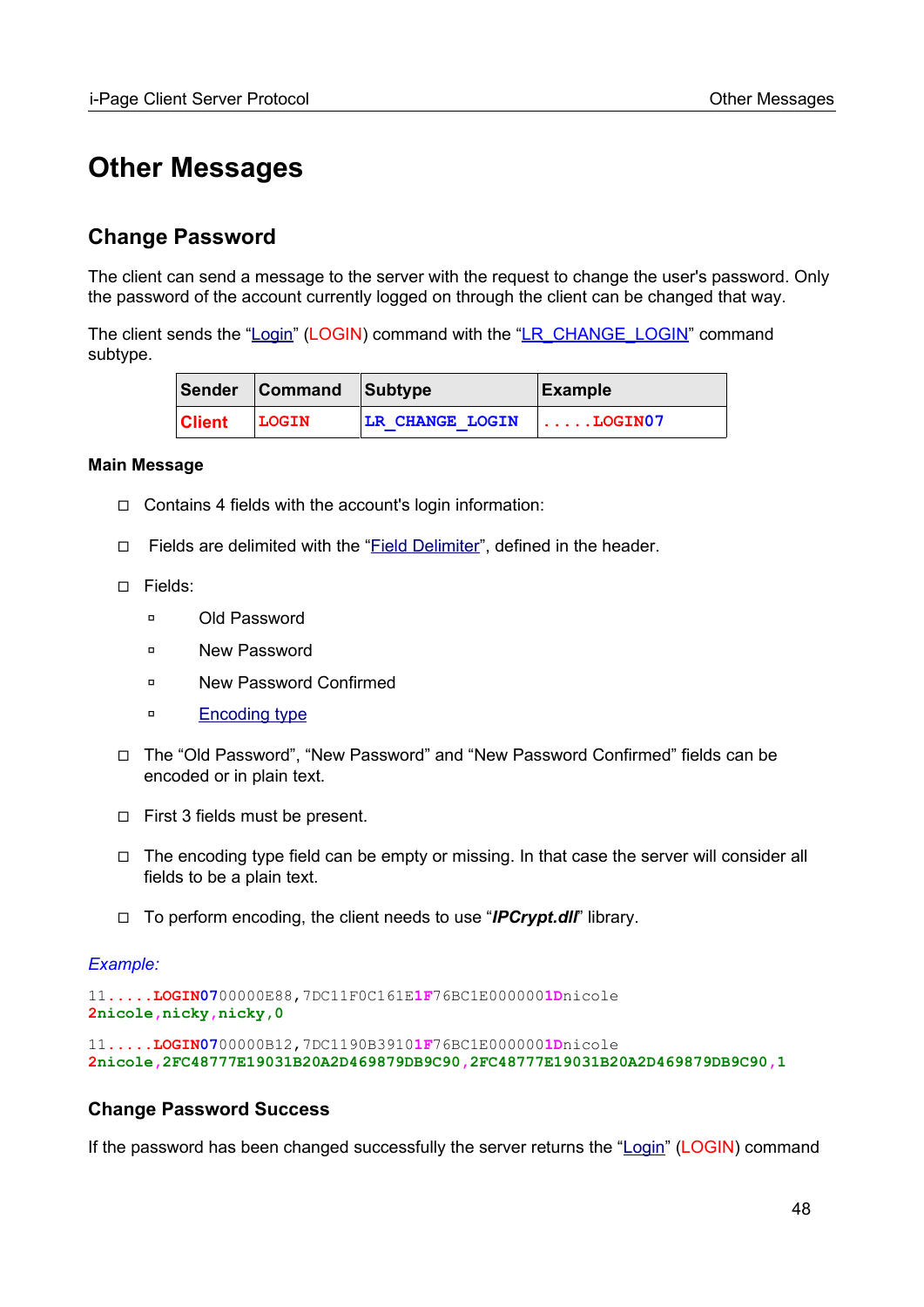# **Other Messages**

# **Change Password**

The client can send a message to the server with the request to change the user's password. Only the password of the account currently logged on through the client can be changed that way.

The client sends the "[Login"](#page-85-0) (LOGIN) command with the ["LR\\_CHANGE\\_LOGIN"](#page-89-0) command subtype.

|               | Sender Command Subtype |                        | Example            |
|---------------|------------------------|------------------------|--------------------|
| <b>Client</b> | LOGIN                  | <b>LR CHANGE LOGIN</b> | $\ldots$ . LOGIN07 |

#### **Main Message**

- ◻ Contains 4 fields with the account's login information:
- □ Fields are delimited with the "Field Delimiter", defined in the header.
- ◻ Fields:
	- ◽ Old Password
	- ◽ New Password
	- ◽ New Password Confirmed
	- ◽ [Encoding type](#page-98-1)
- ◻ The "Old Password", "New Password" and "New Password Confirmed" fields can be encoded or in plain text.
- ◻ First 3 fields must be present.
- ◻ The encoding type field can be empty or missing. In that case the server will consider all fields to be a plain text.
- ◻ To perform encoding, the client needs to use "*IPCrypt.dll*" library.

#### *Example:*

```
11.....LOGIN0700000E88,7DC11F0C161E1F76BC1E0000001Dnicole
2nicole,nicky,nicky,0
```
11**.....LOGIN07**00000B12,7DC1190B3910**1F**76BC1E000000**1D**nicole **2nicole,2FC48777E19031B20A2D469879DB9C90,2FC48777E19031B20A2D469879DB9C90,1**

#### **Change Password Success**

If the password has been changed successfully the server returns the "[Login"](#page-85-0) (LOGIN) command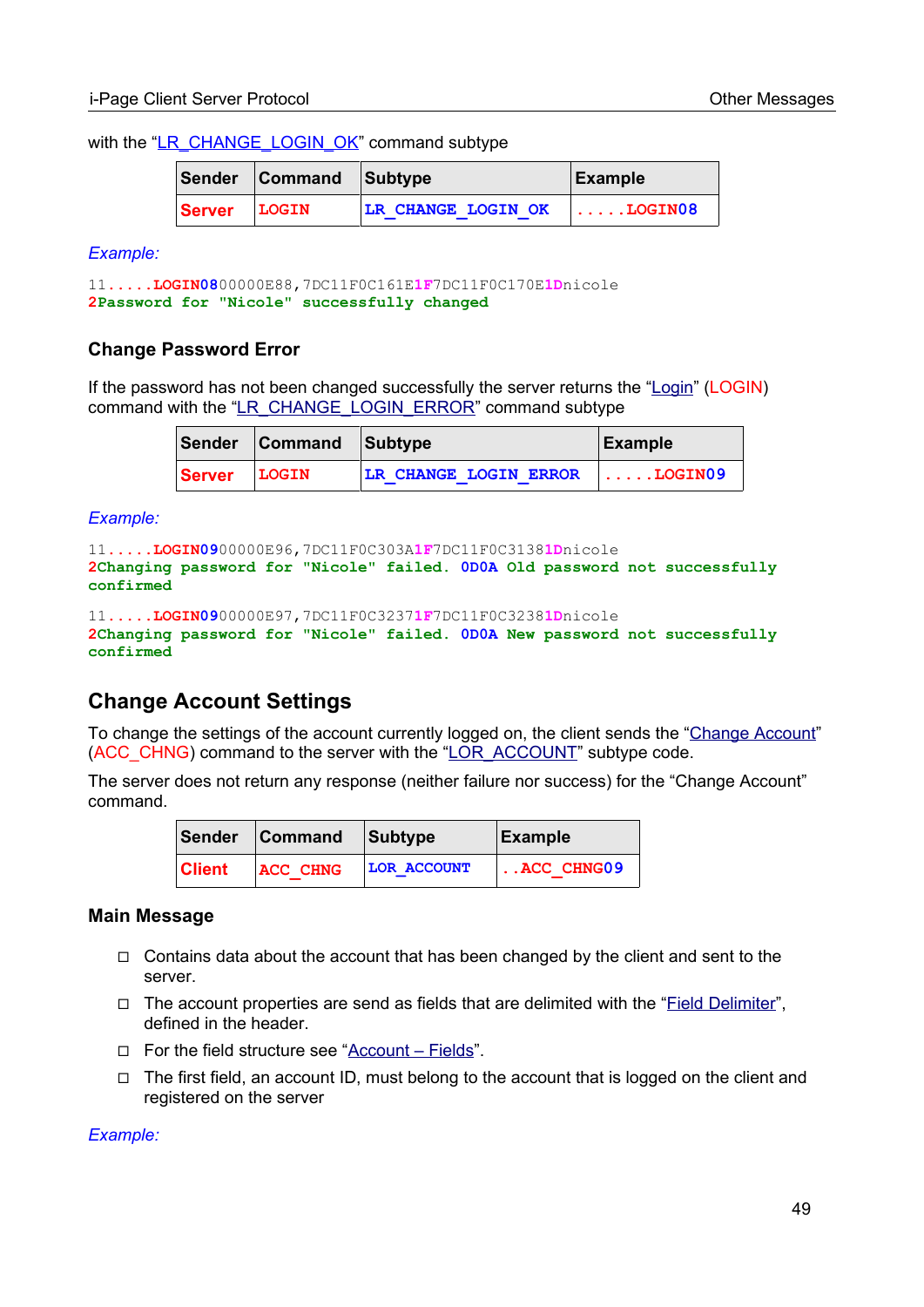with the ["LR\\_CHANGE\\_LOGIN\\_OK](#page-89-0)" command subtype

|        | Sender Command Subtype |                    | Example               |
|--------|------------------------|--------------------|-----------------------|
| Server | LOGIN                  | LR CHANGE LOGIN OK | $\ldots$ . LOGIN $08$ |

*Example:*

```
11.....LOGIN0800000E88,7DC11F0C161E1F7DC11F0C170E1Dnicole
2Password for "Nicole" successfully changed
```
#### **Change Password Error**

If the password has not been changed successfully the server returns the "[Login](#page-85-0)" (LOGIN) command with the "[LR\\_CHANGE\\_LOGIN\\_ERROR](#page-89-0)" command subtype

|        | Sender Command Subtype |                                 | Example |
|--------|------------------------|---------------------------------|---------|
| Server | LOGIN                  | LR CHANGE LOGIN ERROR   LOGIN09 |         |

*Example:*

```
11.....LOGIN0900000E96,7DC11F0C303A1F7DC11F0C31381Dnicole
2Changing password for "Nicole" failed. 0D0A Old password not successfully 
confirmed
```

```
11.....LOGIN0900000E97,7DC11F0C32371F7DC11F0C32381Dnicole
2Changing password for "Nicole" failed. 0D0A New password not successfully 
confirmed
```
# **Change Account Settings**

To change the settings of the account currently logged on, the client sends the ["Change Account"](#page-85-0) (ACC\_CHNG) command to the server with the ["LOR\\_ACCOUNT](#page-90-0)" subtype code.

The server does not return any response (neither failure nor success) for the "Change Account" command.

|         | Sender Command Subtype |                    | Example            |
|---------|------------------------|--------------------|--------------------|
| ∣Client | <b>ACC CHNG</b>        | <b>LOR ACCOUNT</b> | $\vert$ ACC CHNG09 |

#### **Main Message**

- $\Box$  Contains data about the account that has been changed by the client and sent to the server.
- ◻ The account properties are send as fields that are delimited with the "Field Delimiter", defined in the header.
- ◻ For the field structure see ["Account Fields"](#page-52-1).
- ◻ The first field, an account ID, must belong to the account that is logged on the client and registered on the server

*Example:*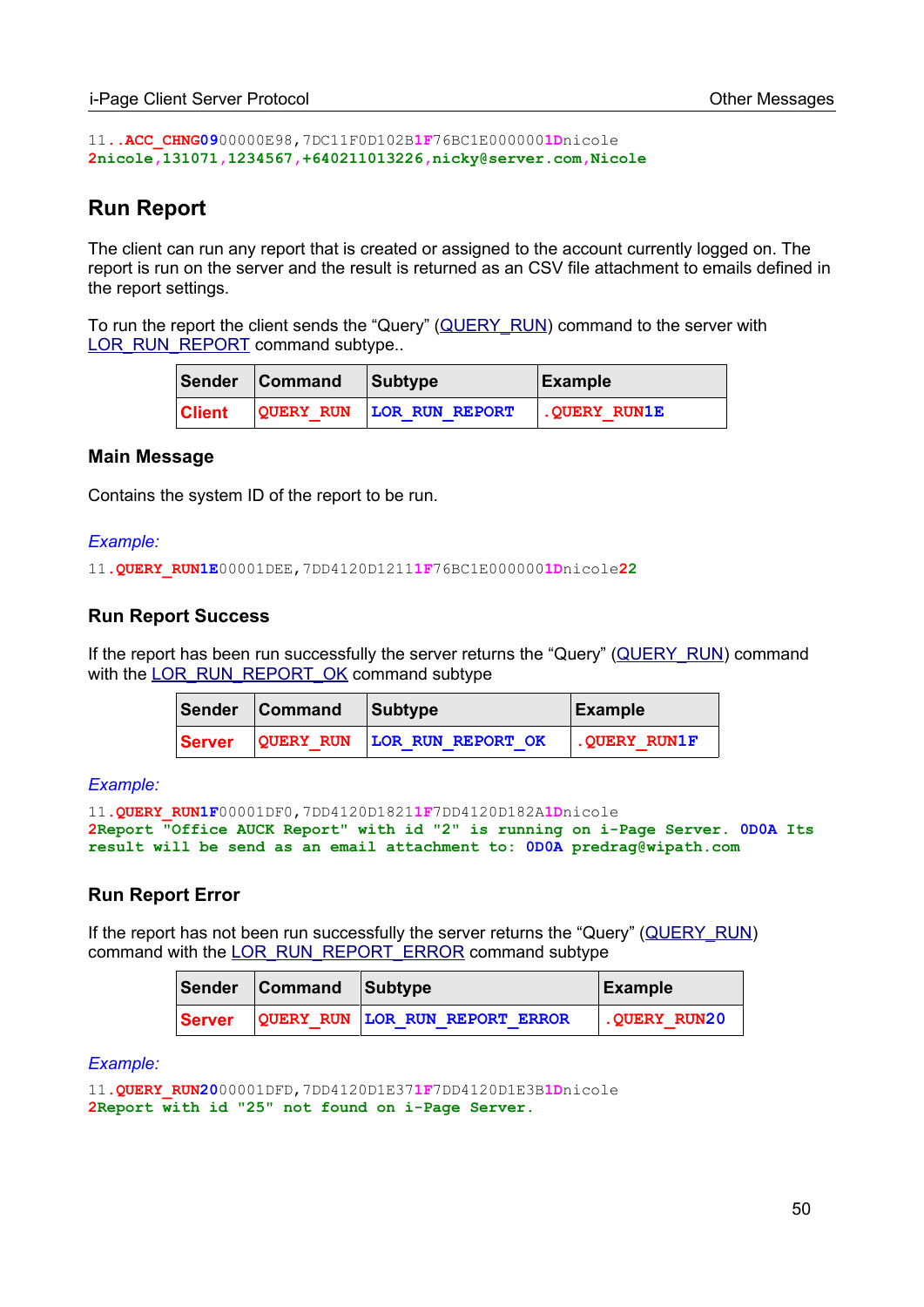```
11..ACC_CHNG0900000E98,7DC11F0D102B1F76BC1E0000001Dnicole
2nicole,131071,1234567,+640211013226,nicky@server.com,Nicole
```
# **Run Report**

The client can run any report that is created or assigned to the account currently logged on. The report is run on the server and the result is returned as an CSV file attachment to emails defined in the report settings.

To run the report the client sends the "Query" ([QUERY\\_RUN\)](#page-85-0) command to the server with [LOR\\_RUN\\_REPORT](#page-90-0) command subtype..

|               | Sender Command | Subtype                  | Example                        |
|---------------|----------------|--------------------------|--------------------------------|
| <b>Client</b> |                | QUERY RUN LOR RUN REPORT | $\,$ . OUERY RUN $1\mathrm{E}$ |

#### **Main Message**

Contains the system ID of the report to be run.

#### *Example:*

11**.QUERY\_RUN1E**00001DEE,7DD4120D1211**1F**76BC1E000000**1D**nicole**22**

#### **Run Report Success**

If the report has been run successfully the server returns the "Query" [\(QUERY\\_RUN](#page-85-0)) command with the [LOR\\_RUN\\_REPORT\\_OK](#page-90-0) command subtype

|        | Sender Command | Subtype                     | Example               |
|--------|----------------|-----------------------------|-----------------------|
| Server |                | QUERY RUN LOR RUN REPORT OK | $\vert$ . QUERY RUN1F |

#### *Example:*

11**.QUERY\_RUN1F**00001DF0,7DD4120D1821**1F**7DD4120D182A**1D**nicole **2Report "Office AUCK Report" with id "2" is running on i-Page Server. 0D0A Its result will be send as an email attachment to: 0D0A predrag@wipath.com**

#### **Run Report Error**

If the report has not been run successfully the server returns the "Query" ([QUERY\\_RUN\)](#page-85-0) command with the [LOR\\_RUN\\_REPORT\\_ERROR](#page-90-0) command subtype

|               | Sender Command Subtype |                                | Example            |
|---------------|------------------------|--------------------------------|--------------------|
| <b>Server</b> |                        | QUERY RUN LOR RUN REPORT ERROR | $\sim$ QUERY RUN20 |

#### *Example:*

```
11.QUERY_RUN2000001DFD,7DD4120D1E371F7DD4120D1E3B1Dnicole
2Report with id "25" not found on i-Page Server.
```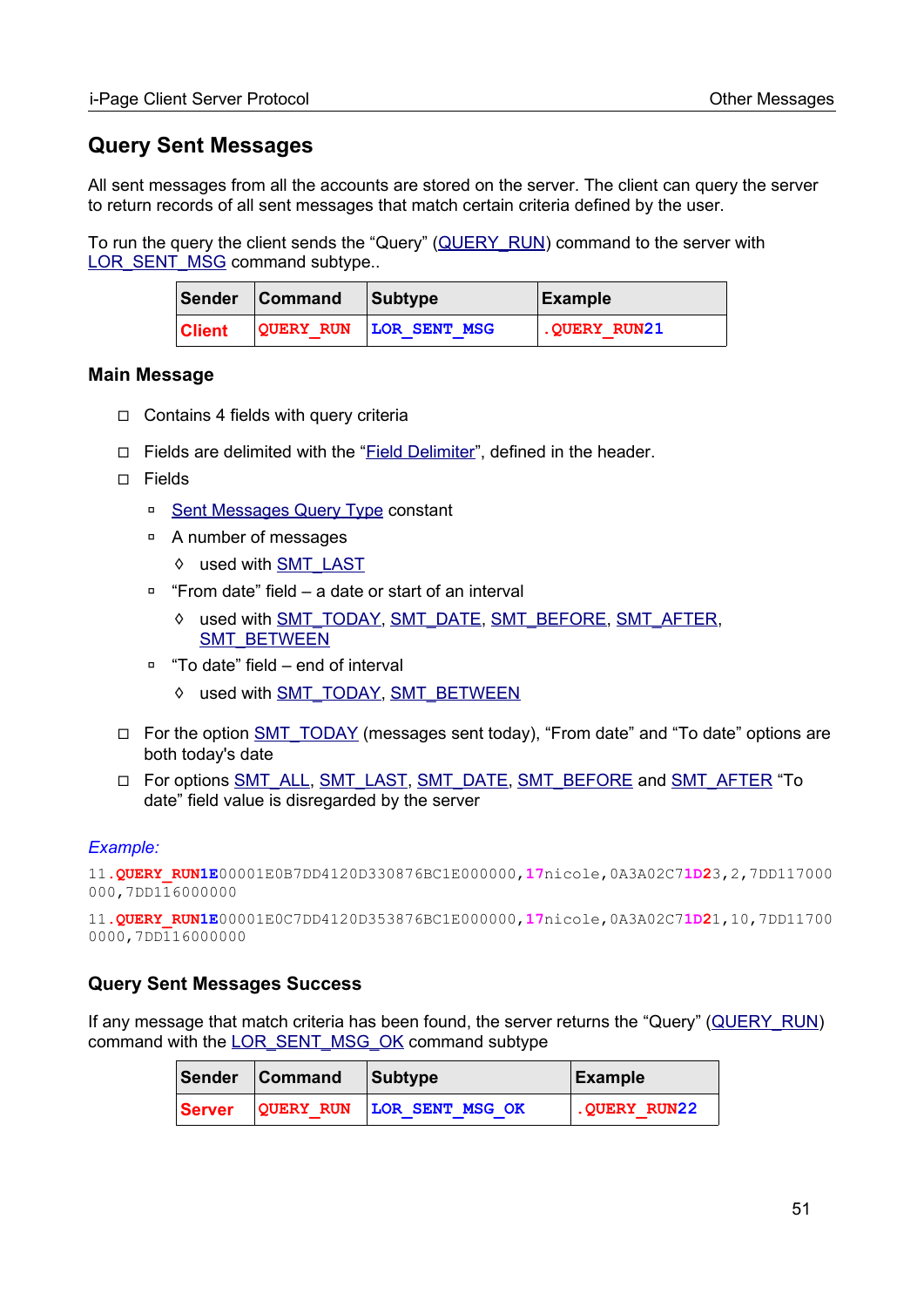# **Query Sent Messages**

All sent messages from all the accounts are stored on the server. The client can query the server to return records of all sent messages that match certain criteria defined by the user.

To run the query the client sends the "Query" [\(QUERY\\_RUN](#page-85-0)) command to the server with LOR\_SENT\_MSG command subtype..

|               | Sender Command | <b>Subtype</b>         | Example      |
|---------------|----------------|------------------------|--------------|
| <b>Client</b> |                | QUERY RUN LOR SENT MSG | .QUERY RUN21 |

#### **Main Message**

- ◻ Contains 4 fields with query criteria
- ◻ Fields are delimited with the "Field Delimiter", defined in the header.
- ◻ Fields
	- □ [Sent Messages Query Type](#page-98-2) constant
	- ◽ A number of messages
		- ◊ used with [SMT\\_LAST](#page-98-2)
	- ◽ "From date" field a date or start of an interval
		- ◊ used with [SMT\\_TODAY,](#page-98-2) [SMT\\_DATE](#page-98-2), [SMT\\_BEFORE](#page-98-2), [SMT\\_AFTER](#page-98-2), [SMT\\_BETWEEN](#page-98-2)
	- ◽ "To date" field end of interval
		- ◊ used with [SMT\\_TODAY,](#page-98-2) [SMT\\_BETWEEN](#page-98-2)
- □ For the option [SMT\\_TODAY](#page-98-2) (messages sent today), "From date" and "To date" options are both today's date
- □ For options [SMT\\_ALL,](#page-98-2) [SMT\\_LAST,](#page-98-2) [SMT\\_DATE](#page-98-2), [SMT\\_BEFORE](#page-98-2) and [SMT\\_AFTER](#page-98-2) "To date" field value is disregarded by the server

#### *Example:*

```
11.QUERY_RUN1E00001E0B7DD4120D330876BC1E000000,17nicole,0A3A02C71D23,2,7DD117000
000,7DD116000000
```
11**.QUERY\_RUN1E**00001E0C7DD4120D353876BC1E000000,**17**nicole,0A3A02C7**1D2**1,10,7DD11700 0000,7DD116000000

#### <span id="page-50-0"></span>**Query Sent Messages Success**

If any message that match criteria has been found, the server returns the "Query" [\(QUERY\\_RUN\)](#page-85-0) command with the [LOR\\_SENT\\_MSG\\_OK](#page-90-0) command subtype

|        | Sender Command | Subtype                   | Example      |
|--------|----------------|---------------------------|--------------|
| Server |                | QUERY RUN LOR SENT MSG OK | .QUERY RUN22 |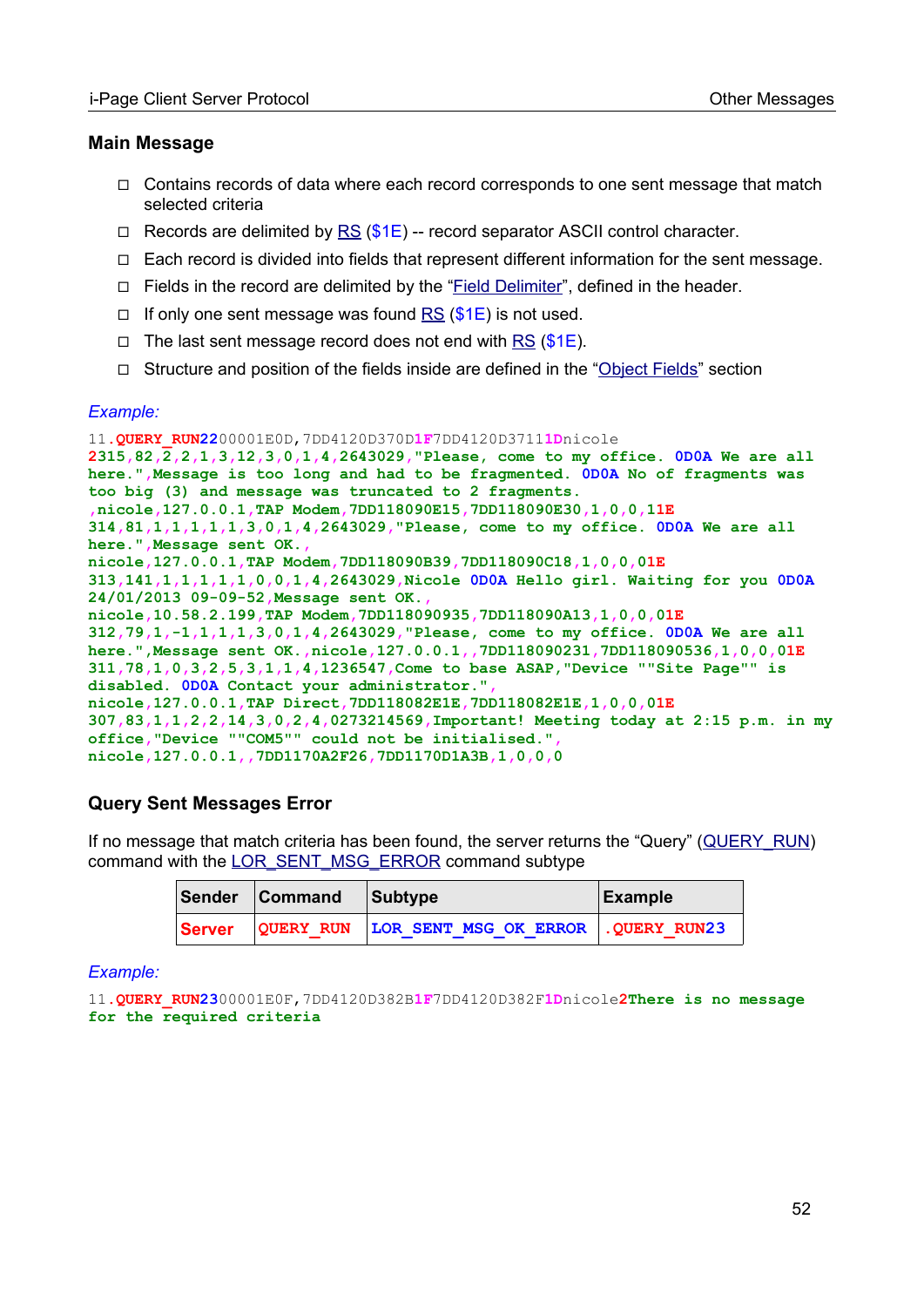#### **Main Message**

- ◻ Contains records of data where each record corresponds to one sent message that match selected criteria
- $\Box$  Records are delimited by [RS](#page-96-0) ( $$1E$ ) -- record separator ASCII control character.
- ◻ Each record is divided into fields that represent different information for the sent message.
- ◻ Fields in the record are delimited by the "Field Delimiter", defined in the header.
- □ If only one sent message was found  $RS$  (\$1E) is not used.
- $\Box$  The last sent message record does not end with [RS](#page-96-0) (\$1E).
- ◻ Structure and position of the fields inside are defined in the "[Object Fields"](#page-52-0) section

#### *Example:*

11**.QUERY\_RUN22**00001E0D,7DD4120D370D**1F**7DD4120D3711**1D**nicole **2315,82,2,2,1,3,12,3,0,1,4,2643029,"Please, come to my office. 0D0A We are all here.",Message is too long and had to be fragmented. 0D0A No of fragments was too big (3) and message was truncated to 2 fragments. ,nicole,127.0.0.1,TAP Modem,7DD118090E15,7DD118090E30,1,0,0,11E 314,81,1,1,1,1,1,3,0,1,4,2643029,"Please, come to my office. 0D0A We are all here.",Message sent OK., nicole,127.0.0.1,TAP Modem,7DD118090B39,7DD118090C18,1,0,0,01E 313,141,1,1,1,1,1,0,0,1,4,2643029,Nicole 0D0A Hello girl. Waiting for you 0D0A 24/01/2013 09-09-52,Message sent OK., nicole,10.58.2.199,TAP Modem,7DD118090935,7DD118090A13,1,0,0,01E 312,79,1,-1,1,1,1,3,0,1,4,2643029,"Please, come to my office. 0D0A We are all here.",Message sent OK.,nicole,127.0.0.1,,7DD118090231,7DD118090536,1,0,0,01E 311,78,1,0,3,2,5,3,1,1,4,1236547,Come to base ASAP,"Device ""Site Page"" is disabled. 0D0A Contact your administrator.", nicole,127.0.0.1,TAP Direct,7DD118082E1E,7DD118082E1E,1,0,0,01E 307,83,1,1,2,2,14,3,0,2,4,0273214569,Important! Meeting today at 2:15 p.m. in my office,"Device ""COM5"" could not be initialised.", nicole,127.0.0.1,,7DD1170A2F26,7DD1170D1A3B,1,0,0,0**

#### **Query Sent Messages Error**

If no message that match criteria has been found, the server returns the "Query" ([QUERY\\_RUN](#page-85-0)) command with the [LOR\\_SENT\\_MSG\\_ERROR](#page-90-0) command subtype

|        | Sender Command | Subtype                                       | Example |
|--------|----------------|-----------------------------------------------|---------|
| Server |                | QUERY RUN LOR SENT MSG OK ERROR . QUERY RUN23 |         |

#### *Example:*

```
11.QUERY_RUN2300001E0F,7DD4120D382B1F7DD4120D382F1Dnicole2There is no message 
for the required criteria
```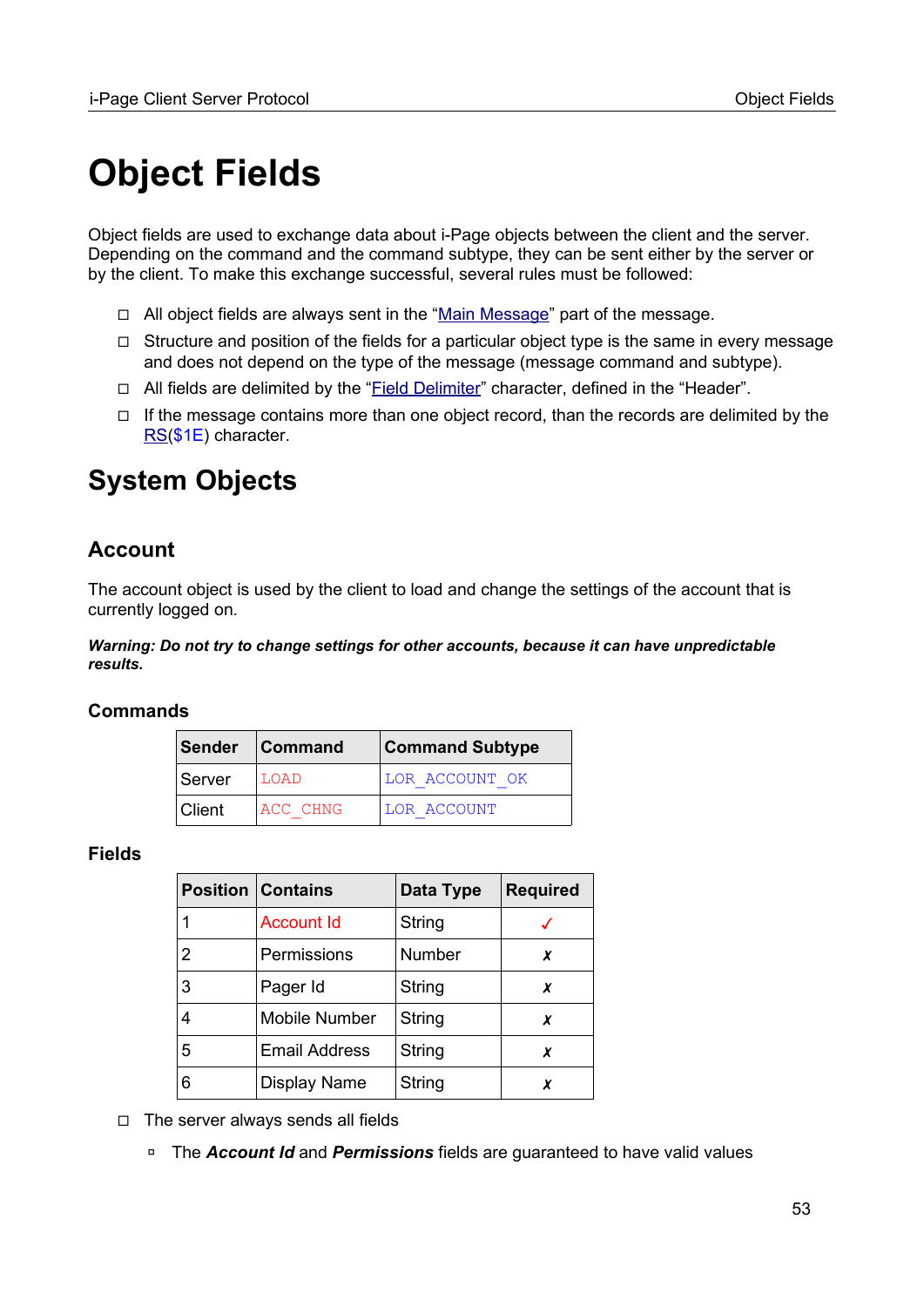# <span id="page-52-0"></span>**Object Fields**

Object fields are used to exchange data about i-Page objects between the client and the server. Depending on the command and the command subtype, they can be sent either by the server or by the client. To make this exchange successful, several rules must be followed:

- ◻ All object fields are always sent in the ["Main Message"](#page-17-0) part of the message.
- $\Box$  Structure and position of the fields for a particular object type is the same in every message and does not depend on the type of the message (message command and subtype).
- □ All fields are delimited by the ["Field Delimiter"](#page-15-0) character, defined in the "Header".
- $\Box$  If the message contains more than one object record, than the records are delimited by the [RS](#page-96-0)(\$1E) character.

# **System Objects**

# <span id="page-52-1"></span>**Account**

The account object is used by the client to load and change the settings of the account that is currently logged on.

*Warning: Do not try to change settings for other accounts, because it can have unpredictable results.*

#### **Commands**

|        | Sender Command | <b>Command Subtype</b> |
|--------|----------------|------------------------|
| Server | LOAD           | LOR ACCOUNT OK         |
| Client | ACC CHNG       | LOR ACCOUNT            |

#### **Fields**

|   | <b>Position Contains</b> | Data Type | <b>Required</b> |
|---|--------------------------|-----------|-----------------|
|   | <b>Account Id</b>        | String    |                 |
| 2 | Permissions              | Number    | x               |
| 3 | Pager Id                 | String    | x               |
| 4 | Mobile Number            | String    | x               |
| 5 | <b>Email Address</b>     | String    | x               |
| 6 | <b>Display Name</b>      | String    | x               |

◻ The server always sends all fields

◽ The *Account Id* and *Permissions* fields are guaranteed to have valid values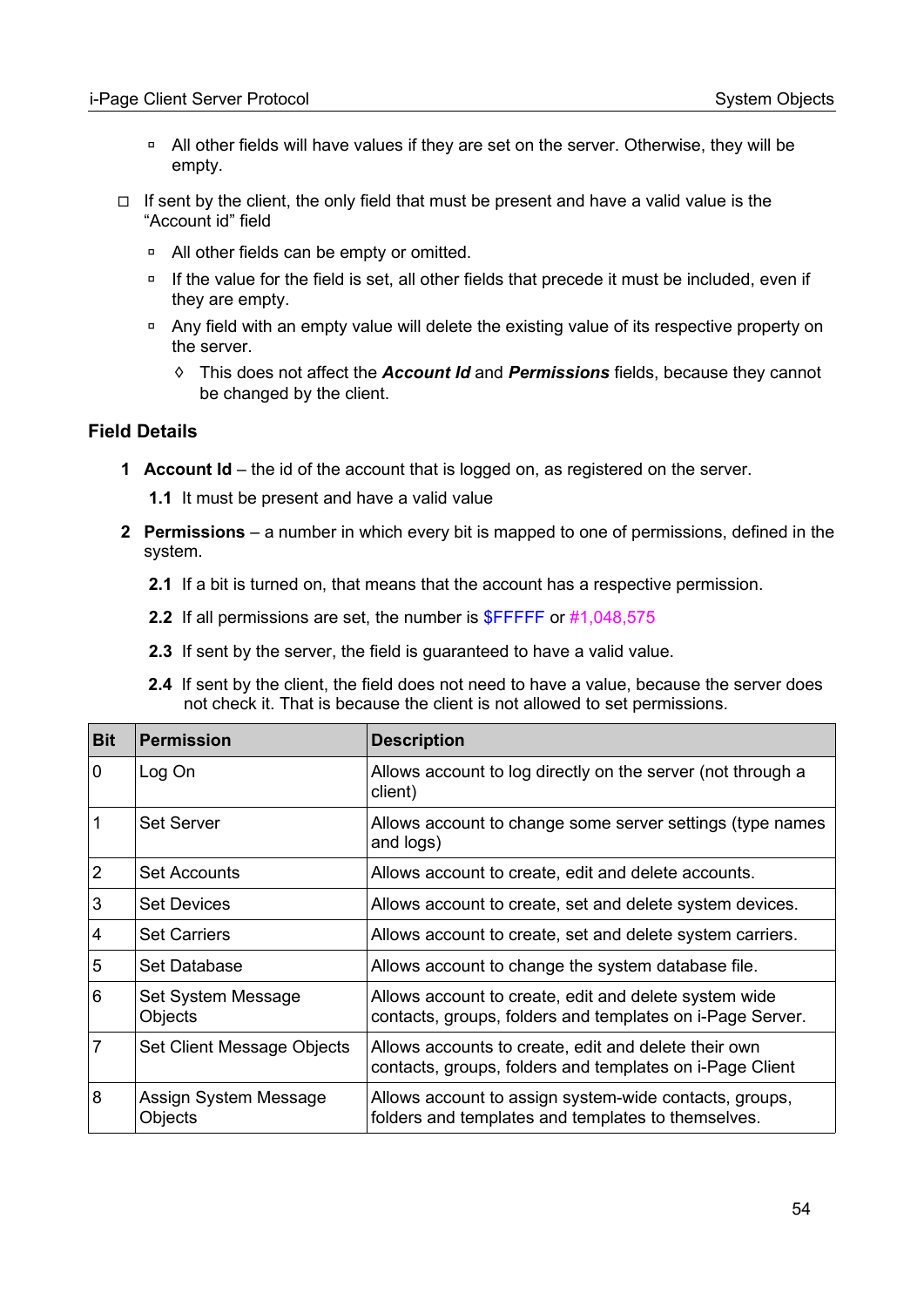- ◽ All other fields will have values if they are set on the server. Otherwise, they will be empty.
- $\Box$  If sent by the client, the only field that must be present and have a valid value is the "Account id" field
	- □ All other fields can be empty or omitted.
	- □ If the value for the field is set, all other fields that precede it must be included, even if they are empty.
	- □ Any field with an empty value will delete the existing value of its respective property on the server.
		- ◊ This does not affect the *Account Id* and *Permissions* fields, because they cannot be changed by the client.

#### **Field Details**

- **1 Account Id** the id of the account that is logged on, as registered on the server.
	- **1.1** It must be present and have a valid value
- **2 Permissions** a number in which every bit is mapped to one of permissions, defined in the system.
	- **2.1** If a bit is turned on, that means that the account has a respective permission.
	- **2.2** If all permissions are set, the number is **\$FFFFF** or #1,048,575
	- **2.3** If sent by the server, the field is guaranteed to have a valid value.
	- **2.4** If sent by the client, the field does not need to have a value, because the server does not check it. That is because the client is not allowed to set permissions.

| <b>Bit</b>     | <b>Permission</b>                | <b>Description</b>                                                                                                 |
|----------------|----------------------------------|--------------------------------------------------------------------------------------------------------------------|
| $\mathbf 0$    | Log On                           | Allows account to log directly on the server (not through a<br>client)                                             |
| 1              | <b>Set Server</b>                | Allows account to change some server settings (type names<br>and logs)                                             |
| $\overline{2}$ | <b>Set Accounts</b>              | Allows account to create, edit and delete accounts.                                                                |
| 3              | <b>Set Devices</b>               | Allows account to create, set and delete system devices.                                                           |
| $\overline{4}$ | <b>Set Carriers</b>              | Allows account to create, set and delete system carriers.                                                          |
| 5              | Set Database                     | Allows account to change the system database file.                                                                 |
| 6              | Set System Message<br>Objects    | Allows account to create, edit and delete system wide<br>contacts, groups, folders and templates on i-Page Server. |
| $\overline{7}$ | Set Client Message Objects       | Allows accounts to create, edit and delete their own<br>contacts, groups, folders and templates on i-Page Client   |
| 8              | Assign System Message<br>Objects | Allows account to assign system-wide contacts, groups,<br>folders and templates and templates to themselves.       |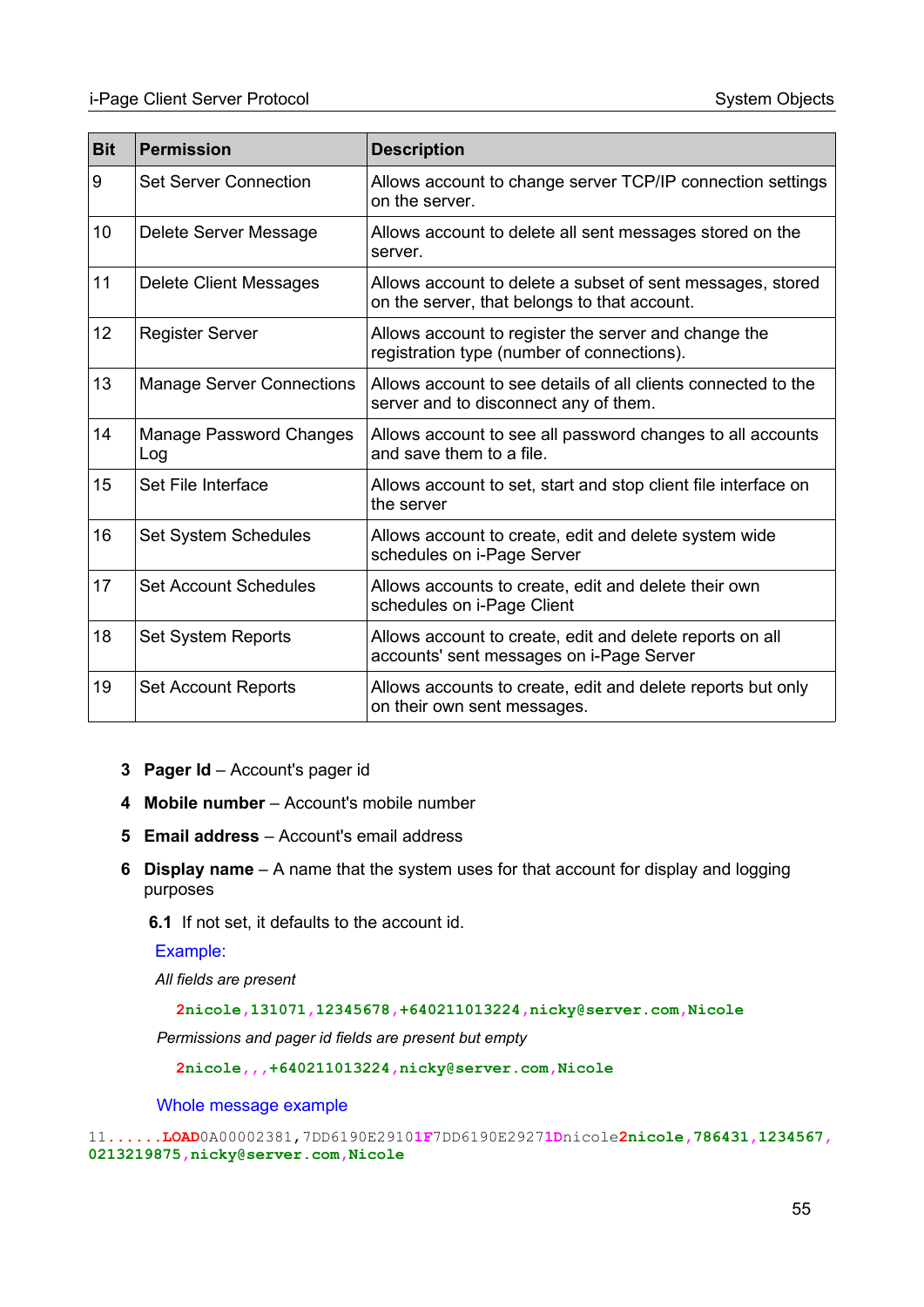| <b>Bit</b> | <b>Permission</b>                     | <b>Description</b>                                                                                         |
|------------|---------------------------------------|------------------------------------------------------------------------------------------------------------|
| 9          | <b>Set Server Connection</b>          | Allows account to change server TCP/IP connection settings<br>on the server.                               |
| 10         | Delete Server Message                 | Allows account to delete all sent messages stored on the<br>server.                                        |
| 11         | Delete Client Messages                | Allows account to delete a subset of sent messages, stored<br>on the server, that belongs to that account. |
| 12         | <b>Register Server</b>                | Allows account to register the server and change the<br>registration type (number of connections).         |
| 13         | <b>Manage Server Connections</b>      | Allows account to see details of all clients connected to the<br>server and to disconnect any of them.     |
| 14         | <b>Manage Password Changes</b><br>Log | Allows account to see all password changes to all accounts<br>and save them to a file.                     |
| 15         | Set File Interface                    | Allows account to set, start and stop client file interface on<br>the server                               |
| 16         | Set System Schedules                  | Allows account to create, edit and delete system wide<br>schedules on i-Page Server                        |
| 17         | <b>Set Account Schedules</b>          | Allows accounts to create, edit and delete their own<br>schedules on i-Page Client                         |
| 18         | Set System Reports                    | Allows account to create, edit and delete reports on all<br>accounts' sent messages on i-Page Server       |
| 19         | <b>Set Account Reports</b>            | Allows accounts to create, edit and delete reports but only<br>on their own sent messages.                 |

- **3 Pager Id** Account's pager id
- **4 Mobile number** Account's mobile number
- **5 Email address** Account's email address
- **6 Display name** A name that the system uses for that account for display and logging purposes
	- **6.1** If not set, it defaults to the account id.

Example:

*All fields are present*

**2nicole,131071,12345678,+640211013224,nicky@server.com,Nicole**

*Permissions and pager id fields are present but empty*

**2nicole,,,+640211013224,nicky@server.com,Nicole**

Whole message example

```
11......LOAD0A00002381,7DD6190E29101F7DD6190E29271Dnicole2nicole,786431,1234567,
0213219875,nicky@server.com,Nicole
```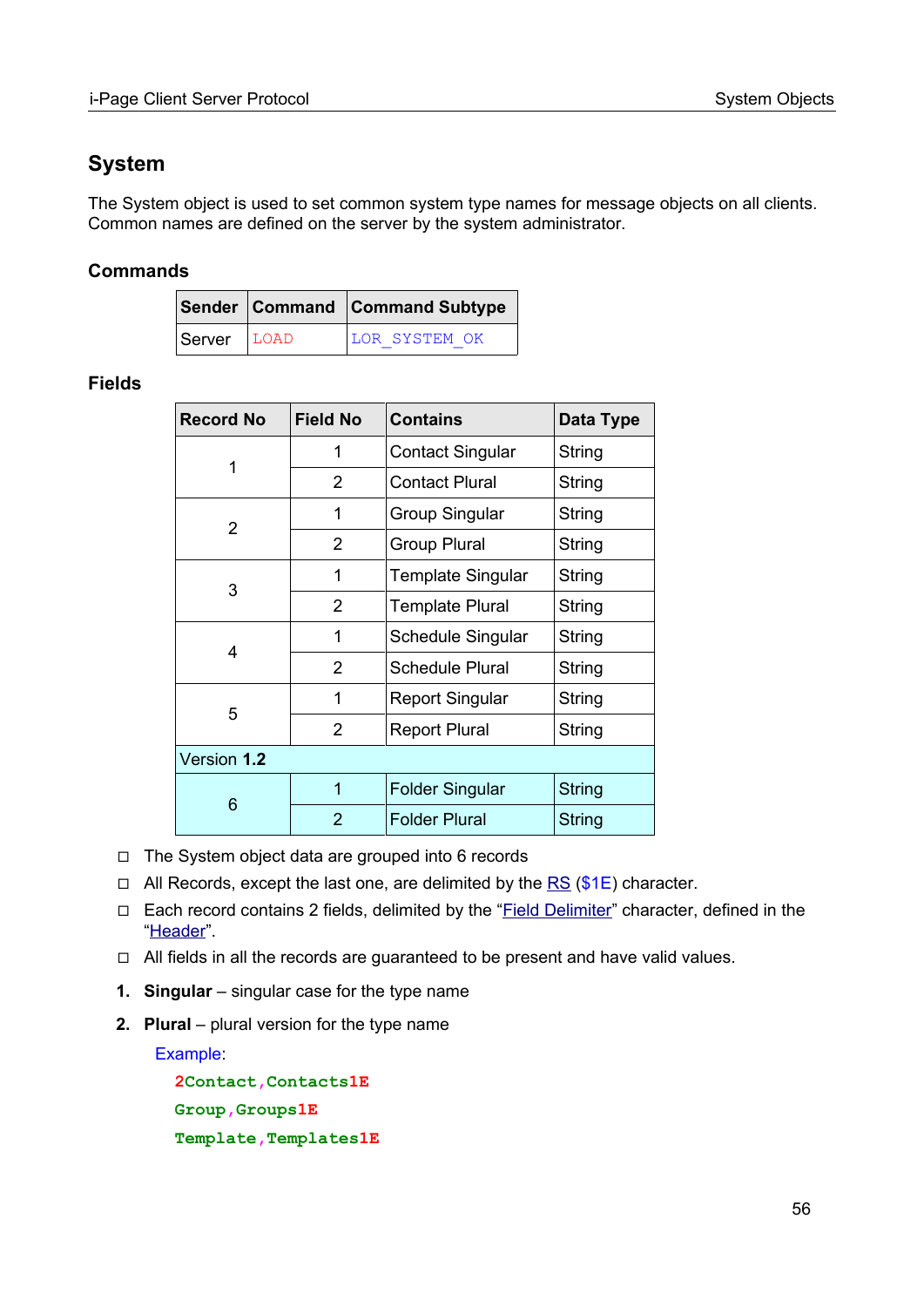# **System**

The System object is used to set common system type names for message objects on all clients. Common names are defined on the server by the system administrator.

### **Commands**

|               | Sender Command Command Subtype |
|---------------|--------------------------------|
| Server   LOAD | LOR SYSTEM OK                  |

#### **Fields**

| <b>Record No</b> | <b>Field No</b> | <b>Contains</b>          | Data Type     |
|------------------|-----------------|--------------------------|---------------|
| 1                | 1               | <b>Contact Singular</b>  | String        |
|                  | 2               | <b>Contact Plural</b>    | String        |
| $\overline{2}$   | 1               | <b>Group Singular</b>    | String        |
|                  | $\overline{2}$  | <b>Group Plural</b>      | String        |
| 3                | 1               | <b>Template Singular</b> | String        |
|                  | 2               | <b>Template Plural</b>   | String        |
|                  | 1               | Schedule Singular        | String        |
| 4                | $\overline{2}$  | <b>Schedule Plural</b>   | String        |
|                  | 1               | <b>Report Singular</b>   | String        |
| 5                | $\overline{2}$  | <b>Report Plural</b>     | String        |
| Version 1.2      |                 |                          |               |
|                  | 1               | <b>Folder Singular</b>   | <b>String</b> |
| 6                | 2               | <b>Folder Plural</b>     | <b>String</b> |

- ◻ The System object data are grouped into 6 records
- $\Box$  All Records, except the last one, are delimited by the [RS](#page-96-0) (\$1E) character.
- □ Each record contains 2 fields, delimited by the "Field Delimiter" character, defined in the ["Header"](#page-9-0).
- ◻ All fields in all the records are guaranteed to be present and have valid values.
- **1. Singular** singular case for the type name
- **2. Plural** plural version for the type name

Example:

**2Contact,Contacts1E Group,Groups1E Template,Templates1E**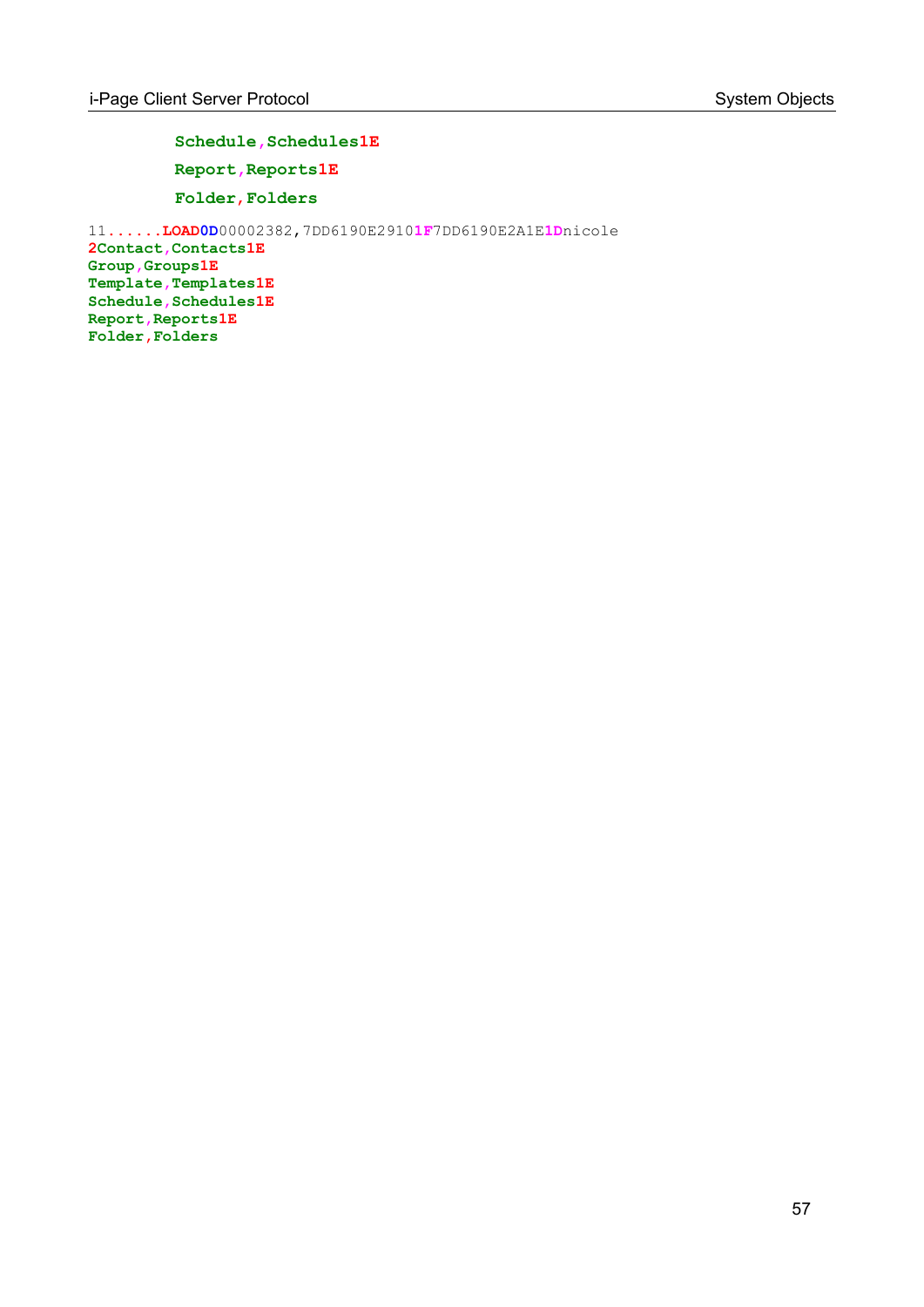Schedule, Schedules1E **Report,Reports1E**

**Folder**,**Folders**

11**......LOAD0D**00002382,7DD6190E2910**1F**7DD6190E2A1E**1D**nicole **2Contact,Contacts1E Group,Groups1E Template,Templates1E Schedule,Schedules1E Report,Reports1E Folder,Folders**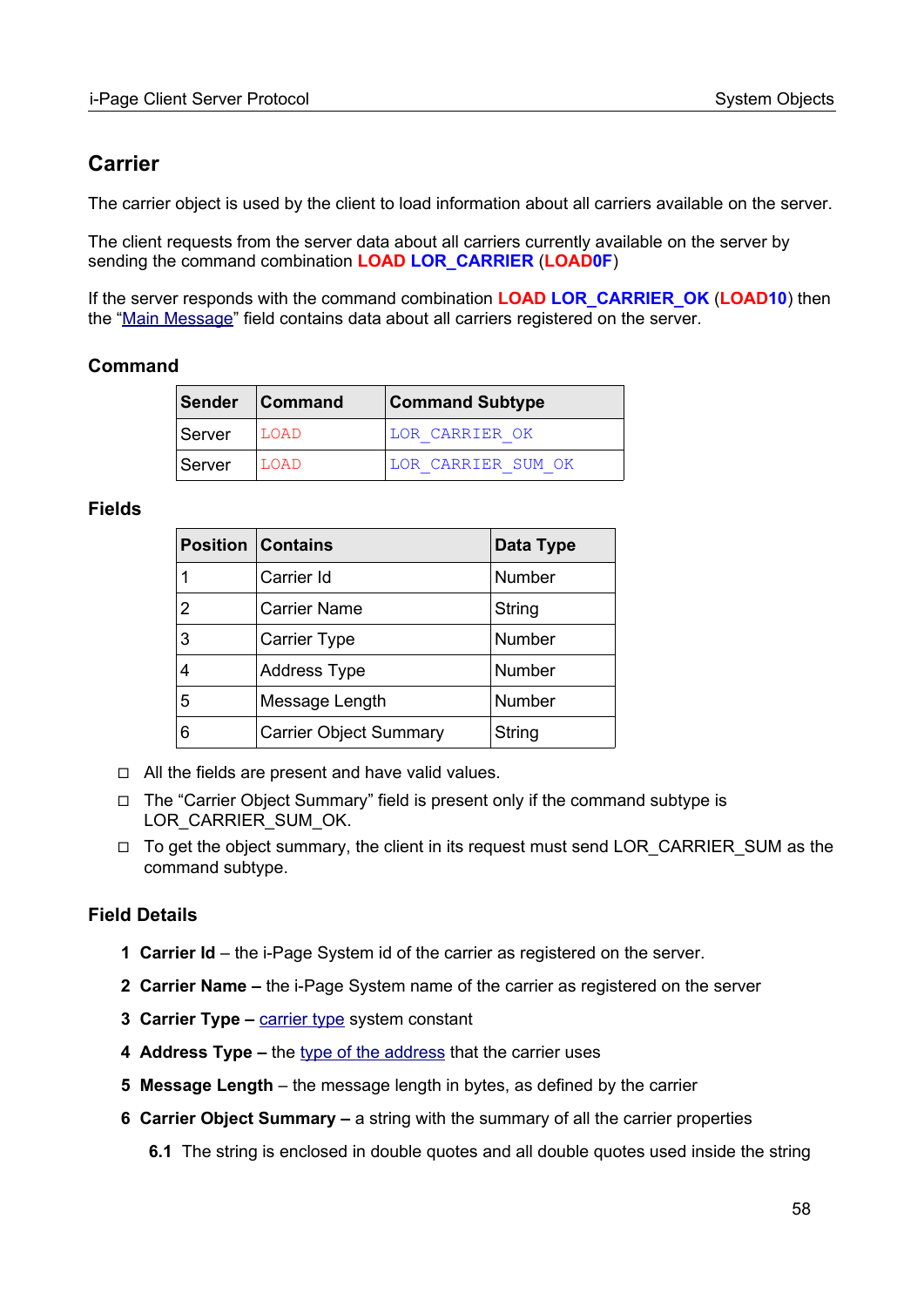# **Carrier**

The carrier object is used by the client to load information about all carriers available on the server.

The client requests from the server data about all carriers currently available on the server by sending the command combination **LOAD LOR\_CARRIER** (**LOAD0F**)

If the server responds with the command combination **LOAD LOR\_CARRIER\_OK** (**LOAD10**) then the "[Main Message](#page-17-0)" field contains data about all carriers registered on the server.

#### **Command**

|        | Sender Command | <b>Command Subtype</b> |  |
|--------|----------------|------------------------|--|
| Server | LOAD           | LOR CARRIER OK         |  |
| Server | LOAD           | LOR CARRIER SUM OK     |  |

#### **Fields**

|   | <b>Position Contains</b>      | Data Type     |
|---|-------------------------------|---------------|
|   | Carrier Id                    | <b>Number</b> |
| 2 | <b>Carrier Name</b>           | String        |
| 3 | <b>Carrier Type</b>           | <b>Number</b> |
|   | <b>Address Type</b>           | <b>Number</b> |
| 5 | Message Length                | <b>Number</b> |
| 6 | <b>Carrier Object Summary</b> | String        |

- ◻ All the fields are present and have valid values.
- ◻ The "Carrier Object Summary" field is present only if the command subtype is [LOR\\_CARRIER\\_SUM\\_OK.](#page-90-0)
- $\Box$  To get the object summary, the client in its request must send [LOR\\_CARRIER\\_SUM](#page-90-0) as the command subtype.

## **Field Details**

- **1 Carrier Id** the i-Page System id of the carrier as registered on the server.
- **2 Carrier Name** the i-Page System name of the carrier as registered on the server
- **3 Carrier Type [carrier type](#page-98-3) system constant**
- **4 Address Type** the type of the address that the carrier uses
- **5 Message Length** the message length in bytes, as defined by the carrier
- **6 Carrier Object Summary** a string with the summary of all the carrier properties
	- **6.1** The string is enclosed in double quotes and all double quotes used inside the string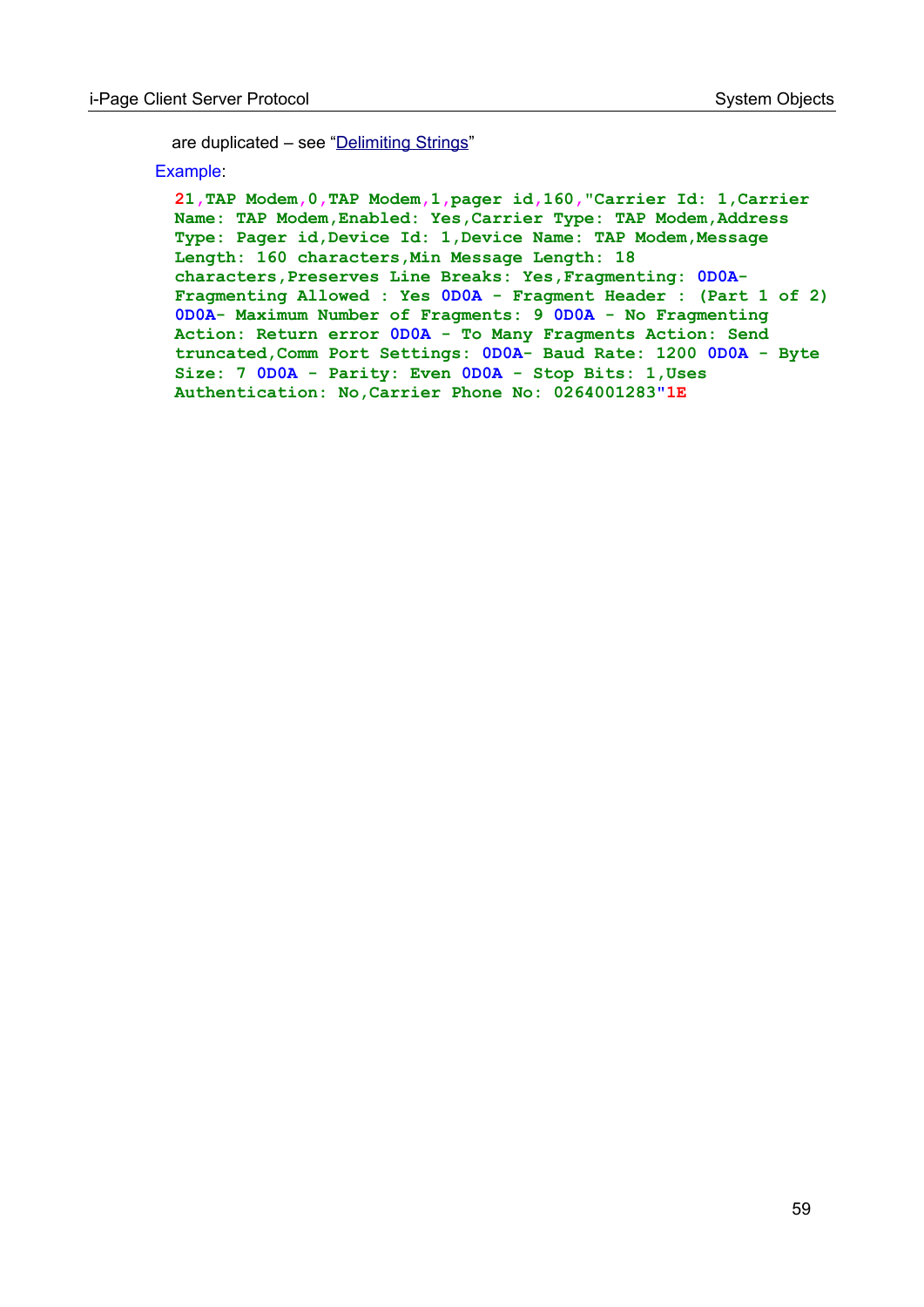are duplicated – see ["Delimiting Strings](#page-108-0)"

Example:

**21,TAP Modem,0,TAP Modem,1,pager id,160,"Carrier Id: 1,Carrier Name: TAP Modem,Enabled: Yes,Carrier Type: TAP Modem,Address Type: Pager id,Device Id: 1,Device Name: TAP Modem,Message Length: 160 characters,Min Message Length: 18 characters,Preserves Line Breaks: Yes,Fragmenting: 0D0A-Fragmenting Allowed : Yes 0D0A - Fragment Header : (Part 1 of 2) 0D0A- Maximum Number of Fragments: 9 0D0A - No Fragmenting Action: Return error 0D0A - To Many Fragments Action: Send truncated,Comm Port Settings: 0D0A- Baud Rate: 1200 0D0A - Byte Size: 7 0D0A - Parity: Even 0D0A - Stop Bits: 1,Uses Authentication: No,Carrier Phone No: 0264001283"1E**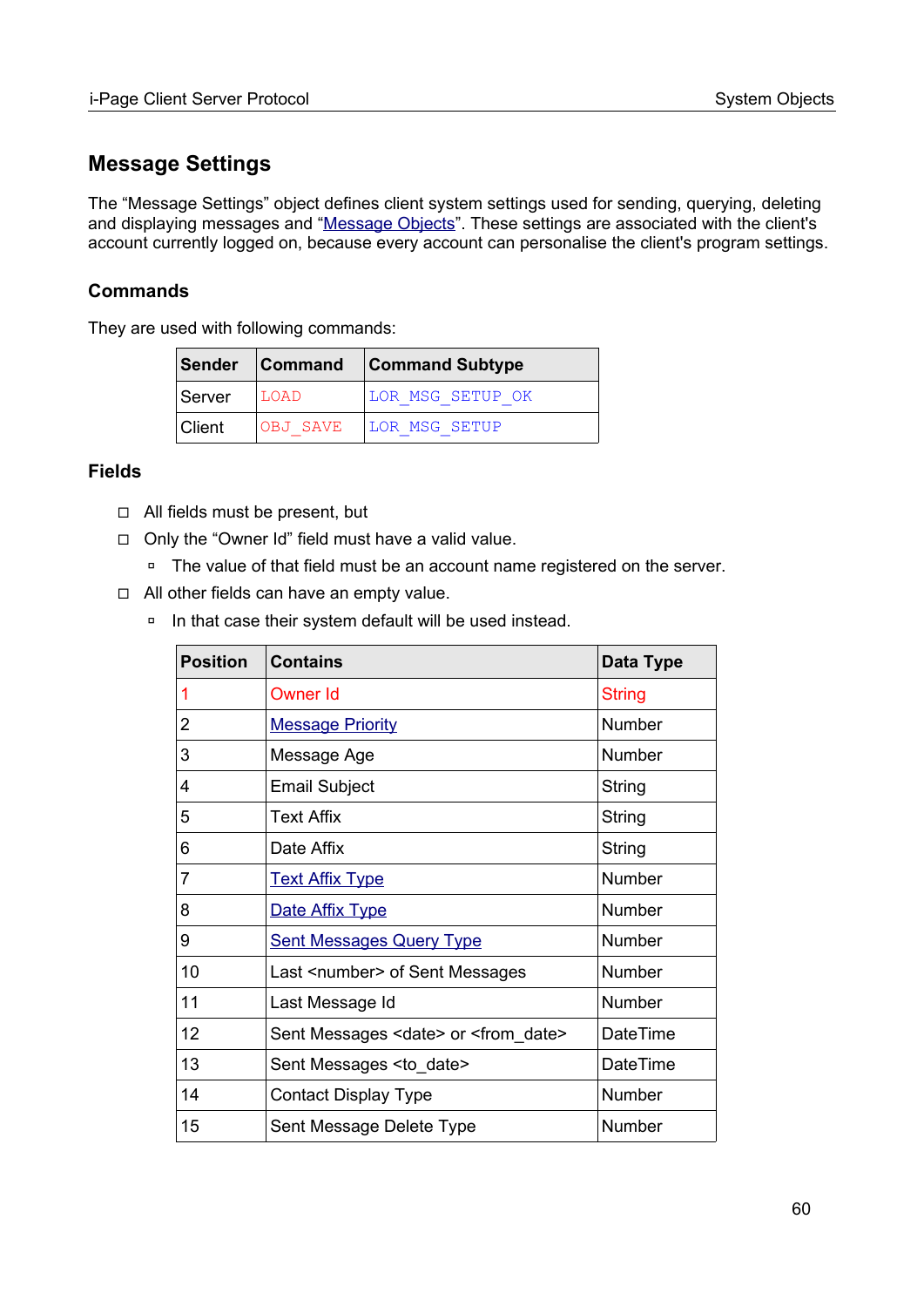# **Message Settings**

The "Message Settings" object defines client system settings used for sending, querying, deleting and displaying messages and ["Message Objects](#page-66-0)". These settings are associated with the client's account currently logged on, because every account can personalise the client's program settings.

#### **Commands**

They are used with following commands:

|        |          | Sender Command Command Subtype |
|--------|----------|--------------------------------|
| Server | LOAD     | LOR MSG SETUP OK               |
| Client | OBJ SAVE | LOR MSG SETUP                  |

#### **Fields**

- ◻ All fields must be present, but
- ◻ Only the "Owner Id" field must have a valid value.
	- □ The value of that field must be an account name registered on the server.
- ◻ All other fields can have an empty value.
	- □ In that case their system default will be used instead.

| <b>Position</b> | <b>Contains</b>                                      | Data Type       |
|-----------------|------------------------------------------------------|-----------------|
| 1               | Owner Id                                             | <b>String</b>   |
| 2               | <b>Message Priority</b>                              | Number          |
| 3               | Message Age                                          | Number          |
| 4               | <b>Email Subject</b>                                 | String          |
| 5               | <b>Text Affix</b>                                    | String          |
| 6               | Date Affix                                           | String          |
| 7               | <b>Text Affix Type</b>                               | <b>Number</b>   |
| 8               | Date Affix Type                                      | <b>Number</b>   |
| 9               | <b>Sent Messages Query Type</b>                      | Number          |
| 10              | Last <number> of Sent Messages</number>              | <b>Number</b>   |
| 11              | Last Message Id                                      | <b>Number</b>   |
| 12              | Sent Messages <date> or <from date=""></from></date> | <b>DateTime</b> |
| 13              | Sent Messages <to_date></to_date>                    | <b>DateTime</b> |
| 14              | <b>Contact Display Type</b>                          | Number          |
| 15              | Sent Message Delete Type                             | Number          |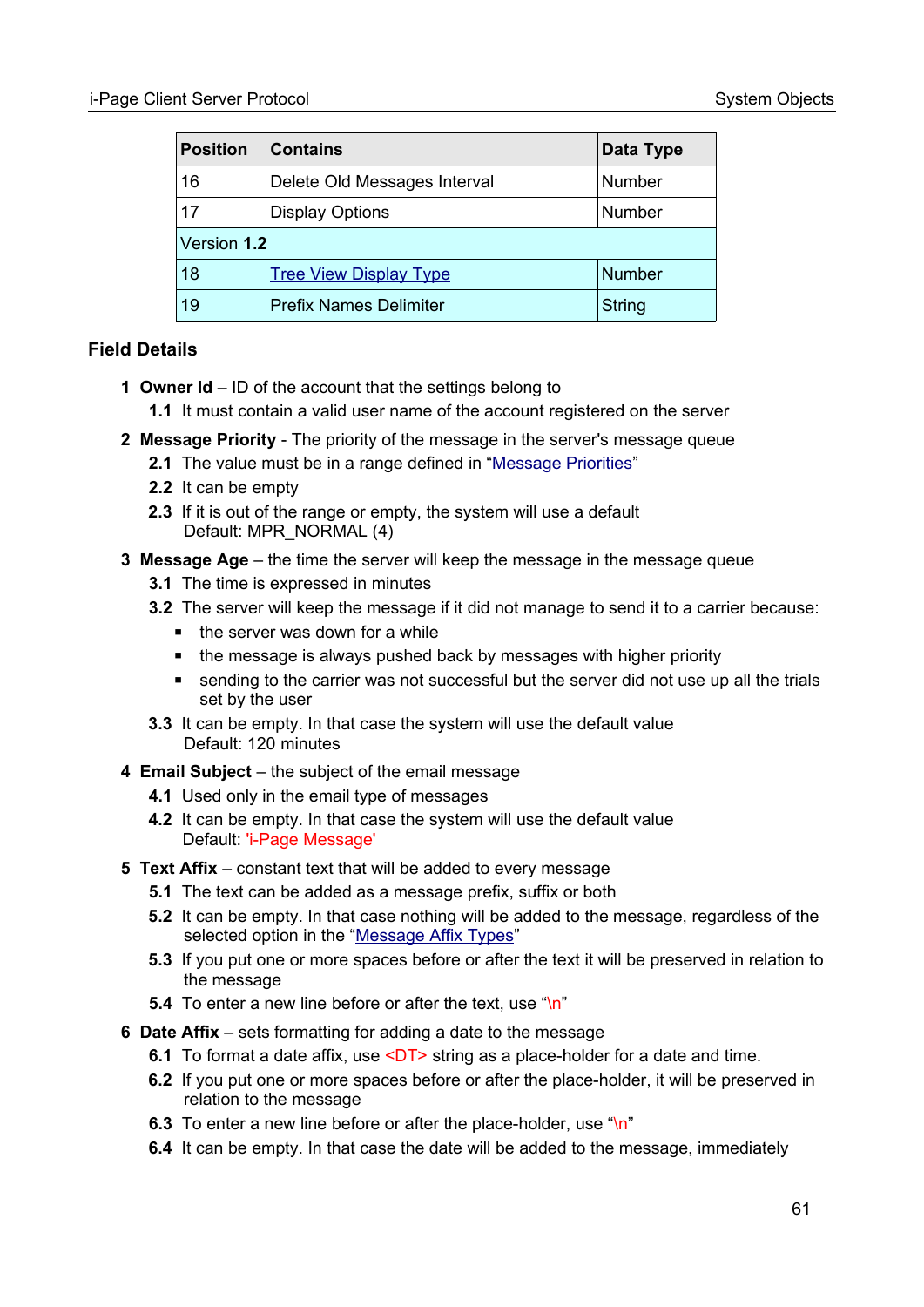| <b>Position</b> | <b>Contains</b>               | Data Type     |  |
|-----------------|-------------------------------|---------------|--|
| 16              | Delete Old Messages Interval  | Number        |  |
| 17              | <b>Display Options</b>        | Number        |  |
| Version 1.2     |                               |               |  |
| 18              | <b>Tree View Display Type</b> | <b>Number</b> |  |
| 19              | <b>Prefix Names Delimiter</b> | <b>String</b> |  |

## **Field Details**

- **1 Owner Id** ID of the account that the settings belong to
	- **1.1** It must contain a valid user name of the account registered on the server
- **2 Message Priority** The priority of the message in the server's message queue
	- **2.1** The value must be in a range defined in ["Message Priorities"](#page-97-0)
	- **2.2** It can be empty
	- **2.3** If it is out of the range or empty, the system will use a default Default: MPR\_NORMAL (4)
- **3 Message Age** the time the server will keep the message in the message queue
	- **3.1** The time is expressed in minutes
	- **3.2** The server will keep the message if it did not manage to send it to a carrier because:
		- $\blacksquare$  the server was down for a while
		- the message is always pushed back by messages with higher priority
		- sending to the carrier was not successful but the server did not use up all the trials set by the user
	- **3.3** It can be empty. In that case the system will use the default value Default: 120 minutes
- **4 Email Subject** the subject of the email message
	- **4.1** Used only in the email type of messages
	- **4.2** It can be empty. In that case the system will use the default value Default: 'i-Page Message'
- **5 Text Affix**  constant text that will be added to every message
	- **5.1** The text can be added as a message prefix, suffix or both
	- **5.2** It can be empty. In that case nothing will be added to the message, regardless of the selected option in the ["Message Affix Types](#page-97-1)"
	- **5.3** If you put one or more spaces before or after the text it will be preserved in relation to the message
	- **5.4** To enter a new line before or after the text, use "\n"
- **6 Date Affix** sets formatting for adding a date to the message
	- **6.1** To format a date affix, use <DT> string as a place-holder for a date and time.
	- **6.2** If you put one or more spaces before or after the place-holder, it will be preserved in relation to the message
	- **6.3** To enter a new line before or after the place-holder, use "\n"
	- **6.4** It can be empty. In that case the date will be added to the message, immediately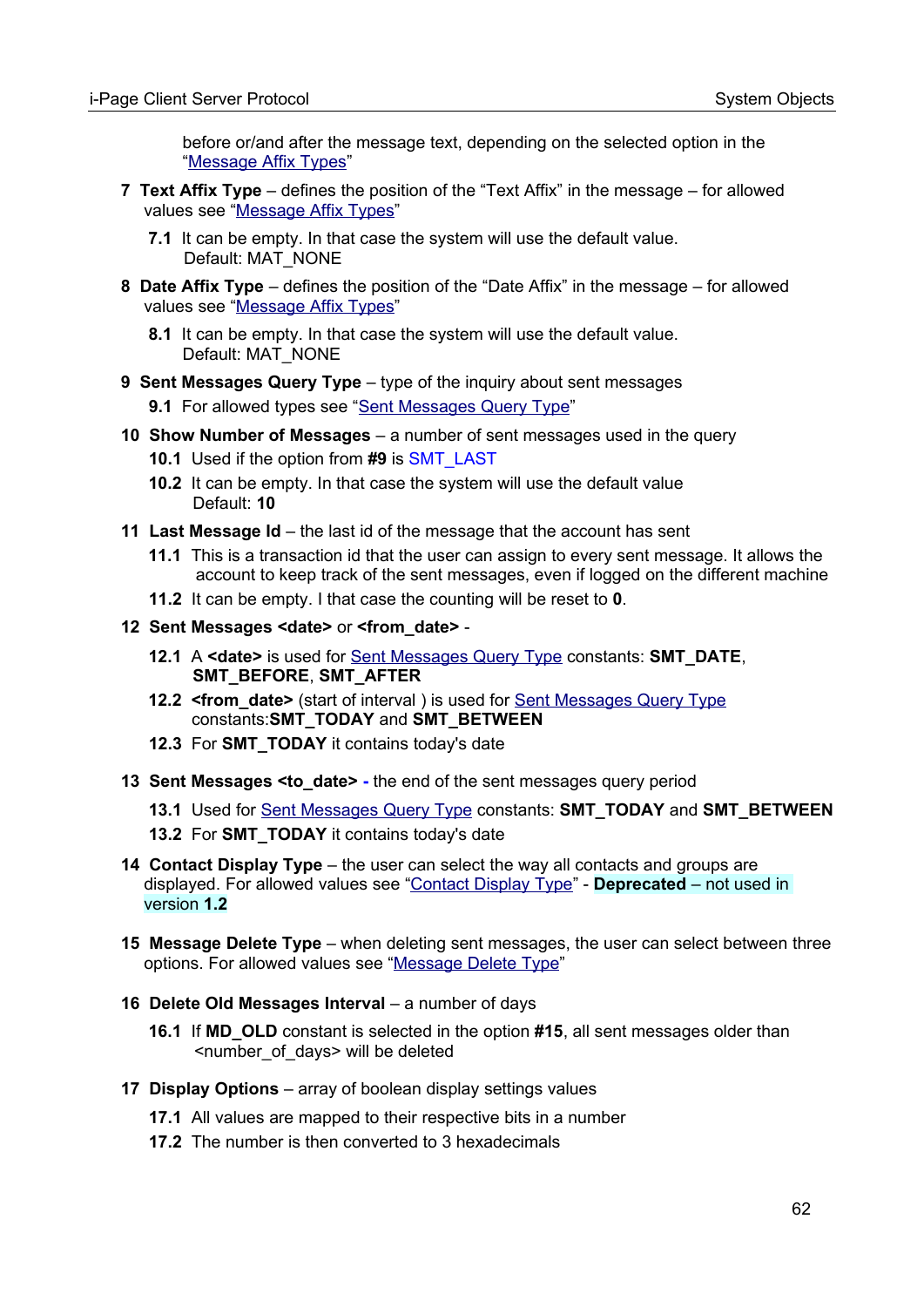before or/and after the message text, depending on the selected option in the ["Message Affix Types](#page-97-1)"

- **7 Text Affix Type** defines the position of the "Text Affix" in the message for allowed values see ["Message Affix Types](#page-97-1)"
	- **7.1** It can be empty. In that case the system will use the default value. Default: MAT\_NONE
- **8 Date Affix Type** defines the position of the "Date Affix" in the message for allowed values see ["Message Affix Types](#page-97-1)"
	- **8.1** It can be empty. In that case the system will use the default value. Default: MAT\_NONE
- **9 Sent Messages Query Type** type of the inquiry about sent messages **9.1** For allowed types see "[Sent Messages Query Type](#page-98-2)"
- **10 Show Number of Messages**  a number of sent messages used in the query
	- **10.1** Used if the option from **#9** is SMT\_LAST
	- **10.2** It can be empty. In that case the system will use the default value Default: **10**
- **11 Last Message Id** the last id of the message that the account has sent
	- **11.1** This is a transaction id that the user can assign to every sent message. It allows the account to keep track of the sent messages, even if logged on the different machine
	- **11.2** It can be empty. I that case the counting will be reset to **0**.
- **12 Sent Messages <date>** or **<from\_date>**
	- **12.1** A **<date>** is used for [Sent Messages Query Type](#page-98-2) constants: **SMT\_DATE**, **SMT\_BEFORE**, **SMT\_AFTER**
	- **12.2 <from date>** (start of interval) is used for [Sent Messages Query Type](#page-98-2) constants:**SMT\_TODAY** and **SMT\_BETWEEN**
	- **12.3** For **SMT\_TODAY** it contains today's date
- **13 Sent Messages <to\_date>** the end of the sent messages query period
	- **13.1** Used for [Sent Messages Query Type](#page-98-2) constants: **SMT\_TODAY** and **SMT\_BETWEEN**
	- **13.2** For **SMT\_TODAY** it contains today's date
- **14 Contact Display Type** the user can select the way all contacts and groups are displayed. For allowed values see ["Contact Display Type](#page-99-2)" - **Deprecated** – not used in version **1.2**
- **15 Message Delete Type** when deleting sent messages, the user can select between three options. For allowed values see ["Message Delete Type"](#page-99-1)
- **16 Delete Old Messages Interval** a number of days
	- **16.1** If **MD\_OLD** constant is selected in the option **#15**, all sent messages older than <number\_of\_days> will be deleted
- **17 Display Options** array of boolean display settings values
	- **17.1** All values are mapped to their respective bits in a number
	- **17.2** The number is then converted to 3 hexadecimals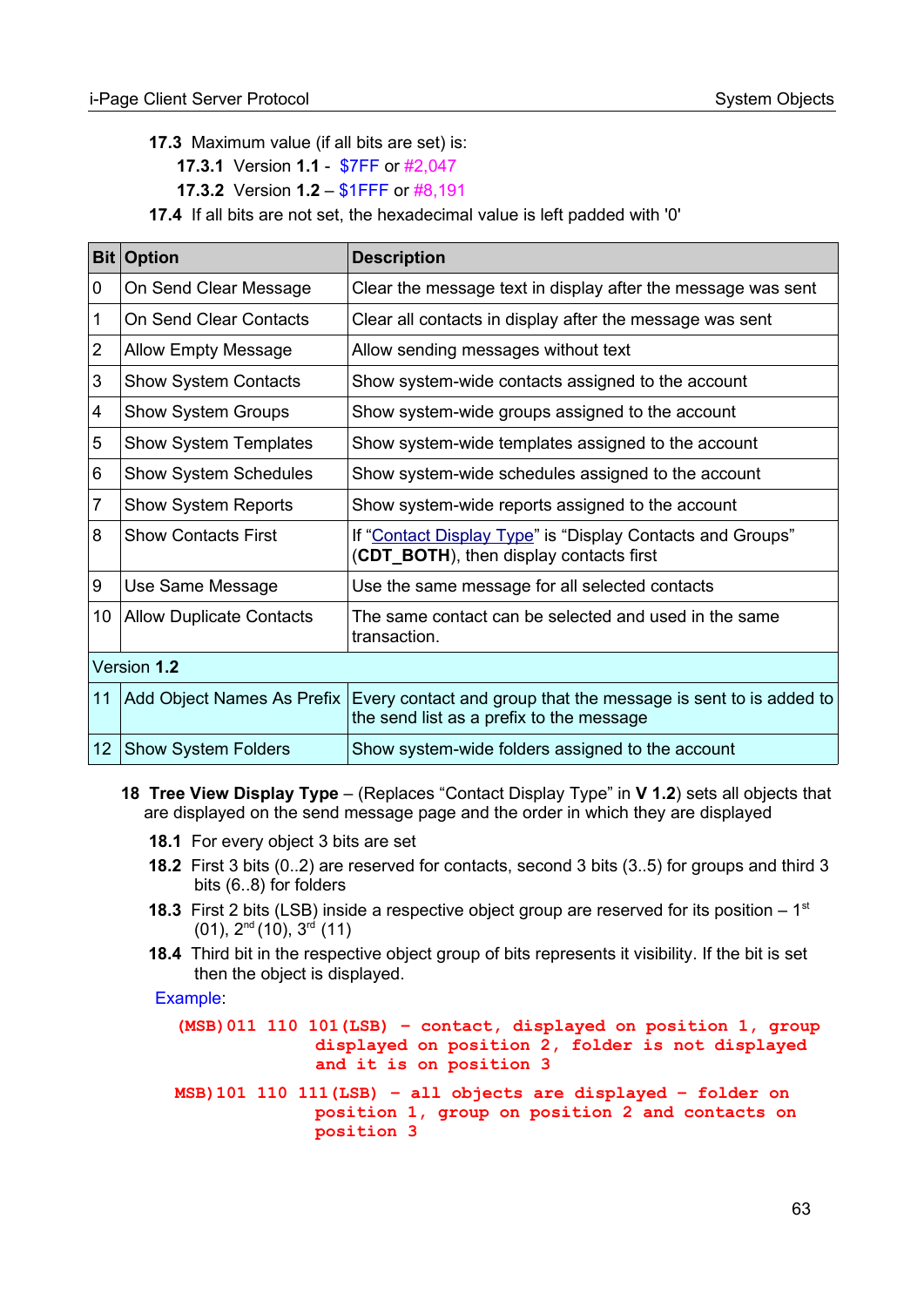**17.3** Maximum value (if all bits are set) is:

 **17.3.1** Version **1.1** - \$7FF or #2,047

 **17.3.2** Version **1.2** – \$1FFF or #8,191

 **17.4** If all bits are not set, the hexadecimal value is left padded with '0'

| <b>Bit</b>      | <b>Option</b>                   | <b>Description</b>                                                                                          |
|-----------------|---------------------------------|-------------------------------------------------------------------------------------------------------------|
| 0               | On Send Clear Message           | Clear the message text in display after the message was sent                                                |
| 1               | On Send Clear Contacts          | Clear all contacts in display after the message was sent                                                    |
| $\overline{2}$  | <b>Allow Empty Message</b>      | Allow sending messages without text                                                                         |
| 3               | <b>Show System Contacts</b>     | Show system-wide contacts assigned to the account                                                           |
| 4               | <b>Show System Groups</b>       | Show system-wide groups assigned to the account                                                             |
| 5               | <b>Show System Templates</b>    | Show system-wide templates assigned to the account                                                          |
| 6               | <b>Show System Schedules</b>    | Show system-wide schedules assigned to the account                                                          |
| 7               | <b>Show System Reports</b>      | Show system-wide reports assigned to the account                                                            |
| 8               | <b>Show Contacts First</b>      | If "Contact Display Type" is "Display Contacts and Groups"<br>(CDT_BOTH), then display contacts first       |
| 9               | Use Same Message                | Use the same message for all selected contacts                                                              |
| 10 <sup>°</sup> | <b>Allow Duplicate Contacts</b> | The same contact can be selected and used in the same<br>transaction.                                       |
| Version 1.2     |                                 |                                                                                                             |
| 11              | Add Object Names As Prefix      | Every contact and group that the message is sent to is added to<br>the send list as a prefix to the message |
| 12              | <b>Show System Folders</b>      | Show system-wide folders assigned to the account                                                            |

#### **18 Tree View Display Type** – (Replaces "Contact Display Type" in **V 1.2**) sets all objects that are displayed on the send message page and the order in which they are displayed

- **18.1** For every object 3 bits are set
- **18.2** First 3 bits (0..2) are reserved for contacts, second 3 bits (3..5) for groups and third 3 bits (6..8) for folders
- **18.3** First 2 bits (LSB) inside a respective object group are reserved for its position  $-1$ <sup>st</sup>  $(01)$ ,  $2^{nd}$   $(10)$ ,  $3^{rd}$   $(11)$
- **18.4** Third bit in the respective object group of bits represents it visibility. If the bit is set then the object is displayed.

Example:

```
(MSB)011 110 101(LSB) – contact, displayed on position 1, group 
              displayed on position 2, folder is not displayed 
              and it is on position 3
MSB)101 110 111(LSB) – all objects are displayed – folder on 
              position 1, group on position 2 and contacts on 
              position 3
```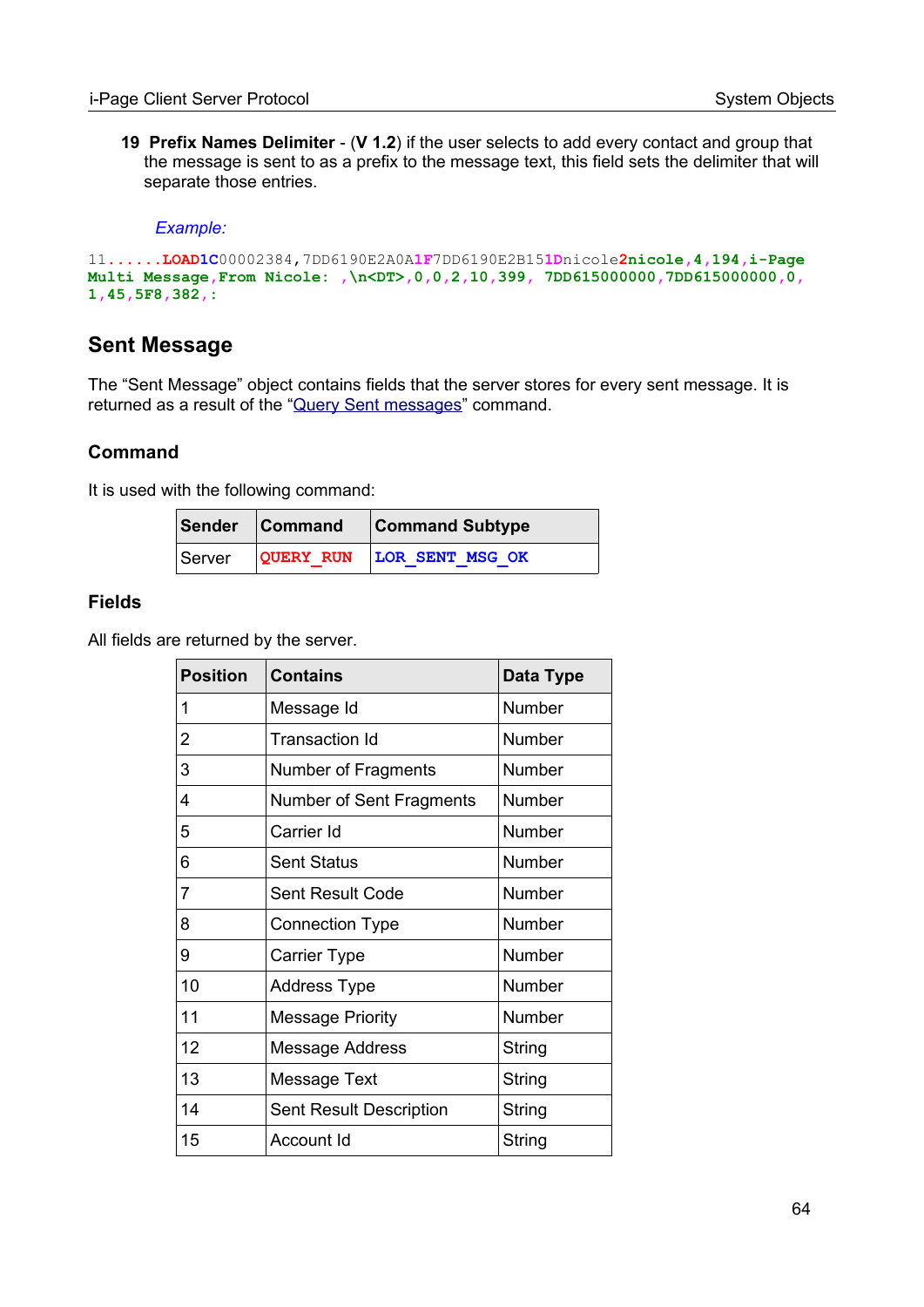**19 Prefix Names Delimiter** - (**V 1.2**) if the user selects to add every contact and group that the message is sent to as a prefix to the message text, this field sets the delimiter that will separate those entries.

#### *Example:*

```
11......LOAD1C00002384,7DD6190E2A0A1F7DD6190E2B151Dnicole2nicole,4,194,i-Page 
Multi Message,From Nicole: ,\n<DT>,0,0,2,10,399, 7DD615000000,7DD615000000,0, 
1,45,5F8,382,:
```
#### **Sent Message**

The "Sent Message" object contains fields that the server stores for every sent message. It is returned as a result of the "[Query Sent messages"](#page-50-0) command.

#### **Command**

It is used with the following command:

| Sender Command | <b>Command Subtype</b>           |
|----------------|----------------------------------|
|                | Server QUERY RUN LOR SENT MSG OK |

#### **Fields**

All fields are returned by the server.

| <b>Position</b> | <b>Contains</b>                | <b>Data Type</b> |
|-----------------|--------------------------------|------------------|
| 1               | Message Id                     | Number           |
| 2               | Transaction Id                 | Number           |
| 3               | Number of Fragments            | Number           |
| 4               | Number of Sent Fragments       | Number           |
| 5               | Carrier Id                     | Number           |
| 6               | <b>Sent Status</b>             | Number           |
| $\overline{7}$  | <b>Sent Result Code</b>        | Number           |
| 8               | <b>Connection Type</b>         | <b>Number</b>    |
| 9               | <b>Carrier Type</b>            | Number           |
| 10              | <b>Address Type</b>            | <b>Number</b>    |
| 11              | <b>Message Priority</b>        | <b>Number</b>    |
| 12              | <b>Message Address</b>         | String           |
| 13              | Message Text                   | String           |
| 14              | <b>Sent Result Description</b> | String           |
| 15              | Account Id                     | String           |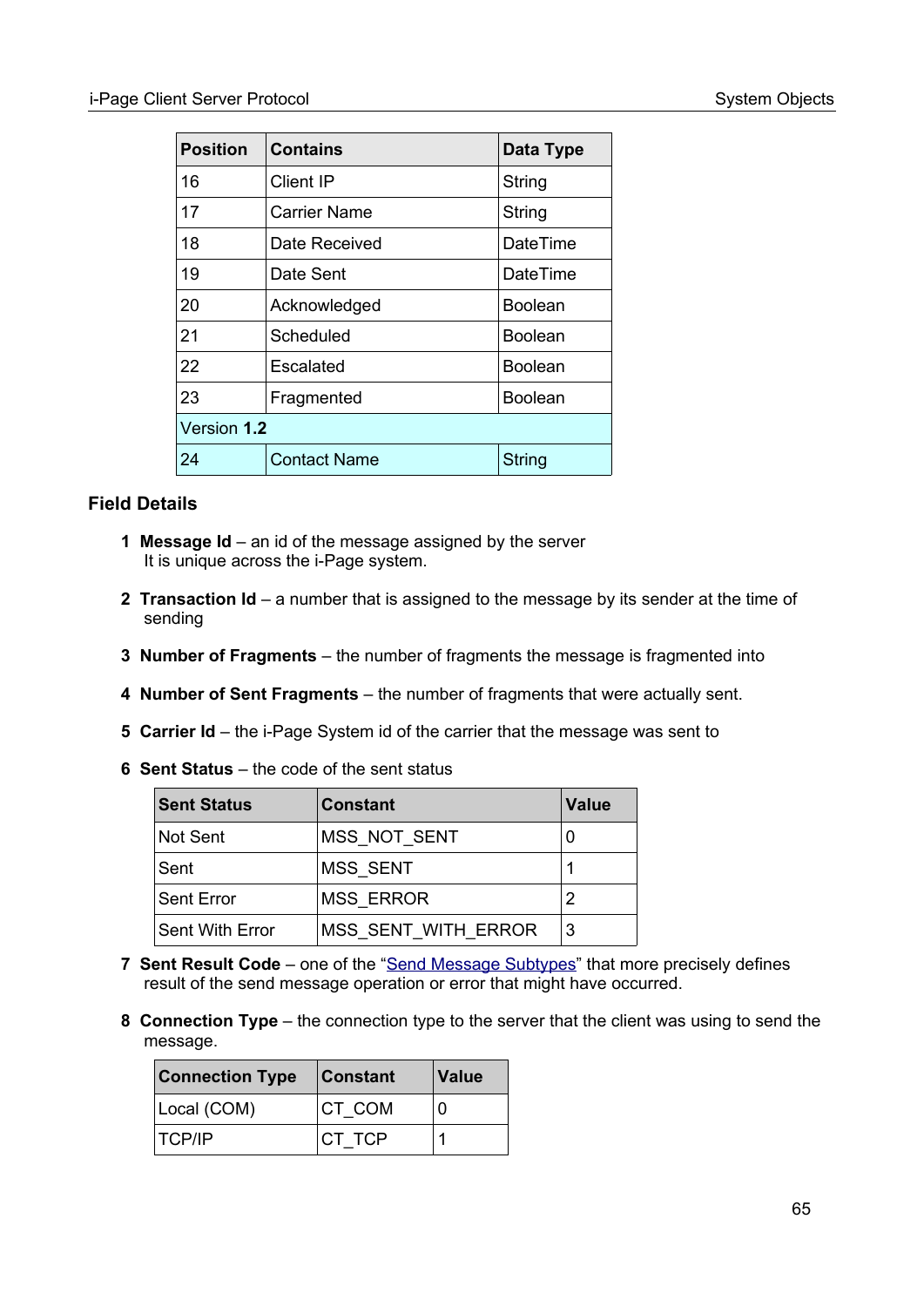| <b>Position</b> | Contains            | Data Type       |  |
|-----------------|---------------------|-----------------|--|
| 16              | Client IP           | String          |  |
| 17              | Carrier Name        | String          |  |
| 18              | Date Received       | <b>DateTime</b> |  |
| 19              | Date Sent           | <b>DateTime</b> |  |
| 20              | Acknowledged        | <b>Boolean</b>  |  |
| 21              | Scheduled           | Boolean         |  |
| 22              | Escalated           | <b>Boolean</b>  |  |
| 23              | Fragmented          | <b>Boolean</b>  |  |
| Version 1.2     |                     |                 |  |
| 24              | <b>Contact Name</b> | <b>String</b>   |  |

#### **Field Details**

- **1 Message Id** an id of the message assigned by the server It is unique across the i-Page system.
- **2 Transaction Id** a number that is assigned to the message by its sender at the time of sending
- **3 Number of Fragments** the number of fragments the message is fragmented into
- **4 Number of Sent Fragments** the number of fragments that were actually sent.
- **5 Carrier Id** the i-Page System id of the carrier that the message was sent to
- **6 Sent Status** the code of the sent status

| <b>Sent Status</b> | <b>Constant</b>     | <b>Value</b> |
|--------------------|---------------------|--------------|
| Not Sent           | MSS NOT SENT        |              |
| Sent               | <b>MSS SENT</b>     |              |
| Sent Error         | <b>MSS ERROR</b>    |              |
| Sent With Error    | MSS SENT WITH ERROR | 3            |

- **7 Sent Result Code** one of the ["Send Message Subtypes](#page-94-0)" that more precisely defines result of the send message operation or error that might have occurred.
- **8 Connection Type** the connection type to the server that the client was using to send the message.

| <b>Connection Type</b> | <b>Constant</b> | <b>Value</b> |
|------------------------|-----------------|--------------|
| Local (COM)            | CT COM          | ∩            |
| <b>TCP/IP</b>          | CT TCP          |              |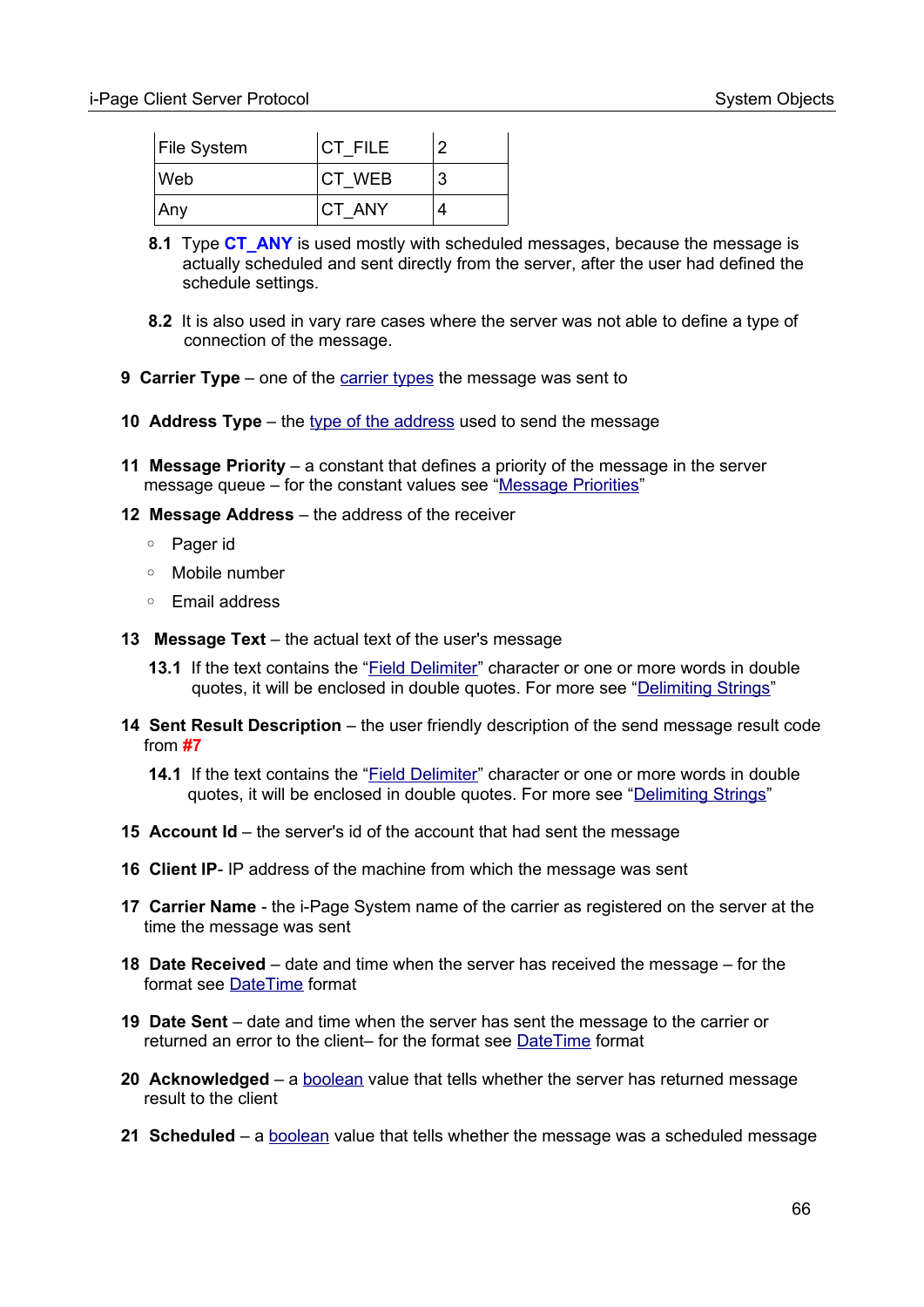| File System | CT FILE | 2 |
|-------------|---------|---|
| ∣Web        | CT WEB  | 3 |
| Any         | CT ANY  |   |

- **8.1** Type **CT\_ANY** is used mostly with scheduled messages, because the message is actually scheduled and sent directly from the server, after the user had defined the schedule settings.
- **8.2** It is also used in vary rare cases where the server was not able to define a type of connection of the message.
- **9 Carrier Type** one of the [carrier types](#page-98-3) the message was sent to
- **10 Address Type** the type of the address used to send the message
- **11 Message Priority** a constant that defines a priority of the message in the server message queue – for the constant values see ["Message Priorities](#page-97-0)"
- **12 Message Address** the address of the receiver
	- Pager id
	- Mobile number
	- Email address
- **13 Message Text** the actual text of the user's message
	- **13.1** If the text contains the "Field Delimiter" character or one or more words in double quotes, it will be enclosed in double quotes. For more see "[Delimiting Strings](#page-108-0)"
- **14 Sent Result Description** the user friendly description of the send message result code from **#7**
	- **14.1** If the text contains the "Field Delimiter" character or one or more words in double quotes, it will be enclosed in double quotes. For more see ["Delimiting Strings](#page-108-0)"
- **15 Account Id** the server's id of the account that had sent the message
- **16 Client IP** IP address of the machine from which the message was sent
- **17 Carrier Name** the i-Page System name of the carrier as registered on the server at the time the message was sent
- **18 Date Received** date and time when the server has received the message for the format see [DateTime](#page-104-1) format
- **19 Date Sent** date and time when the server has sent the message to the carrier or returned an error to the client– for the format see [DateTime](#page-104-1) format
- **20 Acknowledged** a [boolean](#page-103-0) value that tells whether the server has returned message result to the client
- **21 Scheduled** a [boolean](#page-103-0) value that tells whether the message was a scheduled message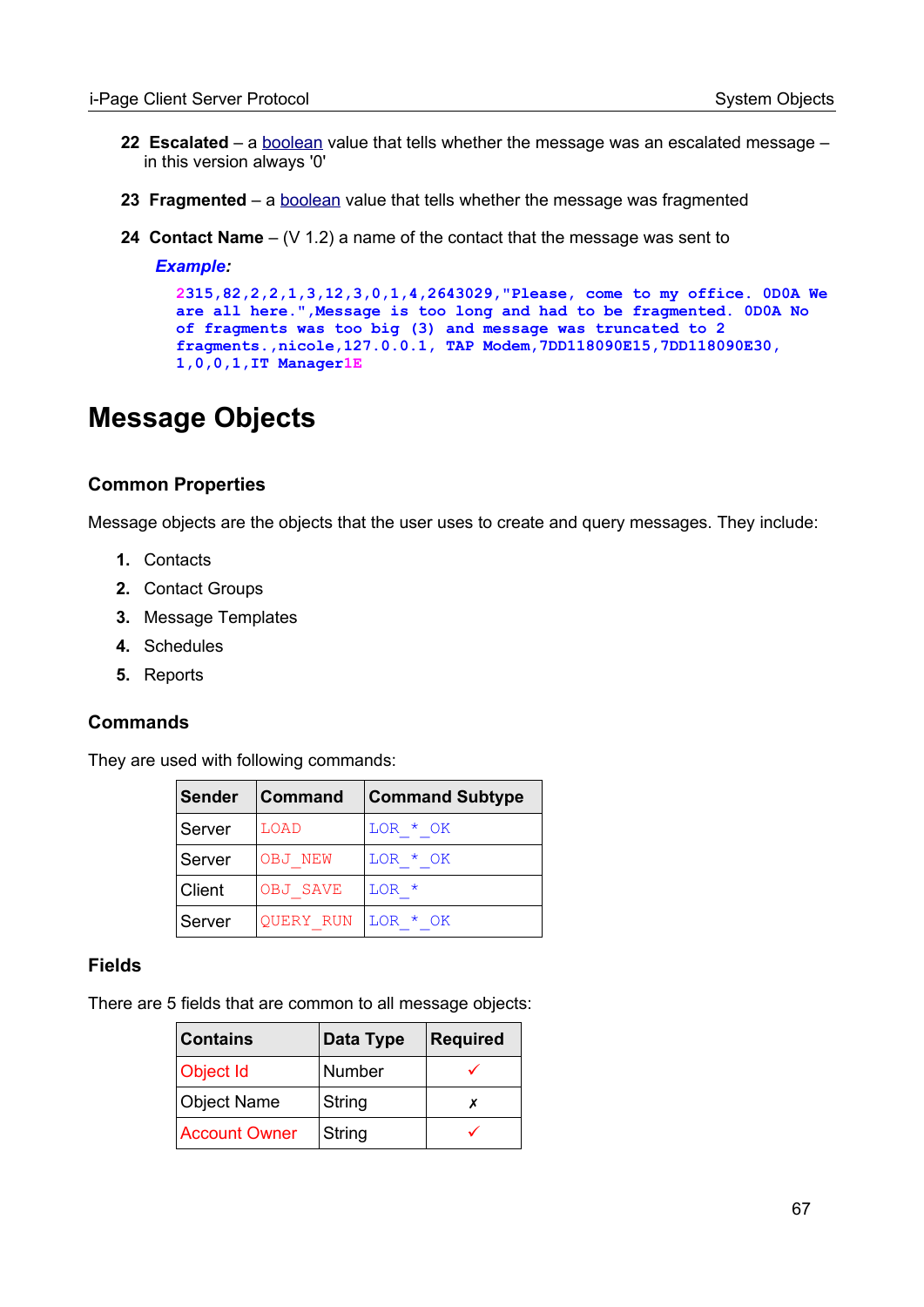- **22 Escalated** a **[boolean](#page-103-0)** value that tells whether the message was an escalated message in this version always '0'
- **23 Fragmented** a **boolean** value that tells whether the message was fragmented
- **24 Contact Name** (V 1.2) a name of the contact that the message was sent to

#### *Example:*

```
2315,82,2,2,1,3,12,3,0,1,4,2643029,"Please, come to my office. 0D0A We
are all here.",Message is too long and had to be fragmented. 0D0A No 
of fragments was too big (3) and message was truncated to 2 
fragments.,nicole,127.0.0.1, TAP Modem,7DD118090E15,7DD118090E30, 
1,0,0,1,IT Manager1E
```
# <span id="page-66-0"></span>**Message Objects**

#### **Common Properties**

Message objects are the objects that the user uses to create and query messages. They include:

- **1.** Contacts
- **2.** Contact Groups
- **3.** Message Templates
- **4.** Schedules
- **5.** Reports

#### **Commands**

They are used with following commands:

| <b>Sender</b> | <b>Command</b>       | <b>Command Subtype</b> |
|---------------|----------------------|------------------------|
| Server        | LOAD                 | LOR * OK               |
| Server        | OBJ NEW              | LOR * OK               |
| Client        | OBJ SAVE             | $LOR$ *                |
| Server        | QUERY RUN   LOR * OK |                        |

#### **Fields**

There are 5 fields that are common to all message objects:

| <b>Contains</b>      | Data Type | <b>Required</b> |
|----------------------|-----------|-----------------|
| Object Id            | Number    |                 |
| Object Name          | String    |                 |
| <b>Account Owner</b> | String    |                 |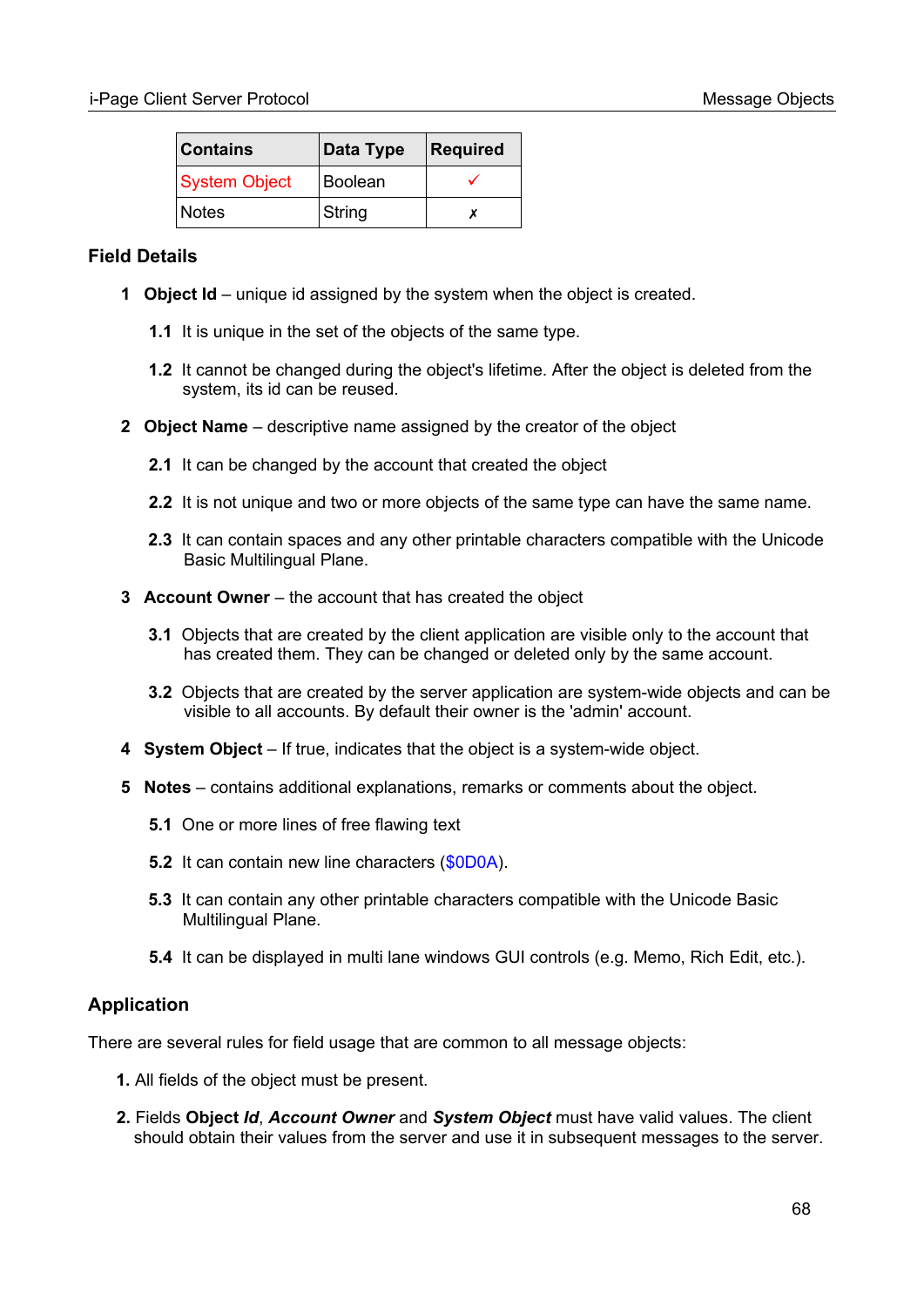| <b>Contains</b> | Data Type      | Required |
|-----------------|----------------|----------|
| System Object   | <b>Boolean</b> |          |
| <b>Notes</b>    | String         |          |

#### **Field Details**

- **1 Object Id** unique id assigned by the system when the object is created.
	- **1.1** It is unique in the set of the objects of the same type.
	- **1.2** It cannot be changed during the object's lifetime. After the object is deleted from the system, its id can be reused.
- **2 Object Name** descriptive name assigned by the creator of the object
	- **2.1** It can be changed by the account that created the object
	- **2.2** It is not unique and two or more objects of the same type can have the same name.
	- **2.3** It can contain spaces and any other printable characters compatible with the Unicode Basic Multilingual Plane.
- **3 Account Owner** the account that has created the object
	- **3.1** Objects that are created by the client application are visible only to the account that has created them. They can be changed or deleted only by the same account.
	- **3.2** Objects that are created by the server application are system-wide objects and can be visible to all accounts. By default their owner is the 'admin' account.
- **4 System Object** If true, indicates that the object is a system-wide object.
- **5 Notes** contains additional explanations, remarks or comments about the object.
	- **5.1** One or more lines of free flawing text
	- **5.2** It can contain new line characters (\$0D0A).
	- **5.3** It can contain any other printable characters compatible with the Unicode Basic Multilingual Plane.
	- **5.4** It can be displayed in multi lane windows GUI controls (e.g. Memo, Rich Edit, etc.).

## **Application**

There are several rules for field usage that are common to all message objects:

- **1.** All fields of the object must be present.
- **2.** Fields **Object** *Id*, *Account Owner* and *System Object* must have valid values. The client should obtain their values from the server and use it in subsequent messages to the server.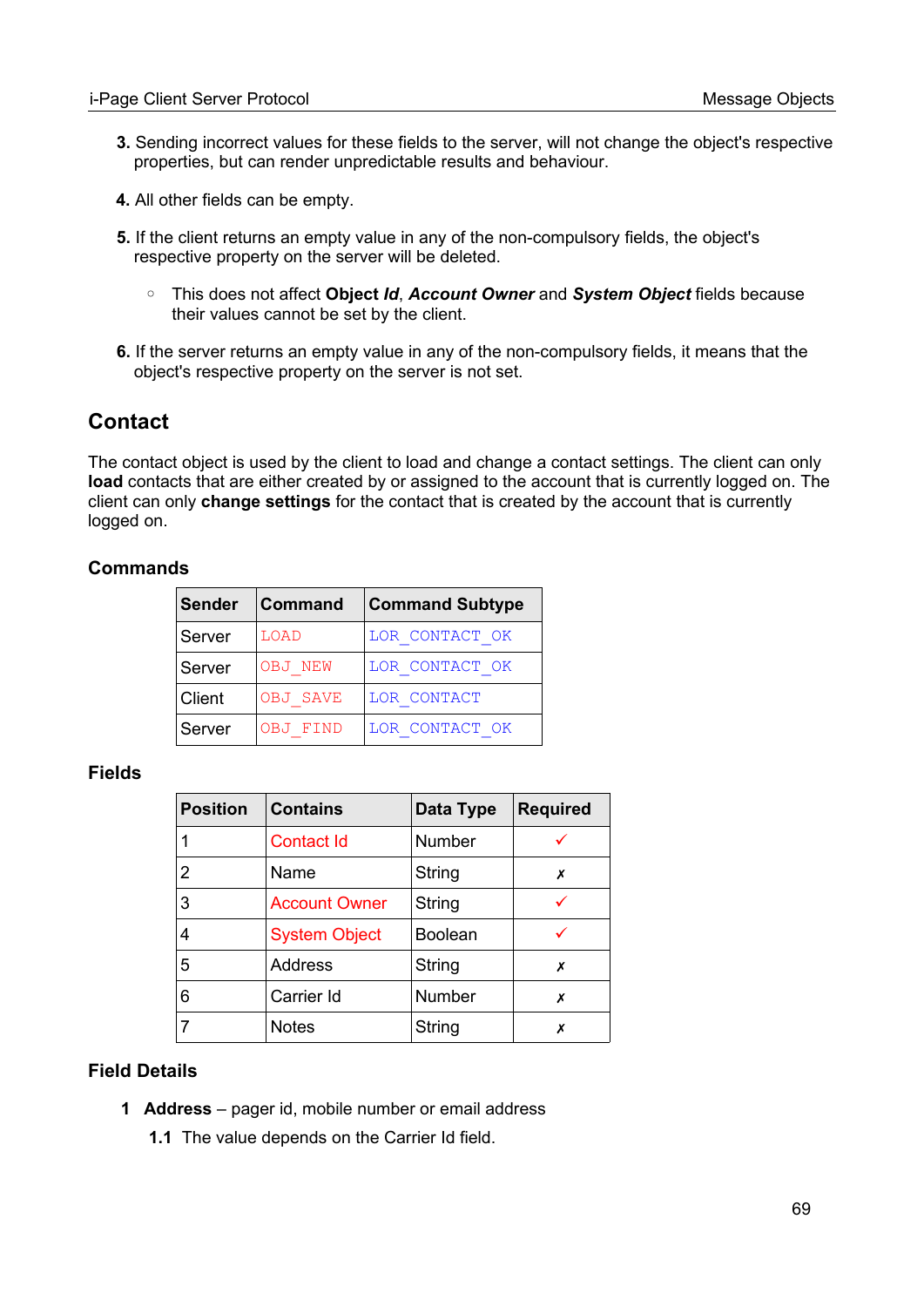- **3.** Sending incorrect values for these fields to the server, will not change the object's respective properties, but can render unpredictable results and behaviour.
- **4.** All other fields can be empty.
- **5.** If the client returns an empty value in any of the non-compulsory fields, the object's respective property on the server will be deleted.
	- This does not affect **Object** *Id*, *Account Owner* and *System Object* fields because their values cannot be set by the client.
- **6.** If the server returns an empty value in any of the non-compulsory fields, it means that the object's respective property on the server is not set.

# **Contact**

The contact object is used by the client to load and change a contact settings. The client can only **load** contacts that are either created by or assigned to the account that is currently logged on. The client can only **change settings** for the contact that is created by the account that is currently logged on.

#### **Commands**

| <b>Sender</b> | <b>Command</b>  | <b>Command Subtype</b> |
|---------------|-----------------|------------------------|
| Server        | LOAD            | LOR CONTACT OK         |
| Server        | OBJ NEW         | LOR CONTACT OK         |
| Client        | <b>OBJ SAVE</b> | LOR CONTACT            |
| Server        | <b>OBJ FIND</b> | LOR CONTACT OK         |

#### **Fields**

| <b>Position</b> | <b>Contains</b>      | Data Type      | <b>Required</b> |
|-----------------|----------------------|----------------|-----------------|
| 1               | Contact Id           | Number         |                 |
| $\overline{2}$  | Name                 | String         | Х               |
| 3               | <b>Account Owner</b> | String         |                 |
| 4               | <b>System Object</b> | <b>Boolean</b> |                 |
| 5               | <b>Address</b>       | String         | х               |
| 6               | Carrier Id           | Number         | х               |
|                 | <b>Notes</b>         | String         | Х               |

#### **Field Details**

- **1 Address** pager id, mobile number or email address
	- **1.1** The value depends on the Carrier Id field.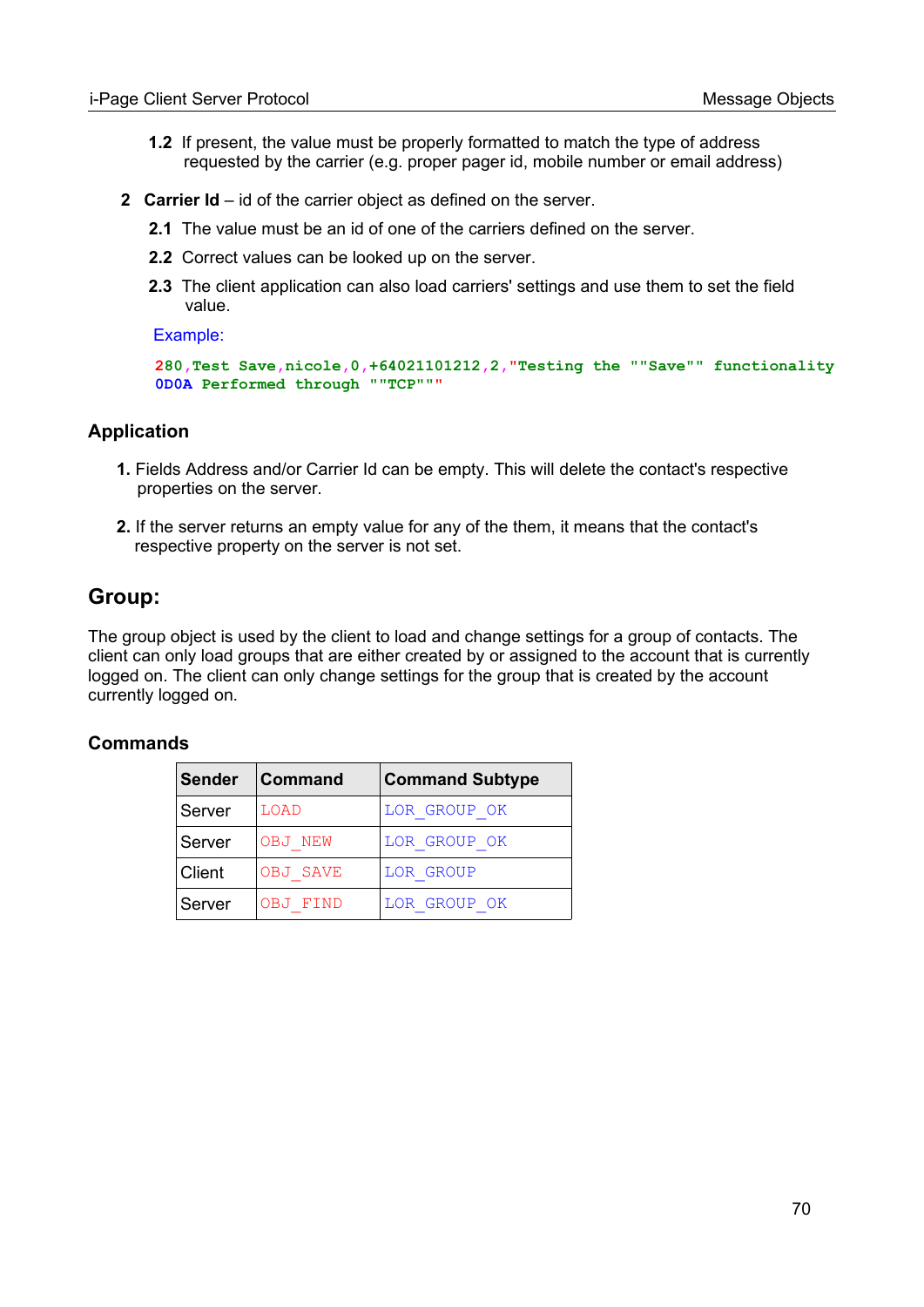- **1.2** If present, the value must be properly formatted to match the type of address requested by the carrier (e.g. proper pager id, mobile number or email address)
- **2 Carrier Id** id of the carrier object as defined on the server.
	- **2.1** The value must be an id of one of the carriers defined on the server.
	- **2.2** Correct values can be looked up on the server.
	- **2.3** The client application can also load carriers' settings and use them to set the field value.

Example:

```
280,Test Save,nicole,0,+64021101212,2,"Testing the ""Save"" functionality
0D0A Performed through ""TCP"""
```
#### **Application**

- **1.** Fields Address and/or Carrier Id can be empty. This will delete the contact's respective properties on the server.
- **2.** If the server returns an empty value for any of the them, it means that the contact's respective property on the server is not set.

#### **Group:**

The group object is used by the client to load and change settings for a group of contacts. The client can only load groups that are either created by or assigned to the account that is currently logged on. The client can only change settings for the group that is created by the account currently logged on.

#### **Commands**

| <b>Sender</b> | <b>Command</b> | <b>Command Subtype</b> |
|---------------|----------------|------------------------|
| Server        | LOAD           | LOR GROUP OK           |
| Server        | OBJ NEW        | LOR GROUP OK           |
| Client        | OBJ SAVE       | LOR GROUP              |
| Server        | OBJ FIND       | LOR GROUP OK           |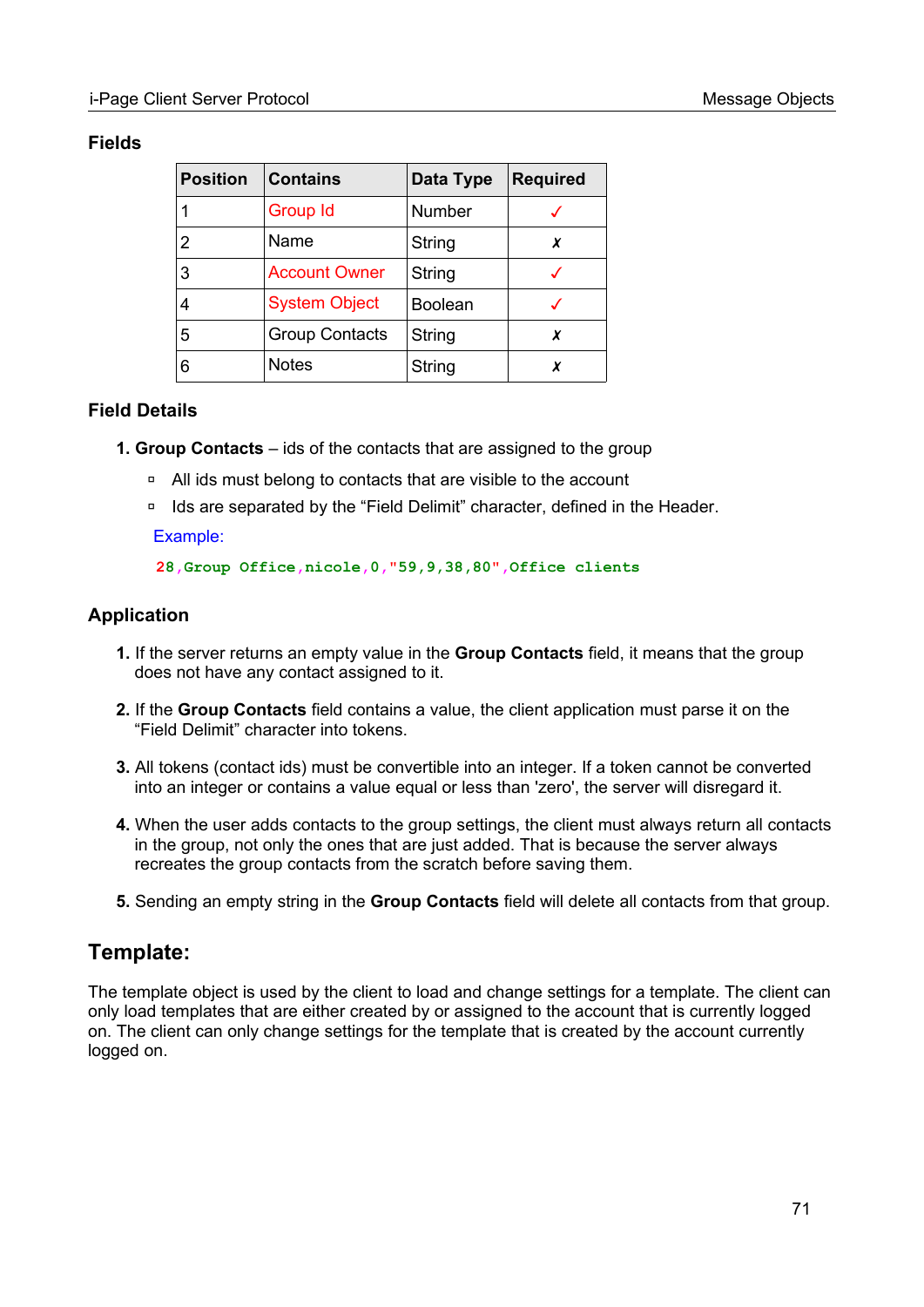#### **Fields**

| <b>Position</b> | <b>Contains</b>       | Data Type      | <b>Required</b> |
|-----------------|-----------------------|----------------|-----------------|
| 1               | Group Id              | Number         |                 |
| 2               | Name                  | String         | x               |
| 3               | <b>Account Owner</b>  | String         |                 |
| 4               | <b>System Object</b>  | <b>Boolean</b> |                 |
| 5               | <b>Group Contacts</b> | String         | X               |
| 6               | <b>Notes</b>          | String         |                 |

#### **Field Details**

- **1. Group Contacts** ids of the contacts that are assigned to the group
	- □ All ids must belong to contacts that are visible to the account
	- □ Ids are separated by the "Field Delimit" character, defined in the Header.

#### Example:

#### **28,Group Office,nicole,0,"59,9,38,80",Office clients**

#### **Application**

- **1.** If the server returns an empty value in the **Group Contacts** field, it means that the group does not have any contact assigned to it.
- **2.** If the **Group Contacts** field contains a value, the client application must parse it on the "Field Delimit" character into tokens.
- **3.** All tokens (contact ids) must be convertible into an integer. If a token cannot be converted into an integer or contains a value equal or less than 'zero', the server will disregard it.
- **4.** When the user adds contacts to the group settings, the client must always return all contacts in the group, not only the ones that are just added. That is because the server always recreates the group contacts from the scratch before saving them.
- **5.** Sending an empty string in the **Group Contacts** field will delete all contacts from that group.

# **Template:**

The template object is used by the client to load and change settings for a template. The client can only load templates that are either created by or assigned to the account that is currently logged on. The client can only change settings for the template that is created by the account currently logged on.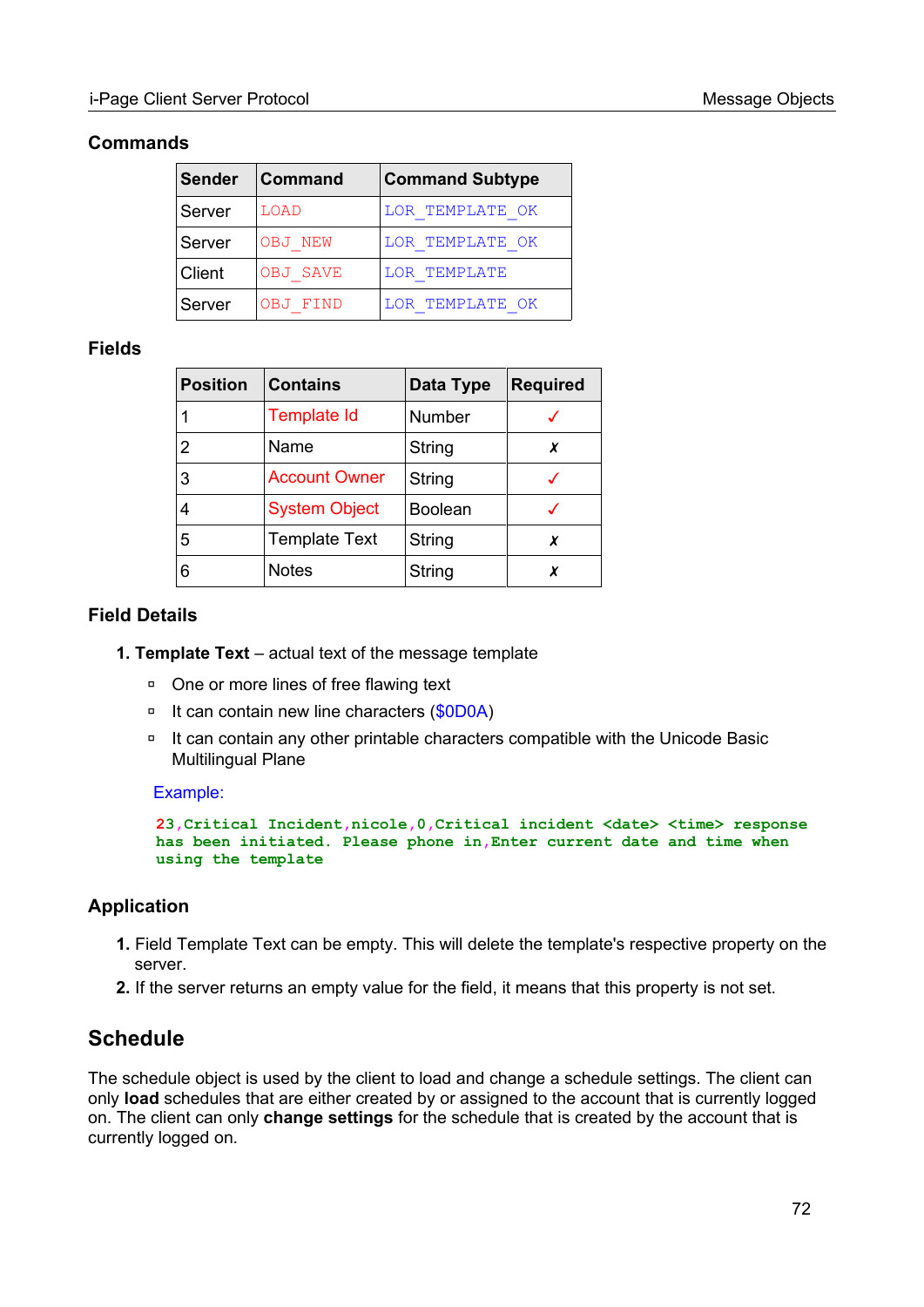#### **Commands**

|        | Sender   Command | <b>Command Subtype</b> |  |
|--------|------------------|------------------------|--|
| Server | LOAD             | LOR TEMPLATE OK        |  |
| Server | OBJ NEW          | LOR TEMPLATE OK        |  |
| Client | <b>OBJ SAVE</b>  | LOR TEMPLATE           |  |
| Server | FIND<br>OBJ 1    | LOR TEMPLATE OK        |  |

#### **Fields**

| <b>Position</b> | <b>Contains</b>      | Data Type      | <b>Required</b> |
|-----------------|----------------------|----------------|-----------------|
|                 | <b>Template Id</b>   | Number         |                 |
| 2               | Name                 | String         | X               |
| 3               | <b>Account Owner</b> | String         |                 |
| 4               | <b>System Object</b> | <b>Boolean</b> |                 |
| 5               | <b>Template Text</b> | String         | x               |
| 6               | <b>Notes</b>         | String         | x               |

#### **Field Details**

- **1. Template Text** actual text of the message template
	- □ One or more lines of free flawing text
	- □ It can contain new line characters (\$0D0A)
	- ◽ It can contain any other printable characters compatible with the Unicode Basic Multilingual Plane

#### Example:

```
23,Critical Incident,nicole,0,Critical incident <date> <time> response 
has been initiated. Please phone in,Enter current date and time when 
using the template
```
#### **Application**

- **1.** Field Template Text can be empty. This will delete the template's respective property on the server.
- **2.** If the server returns an empty value for the field, it means that this property is not set.

# **Schedule**

The schedule object is used by the client to load and change a schedule settings. The client can only **load** schedules that are either created by or assigned to the account that is currently logged on. The client can only **change settings** for the schedule that is created by the account that is currently logged on.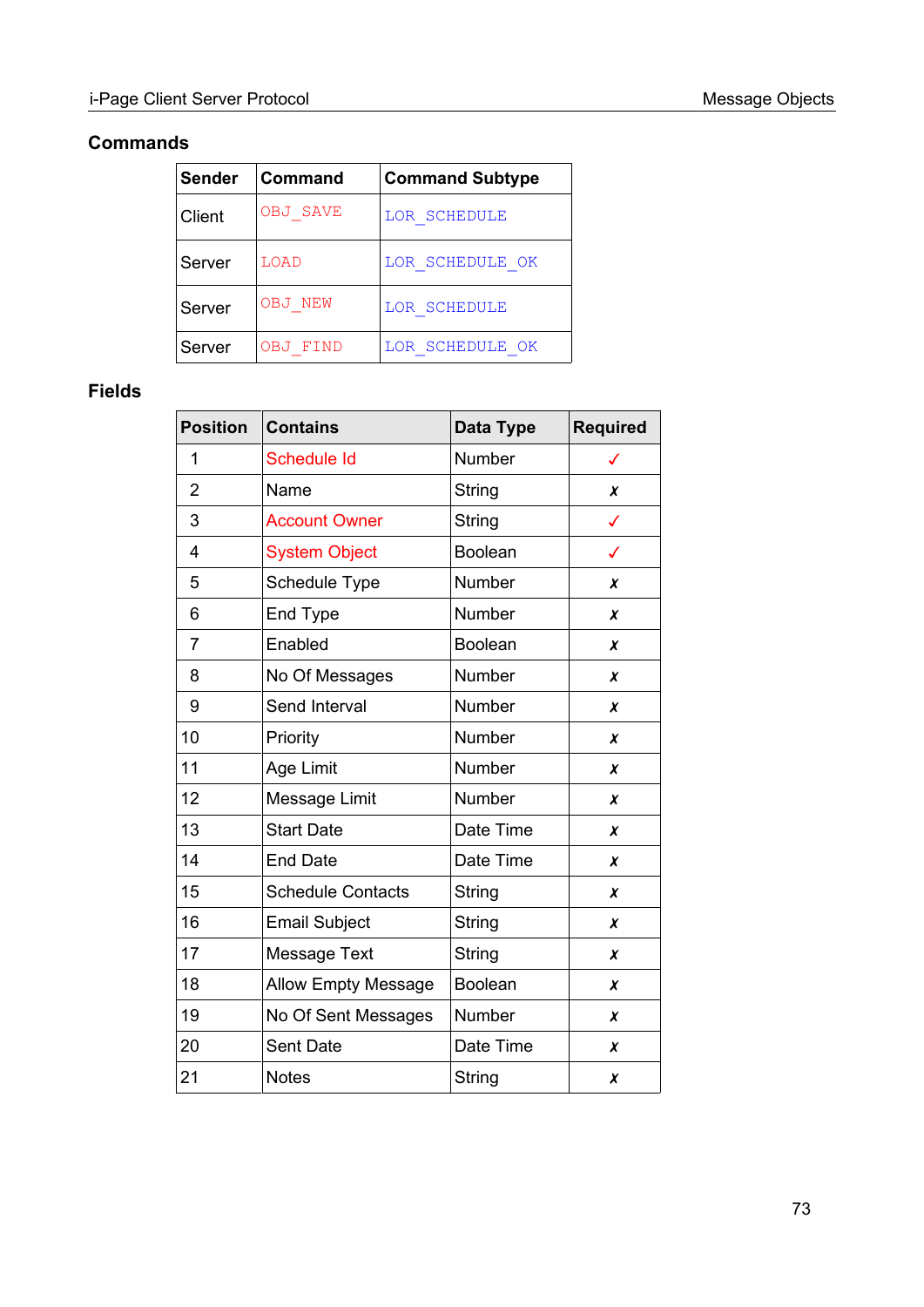### **Commands**

| Sender | <b>Command</b> | <b>Command Subtype</b> |
|--------|----------------|------------------------|
| Client | OBJ SAVE       | LOR SCHEDULE           |
| Server | LOAD           | LOR SCHEDULE OK        |
| Server | OBJ NEW        | LOR SCHEDULE           |
| Server | FTND<br>OBJ    | LOR SCHEDULE OK        |

### **Fields**

| <b>Position</b> | <b>Contains</b>            | Data Type      | <b>Required</b> |
|-----------------|----------------------------|----------------|-----------------|
| 1               | Schedule Id                | Number         | ✓               |
| $\overline{2}$  | Name                       | <b>String</b>  | X               |
| 3               | <b>Account Owner</b>       | String         | ✓               |
| 4               | <b>System Object</b>       | <b>Boolean</b> | ✓               |
| 5               | <b>Schedule Type</b>       | Number         | X               |
| 6               | End Type                   | Number         | X               |
| $\overline{7}$  | Enabled                    | <b>Boolean</b> | $\chi$          |
| 8               | No Of Messages             | Number         | X               |
| 9               | Send Interval              | Number         | X               |
| 10              | Priority                   | Number         | $\pmb{\chi}$    |
| 11              | Age Limit                  | Number         | X               |
| 12              | Message Limit              | Number         | X               |
| 13              | <b>Start Date</b>          | Date Time      | X               |
| 14              | <b>End Date</b>            | Date Time      | X               |
| 15              | <b>Schedule Contacts</b>   | String         | X               |
| 16              | <b>Email Subject</b>       | String         | X               |
| 17              | <b>Message Text</b>        | <b>String</b>  | X               |
| 18              | <b>Allow Empty Message</b> | <b>Boolean</b> | X               |
| 19              | No Of Sent Messages        | Number         | X               |
| 20              | Sent Date                  | Date Time      | $\pmb{\chi}$    |
| 21              | <b>Notes</b>               | String         | X               |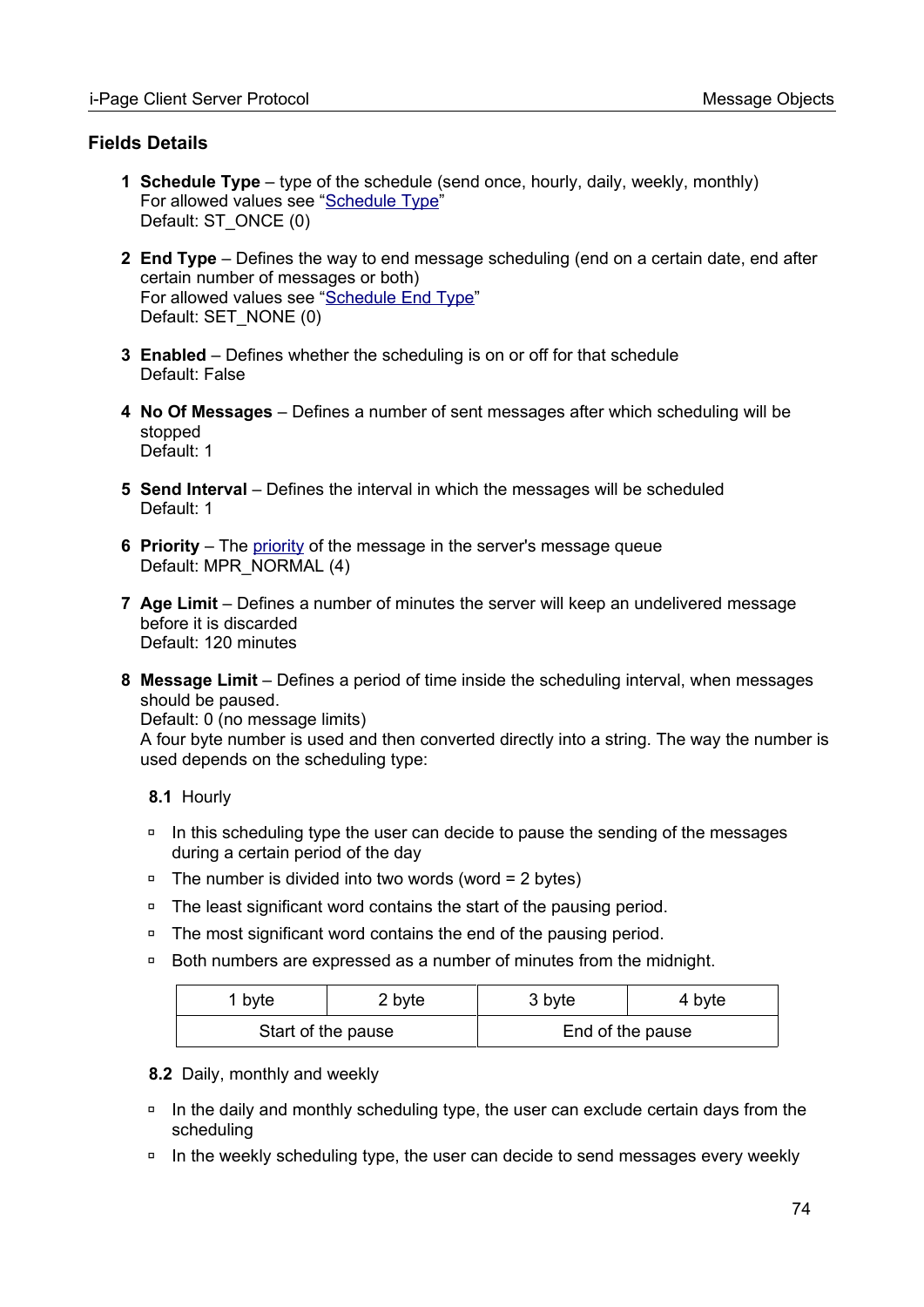#### **Fields Details**

- **1 Schedule Type** type of the schedule (send once, hourly, daily, weekly, monthly) For allowed values see "[Schedule Type](#page-100-1)" Default: ST\_ONCE (0)
- <span id="page-73-2"></span> **2 End Type** – Defines the way to end message scheduling (end on a certain date, end after certain number of messages or both) For allowed values see "[Schedule End Type"](#page-100-0) Default: SET\_NONE (0)
- **3 Enabled** Defines whether the scheduling is on or off for that schedule Default: False
- <span id="page-73-1"></span> **4 No Of Messages** – Defines a number of sent messages after which scheduling will be stopped Default: 1
- <span id="page-73-0"></span> **5 Send Interval** – Defines the interval in which the messages will be scheduled Default: 1
- **6 Priority** The [priority](#page-97-0) of the message in the server's message queue Default: MPR\_NORMAL (4)
- **7 Age Limit** Defines a number of minutes the server will keep an undelivered message before it is discarded Default: 120 minutes
- <span id="page-73-3"></span> **8 Message Limit** – Defines a period of time inside the scheduling interval, when messages should be paused.

Default: 0 (no message limits)

A four byte number is used and then converted directly into a string. The way the number is used depends on the scheduling type:

- **8.1** Hourly
- □ In this scheduling type the user can decide to pause the sending of the messages during a certain period of the day
- $\Box$  The number is divided into two words (word = 2 bytes)
- □ The least significant word contains the start of the pausing period.
- □ The most significant word contains the end of the pausing period.
- □ Both numbers are expressed as a number of minutes from the midnight.

| byte               | 2 byte | 3 byte           | 4 byte |
|--------------------|--------|------------------|--------|
| Start of the pause |        | End of the pause |        |

#### **8.2** Daily, monthly and weekly

- □ In the daily and monthly scheduling type, the user can exclude certain days from the scheduling
- □ In the weekly scheduling type, the user can decide to send messages every weekly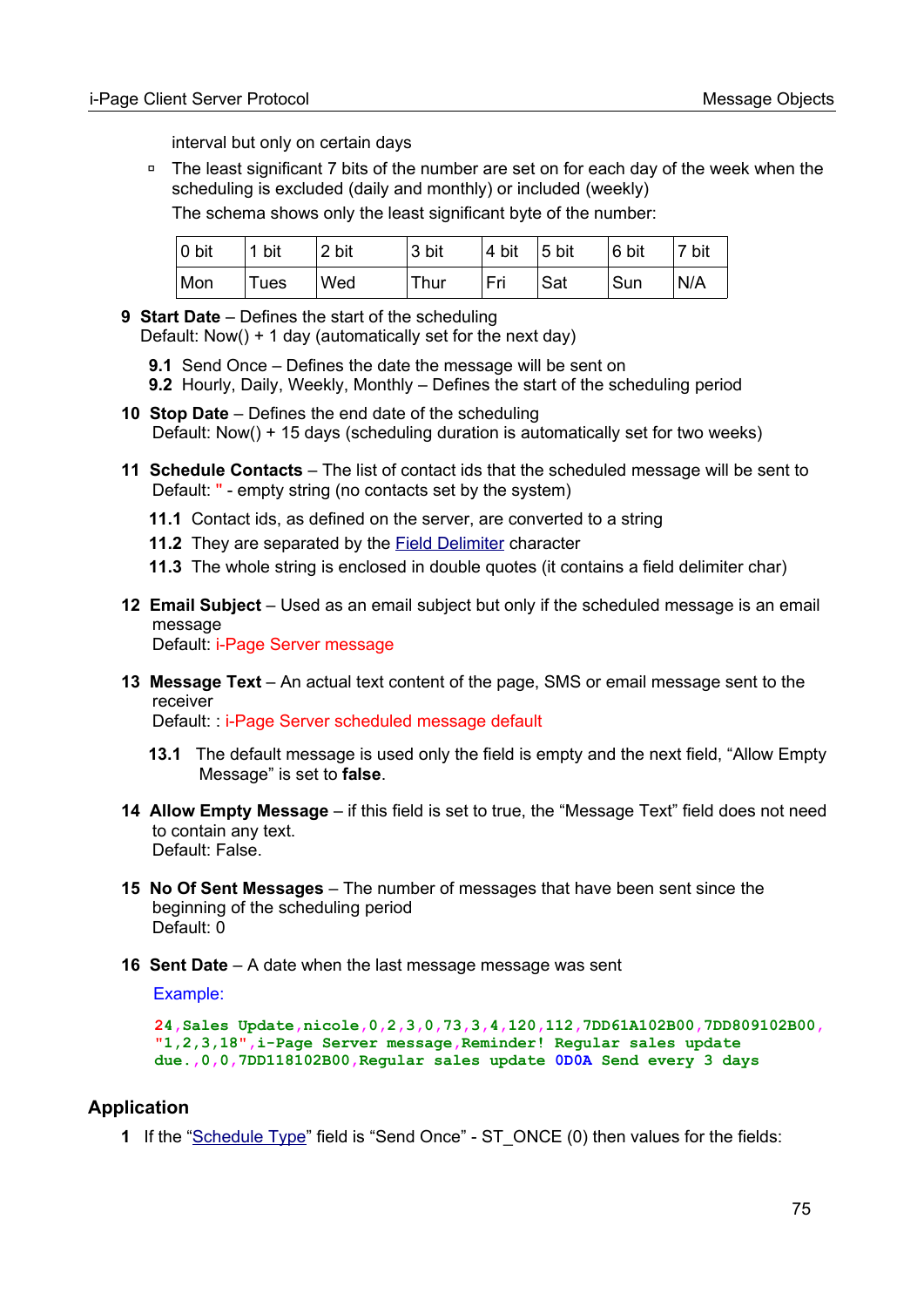interval but only on certain days

◽ The least significant 7 bits of the number are set on for each day of the week when the scheduling is excluded (daily and monthly) or included (weekly)

The schema shows only the least significant byte of the number:

| $ 0 \text{ bit} $ | 1 bit | 2 bit | 3 bit | $ 4 \text{ bit}$ 5 bit |     | $ 6 \text{ bit}$ | 7 bit |
|-------------------|-------|-------|-------|------------------------|-----|------------------|-------|
| Mon               | Tues  | Wed   | Thur  | Fri                    | Sat | Sun              | N/A   |

- <span id="page-74-0"></span> **9 Start Date** – Defines the start of the scheduling Default: Now() + 1 day (automatically set for the next day)
	- **9.1** Send Once Defines the date the message will be sent on
	- **9.2** Hourly, Daily, Weekly, Monthly Defines the start of the scheduling period
- <span id="page-74-1"></span> **10 Stop Date** – Defines the end date of the scheduling Default: Now() + 15 days (scheduling duration is automatically set for two weeks)
- **11 Schedule Contacts** The list of contact ids that the scheduled message will be sent to Default: '' - empty string (no contacts set by the system)
	- **11.1** Contact ids, as defined on the server, are converted to a string
	- **11.2** They are separated by the [Field Delimiter](#page-14-0) character
	- **11.3** The whole string is enclosed in double quotes (it contains a field delimiter char)
- **12 Email Subject** Used as an email subject but only if the scheduled message is an email message Default: i-Page Server message
- **13 Message Text** An actual text content of the page, SMS or email message sent to the receiver

Default: : i-Page Server scheduled message default

- **13.1** The default message is used only the field is empty and the next field, "Allow Empty Message" is set to **false**.
- **14 Allow Empty Message** if this field is set to true, the "Message Text" field does not need to contain any text. Default: False.
- **15 No Of Sent Messages** The number of messages that have been sent since the beginning of the scheduling period Default: 0
- **16 Sent Date** A date when the last message message was sent

Example:

```
24,Sales Update,nicole,0,2,3,0,73,3,4,120,112,7DD61A102B00,7DD809102B00, 
"1,2,3,18",i-Page Server message,Reminder! Regular sales update 
due.,0,0,7DD118102B00,Regular sales update 0D0A Send every 3 days
```
#### **Application**

 **1** If the ["Schedule Type](#page-100-1)" field is "Send Once" - ST\_ONCE (0) then values for the fields: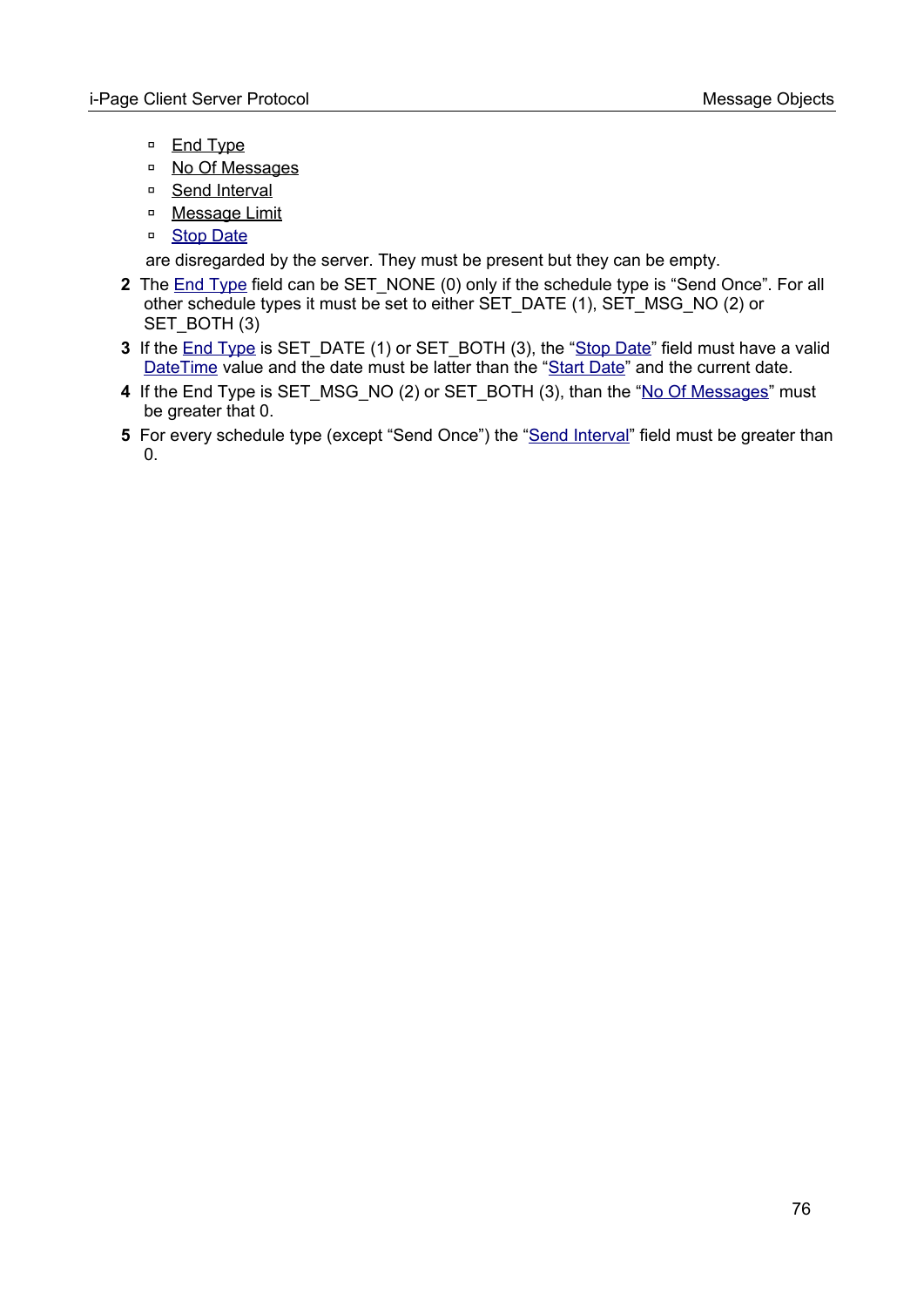- □ [End Type](#page-73-2)
- □ [No Of Messages](#page-73-1)
- □ [Send Interval](#page-73-0)
- ◽ [Message Limit](#page-73-3)
- □ [Stop Date](#page-74-1)

are disregarded by the server. They must be present but they can be empty.

- **2** The [End Type](#page-73-2) field can be SET\_NONE (0) only if the schedule type is "Send Once". For all other schedule types it must be set to either SET\_DATE (1), SET\_MSG\_NO (2) or SET\_BOTH (3)
- **3** If the [End Type](#page-73-2) is SET DATE (1) or SET\_BOTH (3), the "[Stop Date"](#page-74-1) field must have a valid [DateTime](#page-104-0) value and the date must be latter than the ["Start Date"](#page-74-0) and the current date.
- **4** If the End Type is SET\_MSG\_NO (2) or SET\_BOTH (3), than the ["No Of Messages](#page-73-1)" must be greater that 0.
- **5** For every schedule type (except "Send Once") the "[Send Interval"](#page-73-0) field must be greater than 0.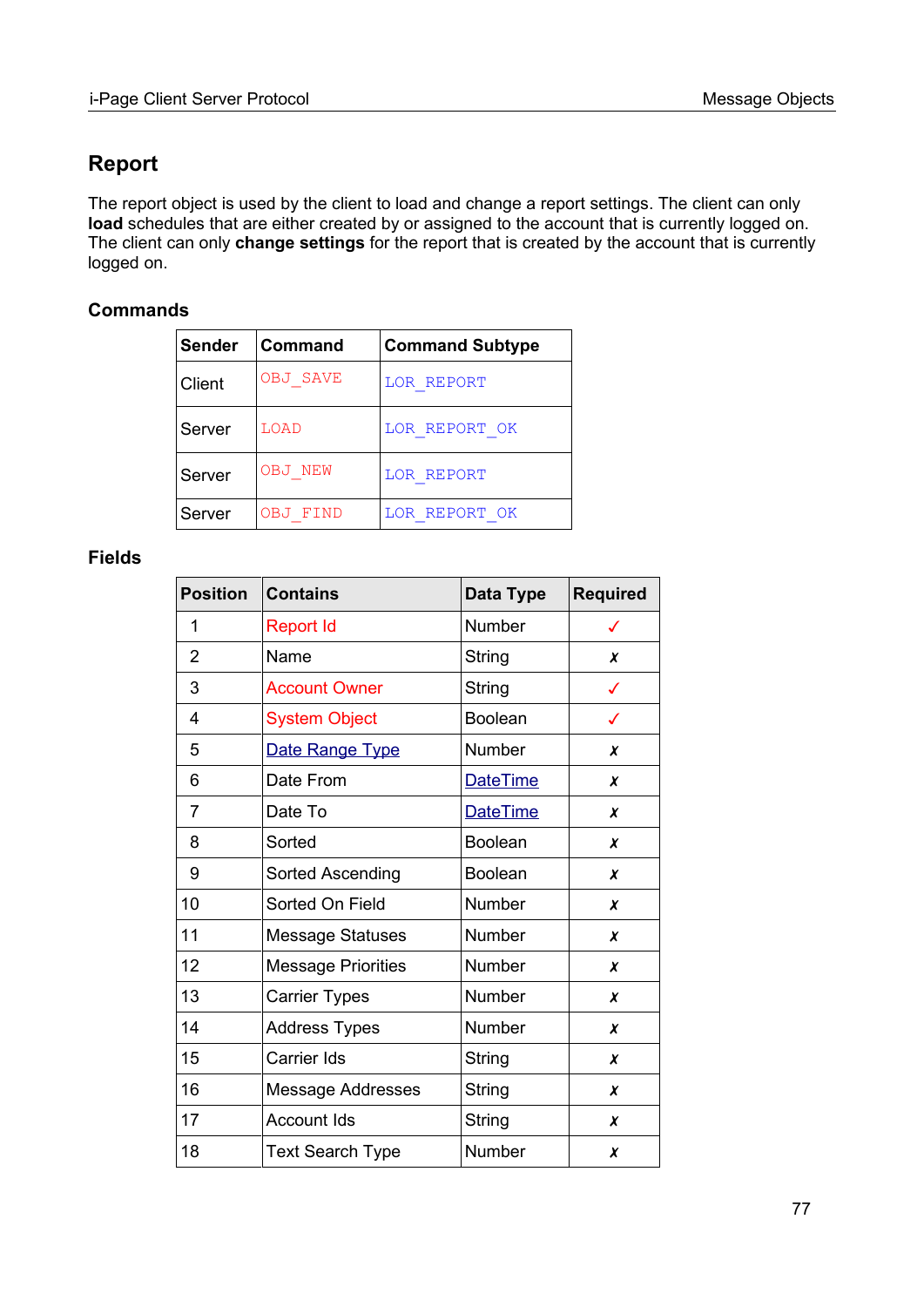## **Report**

The report object is used by the client to load and change a report settings. The client can only **load** schedules that are either created by or assigned to the account that is currently logged on. The client can only **change settings** for the report that is created by the account that is currently logged on.

#### **Commands**

| Sender | ∣Command                      | <b>Command Subtype</b> |
|--------|-------------------------------|------------------------|
| Client | <b>OBJ SAVE</b><br>LOR REPORT |                        |
| Server | LOAD                          | LOR REPORT OK          |
| Server | OBJ NEW                       | LOR REPORT             |
| Server | OBJ FIND                      | LOR REPORT OK          |

#### **Fields**

| <b>Position</b> | <b>Contains</b>           | Data Type       | <b>Required</b> |
|-----------------|---------------------------|-----------------|-----------------|
| 1               | <b>Report Id</b>          | Number          | ✓               |
| 2               | Name                      | String          | X               |
| 3               | <b>Account Owner</b>      | String          | $\checkmark$    |
| 4               | <b>System Object</b>      | <b>Boolean</b>  | ✓               |
| 5               | Date Range Type           | Number          | X               |
| 6               | Date From                 | <b>DateTime</b> | X               |
| 7               | Date To                   | DateTime        | X               |
| 8               | Sorted                    | <b>Boolean</b>  | X               |
| 9               | Sorted Ascending          | <b>Boolean</b>  | X               |
| 10              | Sorted On Field           | Number          | X               |
| 11              | <b>Message Statuses</b>   | <b>Number</b>   | X               |
| 12              | <b>Message Priorities</b> | Number          | X               |
| 13              | <b>Carrier Types</b>      | Number          | $\pmb{\chi}$    |
| 14              | <b>Address Types</b>      | Number          | X               |
| 15              | Carrier Ids               | String          | X               |
| 16              | <b>Message Addresses</b>  | String          | X               |
| 17              | <b>Account Ids</b>        | String          | X               |
| 18              | <b>Text Search Type</b>   | Number          | X               |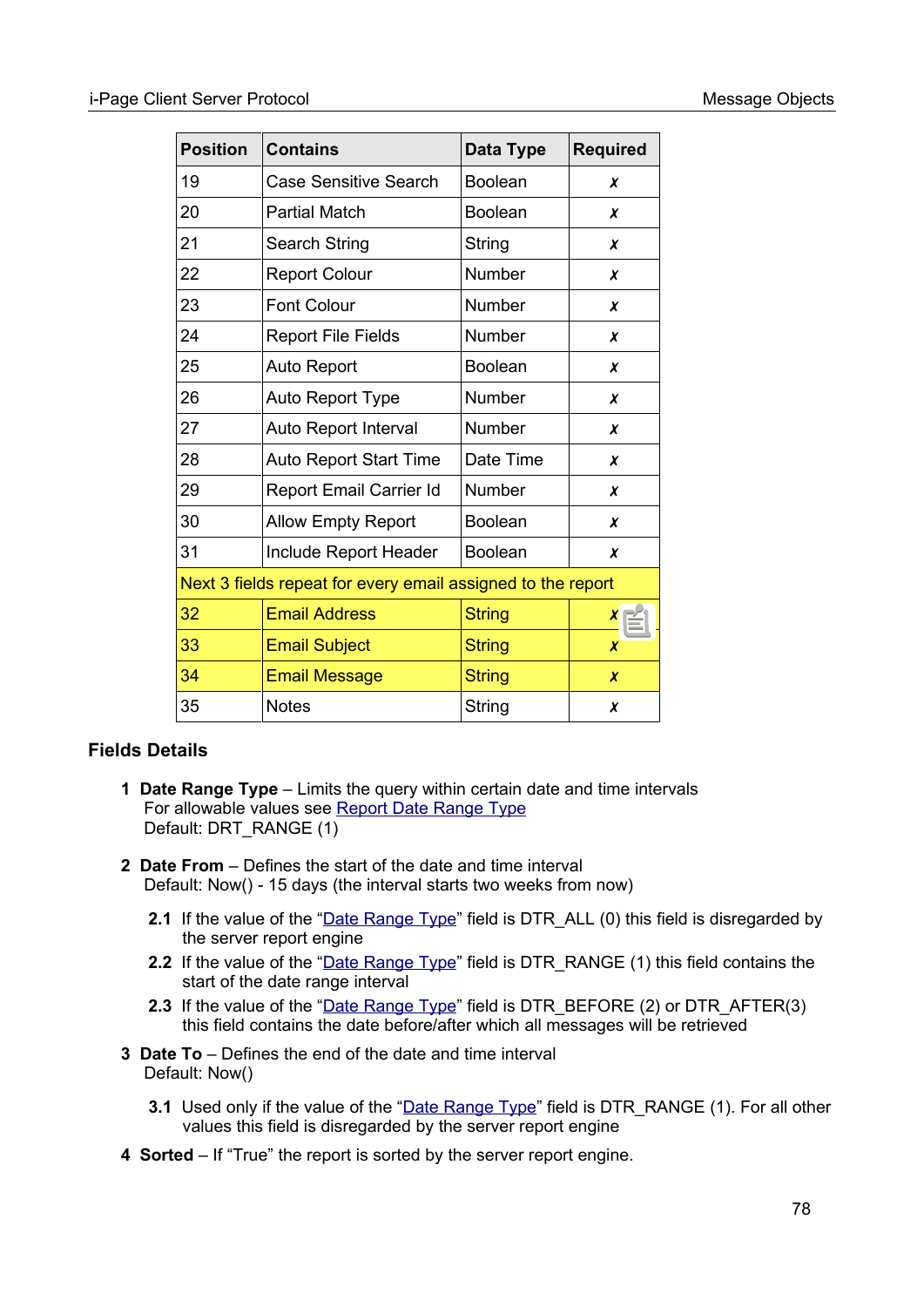| <b>Position</b>                                             | <b>Contains</b>               | Data Type      | <b>Required</b>  |
|-------------------------------------------------------------|-------------------------------|----------------|------------------|
| 19                                                          | <b>Case Sensitive Search</b>  | <b>Boolean</b> | x                |
| 20                                                          | <b>Partial Match</b>          | <b>Boolean</b> | X                |
| 21                                                          | <b>Search String</b>          | String         | X                |
| 22                                                          | <b>Report Colour</b>          | Number         | X                |
| 23                                                          | <b>Font Colour</b>            | Number         | X                |
| 24                                                          | <b>Report File Fields</b>     | Number         | X                |
| 25                                                          | <b>Auto Report</b>            | <b>Boolean</b> | X                |
| 26                                                          | <b>Auto Report Type</b>       | <b>Number</b>  | X                |
| 27                                                          | Auto Report Interval          | Number         | X                |
| 28                                                          | <b>Auto Report Start Time</b> | Date Time      | x                |
| 29                                                          | Report Email Carrier Id       | Number         | x                |
| 30                                                          | <b>Allow Empty Report</b>     | <b>Boolean</b> | χ                |
| 31                                                          | Include Report Header         | <b>Boolean</b> | x                |
| Next 3 fields repeat for every email assigned to the report |                               |                |                  |
| 32                                                          | <b>Email Address</b>          | <b>String</b>  | x                |
| 33                                                          | <b>Email Subject</b>          | <b>String</b>  | $\boldsymbol{x}$ |
| 34                                                          | <b>Email Message</b>          | <b>String</b>  | X                |
| 35                                                          | <b>Notes</b>                  | String         | X                |

#### **Fields Details**

- <span id="page-77-0"></span> **1 Date Range Type** – Limits the query within certain date and time intervals For allowable values see [Report Date Range Type](#page-100-2) Default: DRT\_RANGE (1)
- **2 Date From** Defines the start of the date and time interval Default: Now() - 15 days (the interval starts two weeks from now)
	- **2.1** If the value of the ["Date Range Type](#page-77-0)" field is DTR ALL (0) this field is disregarded by the server report engine
	- 2.2 If the value of the ["Date Range Type](#page-77-0)" field is DTR\_RANGE (1) this field contains the start of the date range interval
	- **2.3** If the value of the ["Date Range Type](#page-77-0)" field is DTR BEFORE (2) or DTR AFTER(3) this field contains the date before/after which all messages will be retrieved
- **3 Date To** Defines the end of the date and time interval Default: Now()
	- **3.1** Used only if the value of the ["Date Range Type"](#page-77-0) field is DTR\_RANGE (1). For all other values this field is disregarded by the server report engine
- <span id="page-77-1"></span> **4 Sorted** – If "True" the report is sorted by the server report engine.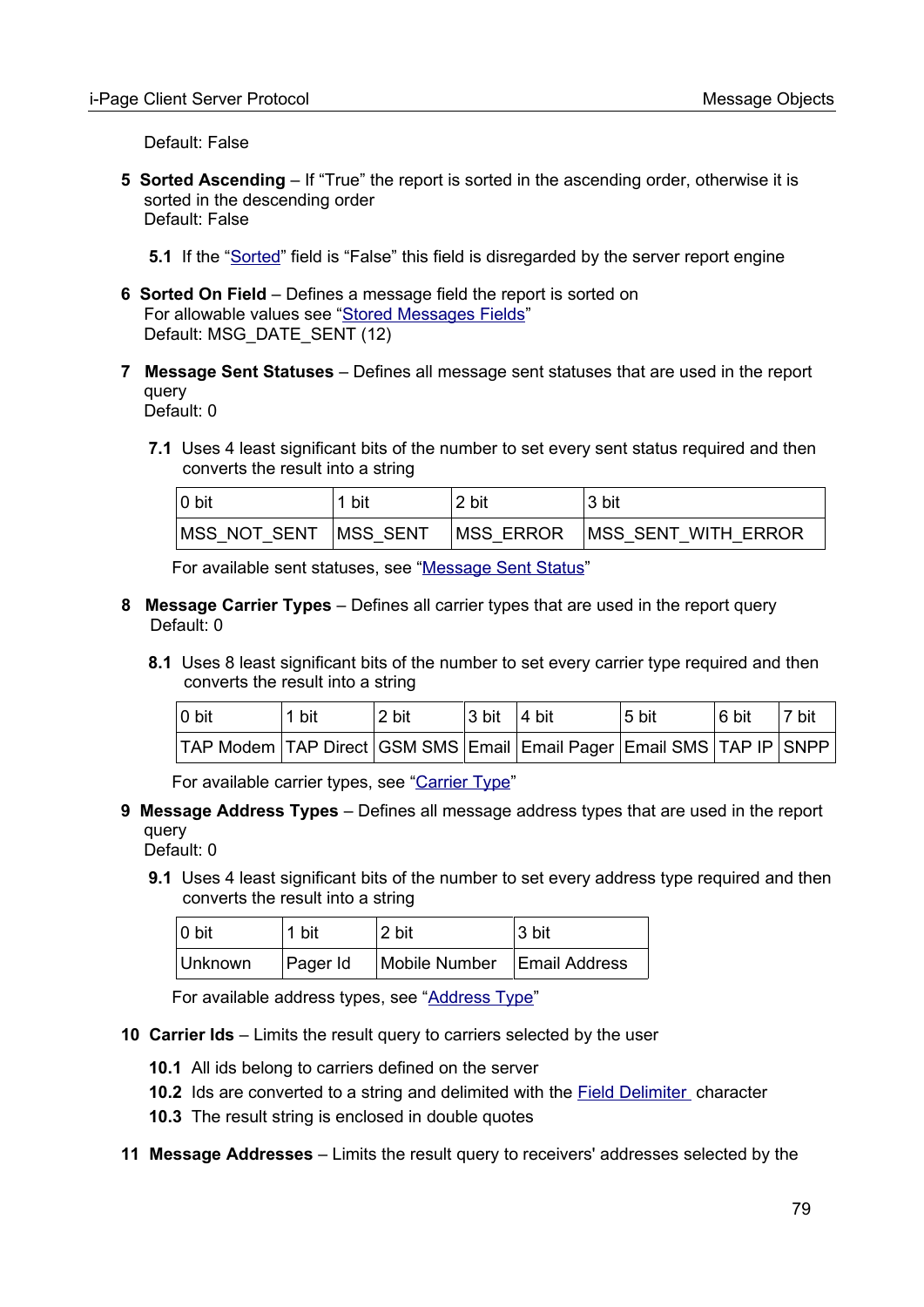Default: False

**5 Sorted Ascending** – If "True" the report is sorted in the ascending order, otherwise it is sorted in the descending order Default: False

**5.1** If the ["Sorted"](#page-77-1) field is "False" this field is disregarded by the server report engine

- **6 Sorted On Field** Defines a message field the report is sorted on For allowable values see ["Stored Messages Fields"](#page-100-3) Default: MSG\_DATE\_SENT (12)
- **7 Message Sent Statuses** Defines all message sent statuses that are used in the report query

Default: 0

 **7.1** Uses 4 least significant bits of the number to set every sent status required and then converts the result into a string

| $ 0 \text{ bit}$       | bit | 2 bit             | 3 bit                |
|------------------------|-----|-------------------|----------------------|
| MSS NOT SENT  MSS SENT |     | <b>IMSS ERROR</b> | IMSS SENT WITH ERROR |

For available sent statuses, see ["Message Sent Status"](#page-101-0)

- **8 Message Carrier Types** Defines all carrier types that are used in the report query Default: 0
	- **8.1** Uses 8 least significant bits of the number to set every carrier type required and then converts the result into a string

| $ 0 \text{ bit} $                                                                  | 1 bit | 2 bit | $3 \text{ bit}$ 4 bit | 5 bit | 6 bit | 7 bit |
|------------------------------------------------------------------------------------|-------|-------|-----------------------|-------|-------|-------|
| TAP Modem   TAP Direct   GSM SMS   Email   Email Pager   Email SMS   TAP IP   SNPP |       |       |                       |       |       |       |

For available carrier types, see "[Carrier Type](#page-98-0)"

- **9 Message Address Types** Defines all message address types that are used in the report query
	- Default: 0
	- **9.1** Uses 4 least significant bits of the number to set every address type required and then converts the result into a string

| $ 0 \text{ bit} $ | 1 bit    | 2 bit         | ∣3 bit        |
|-------------------|----------|---------------|---------------|
| Unknown           | Pager Id | Mobile Number | Email Address |

For available address types, see "[Address Type"](#page-97-1)

- **10 Carrier Ids** Limits the result query to carriers selected by the user
	- **10.1** All ids belong to carriers defined on the server
	- **10.2** Ids are converted to a string and delimited with the **Field Delimiter** character
	- **10.3** The result string is enclosed in double quotes
- **11 Message Addresses** Limits the result query to receivers' addresses selected by the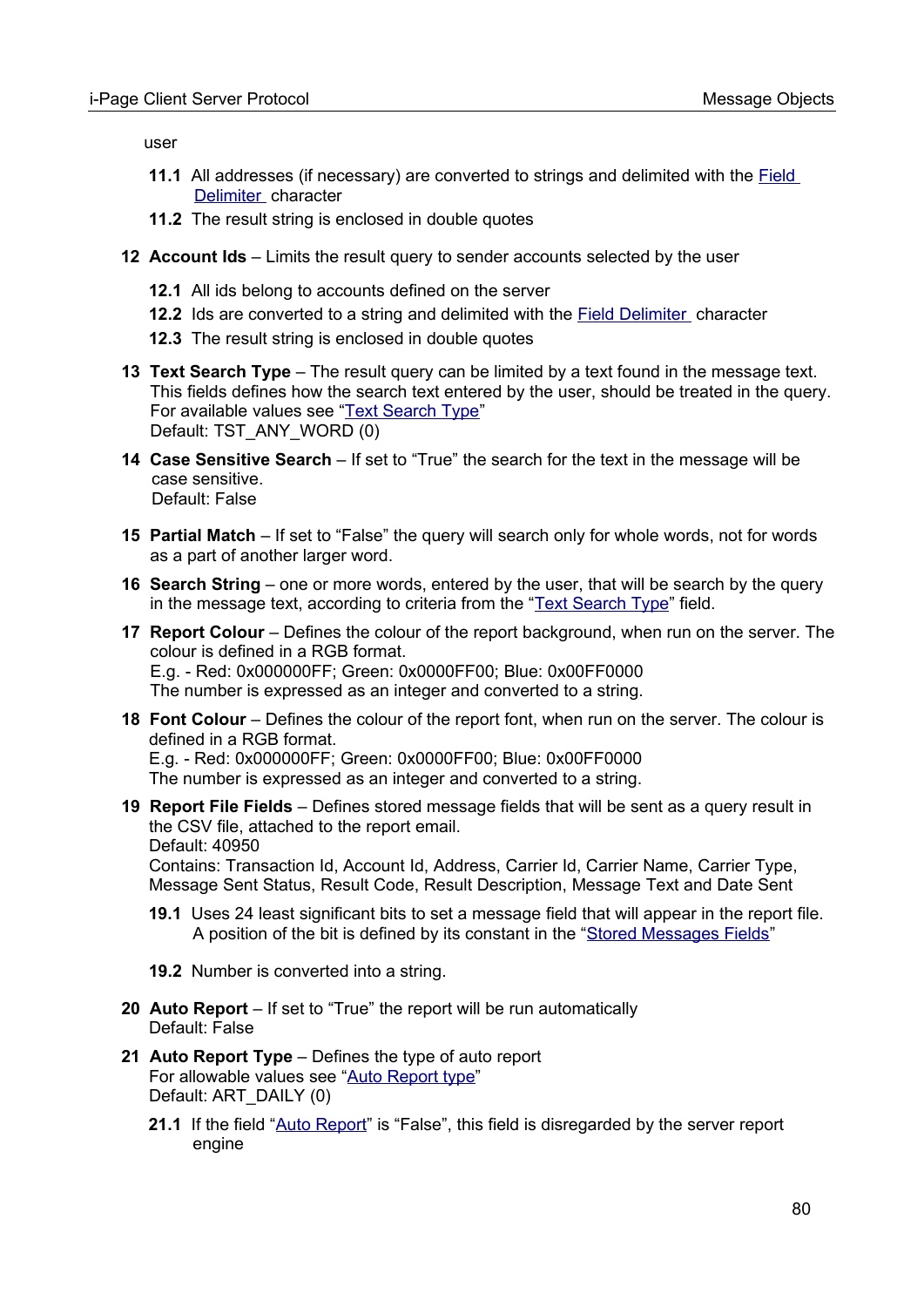user

- **11.1** All addresses (if necessary) are converted to strings and delimited with the **Field** [Delimiter](#page-14-0) character
- **11.2** The result string is enclosed in double quotes
- **12 Account Ids** Limits the result query to sender accounts selected by the user
	- **12.1** All ids belong to accounts defined on the server
	- **12.2** Ids are converted to a string and delimited with the [Field Delimiter](#page-14-0) character
	- **12.3** The result string is enclosed in double quotes
- <span id="page-79-1"></span>**13 Text Search Type** – The result query can be limited by a text found in the message text. This fields defines how the search text entered by the user, should be treated in the query. For available values see ["Text Search Type](#page-101-1)" Default: TST\_ANY\_WORD (0)
- **14 Case Sensitive Search** If set to "True" the search for the text in the message will be case sensitive. Default: False
- **15 Partial Match** If set to "False" the query will search only for whole words, not for words as a part of another larger word.
- **16 Search String** one or more words, entered by the user, that will be search by the query in the message text, according to criteria from the ["Text Search Type](#page-79-1)" field.
- **17 Report Colour** Defines the colour of the report background, when run on the server. The colour is defined in a RGB format. E.g. - Red: 0x000000FF; Green: 0x0000FF00; Blue: 0x00FF0000 The number is expressed as an integer and converted to a string.
- **18 Font Colour** Defines the colour of the report font, when run on the server. The colour is defined in a RGB format.

E.g. - Red: 0x000000FF; Green: 0x0000FF00; Blue: 0x00FF0000 The number is expressed as an integer and converted to a string.

- **19 Report File Fields** Defines stored message fields that will be sent as a query result in the CSV file, attached to the report email. Default: 40950 Contains: Transaction Id, Account Id, Address, Carrier Id, Carrier Name, Carrier Type, Message Sent Status, Result Code, Result Description, Message Text and Date Sent
	- **19.1** Uses 24 least significant bits to set a message field that will appear in the report file. A position of the bit is defined by its constant in the "[Stored Messages Fields](#page-100-3)"
	- **19.2** Number is converted into a string.
- <span id="page-79-0"></span> **20 Auto Report** – If set to "True" the report will be run automatically Default: False
- **21 Auto Report Type** Defines the type of auto report For allowable values see "[Auto Report type](#page-102-0)" Default: ART\_DAILY (0)
	- **21.1** If the field "[Auto Report](#page-79-0)" is "False", this field is disregarded by the server report engine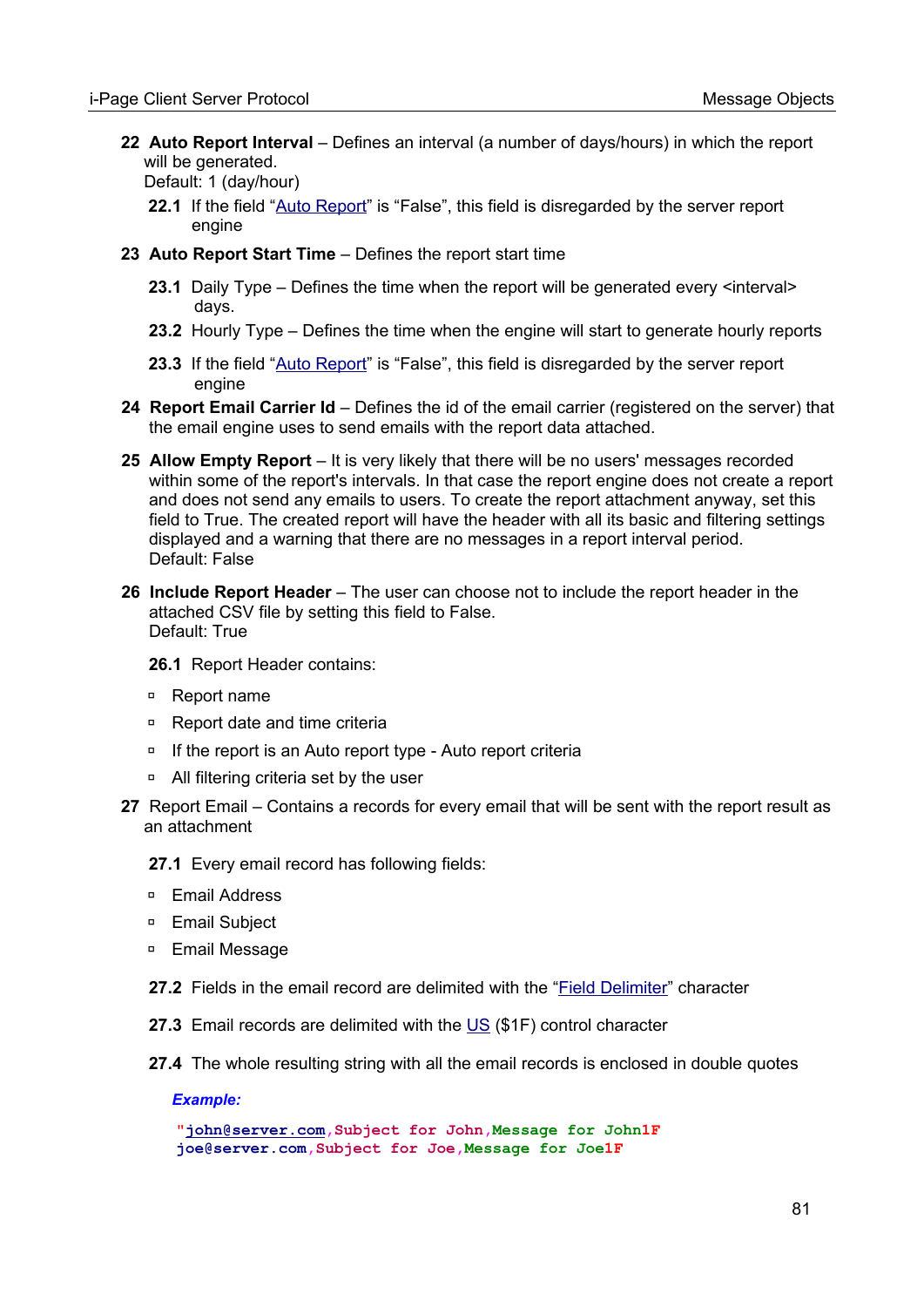- **22 Auto Report Interval** Defines an interval (a number of days/hours) in which the report will be generated. Default: 1 (day/hour)
	- **22.1** If the field "[Auto Report](#page-79-0)" is "False", this field is disregarded by the server report engine
- **23 Auto Report Start Time** Defines the report start time
	- **23.1** Daily Type Defines the time when the report will be generated every <interval> days.
	- **23.2** Hourly Type Defines the time when the engine will start to generate hourly reports
	- 23.3 If the field "[Auto Report](#page-79-0)" is "False", this field is disregarded by the server report engine
- **24 Report Email Carrier Id** Defines the id of the email carrier (registered on the server) that the email engine uses to send emails with the report data attached.
- **25 Allow Empty Report** It is very likely that there will be no users' messages recorded within some of the report's intervals. In that case the report engine does not create a report and does not send any emails to users. To create the report attachment anyway, set this field to True. The created report will have the header with all its basic and filtering settings displayed and a warning that there are no messages in a report interval period. Default: False
- **26 Include Report Header** The user can choose not to include the report header in the attached CSV file by setting this field to False. Default: True
	- **26.1** Report Header contains:
	- ◽ Report name
	- ◽ Report date and time criteria
	- □ If the report is an Auto report type Auto report criteria
	- □ All filtering criteria set by the user
- **27** Report Email Contains a records for every email that will be sent with the report result as an attachment
	- **27.1** Every email record has following fields:
	- ◽ Email Address
	- ◽ Email Subject
	- ◽ Email Message
	- **27.2** Fields in the email record are delimited with the "[Field Delimiter](#page-14-0)" character
	- **27.3** Email records are delimited with the [US](#page-96-0) (\$1F) control character
	- **27.4** The whole resulting string with all the email records is enclosed in double quotes

*Example:*

**["john@server.com](mailto:john@server.com),Subject for John,Message for John1F joe@server.com,Subject for Joe,Message for Joe1F**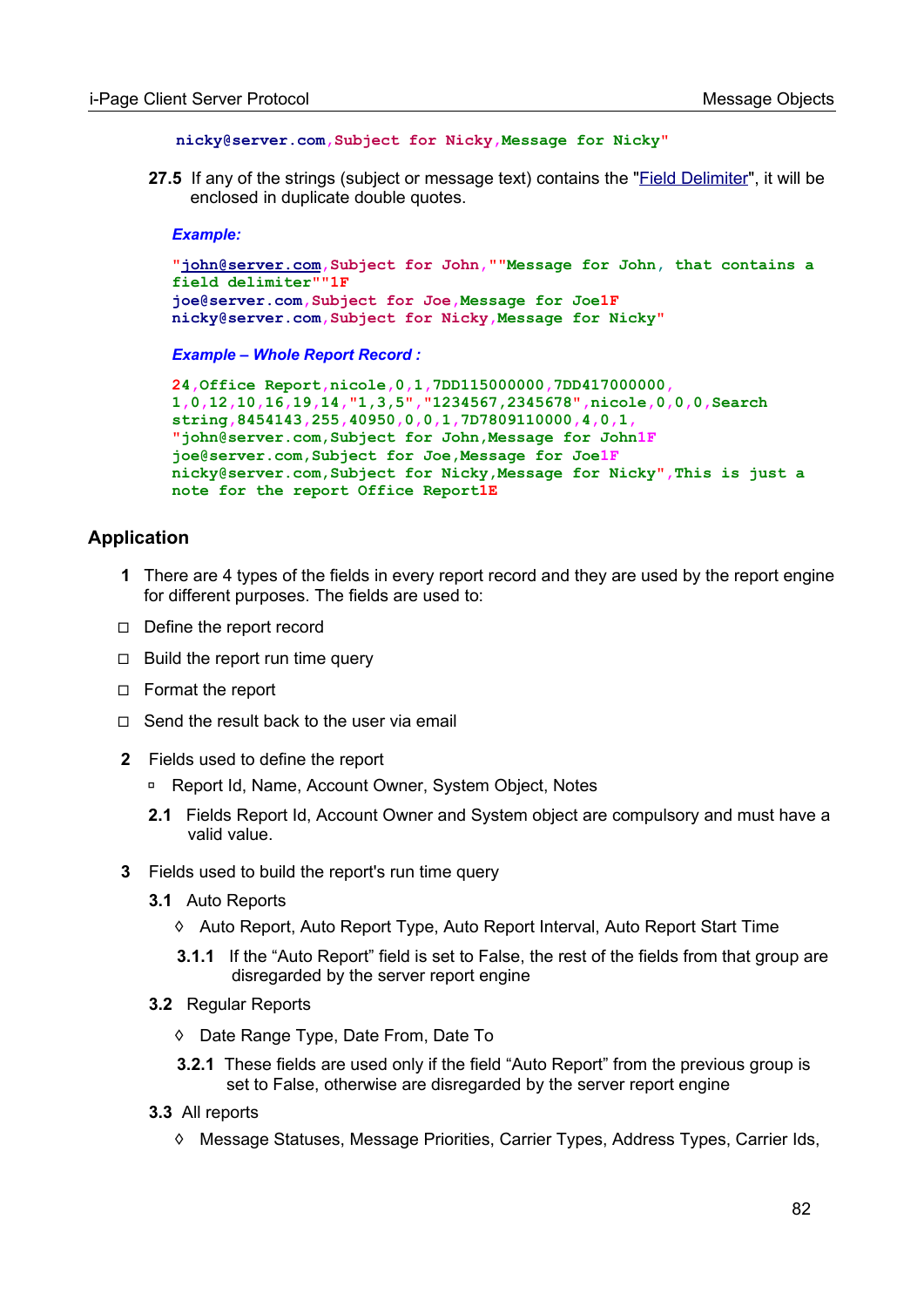```
nicky@server.com,Subject for Nicky,Message for Nicky"
```
 **27.5** If any of the strings (subject or message text) contains the "[Field Delimiter](#page-14-0)", it will be enclosed in duplicate double quotes.

#### *Example:*

```
"john@server.com,Subject for John,""Message for John, that contains a 
field delimiter""1F
joe@server.com,Subject for Joe,Message for Joe1F
nicky@server.com,Subject for Nicky,Message for Nicky"
```
*Example – Whole Report Record :*

```
24,Office Report,nicole,0,1,7DD115000000,7DD417000000,
1,0,12,10,16,19,14,"1,3,5","1234567,2345678",nicole,0,0,0,Search 
string,8454143,255,40950,0,0,1,7D7809110000,4,0,1, 
"john@server.com,Subject for John,Message for John1F
joe@server.com,Subject for Joe,Message for Joe1F
nicky@server.com,Subject for Nicky,Message for Nicky",This is just a 
note for the report Office Report1E
```
#### **Application**

- **1** There are 4 types of the fields in every report record and they are used by the report engine for different purposes. The fields are used to:
- ◻ Define the report record
- $\Box$  Build the report run time query
- ◻ Format the report
- ◻ Send the result back to the user via email
- **2** Fields used to define the report
	- ◽ Report Id, Name, Account Owner, System Object, Notes
	- **2.1** Fields Report Id, Account Owner and System object are compulsory and must have a valid value.
- **3** Fields used to build the report's run time query
	- **3.1** Auto Reports
		- ◊ Auto Report, Auto Report Type, Auto Report Interval, Auto Report Start Time
		- **3.1.1** If the "Auto Report" field is set to False, the rest of the fields from that group are disregarded by the server report engine
	- **3.2** Regular Reports
		- ◊ Date Range Type, Date From, Date To
		- **3.2.1** These fields are used only if the field "Auto Report" from the previous group is set to False, otherwise are disregarded by the server report engine
	- **3.3** All reports
		- ◊ Message Statuses, Message Priorities, Carrier Types, Address Types, Carrier Ids,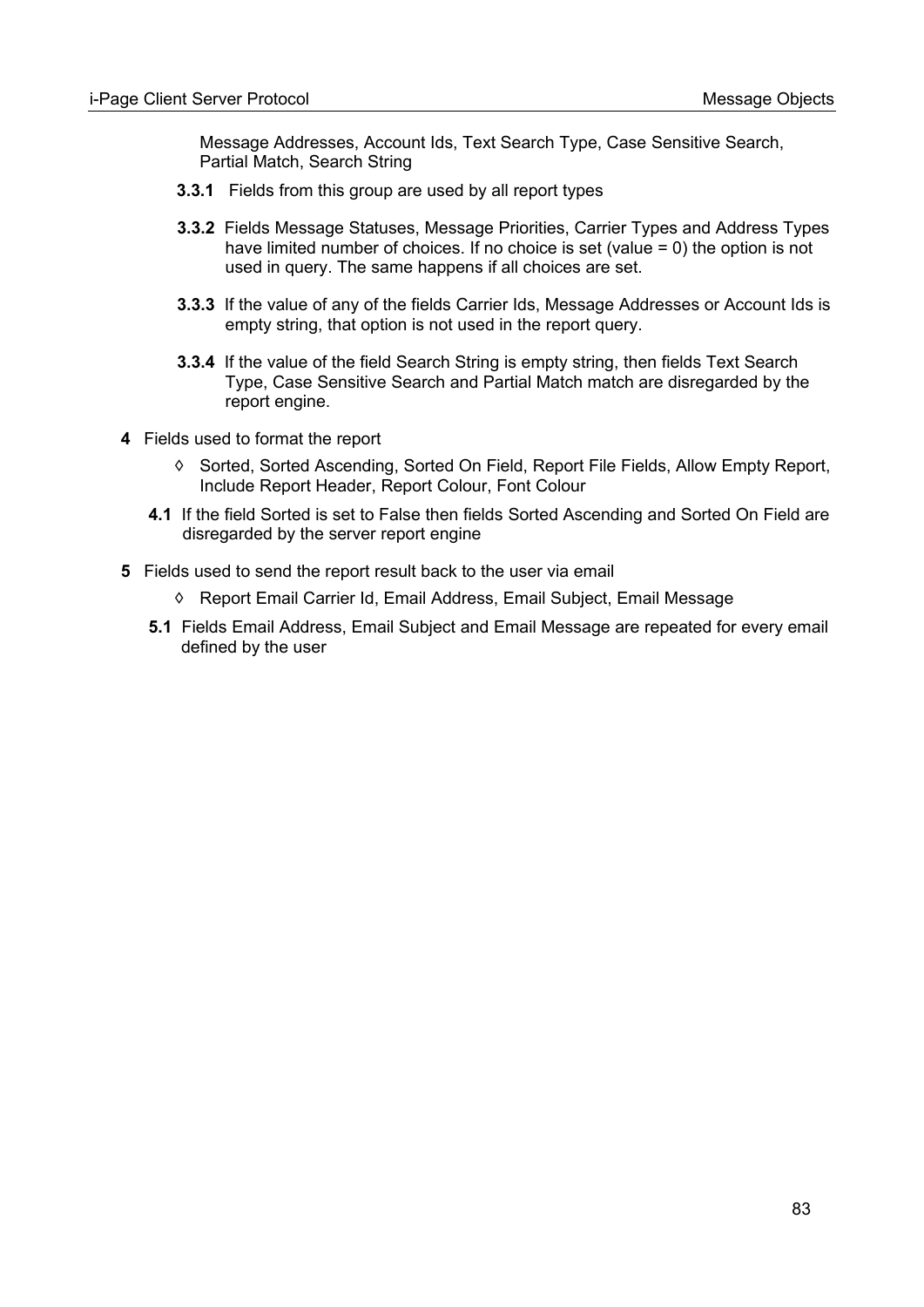Message Addresses, Account Ids, Text Search Type, Case Sensitive Search, Partial Match, Search String

- **3.3.1** Fields from this group are used by all report types
- **3.3.2** Fields Message Statuses, Message Priorities, Carrier Types and Address Types have limited number of choices. If no choice is set (value  $= 0$ ) the option is not used in query. The same happens if all choices are set.
- **3.3.3** If the value of any of the fields Carrier Ids, Message Addresses or Account Ids is empty string, that option is not used in the report query.
- **3.3.4** If the value of the field Search String is empty string, then fields Text Search Type, Case Sensitive Search and Partial Match match are disregarded by the report engine.
- **4** Fields used to format the report
	- ◊ Sorted, Sorted Ascending, Sorted On Field, Report File Fields, Allow Empty Report, Include Report Header, Report Colour, Font Colour
	- **4.1** If the field Sorted is set to False then fields Sorted Ascending and Sorted On Field are disregarded by the server report engine
- **5** Fields used to send the report result back to the user via email
	- ◊ Report Email Carrier Id, Email Address, Email Subject, Email Message
	- **5.1** Fields Email Address, Email Subject and Email Message are repeated for every email defined by the user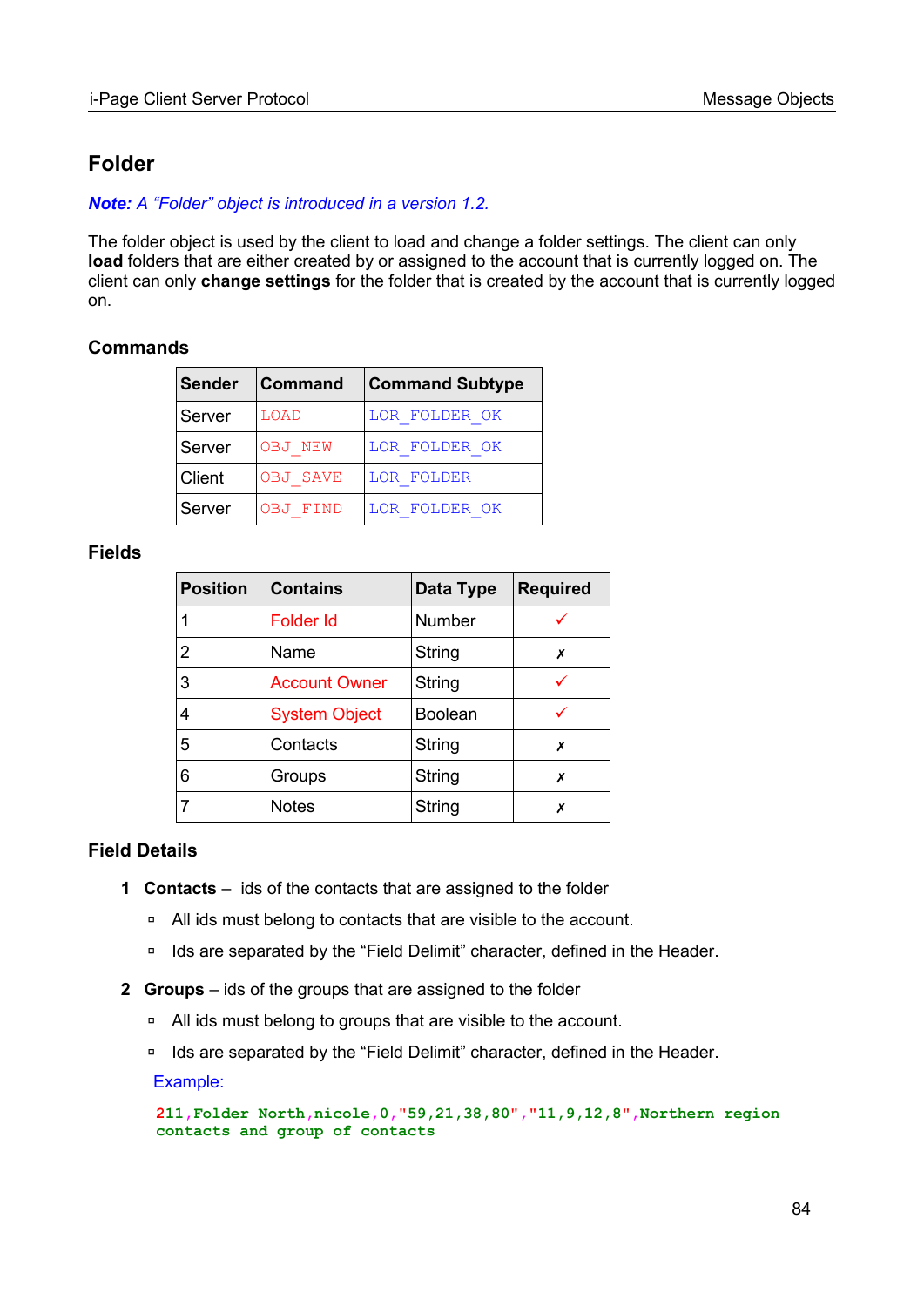## **Folder**

*Note: A "Folder" object is introduced in a version 1.2.*

The folder object is used by the client to load and change a folder settings. The client can only **load** folders that are either created by or assigned to the account that is currently logged on. The client can only **change settings** for the folder that is created by the account that is currently logged on.

#### **Commands**

| Sender | <b>Command</b>  | <b>Command Subtype</b> |
|--------|-----------------|------------------------|
| Server | LOAD            | LOR FOLDER OK          |
| Server | OBJ NEW         | LOR FOLDER OK          |
| Client | <b>OBJ SAVE</b> | LOR FOLDER             |
| Server | <b>OBJ FIND</b> | LOR FOLDER OK          |

#### **Fields**

| <b>Position</b> | <b>Contains</b>      | Data Type      | <b>Required</b> |
|-----------------|----------------------|----------------|-----------------|
|                 | <b>Folder Id</b>     | Number         |                 |
| 2               | Name                 | String         | Х               |
| 3               | <b>Account Owner</b> | String         |                 |
| 4               | <b>System Object</b> | <b>Boolean</b> |                 |
| 5               | Contacts             | String         | Х               |
| 6               | Groups               | <b>String</b>  | х               |
|                 | <b>Notes</b>         | String         | Х               |

#### **Field Details**

- **1 Contacts** ids of the contacts that are assigned to the folder
	- □ All ids must belong to contacts that are visible to the account.
	- □ Ids are separated by the "Field Delimit" character, defined in the Header.
- **2 Groups** ids of the groups that are assigned to the folder
	- ◽ All ids must belong to groups that are visible to the account.
	- □ Ids are separated by the "Field Delimit" character, defined in the Header.

Example:

**211,Folder North,nicole,0,"59,21,38,80","11,9,12,8",Northern region contacts and group of contacts**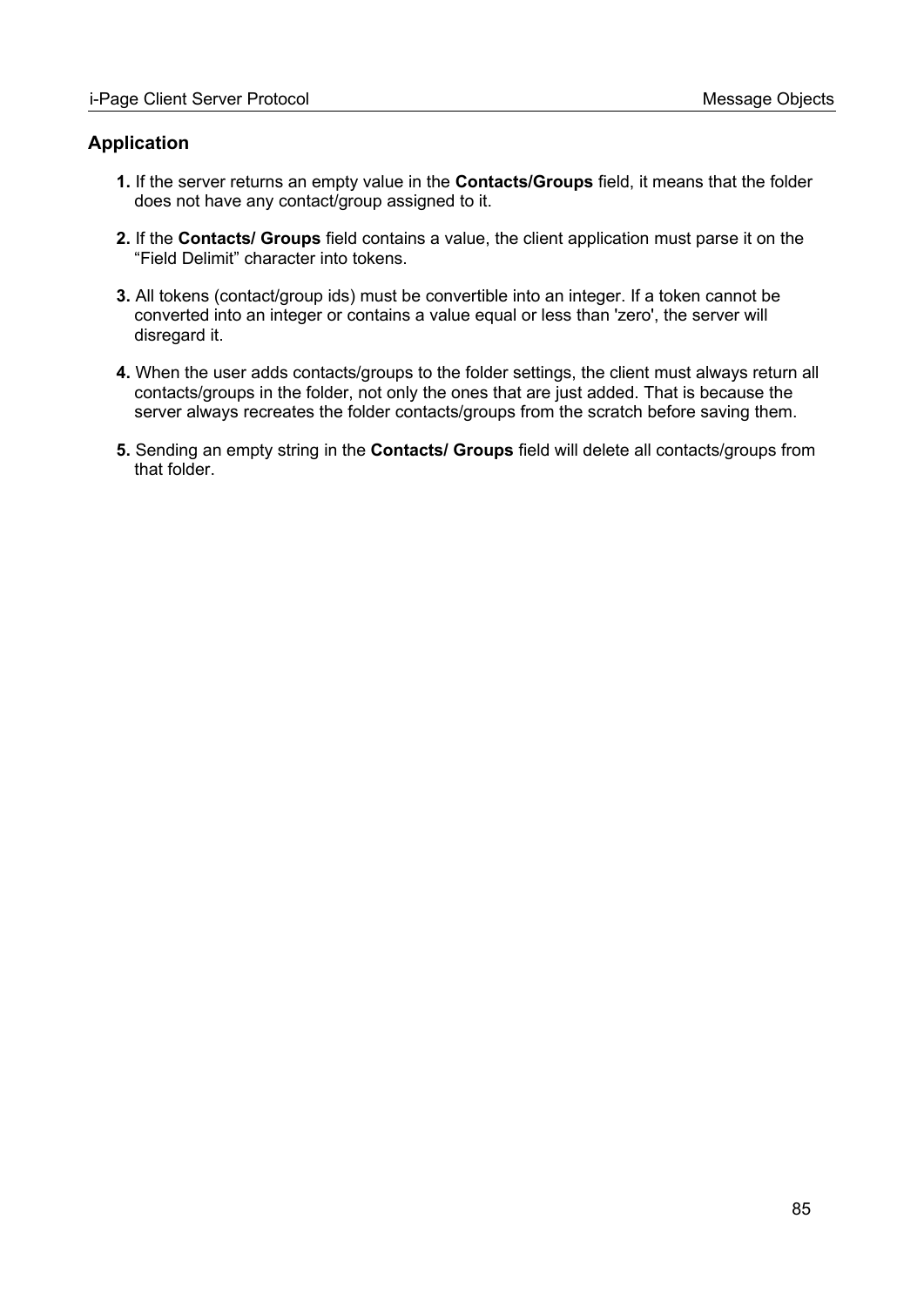#### **Application**

- **1.** If the server returns an empty value in the **Contacts/Groups** field, it means that the folder does not have any contact/group assigned to it.
- **2.** If the **Contacts/ Groups** field contains a value, the client application must parse it on the "Field Delimit" character into tokens.
- **3.** All tokens (contact/group ids) must be convertible into an integer. If a token cannot be converted into an integer or contains a value equal or less than 'zero', the server will disregard it.
- **4.** When the user adds contacts/groups to the folder settings, the client must always return all contacts/groups in the folder, not only the ones that are just added. That is because the server always recreates the folder contacts/groups from the scratch before saving them.
- **5.** Sending an empty string in the **Contacts/ Groups** field will delete all contacts/groups from that folder.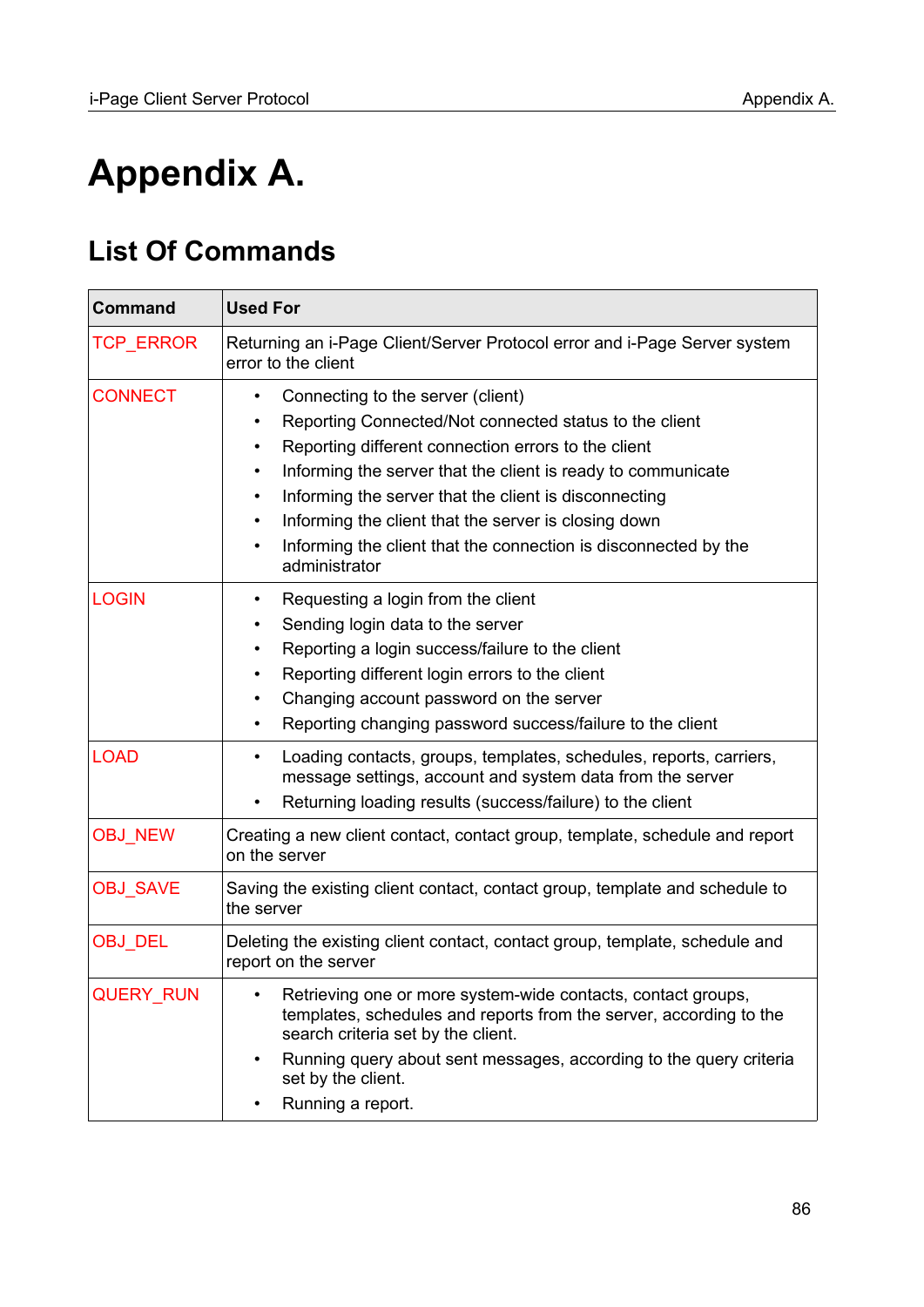# **Appendix A.**

# <span id="page-85-0"></span>**List Of Commands**

| <b>Used For</b>                                                                                                                                                                                                                                                                                                                                                                                                                                                                                                    |  |  |  |  |  |
|--------------------------------------------------------------------------------------------------------------------------------------------------------------------------------------------------------------------------------------------------------------------------------------------------------------------------------------------------------------------------------------------------------------------------------------------------------------------------------------------------------------------|--|--|--|--|--|
| Returning an i-Page Client/Server Protocol error and i-Page Server system<br>error to the client                                                                                                                                                                                                                                                                                                                                                                                                                   |  |  |  |  |  |
| Connecting to the server (client)<br>$\bullet$<br>Reporting Connected/Not connected status to the client<br>$\bullet$<br>Reporting different connection errors to the client<br>$\bullet$<br>Informing the server that the client is ready to communicate<br>$\bullet$<br>Informing the server that the client is disconnecting<br>$\bullet$<br>Informing the client that the server is closing down<br>$\bullet$<br>Informing the client that the connection is disconnected by the<br>$\bullet$<br>administrator |  |  |  |  |  |
| Requesting a login from the client<br>$\bullet$<br>Sending login data to the server<br>$\bullet$<br>Reporting a login success/failure to the client<br>$\bullet$<br>Reporting different login errors to the client<br>Changing account password on the server<br>$\bullet$<br>Reporting changing password success/failure to the client<br>$\bullet$                                                                                                                                                               |  |  |  |  |  |
| Loading contacts, groups, templates, schedules, reports, carriers,<br>$\bullet$<br>message settings, account and system data from the server<br>Returning loading results (success/failure) to the client<br>$\bullet$                                                                                                                                                                                                                                                                                             |  |  |  |  |  |
| Creating a new client contact, contact group, template, schedule and report<br>on the server                                                                                                                                                                                                                                                                                                                                                                                                                       |  |  |  |  |  |
| Saving the existing client contact, contact group, template and schedule to<br>the server                                                                                                                                                                                                                                                                                                                                                                                                                          |  |  |  |  |  |
| Deleting the existing client contact, contact group, template, schedule and<br>report on the server                                                                                                                                                                                                                                                                                                                                                                                                                |  |  |  |  |  |
| Retrieving one or more system-wide contacts, contact groups,<br>templates, schedules and reports from the server, according to the<br>search criteria set by the client.<br>Running query about sent messages, according to the query criteria<br>$\bullet$<br>set by the client.<br>Running a report.                                                                                                                                                                                                             |  |  |  |  |  |
|                                                                                                                                                                                                                                                                                                                                                                                                                                                                                                                    |  |  |  |  |  |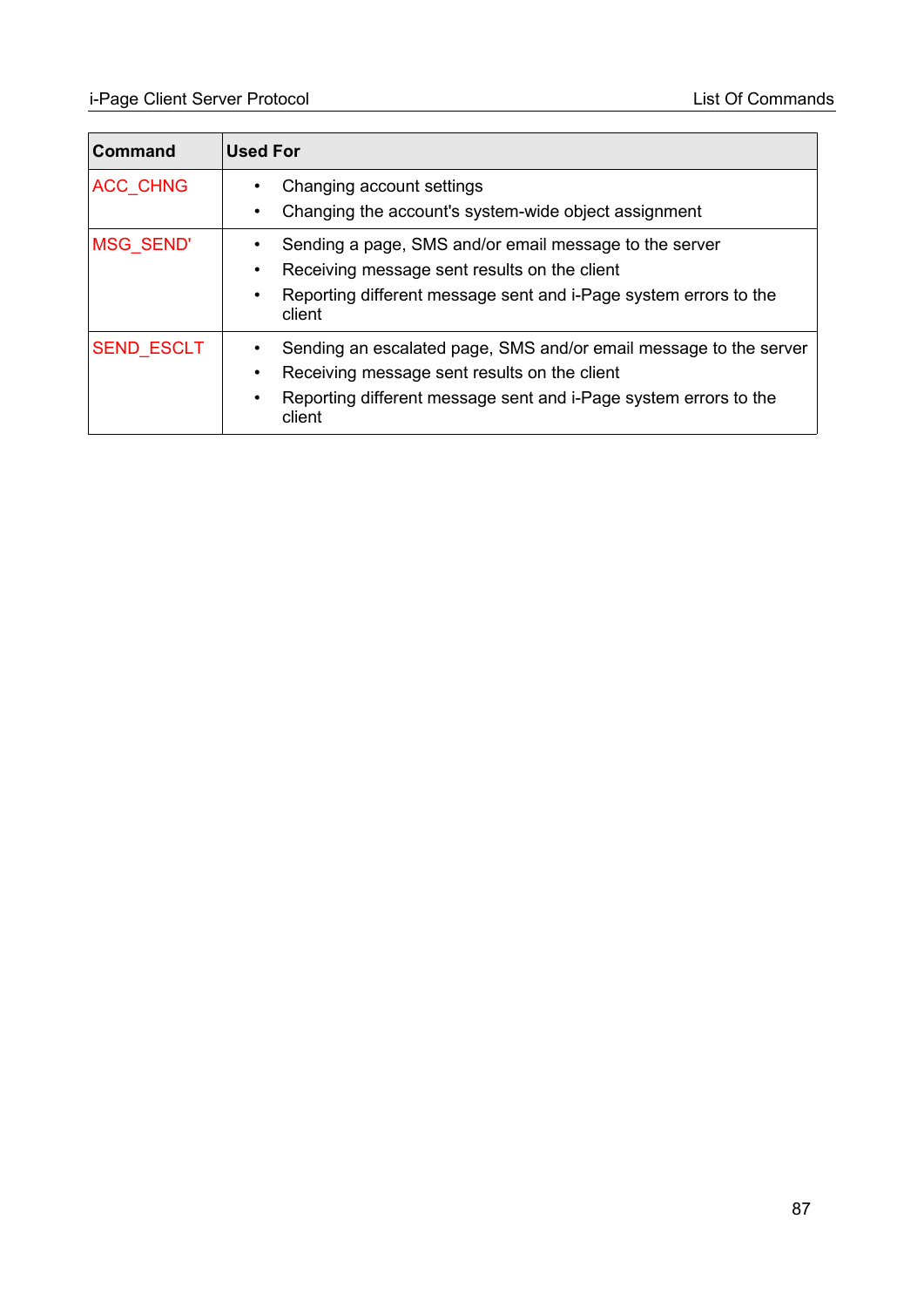| <b>Command</b>    | <b>Used For</b>                                                                                                                                                                                                                        |
|-------------------|----------------------------------------------------------------------------------------------------------------------------------------------------------------------------------------------------------------------------------------|
| ACC_CHNG          | Changing account settings<br>$\bullet$<br>Changing the account's system-wide object assignment<br>$\bullet$                                                                                                                            |
| <b>MSG SEND'</b>  | Sending a page, SMS and/or email message to the server<br>$\bullet$<br>Receiving message sent results on the client<br>$\bullet$<br>Reporting different message sent and i-Page system errors to the<br>client                         |
| <b>SEND ESCLT</b> | Sending an escalated page, SMS and/or email message to the server<br>$\bullet$<br>Receiving message sent results on the client<br>$\bullet$<br>Reporting different message sent and i-Page system errors to the<br>$\bullet$<br>client |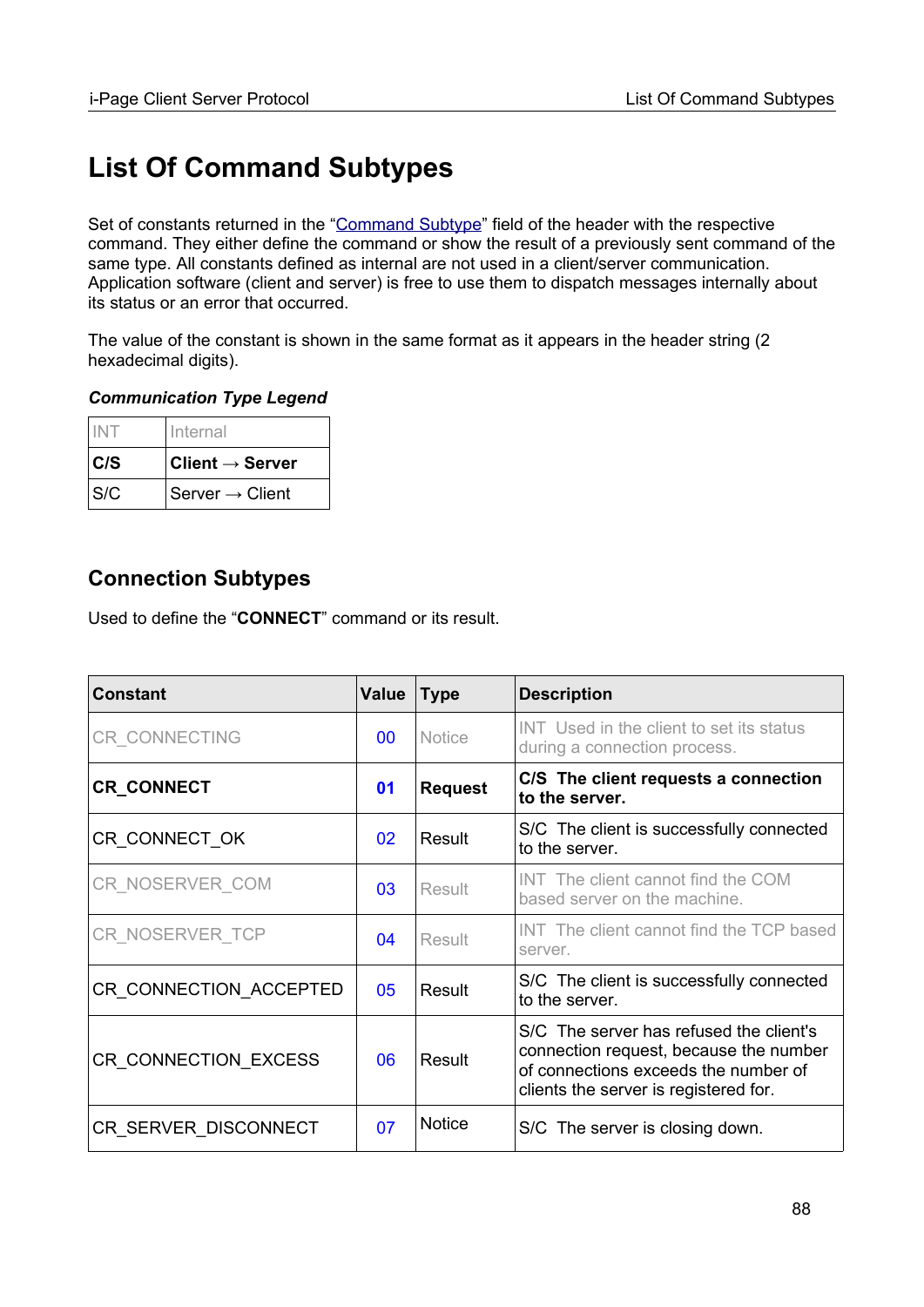# **List Of Command Subtypes**

Set of constants returned in the ["Command Subtype"](#page-12-0) field of the header with the respective command. They either define the command or show the result of a previously sent command of the same type. All constants defined as internal are not used in a client/server communication. Application software (client and server) is free to use them to dispatch messages internally about its status or an error that occurred.

The value of the constant is shown in the same format as it appears in the header string (2 hexadecimal digits).

#### *Communication Type Legend*

|     | Internal                        |
|-----|---------------------------------|
| C/S | $ $ Client $\rightarrow$ Server |
| S/C | Server $\rightarrow$ Client     |

## **Connection Subtypes**

Used to define the "**CONNECT**" command or its result.

| <b>Constant</b>        | Value | <b>Type</b>    | <b>Description</b>                                                                                                                                                 |
|------------------------|-------|----------------|--------------------------------------------------------------------------------------------------------------------------------------------------------------------|
| <b>CR CONNECTING</b>   | 00    | <b>Notice</b>  | INT Used in the client to set its status<br>during a connection process.                                                                                           |
| <b>CR_CONNECT</b>      | 01    | <b>Request</b> | C/S The client requests a connection<br>to the server.                                                                                                             |
| CR CONNECT OK          | 02    | Result         | S/C The client is successfully connected<br>to the server.                                                                                                         |
| CR NOSERVER COM        | 03    | Result         | INT The client cannot find the COM<br>based server on the machine.                                                                                                 |
| CR NOSERVER TCP        | 04    | Result         | INT The client cannot find the TCP based<br>server.                                                                                                                |
| CR_CONNECTION_ACCEPTED | 05    | Result         | S/C The client is successfully connected<br>to the server.                                                                                                         |
| CR CONNECTION EXCESS   | 06    | Result         | S/C The server has refused the client's<br>connection request, because the number<br>of connections exceeds the number of<br>clients the server is registered for. |
| CR SERVER DISCONNECT   | 07    | <b>Notice</b>  | S/C The server is closing down.                                                                                                                                    |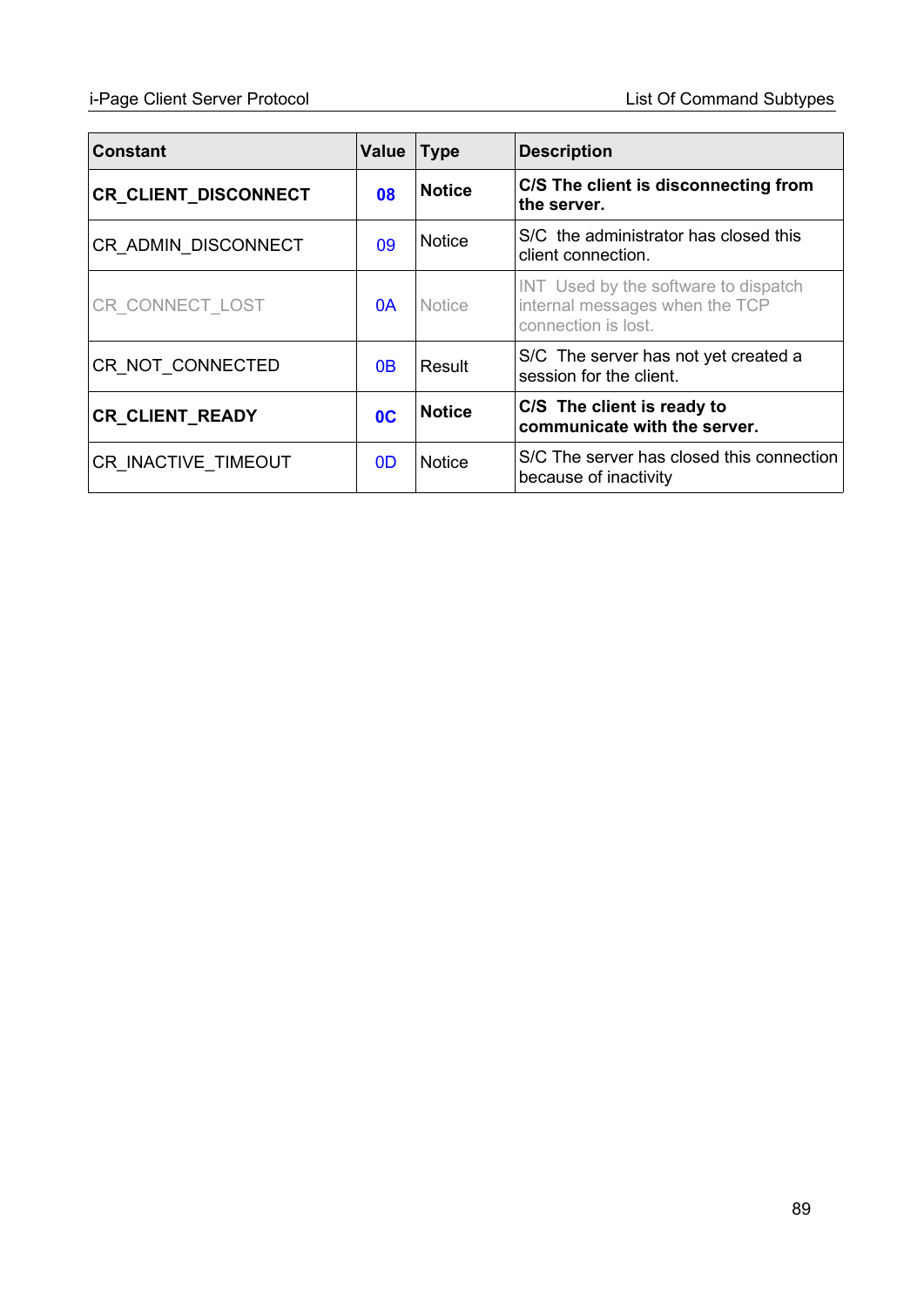## i-Page Client Server Protocol List Of Command Subtypes

| <b>Constant</b>        | <b>Value</b>   | <b>Type</b>   | <b>Description</b>                                                                            |
|------------------------|----------------|---------------|-----------------------------------------------------------------------------------------------|
| CR_CLIENT_DISCONNECT   | 08             | <b>Notice</b> | C/S The client is disconnecting from<br>the server.                                           |
| CR_ADMIN_DISCONNECT    | 09             | <b>Notice</b> | S/C the administrator has closed this<br>client connection.                                   |
| CR CONNECT LOST        | 0A             | <b>Notice</b> | INT Used by the software to dispatch<br>internal messages when the TCP<br>connection is lost. |
| CR NOT CONNECTED       | 0 <sub>B</sub> | Result        | S/C The server has not yet created a<br>session for the client.                               |
| <b>CR_CLIENT_READY</b> | 0 <sup>C</sup> | <b>Notice</b> | C/S The client is ready to<br>communicate with the server.                                    |
| CR INACTIVE TIMEOUT    | 0D             | <b>Notice</b> | S/C The server has closed this connection<br>because of inactivity                            |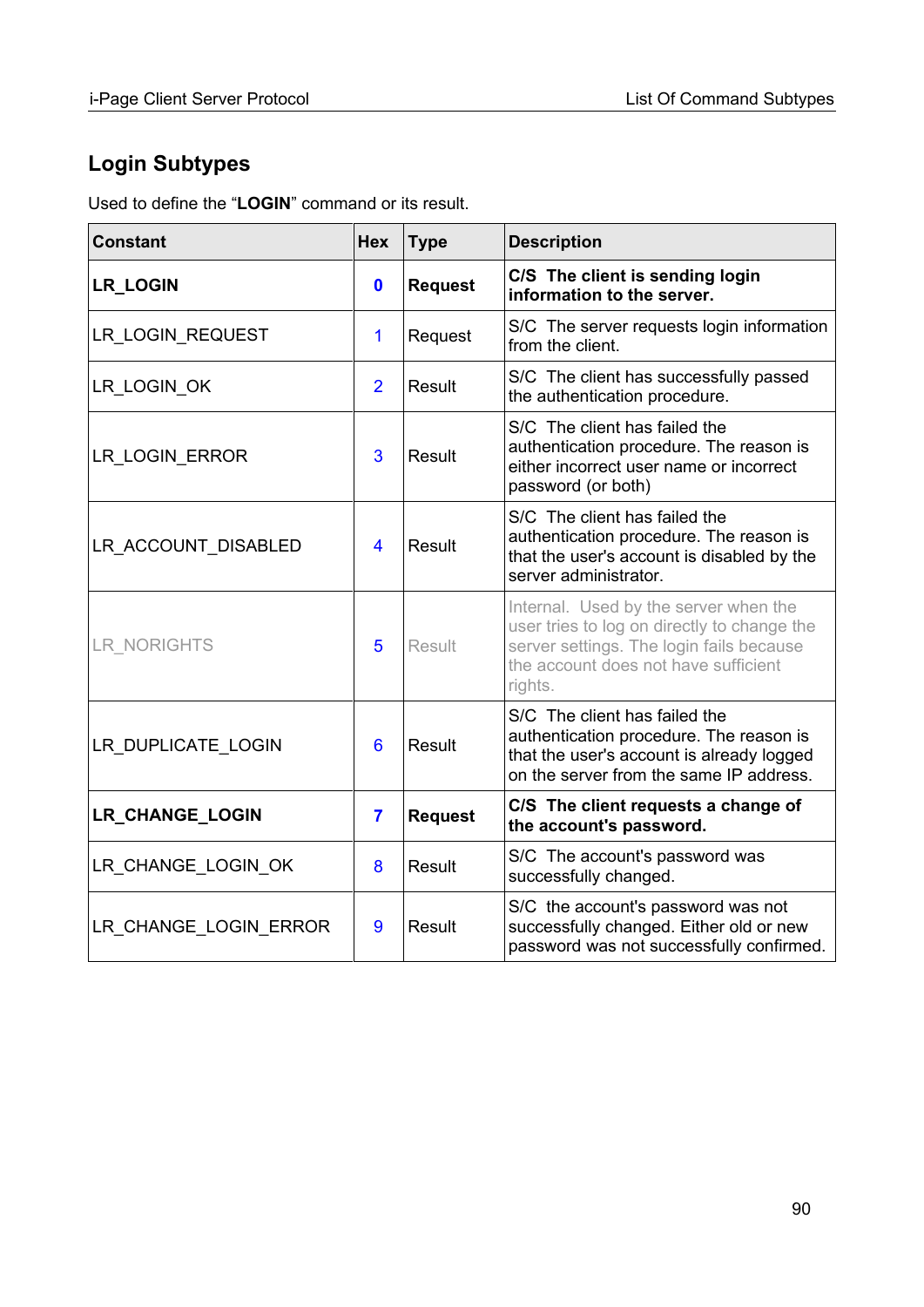## **Login Subtypes**

Used to define the "**LOGIN**" command or its result.

| <b>Constant</b>        | <b>Hex</b>              | <b>Type</b>    | <b>Description</b>                                                                                                                                                                  |
|------------------------|-------------------------|----------------|-------------------------------------------------------------------------------------------------------------------------------------------------------------------------------------|
| <b>LR_LOGIN</b>        | $\mathbf 0$             | <b>Request</b> | C/S The client is sending login<br>information to the server.                                                                                                                       |
| LR_LOGIN_REQUEST       | 1                       | Request        | S/C The server requests login information<br>from the client.                                                                                                                       |
| LR_LOGIN_OK            | $\overline{2}$          | Result         | S/C The client has successfully passed<br>the authentication procedure.                                                                                                             |
| LR_LOGIN_ERROR         | 3                       | Result         | S/C The client has failed the<br>authentication procedure. The reason is<br>either incorrect user name or incorrect<br>password (or both)                                           |
| LR_ACCOUNT_DISABLED    | $\overline{\mathbf{4}}$ | Result         | S/C The client has failed the<br>authentication procedure. The reason is<br>that the user's account is disabled by the<br>server administrator.                                     |
| LR_NORIGHTS            | 5                       | Result         | Internal. Used by the server when the<br>user tries to log on directly to change the<br>server settings. The login fails because<br>the account does not have sufficient<br>rights. |
| LR DUPLICATE LOGIN     | 6                       | Result         | S/C The client has failed the<br>authentication procedure. The reason is<br>that the user's account is already logged<br>on the server from the same IP address.                    |
| <b>LR_CHANGE_LOGIN</b> | $\overline{7}$          | <b>Request</b> | C/S The client requests a change of<br>the account's password.                                                                                                                      |
| LR_CHANGE_LOGIN_OK     | 8                       | Result         | S/C The account's password was<br>successfully changed.                                                                                                                             |
| LR CHANGE LOGIN ERROR  | 9                       | Result         | S/C the account's password was not<br>successfully changed. Either old or new<br>password was not successfully confirmed.                                                           |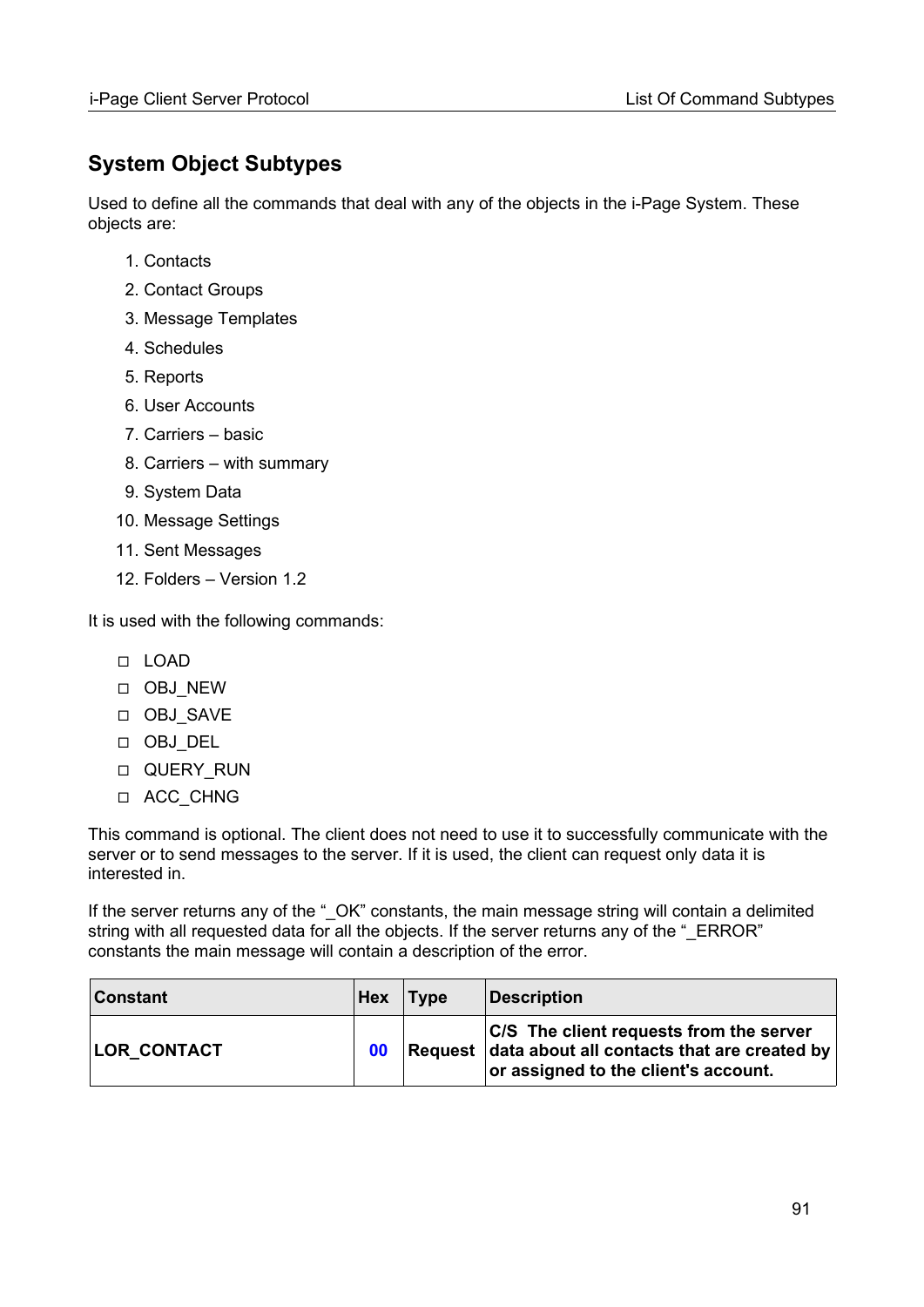## <span id="page-90-0"></span>**System Object Subtypes**

Used to define all the commands that deal with any of the objects in the i-Page System. These objects are:

- 1. Contacts
- 2. Contact Groups
- 3. Message Templates
- 4. Schedules
- 5. Reports
- 6. User Accounts
- 7. Carriers basic
- 8. Carriers with summary
- 9. System Data
- 10. Message Settings
- 11. Sent Messages
- 12. Folders Version 1.2

It is used with the following commands:

- ◻ LOAD
- ◻ OBJ\_NEW
- ◻ OBJ\_SAVE
- ◻ OBJ\_DEL
- ◻ QUERY\_RUN
- ◻ ACC\_CHNG

This command is optional. The client does not need to use it to successfully communicate with the server or to send messages to the server. If it is used, the client can request only data it is interested in.

If the server returns any of the "\_OK" constants, the main message string will contain a delimited string with all requested data for all the objects. If the server returns any of the " $ERROR"$ constants the main message will contain a description of the error.

| <b>Constant</b>    | Hex | Type | <b>Description</b>                                                                                                                     |
|--------------------|-----|------|----------------------------------------------------------------------------------------------------------------------------------------|
| <b>LOR CONTACT</b> | 00  |      | C/S The client requests from the server<br>Request data about all contacts that are created by<br>or assigned to the client's account. |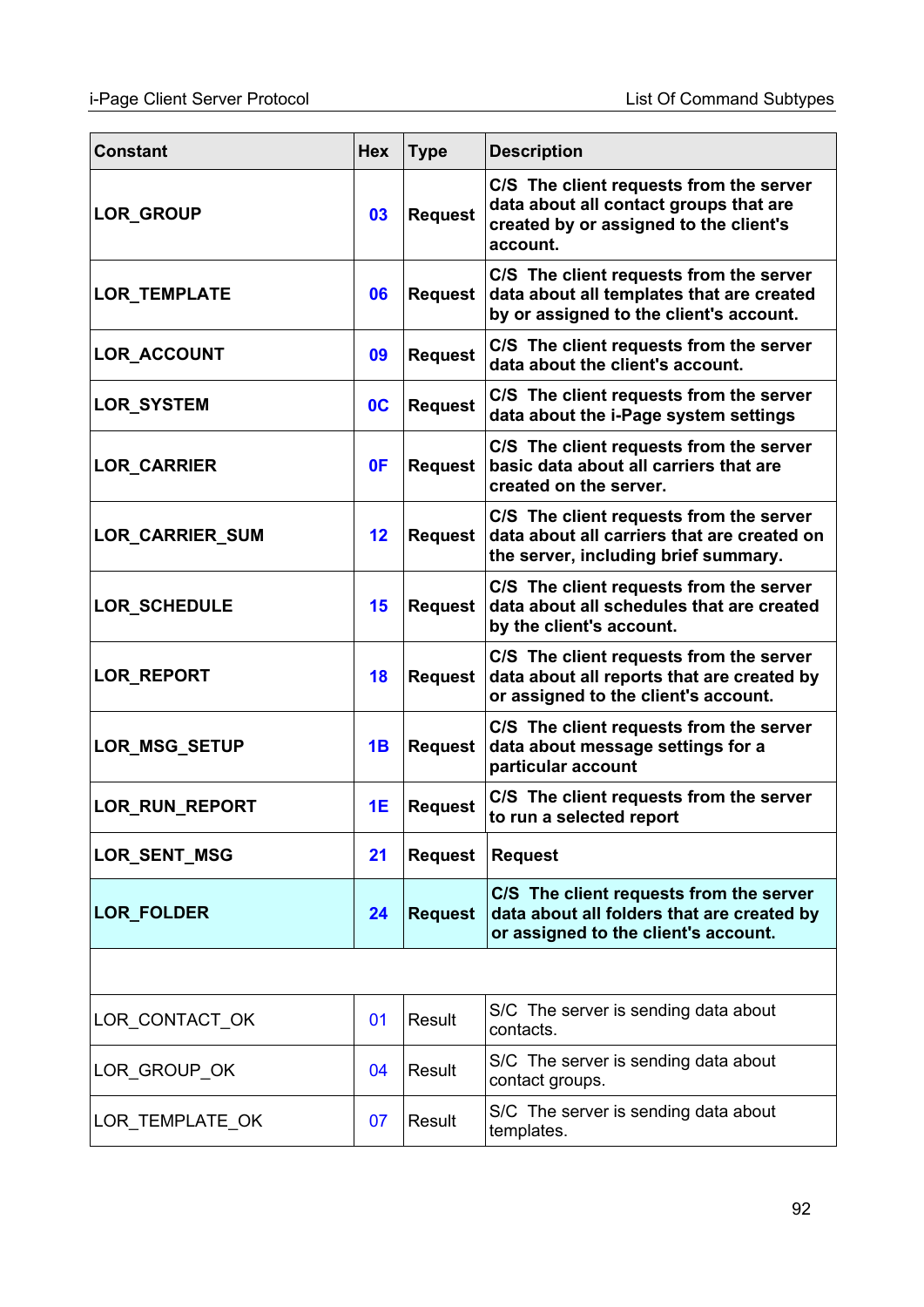| <b>Constant</b>     | <b>Hex</b>     | <b>Type</b>    | <b>Description</b>                                                                                                                      |  |  |  |
|---------------------|----------------|----------------|-----------------------------------------------------------------------------------------------------------------------------------------|--|--|--|
| LOR_GROUP           | 03             | <b>Request</b> | C/S The client requests from the server<br>data about all contact groups that are<br>created by or assigned to the client's<br>account. |  |  |  |
| LOR_TEMPLATE        | 06             | <b>Request</b> | C/S The client requests from the server<br>data about all templates that are created<br>by or assigned to the client's account.         |  |  |  |
| <b>LOR ACCOUNT</b>  | 09             | <b>Request</b> | C/S The client requests from the server<br>data about the client's account.                                                             |  |  |  |
| LOR_SYSTEM          | 0 <sup>C</sup> | <b>Request</b> | C/S The client requests from the server<br>data about the i-Page system settings                                                        |  |  |  |
| <b>LOR_CARRIER</b>  | 0F             | <b>Request</b> | C/S The client requests from the server<br>basic data about all carriers that are<br>created on the server.                             |  |  |  |
| LOR_CARRIER_SUM     | 12             | <b>Request</b> | C/S The client requests from the server<br>data about all carriers that are created on<br>the server, including brief summary.          |  |  |  |
| <b>LOR SCHEDULE</b> | 15             | <b>Request</b> | C/S The client requests from the server<br>data about all schedules that are created<br>by the client's account.                        |  |  |  |
| <b>LOR_REPORT</b>   | 18             | <b>Request</b> | C/S The client requests from the server<br>data about all reports that are created by<br>or assigned to the client's account.           |  |  |  |
| LOR_MSG_SETUP       | 1B             | <b>Request</b> | C/S The client requests from the server<br>data about message settings for a<br>particular account                                      |  |  |  |
| LOR_RUN_REPORT      | <b>1E</b>      | <b>Request</b> | C/S The client requests from the server<br>to run a selected report                                                                     |  |  |  |
| <b>LOR SENT MSG</b> | 21             | <b>Request</b> | <b>Request</b>                                                                                                                          |  |  |  |
| <b>LOR_FOLDER</b>   | 24             | <b>Request</b> | C/S The client requests from the server<br>data about all folders that are created by<br>or assigned to the client's account.           |  |  |  |
|                     |                |                |                                                                                                                                         |  |  |  |
| LOR CONTACT OK      | 01             | Result         | S/C The server is sending data about<br>contacts.                                                                                       |  |  |  |
| LOR_GROUP_OK        | 04             | Result         | S/C The server is sending data about<br>contact groups.                                                                                 |  |  |  |
| LOR_TEMPLATE_OK     | 07             | Result         | S/C The server is sending data about<br>templates.                                                                                      |  |  |  |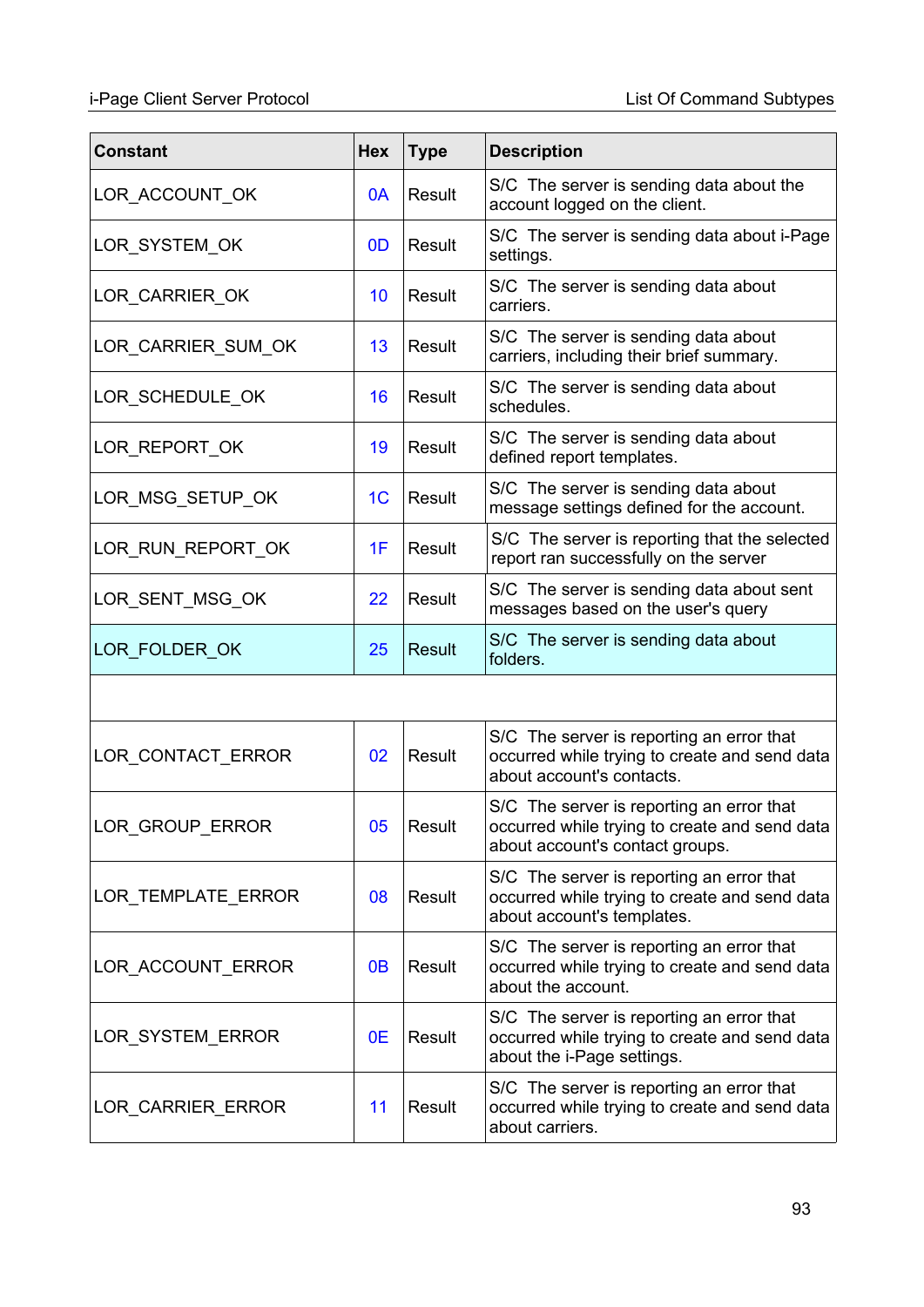## i-Page Client Server Protocol List Of Command Subtypes

| <b>Constant</b>    | <b>Hex</b>     | <b>Type</b>   | <b>Description</b>                                                                                                            |
|--------------------|----------------|---------------|-------------------------------------------------------------------------------------------------------------------------------|
| LOR_ACCOUNT_OK     | 0A             | Result        | S/C The server is sending data about the<br>account logged on the client.                                                     |
| LOR_SYSTEM_OK      | 0 <sub>D</sub> | Result        | S/C The server is sending data about i-Page<br>settings.                                                                      |
| LOR_CARRIER_OK     | 10             | Result        | S/C The server is sending data about<br>carriers.                                                                             |
| LOR_CARRIER_SUM_OK | 13             | Result        | S/C The server is sending data about<br>carriers, including their brief summary.                                              |
| LOR_SCHEDULE_OK    | 16             | Result        | S/C The server is sending data about<br>schedules.                                                                            |
| LOR_REPORT_OK      | 19             | Result        | S/C The server is sending data about<br>defined report templates.                                                             |
| LOR_MSG_SETUP_OK   | 1 <sub>C</sub> | Result        | S/C The server is sending data about<br>message settings defined for the account.                                             |
| LOR_RUN_REPORT_OK  | 1F             | Result        | S/C The server is reporting that the selected<br>report ran successfully on the server                                        |
| LOR_SENT_MSG_OK    | 22             | Result        | S/C The server is sending data about sent<br>messages based on the user's query                                               |
| LOR_FOLDER_OK      | 25             | <b>Result</b> | S/C The server is sending data about<br>folders.                                                                              |
|                    |                |               |                                                                                                                               |
| LOR CONTACT ERROR  | 02             | Result        | S/C The server is reporting an error that<br>occurred while trying to create and send data<br>about account's contacts.       |
| LOR_GROUP_ERROR    | 05             | Result        | S/C The server is reporting an error that<br>occurred while trying to create and send data<br>about account's contact groups. |
| LOR_TEMPLATE_ERROR | 08             | Result        | S/C The server is reporting an error that<br>occurred while trying to create and send data<br>about account's templates.      |
| LOR_ACCOUNT_ERROR  | 0 <sub>B</sub> | Result        | S/C The server is reporting an error that<br>occurred while trying to create and send data<br>about the account.              |
| LOR_SYSTEM_ERROR   | 0E             | Result        | S/C The server is reporting an error that<br>occurred while trying to create and send data<br>about the i-Page settings.      |
| LOR_CARRIER_ERROR  | 11             | Result        | S/C The server is reporting an error that<br>occurred while trying to create and send data<br>about carriers.                 |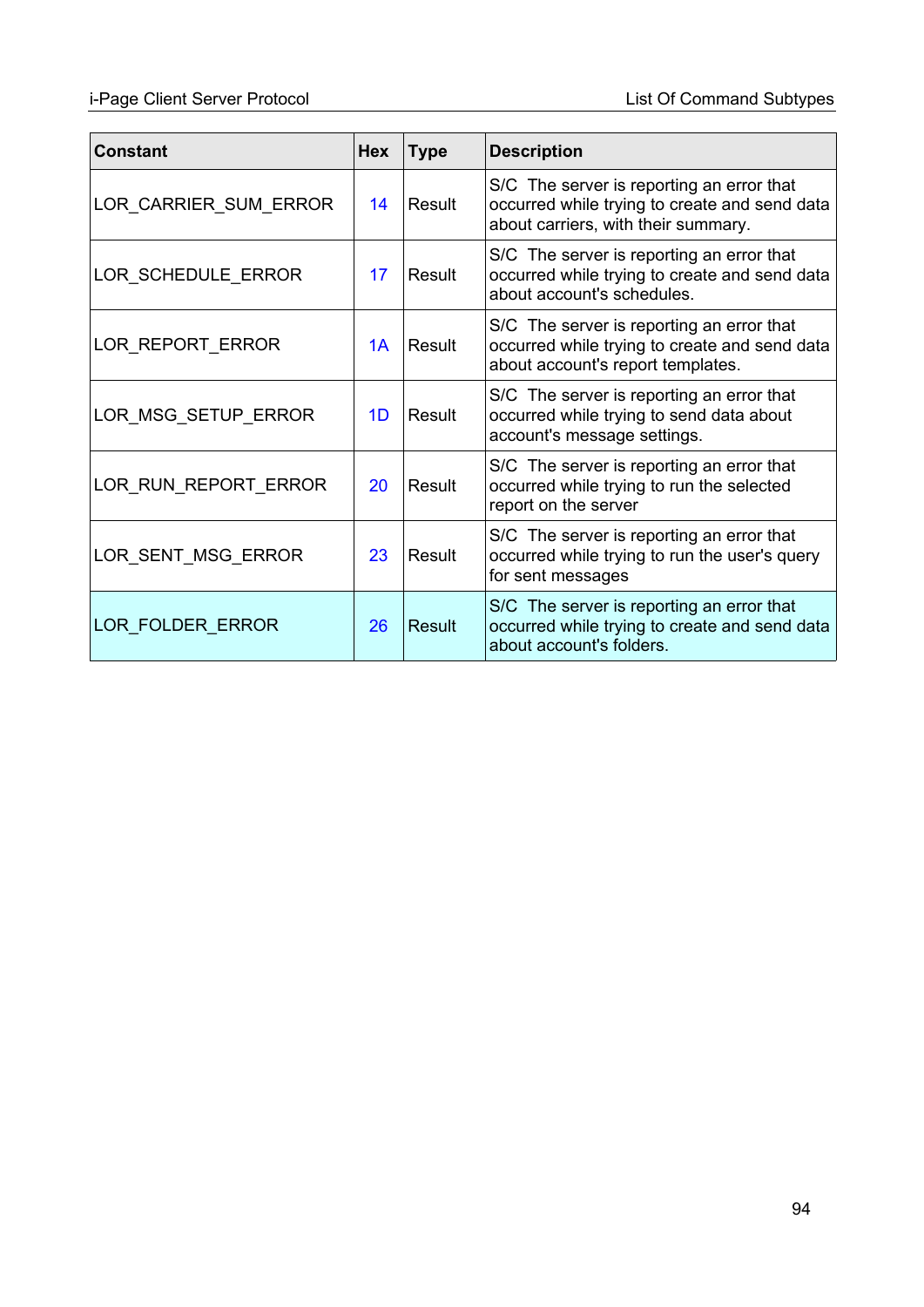## i-Page Client Server Protocol List Of Command Subtypes

| <b>Constant</b>       | Hex | Type   | <b>Description</b>                                                                                                                |
|-----------------------|-----|--------|-----------------------------------------------------------------------------------------------------------------------------------|
| LOR_CARRIER_SUM_ERROR | 14  | Result | S/C The server is reporting an error that<br>occurred while trying to create and send data<br>about carriers, with their summary. |
| LOR_SCHEDULE_ERROR    | 17  | Result | S/C The server is reporting an error that<br>occurred while trying to create and send data<br>about account's schedules.          |
| LOR_REPORT_ERROR      | 1A  | Result | S/C The server is reporting an error that<br>occurred while trying to create and send data<br>about account's report templates.   |
| LOR MSG SETUP ERROR   | 1D  | Result | S/C The server is reporting an error that<br>occurred while trying to send data about<br>account's message settings.              |
| LOR RUN REPORT ERROR  | 20  | Result | S/C The server is reporting an error that<br>occurred while trying to run the selected<br>report on the server                    |
| LOR_SENT_MSG_ERROR    | 23  | Result | S/C The server is reporting an error that<br>occurred while trying to run the user's query<br>for sent messages                   |
| LOR FOLDER ERROR      | 26  | Result | S/C The server is reporting an error that<br>occurred while trying to create and send data<br>about account's folders.            |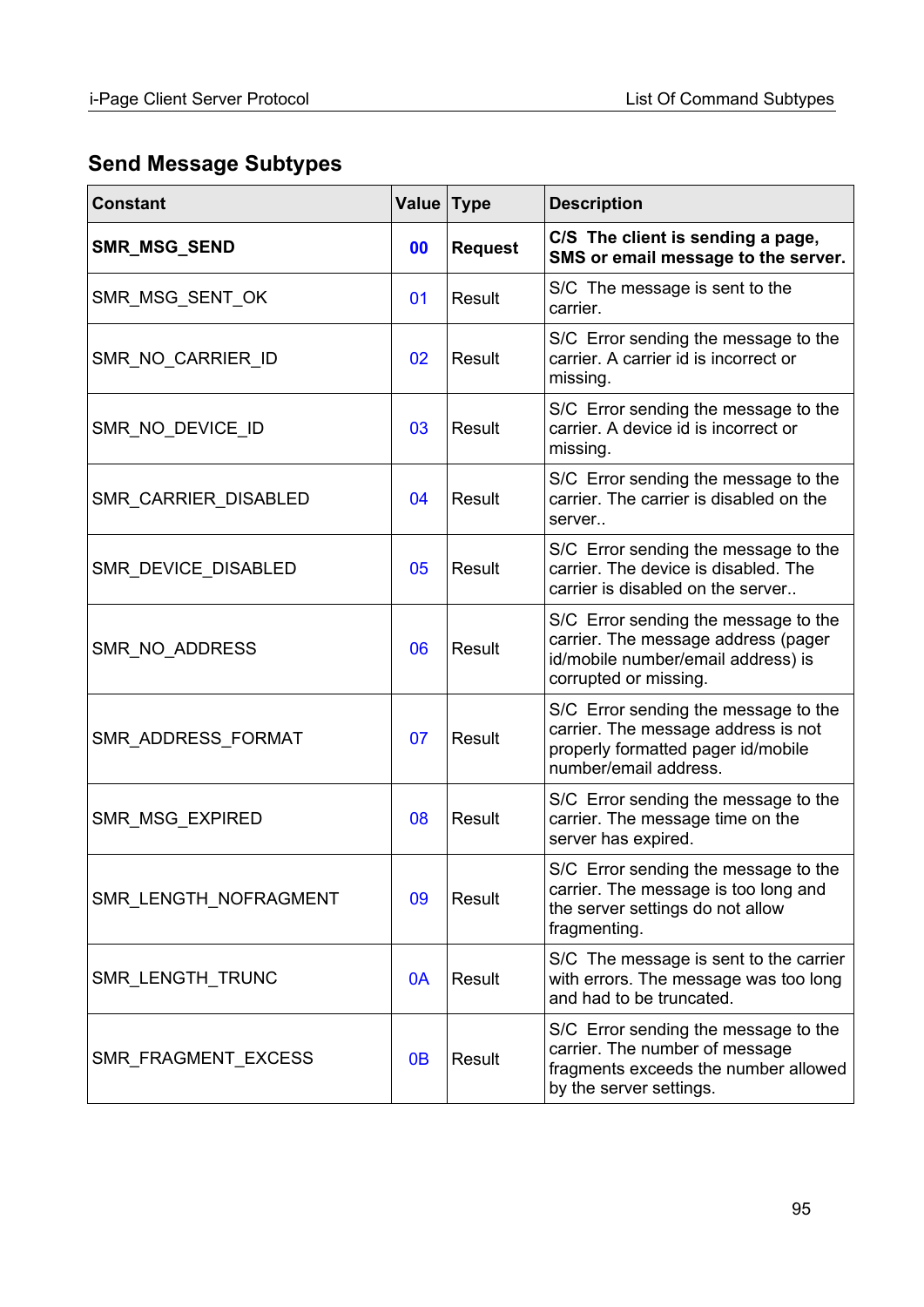# **Send Message Subtypes**

| <b>Constant</b>       | <b>Value</b>   | Type           | <b>Description</b>                                                                                                                         |
|-----------------------|----------------|----------------|--------------------------------------------------------------------------------------------------------------------------------------------|
| SMR_MSG_SEND          | 00             | <b>Request</b> | C/S The client is sending a page,<br>SMS or email message to the server.                                                                   |
| SMR_MSG_SENT_OK       | 01             | Result         | S/C The message is sent to the<br>carrier.                                                                                                 |
| SMR_NO_CARRIER_ID     | 02             | Result         | S/C Error sending the message to the<br>carrier. A carrier id is incorrect or<br>missing.                                                  |
| SMR_NO_DEVICE_ID      | 03             | Result         | S/C Error sending the message to the<br>carrier. A device id is incorrect or<br>missing.                                                   |
| SMR_CARRIER_DISABLED  | 04             | Result         | S/C Error sending the message to the<br>carrier. The carrier is disabled on the<br>server                                                  |
| SMR_DEVICE_DISABLED   | 05             | Result         | S/C Error sending the message to the<br>carrier. The device is disabled. The<br>carrier is disabled on the server                          |
| SMR_NO_ADDRESS        | 06             | Result         | S/C Error sending the message to the<br>carrier. The message address (pager<br>id/mobile number/email address) is<br>corrupted or missing. |
| SMR_ADDRESS_FORMAT    | 07             | Result         | S/C Error sending the message to the<br>carrier. The message address is not<br>properly formatted pager id/mobile<br>number/email address. |
| SMR_MSG_EXPIRED       | 08             | Result         | S/C Error sending the message to the<br>carrier. The message time on the<br>server has expired.                                            |
| SMR LENGTH NOFRAGMENT | 09             | Result         | S/C Error sending the message to the<br>carrier. The message is too long and<br>the server settings do not allow<br>fragmenting.           |
| SMR_LENGTH_TRUNC      | 0A             | Result         | S/C The message is sent to the carrier<br>with errors. The message was too long<br>and had to be truncated.                                |
| SMR_FRAGMENT_EXCESS   | 0 <sub>B</sub> | Result         | S/C Error sending the message to the<br>carrier. The number of message<br>fragments exceeds the number allowed<br>by the server settings.  |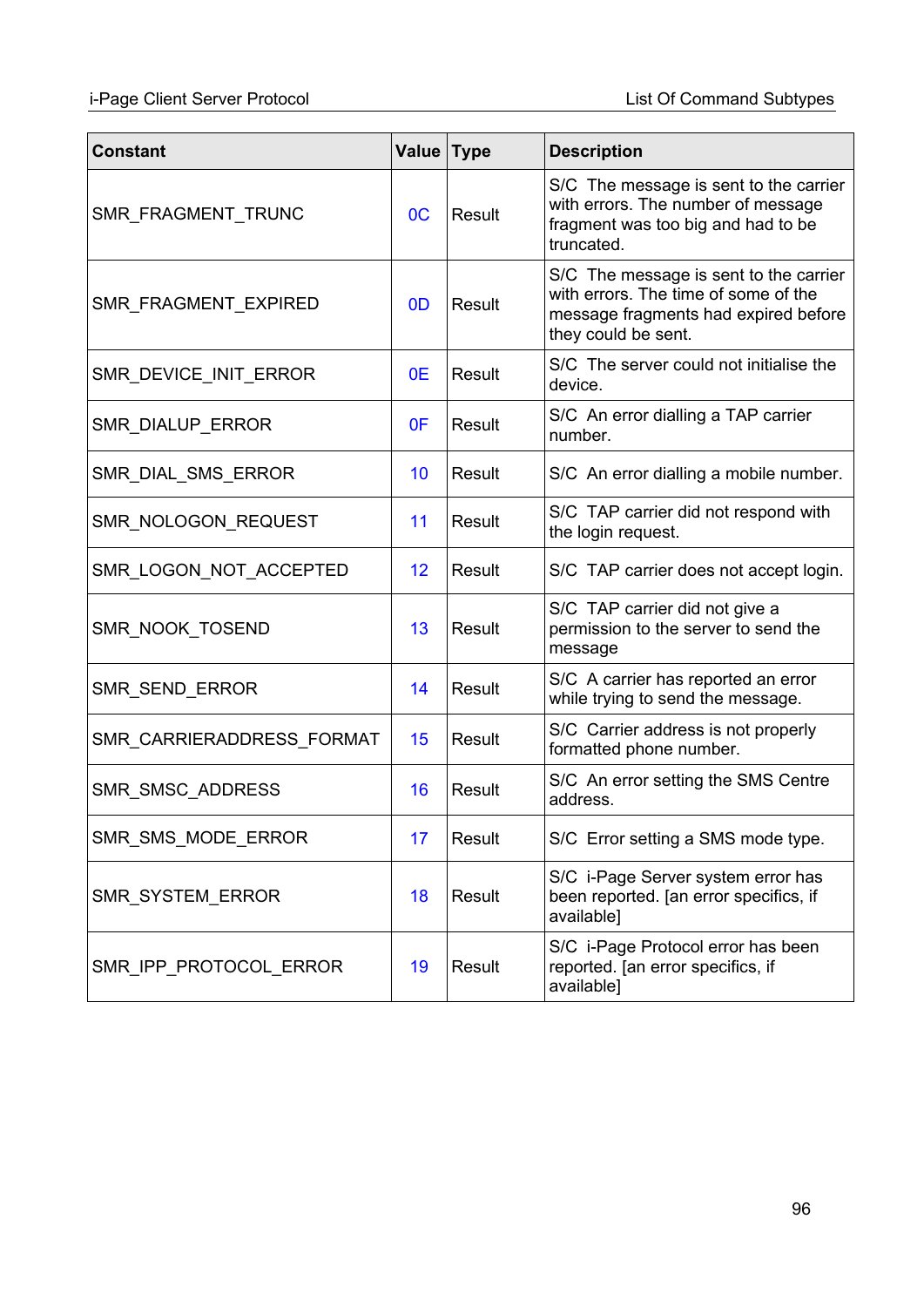## i-Page Client Server Protocol List Of Command Subtypes

| <b>Constant</b>           | Value          | <b>Type</b>   | <b>Description</b>                                                                                                                            |
|---------------------------|----------------|---------------|-----------------------------------------------------------------------------------------------------------------------------------------------|
| SMR FRAGMENT TRUNC        | OC             | Result        | S/C The message is sent to the carrier<br>with errors. The number of message<br>fragment was too big and had to be<br>truncated.              |
| SMR_FRAGMENT_EXPIRED      | 0 <sub>D</sub> | Result        | S/C The message is sent to the carrier<br>with errors. The time of some of the<br>message fragments had expired before<br>they could be sent. |
| SMR_DEVICE_INIT_ERROR     | 0E             | Result        | S/C The server could not initialise the<br>device.                                                                                            |
| SMR_DIALUP_ERROR          | 0F             | Result        | S/C An error dialling a TAP carrier<br>number.                                                                                                |
| SMR_DIAL_SMS_ERROR        | 10             | Result        | S/C An error dialling a mobile number.                                                                                                        |
| SMR_NOLOGON_REQUEST       | 11             | Result        | S/C TAP carrier did not respond with<br>the login request.                                                                                    |
| SMR_LOGON_NOT_ACCEPTED    | 12             | Result        | S/C TAP carrier does not accept login.                                                                                                        |
| SMR_NOOK_TOSEND           | 13             | Result        | S/C TAP carrier did not give a<br>permission to the server to send the<br>message                                                             |
| SMR_SEND_ERROR            | 14             | <b>Result</b> | S/C A carrier has reported an error<br>while trying to send the message.                                                                      |
| SMR_CARRIERADDRESS_FORMAT | 15             | Result        | S/C Carrier address is not properly<br>formatted phone number.                                                                                |
| SMR_SMSC_ADDRESS          | 16             | Result        | S/C An error setting the SMS Centre<br>address.                                                                                               |
| SMR_SMS_MODE_ERROR        | 17             | Result        | S/C Error setting a SMS mode type.                                                                                                            |
| SMR_SYSTEM_ERROR          | 18             | Result        | S/C i-Page Server system error has<br>been reported. [an error specifics, if<br>available]                                                    |
| SMR_IPP_PROTOCOL_ERROR    | 19             | Result        | S/C i-Page Protocol error has been<br>reported. [an error specifics, if<br>available]                                                         |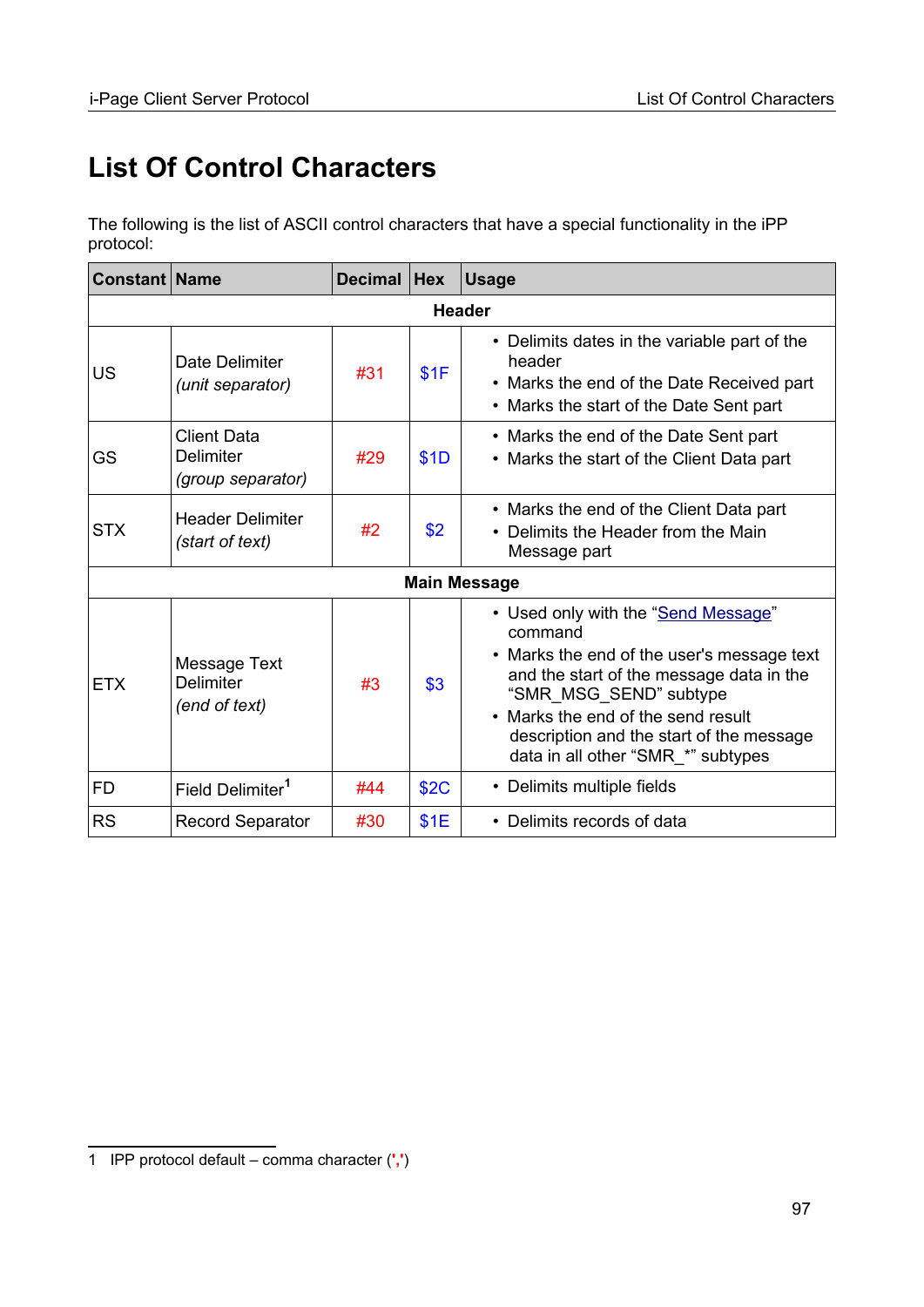# <span id="page-96-0"></span>**List Of Control Characters**

The following is the list of ASCII control characters that have a special functionality in the iPP protocol:

| <b>Constant Name</b> |                                                      | <b>Decimal</b> | <b>Hex</b>  | <b>Usage</b>                                                                                                                                                                                                                                                                               |  |  |
|----------------------|------------------------------------------------------|----------------|-------------|--------------------------------------------------------------------------------------------------------------------------------------------------------------------------------------------------------------------------------------------------------------------------------------------|--|--|
| <b>Header</b>        |                                                      |                |             |                                                                                                                                                                                                                                                                                            |  |  |
| <b>US</b>            | Date Delimiter<br>(unit separator)                   | #31            | \$1F        | • Delimits dates in the variable part of the<br>header<br>• Marks the end of the Date Received part<br>• Marks the start of the Date Sent part                                                                                                                                             |  |  |
| GS                   | <b>Client Data</b><br>Delimiter<br>(group separator) | #29            | \$1D        | • Marks the end of the Date Sent part<br>• Marks the start of the Client Data part                                                                                                                                                                                                         |  |  |
| <b>STX</b>           | <b>Header Delimiter</b><br>(start of text)           | #2             | \$2         | • Marks the end of the Client Data part<br>• Delimits the Header from the Main<br>Message part                                                                                                                                                                                             |  |  |
|                      |                                                      |                |             | <b>Main Message</b>                                                                                                                                                                                                                                                                        |  |  |
| <b>ETX</b>           | <b>Message Text</b><br>Delimiter<br>(end of text)    | #3             | \$3         | • Used only with the "Send Message"<br>command<br>• Marks the end of the user's message text<br>and the start of the message data in the<br>"SMR MSG SEND" subtype<br>• Marks the end of the send result<br>description and the start of the message<br>data in all other "SMR_*" subtypes |  |  |
| <b>FD</b>            | Field Delimiter <sup>1</sup>                         | #44            | <b>\$2C</b> | • Delimits multiple fields                                                                                                                                                                                                                                                                 |  |  |
| <b>RS</b>            | <b>Record Separator</b>                              | #30            | \$1E        | • Delimits records of data                                                                                                                                                                                                                                                                 |  |  |

<span id="page-96-1"></span><sup>1</sup> IPP protocol default – comma character (**','**)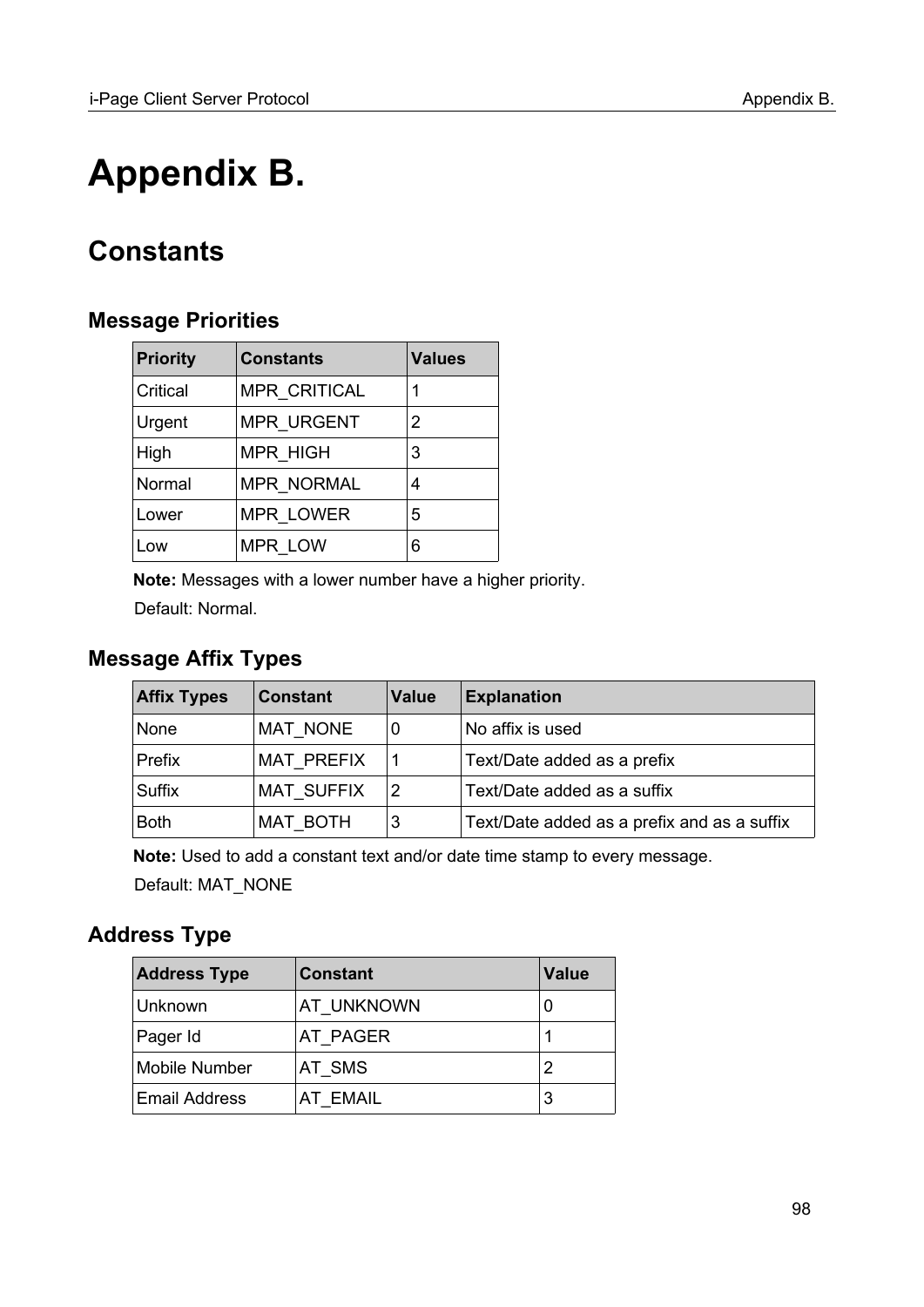# **Appendix B.**

# **Constants**

## <span id="page-97-0"></span>**Message Priorities**

| <b>Priority</b> | <b>Constants</b>    | <b>Values</b> |
|-----------------|---------------------|---------------|
| Critical        | <b>MPR CRITICAL</b> | 1             |
| Urgent          | <b>MPR URGENT</b>   | 2             |
| High            | <b>MPR HIGH</b>     | 3             |
| Normal          | <b>MPR NORMAL</b>   | 4             |
| Lower           | <b>MPR LOWER</b>    | 5             |
| Low             | MPR LOW             | 6             |

**Note:** Messages with a lower number have a higher priority. Default: Normal.

## **Message Affix Types**

| <b>Affix Types</b> | <b>Constant</b>   | <b>Value</b> | <b>Explanation</b>                          |
|--------------------|-------------------|--------------|---------------------------------------------|
| None               | <b>MAT NONE</b>   |              | No affix is used                            |
| Prefix             | <b>MAT PREFIX</b> |              | Text/Date added as a prefix                 |
| Suffix             | <b>MAT SUFFIX</b> | 2            | Text/Date added as a suffix                 |
| <b>Both</b>        | MAT BOTH          | 3            | Text/Date added as a prefix and as a suffix |

**Note:** Used to add a constant text and/or date time stamp to every message.

Default: MAT\_NONE

## <span id="page-97-1"></span>**Address Type**

| <b>Address Type</b>  | <b>Constant</b> | <b>Value</b> |
|----------------------|-----------------|--------------|
| Unknown              | AT UNKNOWN      |              |
| Pager Id             | AT PAGER        |              |
| <b>Mobile Number</b> | AT SMS          | 2            |
| <b>Email Address</b> | <b>AT EMAIL</b> | 3            |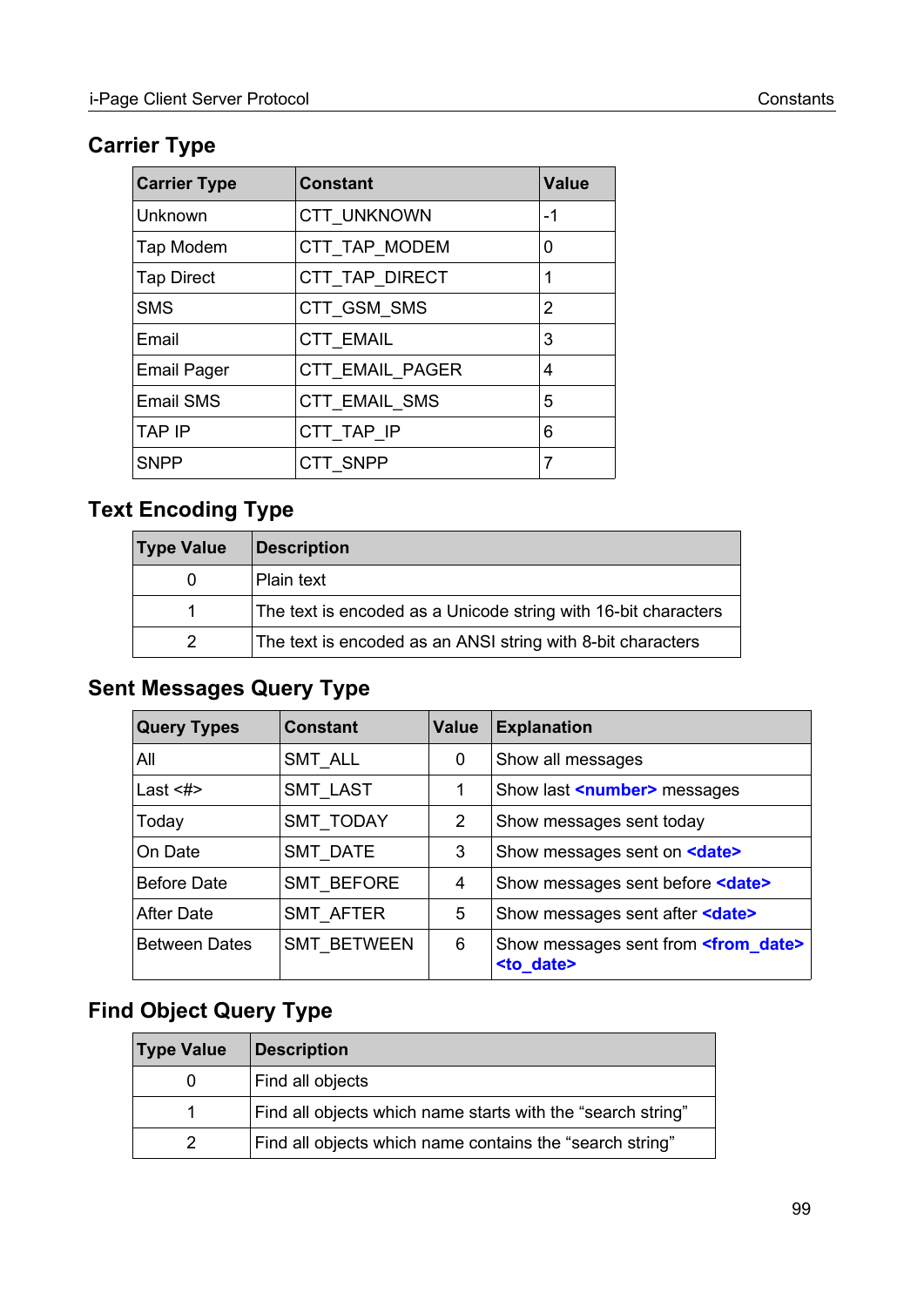## <span id="page-98-0"></span>**Carrier Type**

| <b>Carrier Type</b> | <b>Constant</b>        | <b>Value</b> |
|---------------------|------------------------|--------------|
| Unknown             | CTT UNKNOWN            | $-1$         |
| Tap Modem           | CTT_TAP_MODEM          | 0            |
| <b>Tap Direct</b>   | CTT TAP DIRECT         | 1            |
| <b>SMS</b>          | CTT GSM SMS            | 2            |
| Email               | <b>CTT EMAIL</b>       | 3            |
| <b>Email Pager</b>  | <b>CTT EMAIL PAGER</b> | 4            |
| <b>Email SMS</b>    | <b>CTT EMAIL SMS</b>   | 5            |
| <b>TAP IP</b>       | CTT TAP IP             | 6            |
| <b>SNPP</b>         | CTT SNPP               | 7            |

# **Text Encoding Type**

| <b>Type Value</b> | <b>Description</b>                                             |
|-------------------|----------------------------------------------------------------|
| $\left( \right)$  | Plain text                                                     |
|                   | The text is encoded as a Unicode string with 16-bit characters |
|                   | The text is encoded as an ANSI string with 8-bit characters    |

## **Sent Messages Query Type**

| <b>Query Types</b>   | <b>Constant</b>    | <b>Value</b> | <b>Explanation</b>                                                        |
|----------------------|--------------------|--------------|---------------------------------------------------------------------------|
| All                  | <b>SMT ALL</b>     | 0            | Show all messages                                                         |
| Last $<\neq>$        | <b>SMT LAST</b>    |              | Show last <number> messages</number>                                      |
| Today                | <b>SMT TODAY</b>   | 2            | Show messages sent today                                                  |
| On Date              | <b>SMT DATE</b>    | 3            | Show messages sent on <b><date></date></b>                                |
| <b>Before Date</b>   | SMT BEFORE         | 4            | Show messages sent before <date></date>                                   |
| After Date           | <b>SMT AFTER</b>   | 5            | Show messages sent after <date></date>                                    |
| <b>Between Dates</b> | <b>SMT BETWEEN</b> | 6            | Show messages sent from <b><from date=""></from></b><br><to date=""></to> |

## **Find Object Query Type**

| <b>Type Value</b> | <b>Description</b>                                          |
|-------------------|-------------------------------------------------------------|
|                   | Find all objects                                            |
|                   | Find all objects which name starts with the "search string" |
| 2                 | Find all objects which name contains the "search string"    |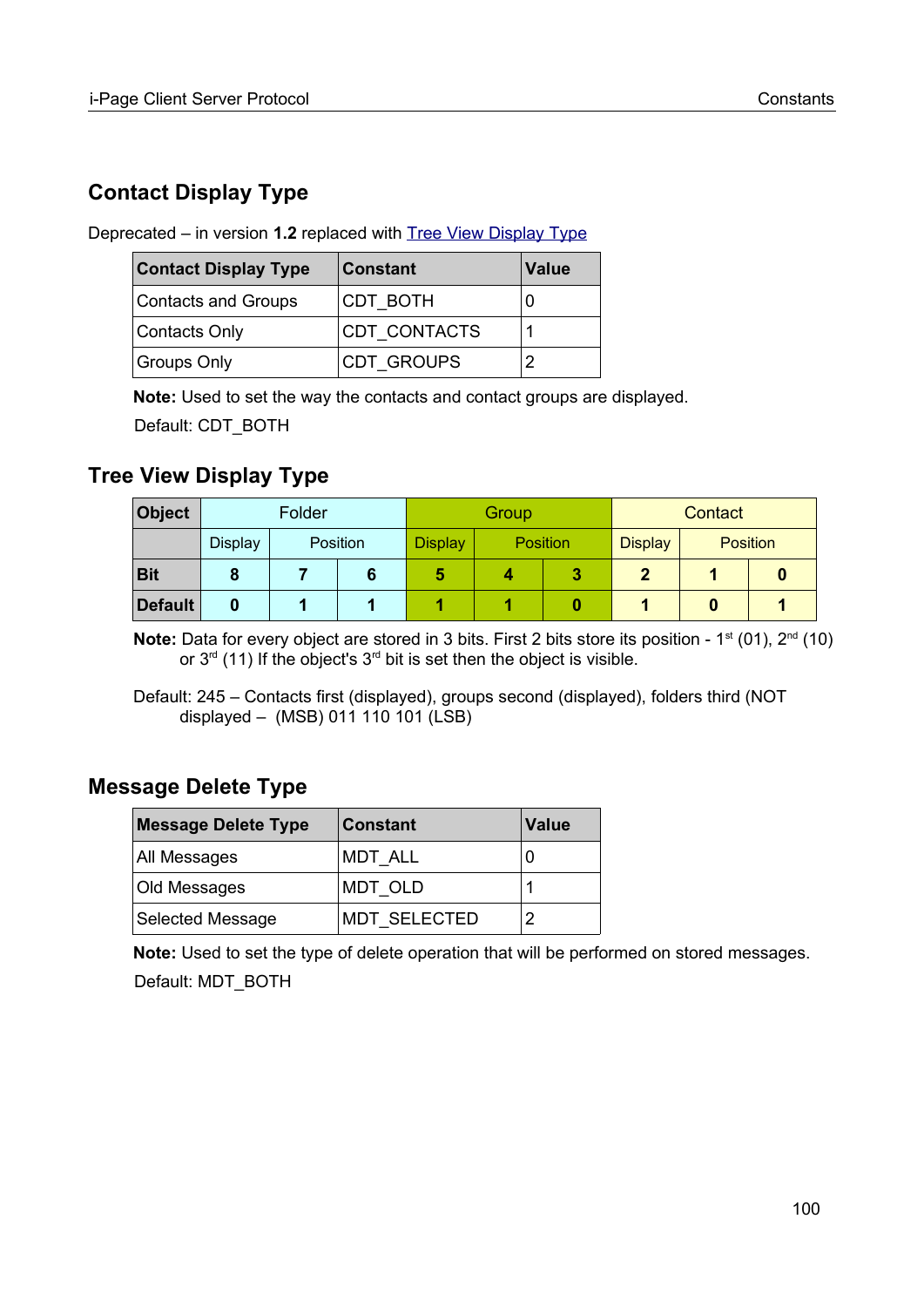## **Contact Display Type**

Deprecated – in version **1.2** replaced with [Tree View Display Type](#page-99-0)

| <b>Contact Display Type</b> | <b>Constant</b>   | <b>Value</b> |
|-----------------------------|-------------------|--------------|
| Contacts and Groups         | <b>CDT BOTH</b>   |              |
| Contacts Only               | CDT CONTACTS      |              |
| Groups Only                 | <b>CDT GROUPS</b> |              |

**Note:** Used to set the way the contacts and contact groups are displayed. Default: CDT\_BOTH

## <span id="page-99-0"></span>**Tree View Display Type**

| <b>Object</b>  | Folder         |          | Group |                |                 | Contact |                |                 |  |
|----------------|----------------|----------|-------|----------------|-----------------|---------|----------------|-----------------|--|
|                | <b>Display</b> | Position |       | <b>Display</b> | <b>Position</b> |         | <b>Display</b> | <b>Position</b> |  |
| <b>Bit</b>     |                |          |       |                |                 |         |                |                 |  |
| <b>Default</b> |                |          |       |                |                 |         |                |                 |  |

**Note:** Data for every object are stored in 3 bits. First 2 bits store its position - 1<sup>st</sup> (01), 2<sup>nd</sup> (10) or  $3<sup>rd</sup>$  (11) If the object's  $3<sup>rd</sup>$  bit is set then the object is visible.

Default: 245 – Contacts first (displayed), groups second (displayed), folders third (NOT displayed – (MSB) 011 110 101 (LSB)

## **Message Delete Type**

| <b>Message Delete Type</b> | <b>Constant</b>     | <b>Value</b> |
|----------------------------|---------------------|--------------|
| All Messages               | <b>MDT ALL</b>      |              |
| Old Messages               | MDT OLD             |              |
| <b>Selected Message</b>    | <b>MDT SELECTED</b> |              |

**Note:** Used to set the type of delete operation that will be performed on stored messages. Default: MDT\_BOTH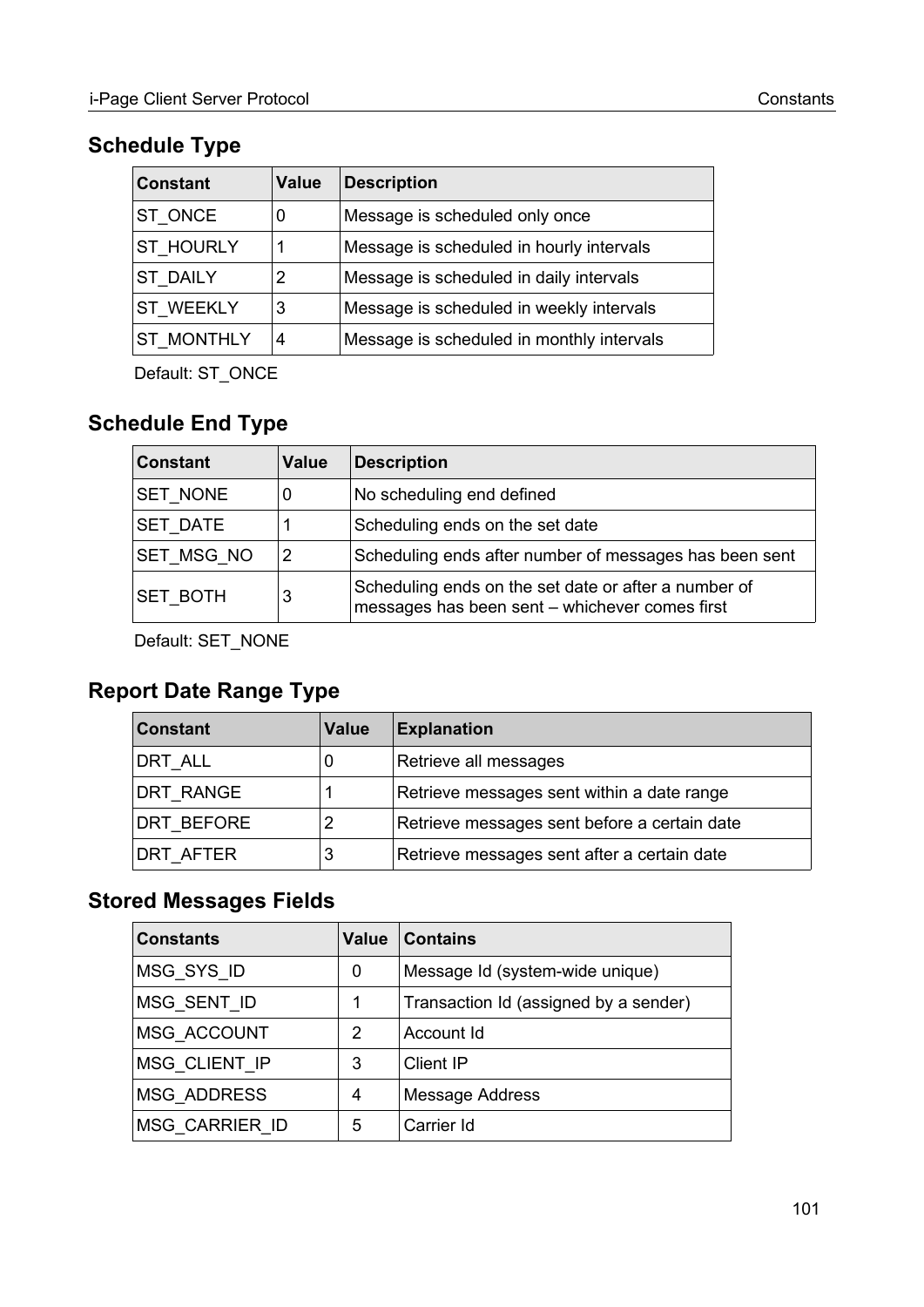## <span id="page-100-1"></span>**Schedule Type**

| <b>Constant</b>   | <b>Value</b> | <b>Description</b>                        |
|-------------------|--------------|-------------------------------------------|
| ST ONCE           | 0            | Message is scheduled only once            |
| <b>ST HOURLY</b>  | 1            | Message is scheduled in hourly intervals  |
| <b>ST DAILY</b>   | 2            | Message is scheduled in daily intervals   |
| <b>ST WEEKLY</b>  | 3            | Message is scheduled in weekly intervals  |
| <b>ST MONTHLY</b> | 4            | Message is scheduled in monthly intervals |

Default: ST\_ONCE

# <span id="page-100-0"></span>**Schedule End Type**

| <b>Constant</b> | <b>Value</b> | <b>Description</b>                                                                                     |
|-----------------|--------------|--------------------------------------------------------------------------------------------------------|
| SET NONE        | 0            | No scheduling end defined                                                                              |
| SET DATE        |              | Scheduling ends on the set date                                                                        |
| SET_MSG_NO      | 2            | Scheduling ends after number of messages has been sent                                                 |
| <b>SET BOTH</b> | 3            | Scheduling ends on the set date or after a number of<br>messages has been sent - whichever comes first |

Default: SET\_NONE

## <span id="page-100-2"></span>**Report Date Range Type**

| <b>Constant</b> | <b>Value</b> | <b>Explanation</b>                           |
|-----------------|--------------|----------------------------------------------|
| DRT ALL         | 0            | Retrieve all messages                        |
| DRT RANGE       |              | Retrieve messages sent within a date range   |
| DRT BEFORE      | 2            | Retrieve messages sent before a certain date |
| DRT AFTER       | 3            | Retrieve messages sent after a certain date  |

## <span id="page-100-3"></span>**Stored Messages Fields**

| <b>Constants</b>      | Value | <b>Contains</b>                       |
|-----------------------|-------|---------------------------------------|
| MSG SYS ID            | 0     | Message Id (system-wide unique)       |
| MSG SENT ID           | 1     | Transaction Id (assigned by a sender) |
| MSG ACCOUNT           | 2     | Account Id                            |
| MSG CLIENT IP         | 3     | Client IP                             |
| <b>MSG ADDRESS</b>    | 4     | <b>Message Address</b>                |
| <b>MSG CARRIER ID</b> | 5     | Carrier Id                            |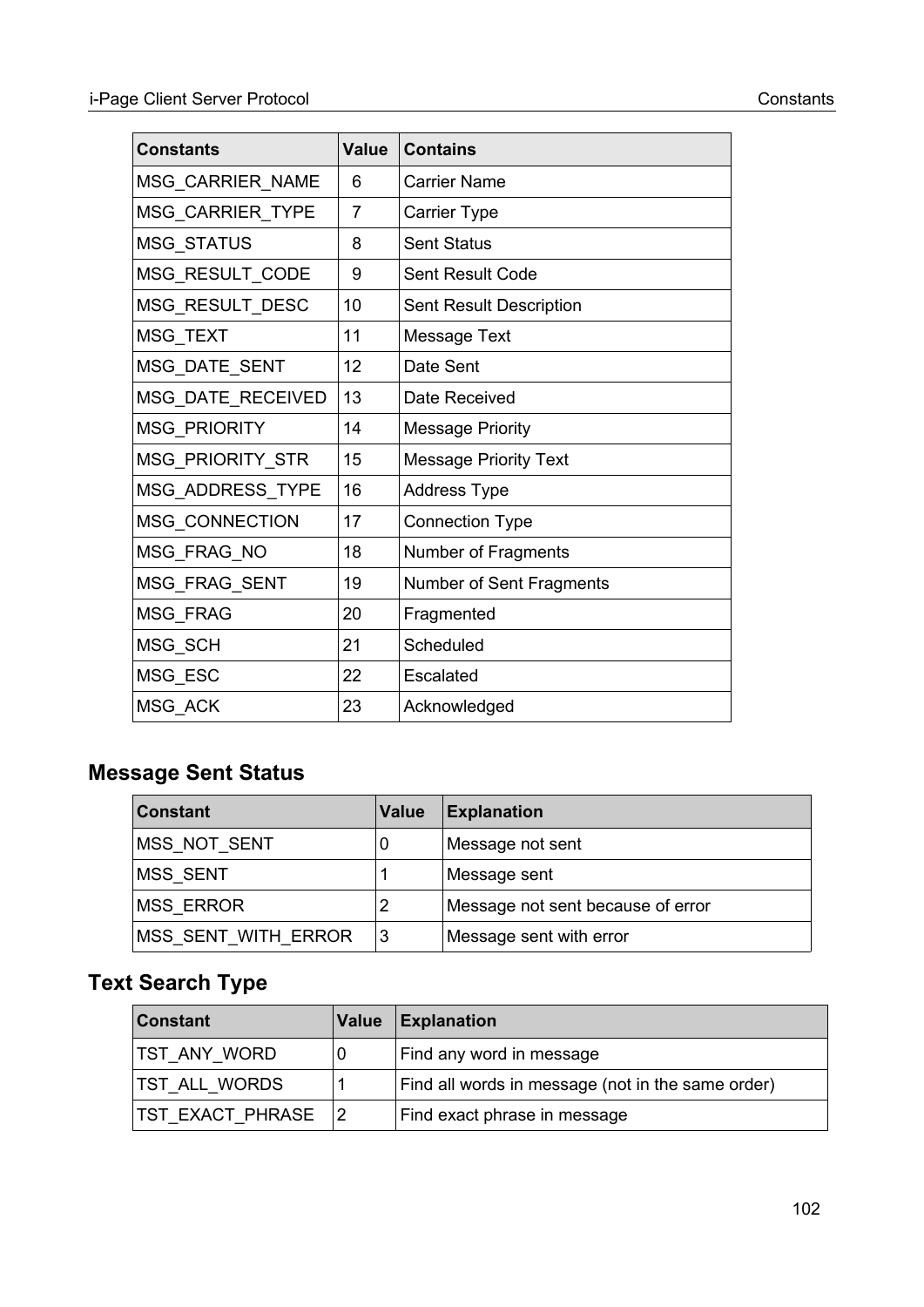| <b>Constants</b>    | <b>Value</b> | <b>Contains</b>              |
|---------------------|--------------|------------------------------|
| MSG_CARRIER_NAME    | 6            | <b>Carrier Name</b>          |
| MSG_CARRIER_TYPE    | 7            | Carrier Type                 |
| MSG_STATUS          | 8            | <b>Sent Status</b>           |
| MSG_RESULT_CODE     | 9            | Sent Result Code             |
| MSG_RESULT_DESC     | 10           | Sent Result Description      |
| MSG_TEXT            | 11           | Message Text                 |
| MSG_DATE_SENT       | 12           | Date Sent                    |
| MSG_DATE_RECEIVED   | 13           | Date Received                |
| <b>MSG PRIORITY</b> | 14           | <b>Message Priority</b>      |
| MSG_PRIORITY_STR    | 15           | <b>Message Priority Text</b> |
| MSG_ADDRESS_TYPE    | 16           | <b>Address Type</b>          |
| MSG_CONNECTION      | 17           | <b>Connection Type</b>       |
| MSG_FRAG_NO         | 18           | Number of Fragments          |
| MSG_FRAG_SENT       | 19           | Number of Sent Fragments     |
| MSG_FRAG            | 20           | Fragmented                   |
| MSG_SCH             | 21           | Scheduled                    |
| MSG_ESC             | 22           | Escalated                    |
| MSG ACK             | 23           | Acknowledged                 |

## <span id="page-101-0"></span>**Message Sent Status**

| <b>Constant</b>     | <b>Value</b> | <b>Explanation</b>                |
|---------------------|--------------|-----------------------------------|
| MSS NOT SENT        | 0            | Message not sent                  |
| MSS_SENT            |              | Message sent                      |
| <b>MSS ERROR</b>    | 2            | Message not sent because of error |
| MSS_SENT_WITH_ERROR | 3            | Message sent with error           |

# <span id="page-101-1"></span>**Text Search Type**

| <b>Constant</b>           | Value | Explanation                                       |
|---------------------------|-------|---------------------------------------------------|
| <b>TST ANY WORD</b>       |       | Find any word in message                          |
| <b>TST ALL WORDS</b>      |       | Find all words in message (not in the same order) |
| <b>TST EXACT PHRASE 2</b> |       | Find exact phrase in message                      |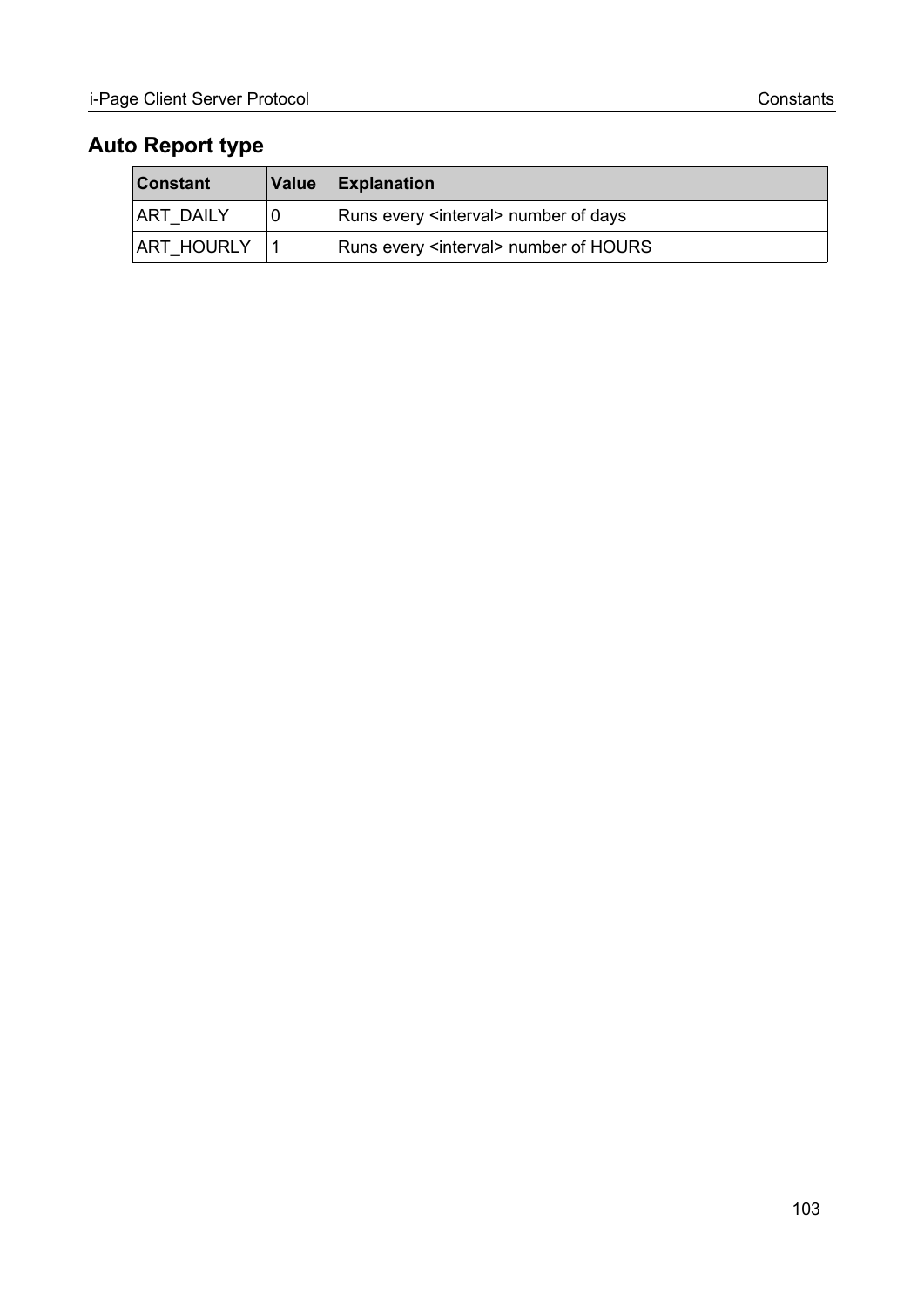## <span id="page-102-0"></span>**Auto Report type**

| ∣Constant        | <b>Value</b> | $\mathsf{Explanation}$                           |  |  |  |
|------------------|--------------|--------------------------------------------------|--|--|--|
| <b>ART DAILY</b> |              | Runs every <interval> number of days</interval>  |  |  |  |
| ART HOURLY       |              | Runs every <interval> number of HOURS</interval> |  |  |  |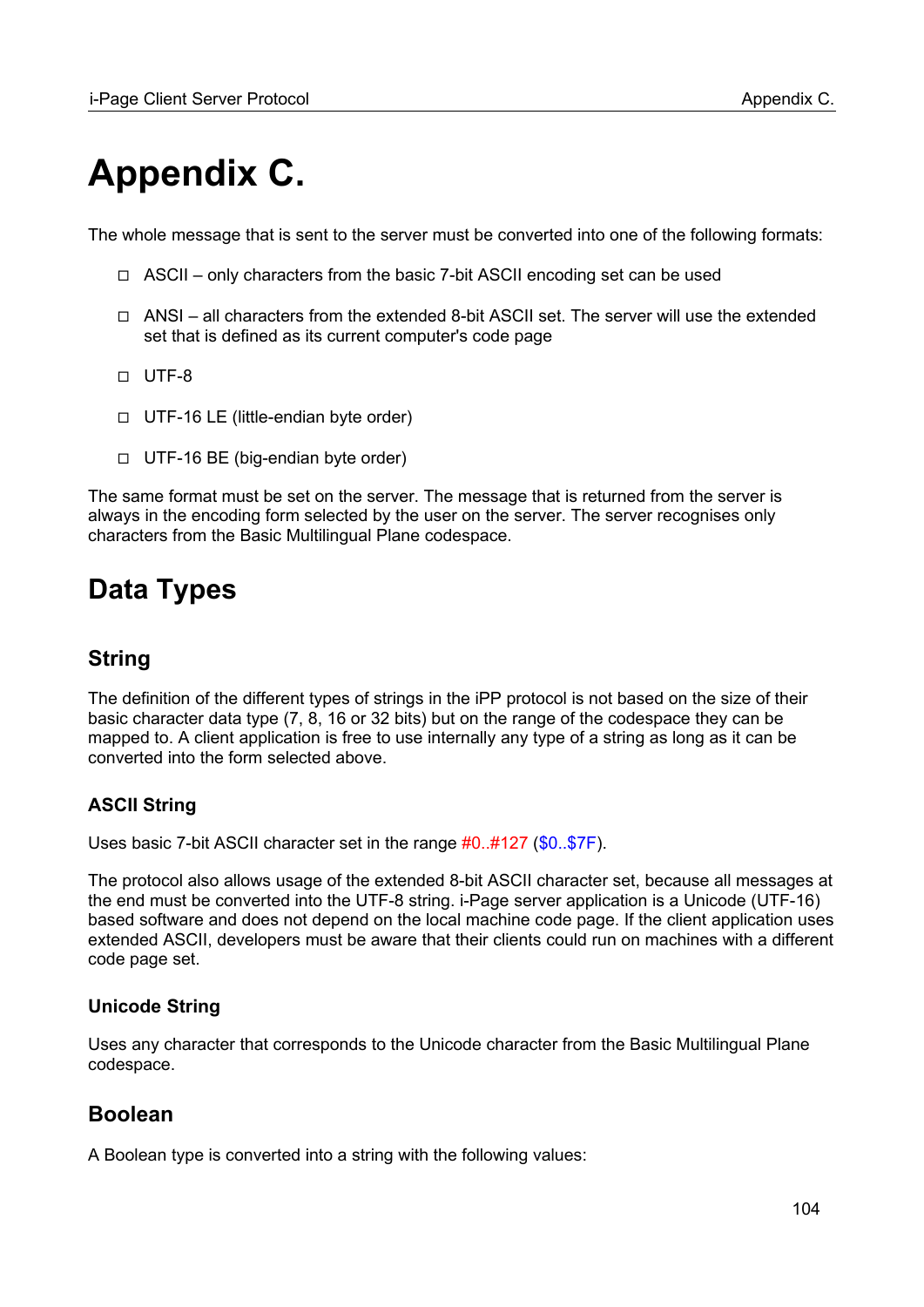# **Appendix C.**

The whole message that is sent to the server must be converted into one of the following formats:

- ◻ ASCII only characters from the basic 7-bit ASCII encoding set can be used
- ◻ ANSI all characters from the extended 8-bit ASCII set. The server will use the extended set that is defined as its current computer's code page
- ◻ UTF-8
- ◻ UTF-16 LE (little-endian byte order)
- ◻ UTF-16 BE (big-endian byte order)

The same format must be set on the server. The message that is returned from the server is always in the encoding form selected by the user on the server. The server recognises only characters from the Basic Multilingual Plane codespace.

# **Data Types**

## **String**

The definition of the different types of strings in the iPP protocol is not based on the size of their basic character data type (7, 8, 16 or 32 bits) but on the range of the codespace they can be mapped to. A client application is free to use internally any type of a string as long as it can be converted into the form selected above.

#### **ASCII String**

Uses basic 7-bit ASCII character set in the range #0..#127 (\$0..\$7F).

The protocol also allows usage of the extended 8-bit ASCII character set, because all messages at the end must be converted into the UTF-8 string. i-Page server application is a Unicode (UTF-16) based software and does not depend on the local machine code page. If the client application uses extended ASCII, developers must be aware that their clients could run on machines with a different code page set.

#### **Unicode String**

Uses any character that corresponds to the Unicode character from the Basic Multilingual Plane codespace.

## **Boolean**

A Boolean type is converted into a string with the following values: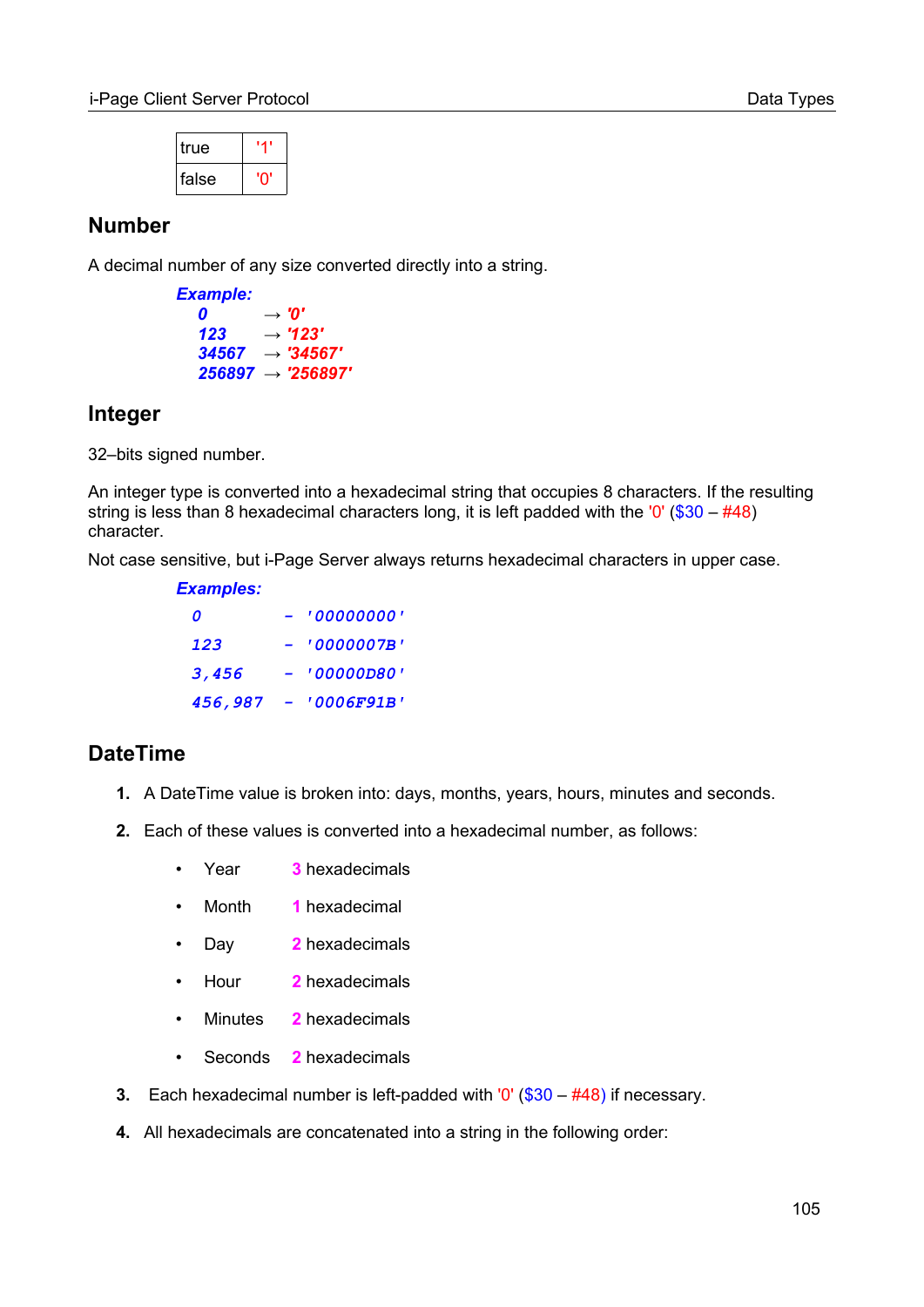| true  | יזי |  |
|-------|-----|--|
| false |     |  |

### **Number**

A decimal number of any size converted directly into a string.

```
Example:
    \begin{array}{cc} 0 & \rightarrow '0' \\ 123 & \rightarrow '12 \end{array}123 → '123'
    34567 → '34567'
    256897 → '256897'
```
## **Integer**

32–bits signed number.

An integer type is converted into a hexadecimal string that occupies 8 characters. If the resulting string is less than 8 hexadecimal characters long, it is left padded with the  $'0'$  (\$30 – #48) character.

Not case sensitive, but i-Page Server always returns hexadecimal characters in upper case.

| <b>Examples:</b> |                   |
|------------------|-------------------|
| Ω                | י 00000000 י      |
| 1,23             | <u>י 0000007B</u> |
| 3,456            | <b>'00000D80'</b> |
| 456,987          | <i>'0006F91B'</i> |

## <span id="page-104-0"></span>**DateTime**

- **1.** A DateTime value is broken into: days, months, years, hours, minutes and seconds.
- **2.** Each of these values is converted into a hexadecimal number, as follows:
	- Year **3** hexadecimals
	- Month **1** hexadecimal
	- Day **2** hexadecimals
	- Hour **2** hexadecimals
	- Minutes **2** hexadecimals
	- Seconds **2** hexadecimals
- **3.** Each hexadecimal number is left-padded with '0' (\$30 #48) if necessary.
- **4.** All hexadecimals are concatenated into a string in the following order: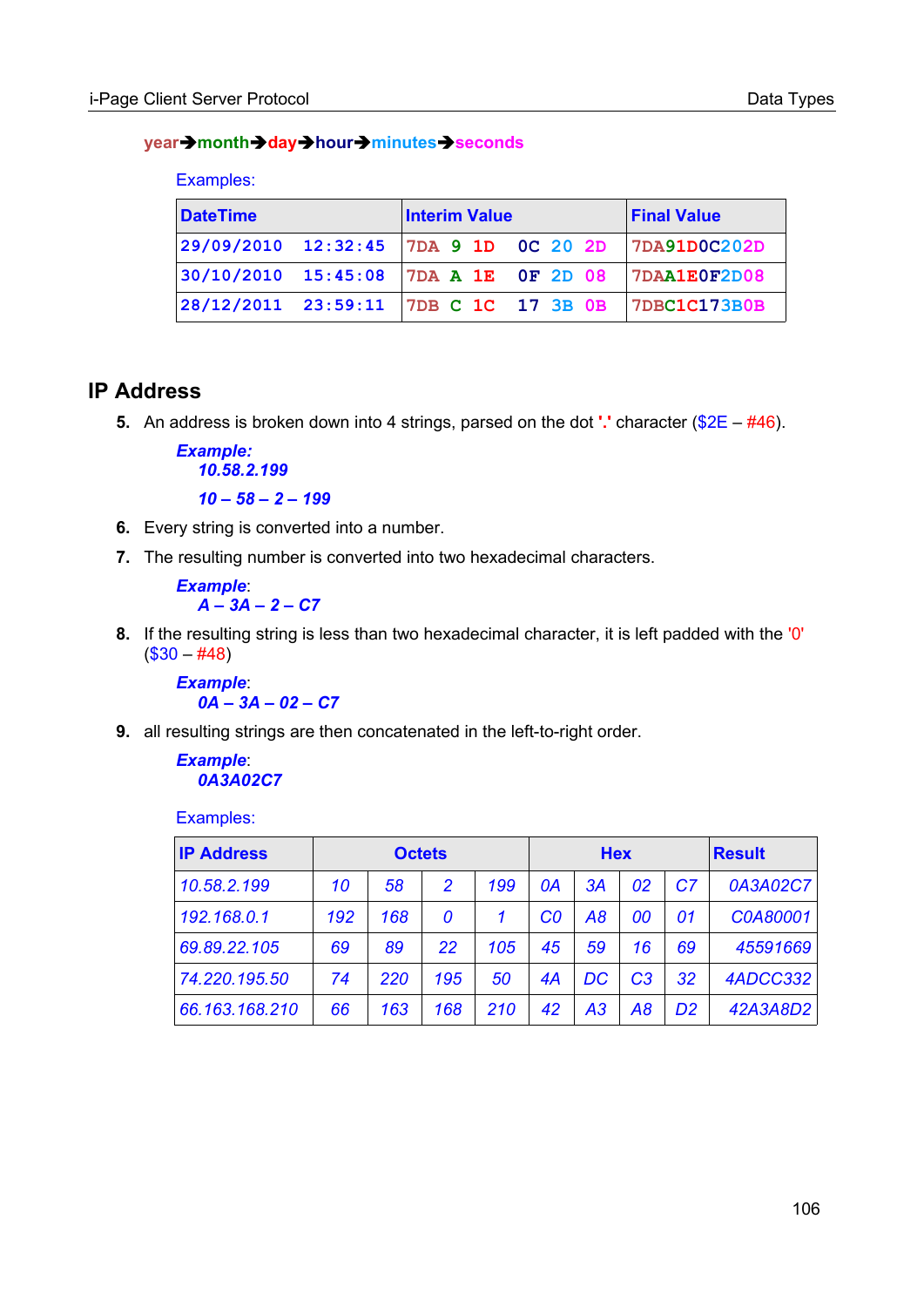#### **yearmonthdayhourminutesseconds**

|  | -xamples: |
|--|-----------|
|  |           |

| <b>DateTime</b> |  | <b>Interim Value</b> | <b>Final Value</b>                                 |  |
|-----------------|--|----------------------|----------------------------------------------------|--|
|                 |  |                      | 29/09/2010 12:32:45 7DA 9 1D 0C 20 2D 7DA91D0C202D |  |
|                 |  |                      | 30/10/2010 15:45:08 7DA A 1E OF 2D 08 7DAA1E0F2D08 |  |
|                 |  |                      | 28/12/2011 23:59:11 7DB C 1C 17 3B 0B 7DBC1C173B0B |  |

### **IP Address**

**5.** An address is broken down into 4 strings, parsed on the dot **'.'** character (\$2E – #46).

```
Example:
  10.58.2.199
  10 – 58 – 2 – 199
```
- **6.** Every string is converted into a number.
- **7.** The resulting number is converted into two hexadecimal characters.

*Example*: *A – 3A – 2 – C7*

**8.** If the resulting string is less than two hexadecimal character, it is left padded with the '0'  $($30 - #48)$ 

```
Example:
  0A – 3A – 02 – C7
```
**9.** all resulting strings are then concatenated in the left-to-right order.

```
Example:
  0A3A02C7
```
Examples:

| <b>IP Address</b> | <b>Octets</b> |     |               |     | <b>Hex</b>     |    |                |                | <b>Result</b> |
|-------------------|---------------|-----|---------------|-----|----------------|----|----------------|----------------|---------------|
| 10.58.2.199       | 10            | 58  | $\mathcal{P}$ | 199 | 0A             | 3A | 02             | C <sub>7</sub> | 0A3A02C7      |
| 192.168.0.1       | 192           | 168 | 0             |     | C <sub>0</sub> | A8 | 00             | 01             | C0A80001      |
| 69.89.22.105      | 69            | 89  | 22            | 105 | 45             | 59 | 16             | 69             | 45591669      |
| 74.220.195.50     | 74            | 220 | 195           | 50  | 4A             | DC | C <sub>3</sub> | 32             | 4ADCC332      |
| 66.163.168.210    | 66            | 163 | 168           | 210 | 42             | A3 | A8             | D <sub>2</sub> | 42A3A8D2      |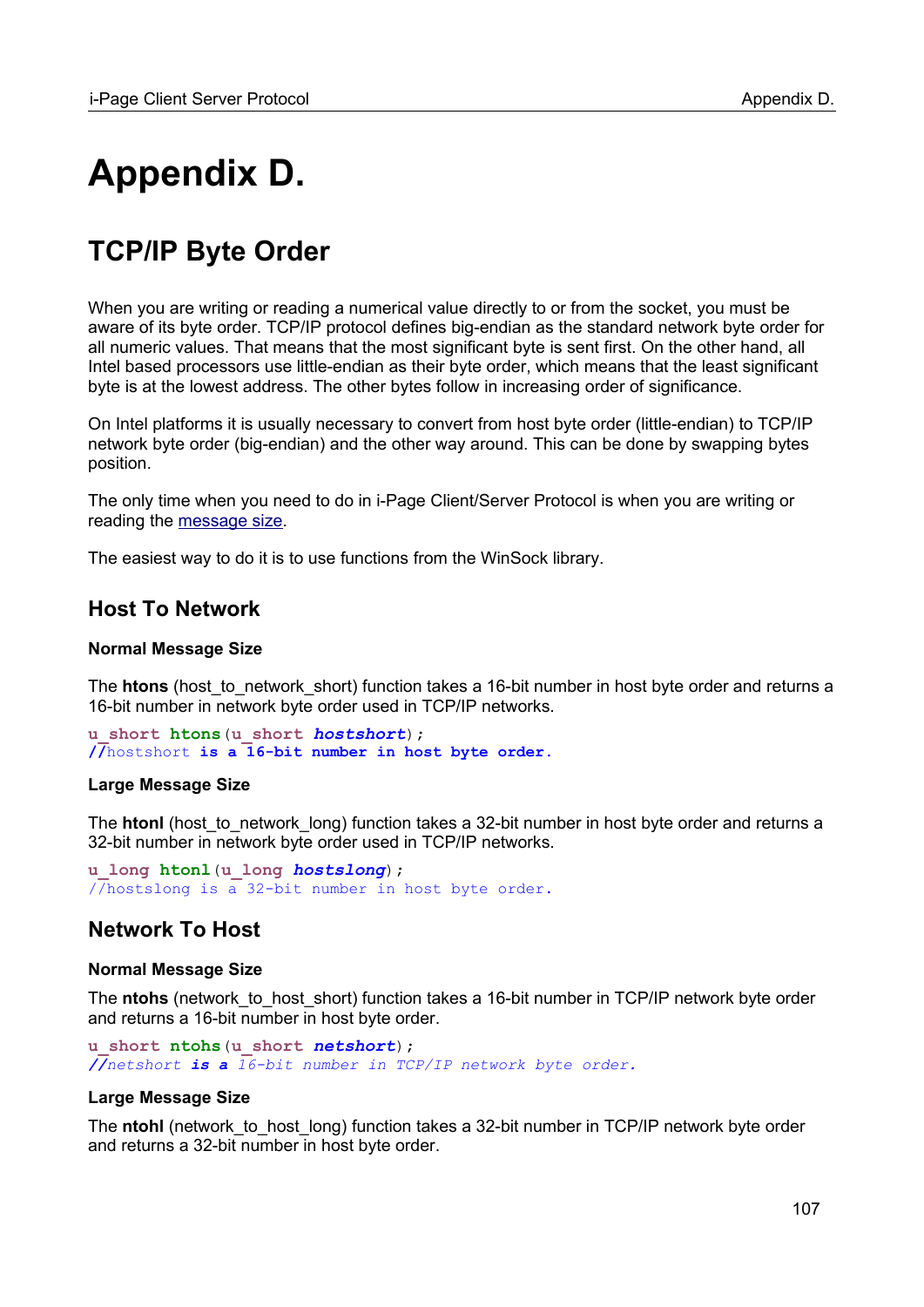# **Appendix D.**

# **TCP/IP Byte Order**

When you are writing or reading a numerical value directly to or from the socket, you must be aware of its byte order. TCP/IP protocol defines big-endian as the standard network byte order for all numeric values. That means that the most significant byte is sent first. On the other hand, all Intel based processors use little-endian as their byte order, which means that the least significant byte is at the lowest address. The other bytes follow in increasing order of significance.

On Intel platforms it is usually necessary to convert from host byte order (little-endian) to TCP/IP network byte order (big-endian) and the other way around. This can be done by swapping bytes position.

The only time when you need to do in i-Page Client/Server Protocol is when you are writing or reading the [message size](#page-7-1).

The easiest way to do it is to use functions from the WinSock library.

#### **Host To Network**

#### **[Normal Message Size](#page-7-0)**

The **htons** (host\_to\_network\_short) function takes a 16-bit number in host byte order and returns a 16-bit number in network byte order used in TCP/IP networks.

**u\_short htons**(**u\_short** *hostshort*); **//**hostshort **is a 16-bit number in host byte order.**

#### **Large [Message Size](#page-7-0)**

The **htonl** (host to network long) function takes a 32-bit number in host byte order and returns a 32-bit number in network byte order used in TCP/IP networks.

**u\_long htonl**(**u\_long** *hostslong*); //hostslong is a 32-bit number in host byte order.

#### **Network To Host**

#### **[Normal Message Size](#page-7-0)**

The **ntohs** (network to host short) function takes a 16-bit number in TCP/IP network byte order and returns a 16-bit number in host byte order.

**u\_short ntohs**(**u\_short** *netshort*); *//netshort is a 16-bit number in TCP/IP network byte order.*

#### **Large [Message Size](#page-7-0)**

The **ntohl** (network\_to\_host\_long) function takes a 32-bit number in TCP/IP network byte order and returns a 32-bit number in host byte order.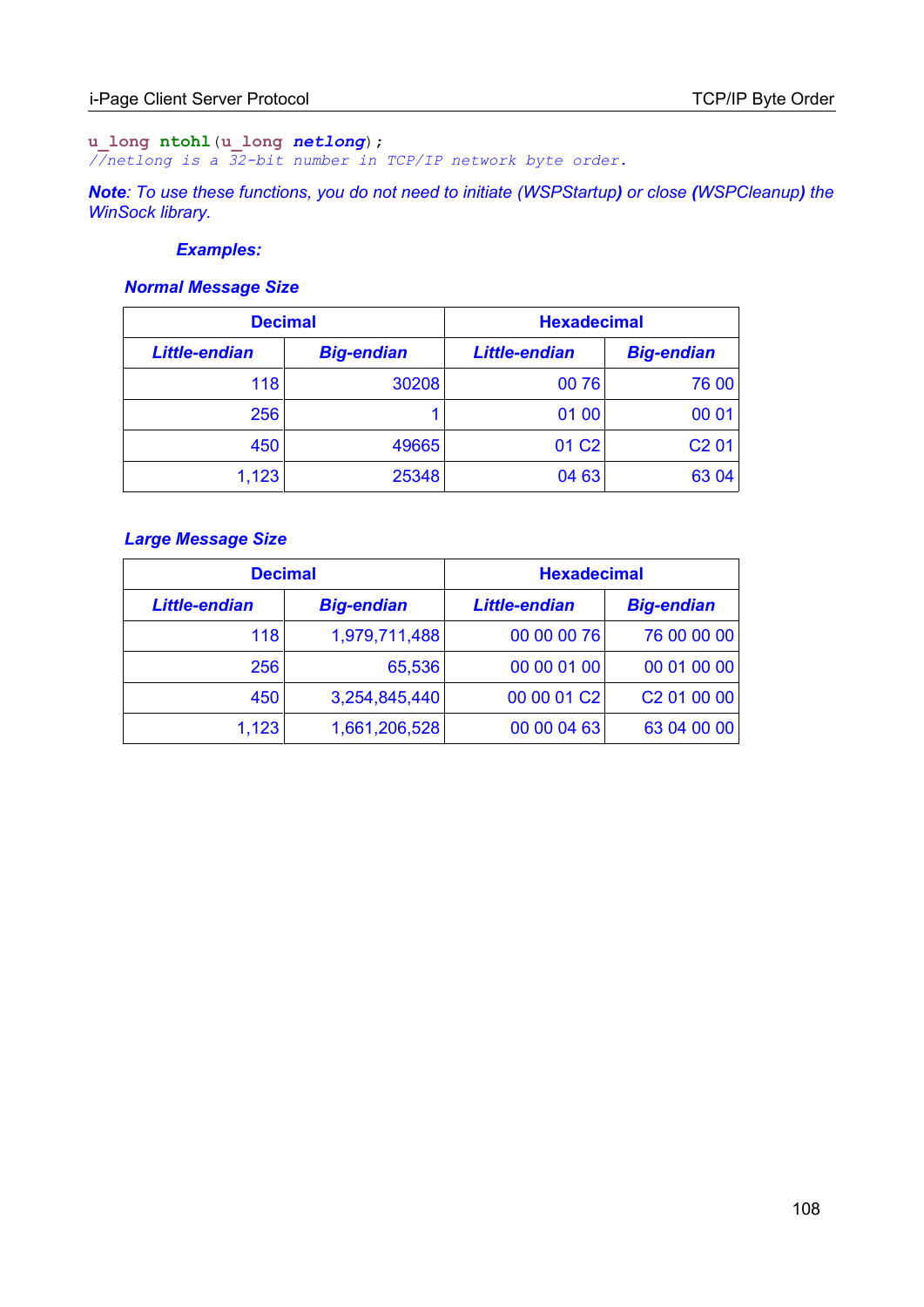#### **u\_long ntohl**(**u\_long** *netlong*); *//netlong is a 32-bit number in TCP/IP network byte order.*

*Note: To use these functions, you do not need to initiate (WSPStartup) or close (WSPCleanup) the WinSock library.* 

#### *Examples:*

#### *Normal Message Size*

| <b>Decimal</b>       |                   | <b>Hexadecimal</b>   |                   |
|----------------------|-------------------|----------------------|-------------------|
| <b>Little-endian</b> | <b>Big-endian</b> | <b>Little-endian</b> | <b>Big-endian</b> |
| 118                  | 30208             | 00 76                | 76 00             |
| 256                  |                   | 01 00                | 00 01             |
| 450                  | 49665             | 01 C <sub>2</sub>    | C2 01             |
| 1,123                | 25348             | 04 63                | 63 04             |

#### *Large Message Size*

| <b>Decimal</b>       |                   | <b>Hexadecimal</b>   |                         |
|----------------------|-------------------|----------------------|-------------------------|
| <b>Little-endian</b> | <b>Big-endian</b> | <b>Little-endian</b> | <b>Big-endian</b>       |
| 118                  | 1,979,711,488     | 00 00 00 76          | 76 00 00 00             |
| 256                  | 65,536            | 00 00 01 00          | 00 01 00 00             |
| 450                  | 3,254,845,440     | 00 00 01 C2          | C <sub>2</sub> 01 00 00 |
| 1,123                | 1,661,206,528     | 00 00 04 63          | 63 04 00 00             |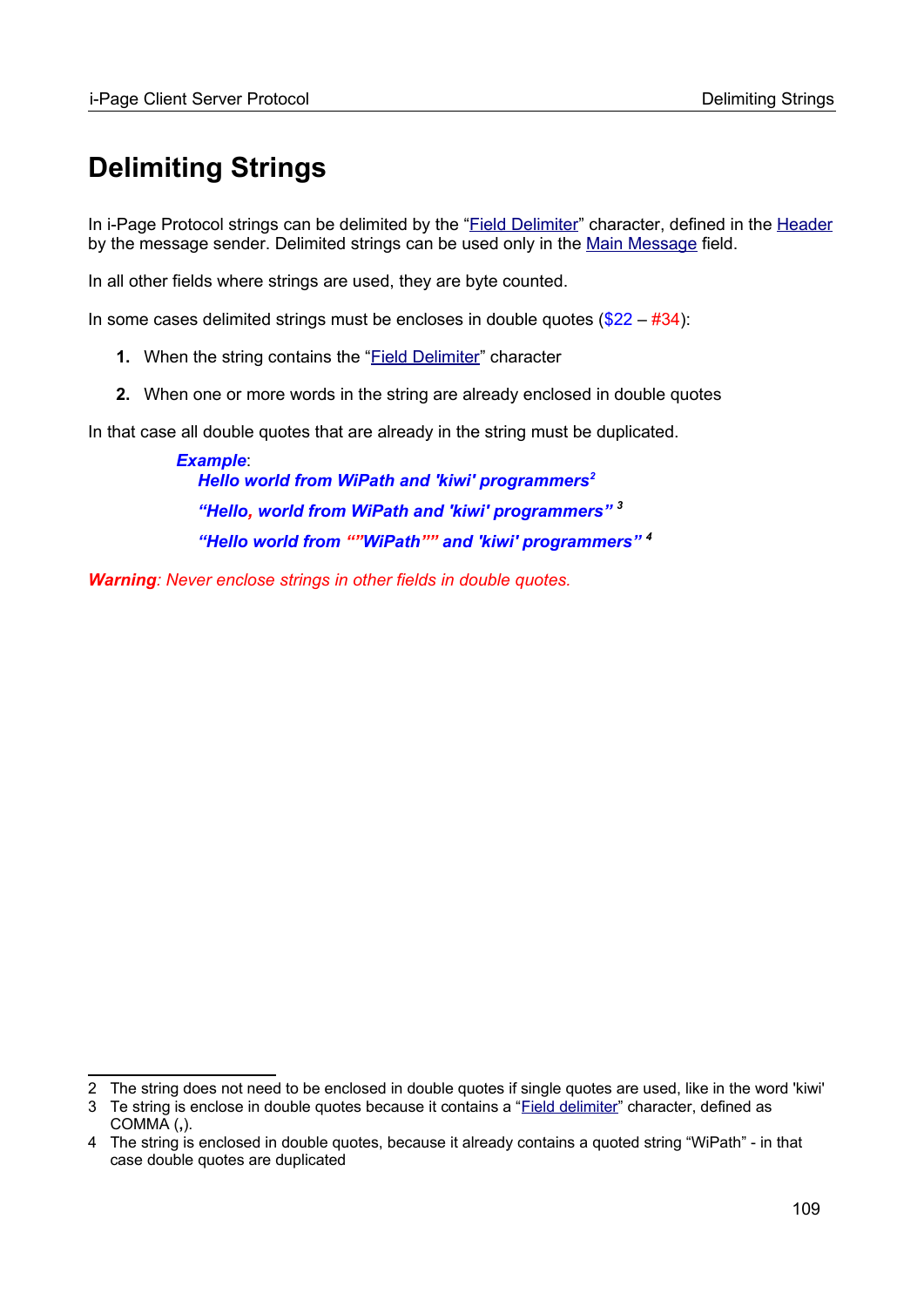## **Delimiting Strings**

In i-Page Protocol strings can be delimited by the "Field Delimiter" character, defined in the [Header](#page-9-0) by the message sender. Delimited strings can be used only in the [Main Message](#page-17-0) field.

In all other fields where strings are used, they are byte counted.

In some cases delimited strings must be encloses in double quotes  $(\$22 - #34)$ :

- **1.** When the string contains the "**Field Delimiter**" character
- **2.** When one or more words in the string are already enclosed in double quotes

In that case all double quotes that are already in the string must be duplicated.

*Example*: *Hello world from WiPath and 'kiwi' programmers[2](#page-108-0) "Hello, world from WiPath and 'kiwi' programmers" [3](#page-108-1) "Hello world from ""WiPath"" and 'kiwi' programmers" [4](#page-108-2)*

*Warning: Never enclose strings in other fields in double quotes.*

<span id="page-108-0"></span><sup>2</sup> The string does not need to be enclosed in double quotes if single quotes are used, like in the word 'kiwi'

<span id="page-108-1"></span><sup>3</sup> Te string is enclose in double quotes because it contains a "Field delimiter" character, defined as COMMA (**,**).

<span id="page-108-2"></span><sup>4</sup> The string is enclosed in double quotes, because it already contains a quoted string "WiPath" - in that case double quotes are duplicated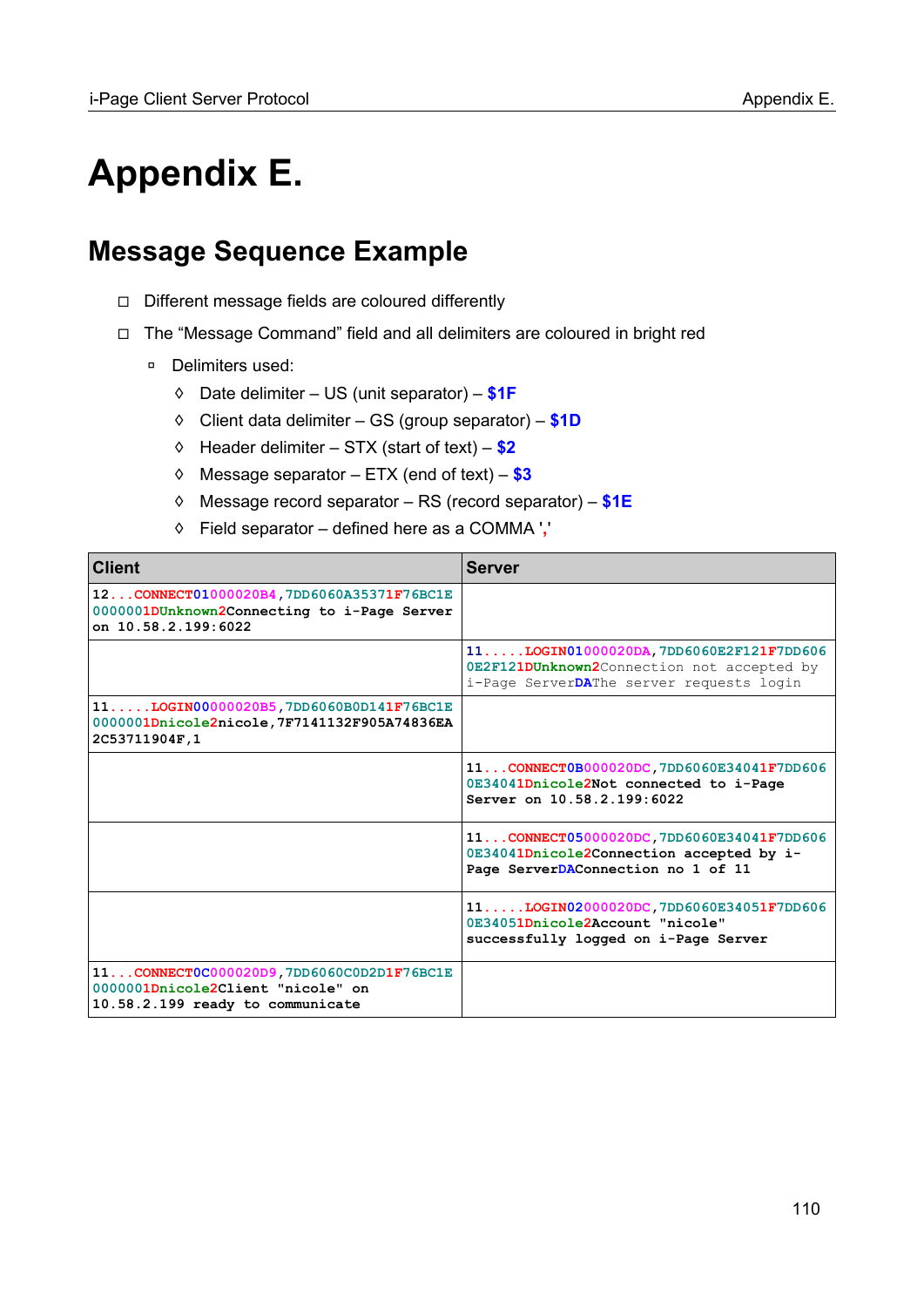## **Appendix E.**

## **Message Sequence Example**

- ◻ Different message fields are coloured differently
- ◻ The "Message Command" field and all delimiters are coloured in bright red
	- □ Delimiters used:
		- ◊ Date delimiter US (unit separator) **\$1F**
		- ◊ Client data delimiter GS (group separator) **\$1D**
		- ◊ Header delimiter STX (start of text) **\$2**
		- ◊ Message separator ETX (end of text) **\$3**
		- ◊ Message record separator RS (record separator) **\$1E**
		- ◊ Field separator defined here as a COMMA '**,**'

| <b>Client</b>                                                                                                     | <b>Server</b>                                                                                                                    |
|-------------------------------------------------------------------------------------------------------------------|----------------------------------------------------------------------------------------------------------------------------------|
| 12CONNECT01000020B4.7DD6060A35371F76BC1E<br>0000001DUnknown2Connecting to i-Page Server<br>on 10.58.2.199:6022    |                                                                                                                                  |
|                                                                                                                   | 11LOGIN01000020DA.7DD6060E2F121F7DD606<br>OE2F121DUnknown2Connection not accepted by<br>i-Page ServerDAThe server requests login |
| $1110GIN00000020B5,7DD6060B0D141F76BC1E$<br>0000001Dnicole2nicole,7F7141132F905A74836EA<br>2C53711904F,1          |                                                                                                                                  |
|                                                                                                                   | 11CONNECT0B000020DC, 7DD6060E34041F7DD606<br>0E34041Dnicole2Not connected to i-Page<br>Server on 10.58.2.199:6022                |
|                                                                                                                   | 11CONNECT05000020DC.7DD6060E34041F7DD606<br>0E34041Dnicole2Connection accepted by i-<br>Page ServerDAConnection no 1 of 11       |
|                                                                                                                   | 11LOGIN02000020DC,7DD6060E34051F7DD606<br>0E34051Dnicole2Account "nicole"<br>successfully logged on i-Page Server                |
| 11CONNECT0C000020D9,7DD6060C0D2D1F76BC1E<br>0000001Dnicole2Client "nicole" on<br>10.58.2.199 ready to communicate |                                                                                                                                  |